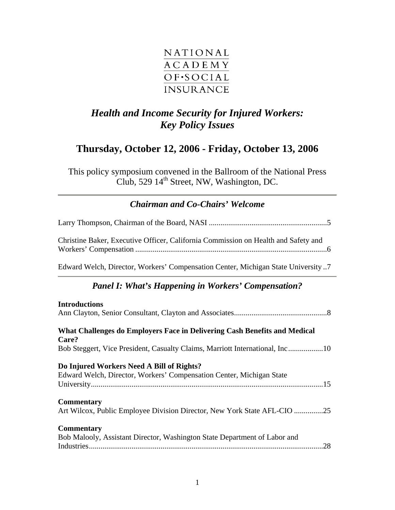

# *Health and Income Security for Injured Workers: Key Policy Issues*

## **Thursday, October 12, 2006 - Friday, October 13, 2006**

This policy symposium convened in the Ballroom of the National Press Club, 529  $14<sup>th</sup>$  Street, NW, Washington, DC.

## *[Chairman and Co-Chairs' Welcome](#page-4-0)*

| Christine Baker, Executive Officer, California Commission on Health and Safety and                                |
|-------------------------------------------------------------------------------------------------------------------|
| Edward Welch, Director, Workers' Compensation Center, Michigan State University 7                                 |
| <b>Panel I: What's Happening in Workers' Compensation?</b>                                                        |
| <b>Introductions</b>                                                                                              |
| What Challenges do Employers Face in Delivering Cash Benefits and Medical<br>Care?                                |
| Bob Steggert, Vice President, Casualty Claims, Marriott International, Inc10                                      |
| Do Injured Workers Need A Bill of Rights?<br>Edward Welch, Director, Workers' Compensation Center, Michigan State |
| <b>Commentary</b><br>Art Wilcox, Public Employee Division Director, New York State AFL-CIO 25                     |
| <b>Commentary</b><br>Bob Malooly, Assistant Director, Washington State Department of Labor and                    |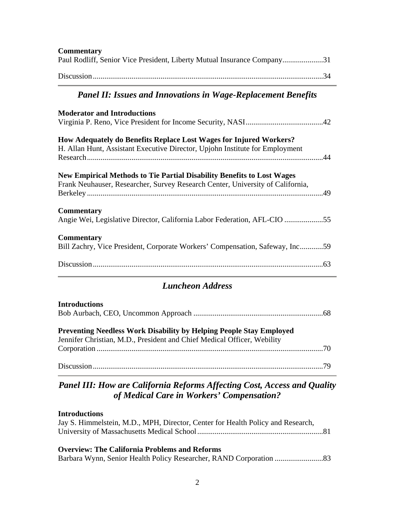| <b>Commentary</b><br>Paul Rodliff, Senior Vice President, Liberty Mutual Insurance Company31                                                             |
|----------------------------------------------------------------------------------------------------------------------------------------------------------|
|                                                                                                                                                          |
| <b>Panel II: Issues and Innovations in Wage-Replacement Benefits</b>                                                                                     |
| <b>Moderator and Introductions</b>                                                                                                                       |
| How Adequately do Benefits Replace Lost Wages for Injured Workers?<br>H. Allan Hunt, Assistant Executive Director, Upjohn Institute for Employment       |
| New Empirical Methods to Tie Partial Disability Benefits to Lost Wages<br>Frank Neuhauser, Researcher, Survey Research Center, University of California, |
| <b>Commentary</b><br>Angie Wei, Legislative Director, California Labor Federation, AFL-CIO 55                                                            |
| <b>Commentary</b><br>Bill Zachry, Vice President, Corporate Workers' Compensation, Safeway, Inc59                                                        |
|                                                                                                                                                          |

## *Luncheon Address*

#### **Introductions**

| ------------------- |  |
|---------------------|--|
|                     |  |

## **Preventing Needless Work Disability by Helping People Stay Employed**

| Jennifer Christian, M.D., President and Chief Medical Officer, Webility |  |
|-------------------------------------------------------------------------|--|
|                                                                         |  |
|                                                                         |  |
|                                                                         |  |

## *Panel III: How are California Reforms Affecting Cost, Access and Quality of Medical Care in Workers' Compensation?*

#### **Introductions**

| Jay S. Himmelstein, M.D., MPH, Director, Center for Health Policy and Research, |  |
|---------------------------------------------------------------------------------|--|
|                                                                                 |  |
|                                                                                 |  |
| <b>Overview: The California Problems and Reforms</b>                            |  |
|                                                                                 |  |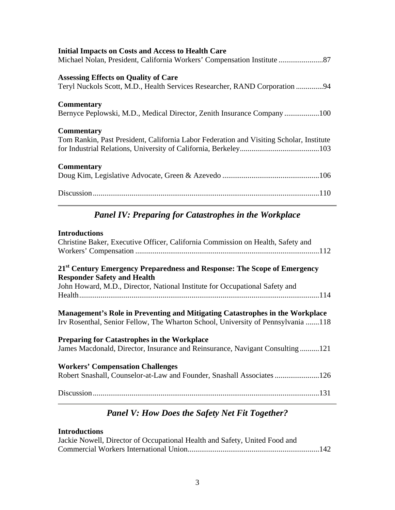| <b>Initial Impacts on Costs and Access to Health Care</b>                               |
|-----------------------------------------------------------------------------------------|
|                                                                                         |
| <b>Assessing Effects on Quality of Care</b>                                             |
| Teryl Nuckols Scott, M.D., Health Services Researcher, RAND Corporation 94              |
| <b>Commentary</b>                                                                       |
| Bernyce Peplowski, M.D., Medical Director, Zenith Insurance Company100                  |
| <b>Commentary</b>                                                                       |
| Tom Rankin, Past President, California Labor Federation and Visiting Scholar, Institute |
|                                                                                         |
| <b>Commentary</b>                                                                       |
|                                                                                         |
|                                                                                         |
| <b>Panel IV: Preparing for Catastrophes in the Workplace</b>                            |

#### **Introductions**

| Christine Baker, Executive Officer, California Commission on Health, Safety and                                                                                                                           |
|-----------------------------------------------------------------------------------------------------------------------------------------------------------------------------------------------------------|
| 21 <sup>st</sup> Century Emergency Preparedness and Response: The Scope of Emergency<br><b>Responder Safety and Health</b><br>John Howard, M.D., Director, National Institute for Occupational Safety and |
| Management's Role in Preventing and Mitigating Catastrophes in the Workplace<br>Irv Rosenthal, Senior Fellow, The Wharton School, University of Pennsylvania 118                                          |
| <b>Preparing for Catastrophes in the Workplace</b><br>James Macdonald, Director, Insurance and Reinsurance, Navigant Consulting121                                                                        |
| <b>Workers' Compensation Challenges</b>                                                                                                                                                                   |
|                                                                                                                                                                                                           |

# *Panel V: How Does the Safety Net Fit Together?*

## **Introductions**

| Jackie Nowell, Director of Occupational Health and Safety, United Food and |  |
|----------------------------------------------------------------------------|--|
|                                                                            |  |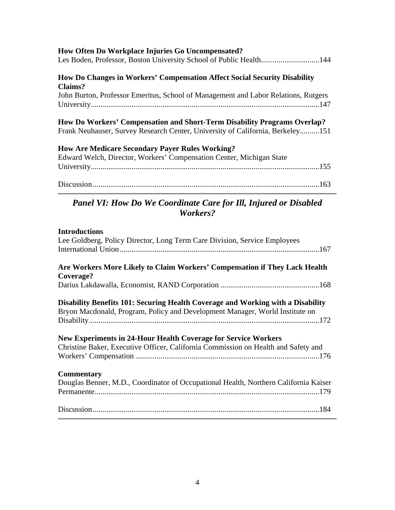#### **How Often Do Workplace Injuries Go Uncompensated?**

| $110.77$ origin $20.77$ or hip and $20.11$ and $100.00$ . One omposition to the                                                |
|--------------------------------------------------------------------------------------------------------------------------------|
| <b>How Do Changes in Workers' Compensation Affect Social Security Disability</b>                                               |
| Claims?                                                                                                                        |
| John Burton, Professor Emeritus, School of Management and Labor Relations, Rutgers                                             |
|                                                                                                                                |
| How Do Workers' Compensation and Short-Term Disability Programs Overlap?                                                       |
| Frank Neuhauser, Survey Research Center, University of California, Berkeley151                                                 |
|                                                                                                                                |
| <b>How Are Medicare Secondary Payer Rules Working?</b><br>Edward Welch, Director, Workers' Compensation Center, Michigan State |

| $\mathbf{r}$ |
|--------------|
|--------------|

## *Panel VI: How Do We Coordinate Care for Ill, Injured or Disabled Workers?*

# **Introductions**  Lee Goldberg, Policy Director, Long Term Care Division, Service Employees International Union .......................................................................................................167 **Are Workers More Likely to Claim Workers' Compensation if They Lack Health Coverage?**  Darius Lakdawalla, Economist, RAND Corporation ...................................................168 **Disability Benefits 101: Securing Health Coverage and Working with a Disability**  Bryon Macdonald, Program, Policy and Development Manager, World Institute on Disability.......................................................................................................................172 **New Experiments in 24-Hour Health Coverage for Service Workers**  Christine Baker, Executive Officer, California Commission on Health and Safety and Workers' Compensation ...............................................................................................176 **Commentary**  Douglas Benner, M.D., Coordinator of Occupational Health, Northern California Kaiser Permanente....................................................................................................................179 Discussion.....................................................................................................................184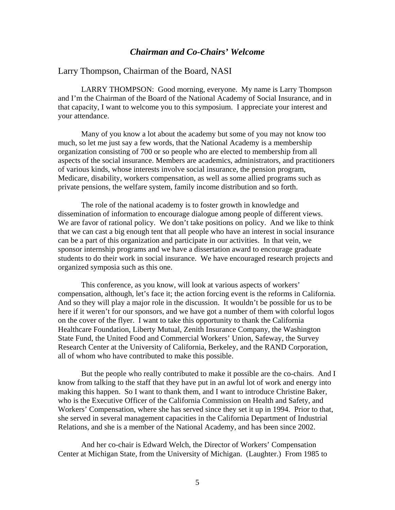#### *Chairman and Co-Chairs' Welcome*

#### <span id="page-4-0"></span>Larry Thompson, Chairman of the Board, NASI

LARRY THOMPSON: Good morning, everyone. My name is Larry Thompson and I'm the Chairman of the Board of the National Academy of Social Insurance, and in that capacity, I want to welcome you to this symposium. I appreciate your interest and your attendance.

Many of you know a lot about the academy but some of you may not know too much, so let me just say a few words, that the National Academy is a membership organization consisting of 700 or so people who are elected to membership from all aspects of the social insurance. Members are academics, administrators, and practitioners of various kinds, whose interests involve social insurance, the pension program, Medicare, disability, workers compensation, as well as some allied programs such as private pensions, the welfare system, family income distribution and so forth.

The role of the national academy is to foster growth in knowledge and dissemination of information to encourage dialogue among people of different views. We are favor of rational policy. We don't take positions on policy. And we like to think that we can cast a big enough tent that all people who have an interest in social insurance can be a part of this organization and participate in our activities. In that vein, we sponsor internship programs and we have a dissertation award to encourage graduate students to do their work in social insurance. We have encouraged research projects and organized symposia such as this one.

This conference, as you know, will look at various aspects of workers' compensation, although, let's face it; the action forcing event is the reforms in California. And so they will play a major role in the discussion. It wouldn't be possible for us to be here if it weren't for our sponsors, and we have got a number of them with colorful logos on the cover of the flyer. I want to take this opportunity to thank the California Healthcare Foundation, Liberty Mutual, Zenith Insurance Company, the Washington State Fund, the United Food and Commercial Workers' Union, Safeway, the Survey Research Center at the University of California, Berkeley, and the RAND Corporation, all of whom who have contributed to make this possible.

But the people who really contributed to make it possible are the co-chairs. And I know from talking to the staff that they have put in an awful lot of work and energy into making this happen. So I want to thank them, and I want to introduce Christine Baker, who is the Executive Officer of the California Commission on Health and Safety, and Workers' Compensation, where she has served since they set it up in 1994. Prior to that, she served in several management capacities in the California Department of Industrial Relations, and she is a member of the National Academy, and has been since 2002.

And her co-chair is Edward Welch, the Director of Workers' Compensation Center at Michigan State, from the University of Michigan. (Laughter.) From 1985 to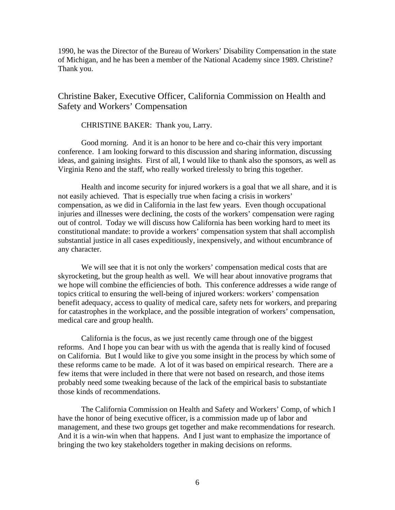<span id="page-5-0"></span>1990, he was the Director of the Bureau of Workers' Disability Compensation in the state of Michigan, and he has been a member of the National Academy since 1989. Christine? Thank you.

Christine Baker, Executive Officer, California Commission on Health and Safety and Workers' Compensation

CHRISTINE BAKER: Thank you, Larry.

Good morning. And it is an honor to be here and co-chair this very important conference. I am looking forward to this discussion and sharing information, discussing ideas, and gaining insights. First of all, I would like to thank also the sponsors, as well as Virginia Reno and the staff, who really worked tirelessly to bring this together.

Health and income security for injured workers is a goal that we all share, and it is not easily achieved. That is especially true when facing a crisis in workers' compensation, as we did in California in the last few years. Even though occupational injuries and illnesses were declining, the costs of the workers' compensation were raging out of control. Today we will discuss how California has been working hard to meet its constitutional mandate: to provide a workers' compensation system that shall accomplish substantial justice in all cases expeditiously, inexpensively, and without encumbrance of any character.

We will see that it is not only the workers' compensation medical costs that are skyrocketing, but the group health as well. We will hear about innovative programs that we hope will combine the efficiencies of both. This conference addresses a wide range of topics critical to ensuring the well-being of injured workers: workers' compensation benefit adequacy, access to quality of medical care, safety nets for workers, and preparing for catastrophes in the workplace, and the possible integration of workers' compensation, medical care and group health.

California is the focus, as we just recently came through one of the biggest reforms. And I hope you can bear with us with the agenda that is really kind of focused on California. But I would like to give you some insight in the process by which some of these reforms came to be made. A lot of it was based on empirical research. There are a few items that were included in there that were not based on research, and those items probably need some tweaking because of the lack of the empirical basis to substantiate those kinds of recommendations.

The California Commission on Health and Safety and Workers' Comp, of which I have the honor of being executive officer, is a commission made up of labor and management, and these two groups get together and make recommendations for research. And it is a win-win when that happens. And I just want to emphasize the importance of bringing the two key stakeholders together in making decisions on reforms.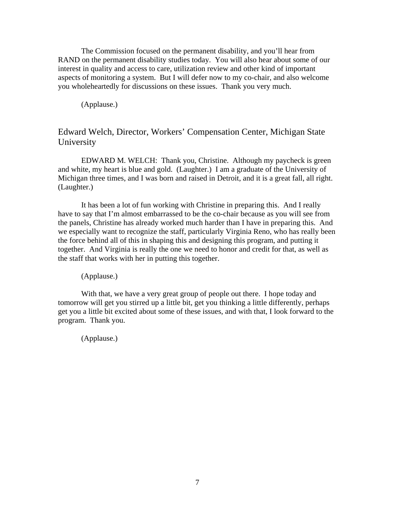<span id="page-6-0"></span>The Commission focused on the permanent disability, and you'll hear from RAND on the permanent disability studies today. You will also hear about some of our interest in quality and access to care, utilization review and other kind of important aspects of monitoring a system. But I will defer now to my co-chair, and also welcome you wholeheartedly for discussions on these issues. Thank you very much.

(Applause.)

### Edward Welch, Director, Workers' Compensation Center, Michigan State University

EDWARD M. WELCH: Thank you, Christine. Although my paycheck is green and white, my heart is blue and gold. (Laughter.) I am a graduate of the University of Michigan three times, and I was born and raised in Detroit, and it is a great fall, all right. (Laughter.)

It has been a lot of fun working with Christine in preparing this. And I really have to say that I'm almost embarrassed to be the co-chair because as you will see from the panels, Christine has already worked much harder than I have in preparing this. And we especially want to recognize the staff, particularly Virginia Reno, who has really been the force behind all of this in shaping this and designing this program, and putting it together. And Virginia is really the one we need to honor and credit for that, as well as the staff that works with her in putting this together.

(Applause.)

With that, we have a very great group of people out there. I hope today and tomorrow will get you stirred up a little bit, get you thinking a little differently, perhaps get you a little bit excited about some of these issues, and with that, I look forward to the program. Thank you.

(Applause.)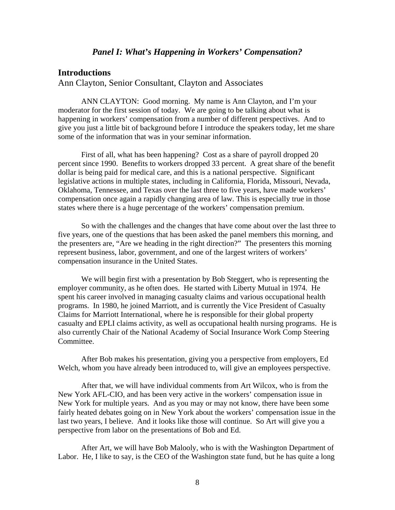#### *Panel I: What's Happening in Workers' Compensation?*

#### <span id="page-7-0"></span>**Introductions**

Ann Clayton, Senior Consultant, Clayton and Associates

ANN CLAYTON: Good morning. My name is Ann Clayton, and I'm your moderator for the first session of today. We are going to be talking about what is happening in workers' compensation from a number of different perspectives. And to give you just a little bit of background before I introduce the speakers today, let me share some of the information that was in your seminar information.

First of all, what has been happening? Cost as a share of payroll dropped 20 percent since 1990. Benefits to workers dropped 33 percent. A great share of the benefit dollar is being paid for medical care, and this is a national perspective. Significant legislative actions in multiple states, including in California, Florida, Missouri, Nevada, Oklahoma, Tennessee, and Texas over the last three to five years, have made workers' compensation once again a rapidly changing area of law. This is especially true in those states where there is a huge percentage of the workers' compensation premium.

So with the challenges and the changes that have come about over the last three to five years, one of the questions that has been asked the panel members this morning, and the presenters are, "Are we heading in the right direction?" The presenters this morning represent business, labor, government, and one of the largest writers of workers' compensation insurance in the United States.

We will begin first with a presentation by Bob Steggert, who is representing the employer community, as he often does. He started with Liberty Mutual in 1974. He spent his career involved in managing casualty claims and various occupational health programs. In 1980, he joined Marriott, and is currently the Vice President of Casualty Claims for Marriott International, where he is responsible for their global property casualty and EPLI claims activity, as well as occupational health nursing programs. He is also currently Chair of the National Academy of Social Insurance Work Comp Steering Committee.

After Bob makes his presentation, giving you a perspective from employers, Ed Welch, whom you have already been introduced to, will give an employees perspective.

After that, we will have individual comments from Art Wilcox, who is from the New York AFL-CIO, and has been very active in the workers' compensation issue in New York for multiple years. And as you may or may not know, there have been some fairly heated debates going on in New York about the workers' compensation issue in the last two years, I believe. And it looks like those will continue. So Art will give you a perspective from labor on the presentations of Bob and Ed.

After Art, we will have Bob Malooly, who is with the Washington Department of Labor. He, I like to say, is the CEO of the Washington state fund, but he has quite a long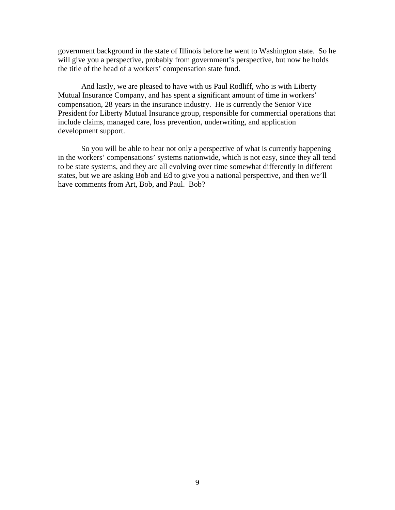government background in the state of Illinois before he went to Washington state. So he will give you a perspective, probably from government's perspective, but now he holds the title of the head of a workers' compensation state fund.

And lastly, we are pleased to have with us Paul Rodliff, who is with Liberty Mutual Insurance Company, and has spent a significant amount of time in workers' compensation, 28 years in the insurance industry. He is currently the Senior Vice President for Liberty Mutual Insurance group, responsible for commercial operations that include claims, managed care, loss prevention, underwriting, and application development support.

So you will be able to hear not only a perspective of what is currently happening in the workers' compensations' systems nationwide, which is not easy, since they all tend to be state systems, and they are all evolving over time somewhat differently in different states, but we are asking Bob and Ed to give you a national perspective, and then we'll have comments from Art, Bob, and Paul. Bob?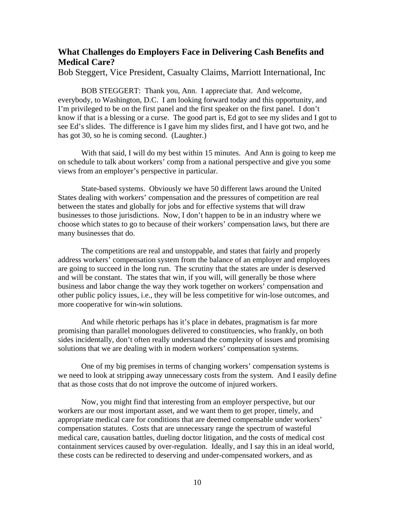## <span id="page-9-0"></span>**What Challenges do Employers Face in Delivering Cash Benefits and Medical Care?**

Bob Steggert, Vice President, Casualty Claims, Marriott International, Inc

BOB STEGGERT: Thank you, Ann. I appreciate that. And welcome, everybody, to Washington, D.C. I am looking forward today and this opportunity, and I'm privileged to be on the first panel and the first speaker on the first panel. I don't know if that is a blessing or a curse. The good part is, Ed got to see my slides and I got to see Ed's slides. The difference is I gave him my slides first, and I have got two, and he has got 30, so he is coming second. (Laughter.)

With that said, I will do my best within 15 minutes. And Ann is going to keep me on schedule to talk about workers' comp from a national perspective and give you some views from an employer's perspective in particular.

State-based systems. Obviously we have 50 different laws around the United States dealing with workers' compensation and the pressures of competition are real between the states and globally for jobs and for effective systems that will draw businesses to those jurisdictions. Now, I don't happen to be in an industry where we choose which states to go to because of their workers' compensation laws, but there are many businesses that do.

The competitions are real and unstoppable, and states that fairly and properly address workers' compensation system from the balance of an employer and employees are going to succeed in the long run. The scrutiny that the states are under is deserved and will be constant. The states that win, if you will, will generally be those where business and labor change the way they work together on workers' compensation and other public policy issues, i.e., they will be less competitive for win-lose outcomes, and more cooperative for win-win solutions.

And while rhetoric perhaps has it's place in debates, pragmatism is far more promising than parallel monologues delivered to constituencies, who frankly, on both sides incidentally, don't often really understand the complexity of issues and promising solutions that we are dealing with in modern workers' compensation systems.

One of my big premises in terms of changing workers' compensation systems is we need to look at stripping away unnecessary costs from the system. And I easily define that as those costs that do not improve the outcome of injured workers.

Now, you might find that interesting from an employer perspective, but our workers are our most important asset, and we want them to get proper, timely, and appropriate medical care for conditions that are deemed compensable under workers' compensation statutes. Costs that are unnecessary range the spectrum of wasteful medical care, causation battles, dueling doctor litigation, and the costs of medical cost containment services caused by over-regulation. Ideally, and I say this in an ideal world, these costs can be redirected to deserving and under-compensated workers, and as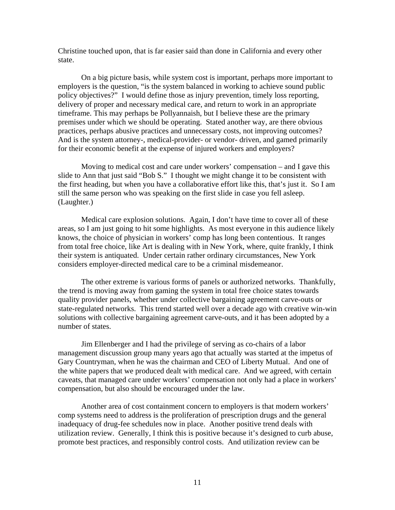Christine touched upon, that is far easier said than done in California and every other state.

On a big picture basis, while system cost is important, perhaps more important to employers is the question, "is the system balanced in working to achieve sound public policy objectives?" I would define those as injury prevention, timely loss reporting, delivery of proper and necessary medical care, and return to work in an appropriate timeframe. This may perhaps be Pollyannaish, but I believe these are the primary premises under which we should be operating. Stated another way, are there obvious practices, perhaps abusive practices and unnecessary costs, not improving outcomes? And is the system attorney-, medical-provider- or vendor- driven, and gamed primarily for their economic benefit at the expense of injured workers and employers?

Moving to medical cost and care under workers' compensation – and I gave this slide to Ann that just said "Bob S." I thought we might change it to be consistent with the first heading, but when you have a collaborative effort like this, that's just it. So I am still the same person who was speaking on the first slide in case you fell asleep. (Laughter.)

Medical care explosion solutions. Again, I don't have time to cover all of these areas, so I am just going to hit some highlights. As most everyone in this audience likely knows, the choice of physician in workers' comp has long been contentious. It ranges from total free choice, like Art is dealing with in New York, where, quite frankly, I think their system is antiquated. Under certain rather ordinary circumstances, New York considers employer-directed medical care to be a criminal misdemeanor.

The other extreme is various forms of panels or authorized networks. Thankfully, the trend is moving away from gaming the system in total free choice states towards quality provider panels, whether under collective bargaining agreement carve-outs or state-regulated networks. This trend started well over a decade ago with creative win-win solutions with collective bargaining agreement carve-outs, and it has been adopted by a number of states.

Jim Ellenberger and I had the privilege of serving as co-chairs of a labor management discussion group many years ago that actually was started at the impetus of Gary Countryman, when he was the chairman and CEO of Liberty Mutual. And one of the white papers that we produced dealt with medical care. And we agreed, with certain caveats, that managed care under workers' compensation not only had a place in workers' compensation, but also should be encouraged under the law.

Another area of cost containment concern to employers is that modern workers' comp systems need to address is the proliferation of prescription drugs and the general inadequacy of drug-fee schedules now in place. Another positive trend deals with utilization review. Generally, I think this is positive because it's designed to curb abuse, promote best practices, and responsibly control costs. And utilization review can be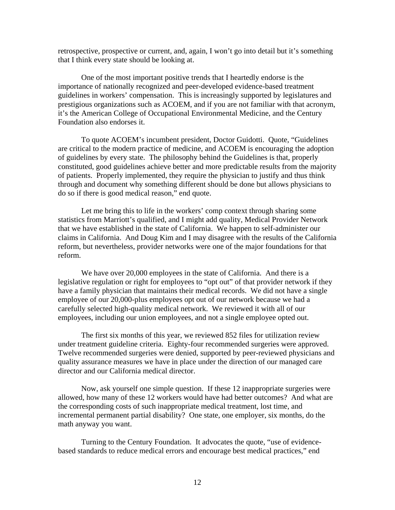retrospective, prospective or current, and, again, I won't go into detail but it's something that I think every state should be looking at.

One of the most important positive trends that I heartedly endorse is the importance of nationally recognized and peer-developed evidence-based treatment guidelines in workers' compensation. This is increasingly supported by legislatures and prestigious organizations such as ACOEM, and if you are not familiar with that acronym, it's the American College of Occupational Environmental Medicine, and the Century Foundation also endorses it.

To quote ACOEM's incumbent president, Doctor Guidotti. Quote, "Guidelines are critical to the modern practice of medicine, and ACOEM is encouraging the adoption of guidelines by every state. The philosophy behind the Guidelines is that, properly constituted, good guidelines achieve better and more predictable results from the majority of patients. Properly implemented, they require the physician to justify and thus think through and document why something different should be done but allows physicians to do so if there is good medical reason," end quote.

Let me bring this to life in the workers' comp context through sharing some statistics from Marriott's qualified, and I might add quality, Medical Provider Network that we have established in the state of California. We happen to self-administer our claims in California. And Doug Kim and I may disagree with the results of the California reform, but nevertheless, provider networks were one of the major foundations for that reform.

We have over 20,000 employees in the state of California. And there is a legislative regulation or right for employees to "opt out" of that provider network if they have a family physician that maintains their medical records. We did not have a single employee of our 20,000-plus employees opt out of our network because we had a carefully selected high-quality medical network. We reviewed it with all of our employees, including our union employees, and not a single employee opted out.

The first six months of this year, we reviewed 852 files for utilization review under treatment guideline criteria. Eighty-four recommended surgeries were approved. Twelve recommended surgeries were denied, supported by peer-reviewed physicians and quality assurance measures we have in place under the direction of our managed care director and our California medical director.

Now, ask yourself one simple question. If these 12 inappropriate surgeries were allowed, how many of these 12 workers would have had better outcomes? And what are the corresponding costs of such inappropriate medical treatment, lost time, and incremental permanent partial disability? One state, one employer, six months, do the math anyway you want.

Turning to the Century Foundation. It advocates the quote, "use of evidencebased standards to reduce medical errors and encourage best medical practices," end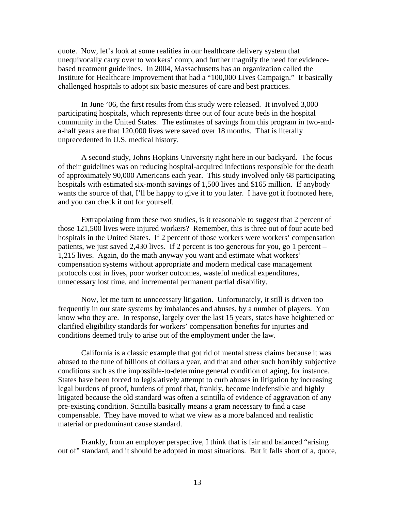quote. Now, let's look at some realities in our healthcare delivery system that unequivocally carry over to workers' comp, and further magnify the need for evidencebased treatment guidelines. In 2004, Massachusetts has an organization called the Institute for Healthcare Improvement that had a "100,000 Lives Campaign." It basically challenged hospitals to adopt six basic measures of care and best practices.

In June '06, the first results from this study were released. It involved 3,000 participating hospitals, which represents three out of four acute beds in the hospital community in the United States. The estimates of savings from this program in two-anda-half years are that 120,000 lives were saved over 18 months. That is literally unprecedented in U.S. medical history.

A second study, Johns Hopkins University right here in our backyard. The focus of their guidelines was on reducing hospital-acquired infections responsible for the death of approximately 90,000 Americans each year. This study involved only 68 participating hospitals with estimated six-month savings of 1,500 lives and \$165 million. If anybody wants the source of that, I'll be happy to give it to you later. I have got it footnoted here, and you can check it out for yourself.

Extrapolating from these two studies, is it reasonable to suggest that 2 percent of those 121,500 lives were injured workers? Remember, this is three out of four acute bed hospitals in the United States. If 2 percent of those workers were workers' compensation patients, we just saved 2,430 lives. If 2 percent is too generous for you, go 1 percent – 1,215 lives. Again, do the math anyway you want and estimate what workers' compensation systems without appropriate and modern medical case management protocols cost in lives, poor worker outcomes, wasteful medical expenditures, unnecessary lost time, and incremental permanent partial disability.

Now, let me turn to unnecessary litigation. Unfortunately, it still is driven too frequently in our state systems by imbalances and abuses, by a number of players. You know who they are. In response, largely over the last 15 years, states have heightened or clarified eligibility standards for workers' compensation benefits for injuries and conditions deemed truly to arise out of the employment under the law.

California is a classic example that got rid of mental stress claims because it was abused to the tune of billions of dollars a year, and that and other such horribly subjective conditions such as the impossible-to-determine general condition of aging, for instance. States have been forced to legislatively attempt to curb abuses in litigation by increasing legal burdens of proof, burdens of proof that, frankly, become indefensible and highly litigated because the old standard was often a scintilla of evidence of aggravation of any pre-existing condition. Scintilla basically means a gram necessary to find a case compensable. They have moved to what we view as a more balanced and realistic material or predominant cause standard.

Frankly, from an employer perspective, I think that is fair and balanced "arising out of" standard, and it should be adopted in most situations. But it falls short of a, quote,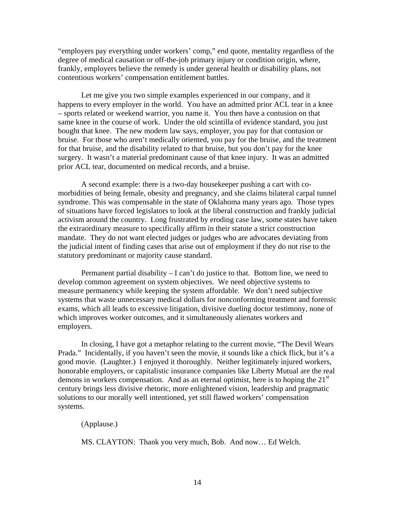"employers pay everything under workers' comp," end quote, mentality regardless of the degree of medical causation or off-the-job primary injury or condition origin, where, frankly, employers believe the remedy is under general health or disability plans, not contentious workers' compensation entitlement battles.

Let me give you two simple examples experienced in our company, and it happens to every employer in the world. You have an admitted prior ACL tear in a knee – sports related or weekend warrior, you name it. You then have a contusion on that same knee in the course of work. Under the old scintilla of evidence standard, you just bought that knee. The new modern law says, employer, you pay for that contusion or bruise. For those who aren't medically oriented, you pay for the bruise, and the treatment for that bruise, and the disability related to that bruise, but you don't pay for the knee surgery. It wasn't a material predominant cause of that knee injury. It was an admitted prior ACL tear, documented on medical records, and a bruise.

A second example: there is a two-day housekeeper pushing a cart with comorbidities of being female, obesity and pregnancy, and she claims bilateral carpal tunnel syndrome. This was compensable in the state of Oklahoma many years ago. Those types of situations have forced legislators to look at the liberal construction and frankly judicial activism around the country. Long frustrated by eroding case law, some states have taken the extraordinary measure to specifically affirm in their statute a strict construction mandate. They do not want elected judges or judges who are advocates deviating from the judicial intent of finding cases that arise out of employment if they do not rise to the statutory predominant or majority cause standard.

Permanent partial disability  $- I$  can't do justice to that. Bottom line, we need to develop common agreement on system objectives. We need objective systems to measure permanency while keeping the system affordable. We don't need subjective systems that waste unnecessary medical dollars for nonconforming treatment and forensic exams, which all leads to excessive litigation, divisive dueling doctor testimony, none of which improves worker outcomes, and it simultaneously alienates workers and employers.

In closing, I have got a metaphor relating to the current movie, "The Devil Wears Prada." Incidentally, if you haven't seen the movie, it sounds like a chick flick, but it's a good movie. (Laughter.) I enjoyed it thoroughly. Neither legitimately injured workers, honorable employers, or capitalistic insurance companies like Liberty Mutual are the real demons in workers compensation. And as an eternal optimist, here is to hoping the  $21<sup>st</sup>$ century brings less divisive rhetoric, more enlightened vision, leadership and pragmatic solutions to our morally well intentioned, yet still flawed workers' compensation systems.

#### (Applause.)

MS. CLAYTON: Thank you very much, Bob. And now… Ed Welch.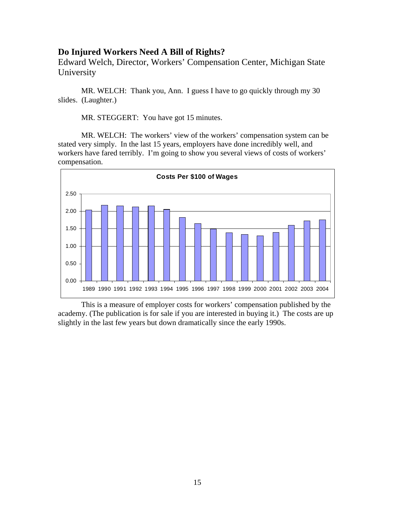### <span id="page-14-0"></span>**Do Injured Workers Need A Bill of Rights?**

Edward Welch, Director, Workers' Compensation Center, Michigan State University

MR. WELCH: Thank you, Ann. I guess I have to go quickly through my 30 slides. (Laughter.)

MR. STEGGERT: You have got 15 minutes.

MR. WELCH: The workers' view of the workers' compensation system can be stated very simply. In the last 15 years, employers have done incredibly well, and workers have fared terribly. I'm going to show you several views of costs of workers' compensation.



This is a measure of employer costs for workers' compensation published by the academy. (The publication is for sale if you are interested in buying it.) The costs are up slightly in the last few years but down dramatically since the early 1990s.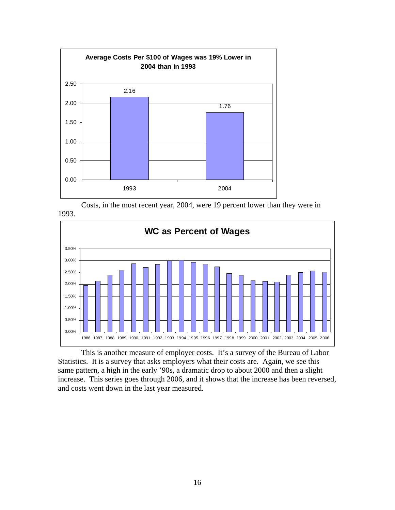

Costs, in the most recent year, 2004, were 19 percent lower than they were in 1993.



This is another measure of employer costs. It's a survey of the Bureau of Labor Statistics. It is a survey that asks employers what their costs are. Again, we see this same pattern, a high in the early '90s, a dramatic drop to about 2000 and then a slight increase. This series goes through 2006, and it shows that the increase has been reversed, and costs went down in the last year measured.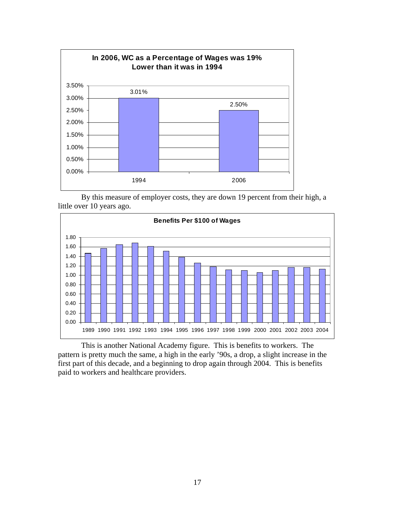

By this measure of employer costs, they are down 19 percent from their high, a little over 10 years ago.



This is another National Academy figure. This is benefits to workers. The pattern is pretty much the same, a high in the early '90s, a drop, a slight increase in the first part of this decade, and a beginning to drop again through 2004. This is benefits paid to workers and healthcare providers.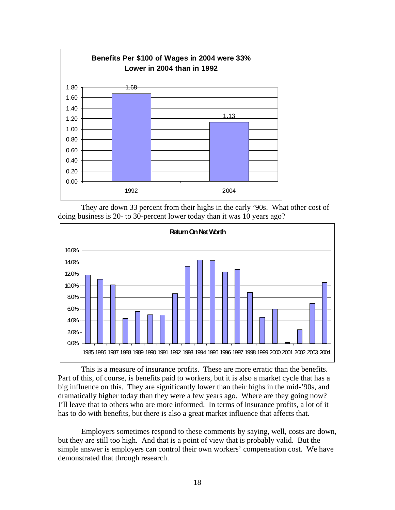

They are down 33 percent from their highs in the early '90s. What other cost of doing business is 20- to 30-percent lower today than it was 10 years ago?



This is a measure of insurance profits. These are more erratic than the benefits. Part of this, of course, is benefits paid to workers, but it is also a market cycle that has a big influence on this. They are significantly lower than their highs in the mid-'90s, and dramatically higher today than they were a few years ago. Where are they going now? I'll leave that to others who are more informed. In terms of insurance profits, a lot of it has to do with benefits, but there is also a great market influence that affects that.

Employers sometimes respond to these comments by saying, well, costs are down, but they are still too high. And that is a point of view that is probably valid. But the simple answer is employers can control their own workers' compensation cost. We have demonstrated that through research.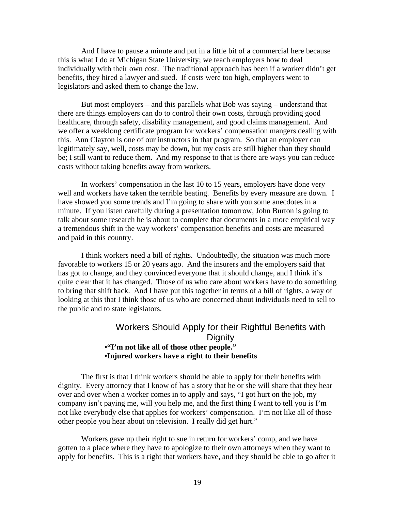And I have to pause a minute and put in a little bit of a commercial here because this is what I do at Michigan State University; we teach employers how to deal individually with their own cost. The traditional approach has been if a worker didn't get benefits, they hired a lawyer and sued. If costs were too high, employers went to legislators and asked them to change the law.

But most employers – and this parallels what Bob was saying – understand that there are things employers can do to control their own costs, through providing good healthcare, through safety, disability management, and good claims management. And we offer a weeklong certificate program for workers' compensation mangers dealing with this. Ann Clayton is one of our instructors in that program. So that an employer can legitimately say, well, costs may be down, but my costs are still higher than they should be; I still want to reduce them. And my response to that is there are ways you can reduce costs without taking benefits away from workers.

In workers' compensation in the last 10 to 15 years, employers have done very well and workers have taken the terrible beating. Benefits by every measure are down. I have showed you some trends and I'm going to share with you some anecdotes in a minute. If you listen carefully during a presentation tomorrow, John Burton is going to talk about some research he is about to complete that documents in a more empirical way a tremendous shift in the way workers' compensation benefits and costs are measured and paid in this country.

I think workers need a bill of rights. Undoubtedly, the situation was much more favorable to workers 15 or 20 years ago. And the insurers and the employers said that has got to change, and they convinced everyone that it should change, and I think it's quite clear that it has changed. Those of us who care about workers have to do something to bring that shift back. And I have put this together in terms of a bill of rights, a way of looking at this that I think those of us who are concerned about individuals need to sell to the public and to state legislators.

## Workers Should Apply for their Rightful Benefits with **Dignity •"I'm not like all of those other people." •Injured workers have a right to their benefits**

The first is that I think workers should be able to apply for their benefits with dignity. Every attorney that I know of has a story that he or she will share that they hear over and over when a worker comes in to apply and says, "I got hurt on the job, my company isn't paying me, will you help me, and the first thing I want to tell you is I'm not like everybody else that applies for workers' compensation. I'm not like all of those other people you hear about on television. I really did get hurt."

Workers gave up their right to sue in return for workers' comp, and we have gotten to a place where they have to apologize to their own attorneys when they want to apply for benefits. This is a right that workers have, and they should be able to go after it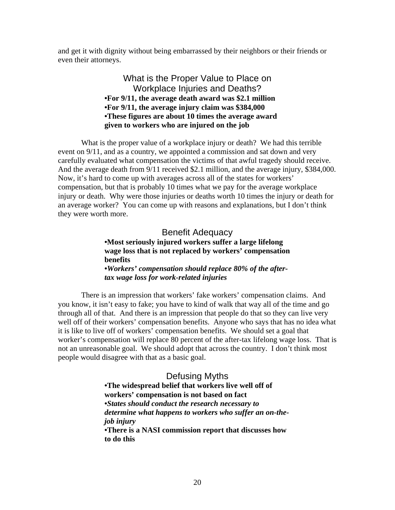and get it with dignity without being embarrassed by their neighbors or their friends or even their attorneys.

#### What is the Proper Value to Place on Workplace Injuries and Deaths? **•For 9/11, the average death award was \$2.1 million •For 9/11, the average injury claim was \$384,000 •These figures are about 10 times the average award given to workers who are injured on the job**

What is the proper value of a workplace injury or death? We had this terrible event on 9/11, and as a country, we appointed a commission and sat down and very carefully evaluated what compensation the victims of that awful tragedy should receive. And the average death from 9/11 received \$2.1 million, and the average injury, \$384,000. Now, it's hard to come up with averages across all of the states for workers' compensation, but that is probably 10 times what we pay for the average workplace injury or death. Why were those injuries or deaths worth 10 times the injury or death for an average worker? You can come up with reasons and explanations, but I don't think they were worth more.

> Benefit Adequacy **•Most seriously injured workers suffer a large lifelong wage loss that is not replaced by workers' compensation benefits •***Workers' compensation should replace 80% of the aftertax wage loss for work-related injuries*

There is an impression that workers' fake workers' compensation claims. And you know, it isn't easy to fake; you have to kind of walk that way all of the time and go through all of that. And there is an impression that people do that so they can live very well off of their workers' compensation benefits. Anyone who says that has no idea what it is like to live off of workers' compensation benefits. We should set a goal that worker's compensation will replace 80 percent of the after-tax lifelong wage loss. That is not an unreasonable goal. We should adopt that across the country. I don't think most people would disagree with that as a basic goal.

> Defusing Myths **•The widespread belief that workers live well off of workers' compensation is not based on fact •***States should conduct the research necessary to determine what happens to workers who suffer an on-thejob injury* **•There is a NASI commission report that discusses how to do this**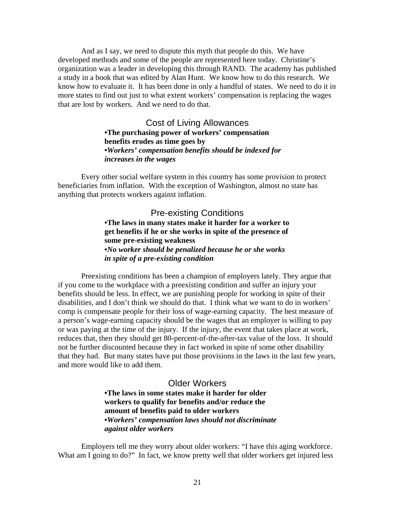And as I say, we need to dispute this myth that people do this. We have developed methods and some of the people are represented here today. Christine's organization was a leader in developing this through RAND. The academy has published a study in a book that was edited by Alan Hunt. We know how to do this research. We know how to evaluate it. It has been done in only a handful of states. We need to do it in more states to find out just to what extent workers' compensation is replacing the wages that are lost by workers. And we need to do that.

> Cost of Living Allowances **•The purchasing power of workers' compensation benefits erodes as time goes by •***Workers' compensation benefits should be indexed for increases in the wages*

Every other social welfare system in this country has some provision to protect beneficiaries from inflation. With the exception of Washington, almost no state has anything that protects workers against inflation.

> Pre-existing Conditions **•The laws in many states make it harder for a worker to get benefits if he or she works in spite of the presence of some pre-existing weakness •***No worker should be penalized because he or she works in spite of a pre-existing condition*

Preexisting conditions has been a champion of employers lately. They argue that if you come to the workplace with a preexisting condition and suffer an injury your benefits should be less. In effect, we are punishing people for working in spite of their disabilities, and I don't think we should do that. I think what we want to do in workers' comp is compensate people for their loss of wage-earning capacity. The best measure of a person's wage-earning capacity should be the wages that an employer is willing to pay or was paying at the time of the injury. If the injury, the event that takes place at work, reduces that, then they should get 80-percent-of-the-after-tax value of the loss. It should not be further discounted because they in fact worked in spite of some other disability that they had. But many states have put those provisions in the laws in the last few years, and more would like to add them.

#### Older Workers

**•The laws in some states make it harder for older workers to qualify for benefits and/or reduce the amount of benefits paid to older workers •***Workers' compensation laws should not discriminate against older workers*

Employers tell me they worry about older workers: "I have this aging workforce. What am I going to do?" In fact, we know pretty well that older workers get injured less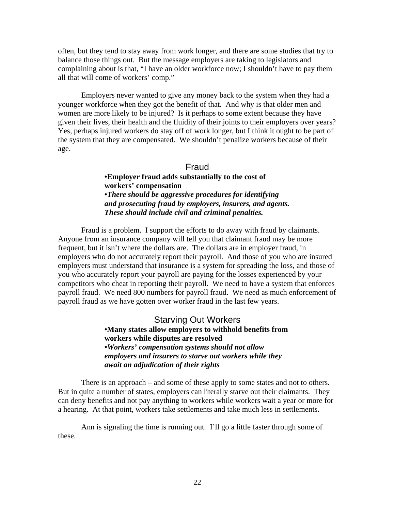often, but they tend to stay away from work longer, and there are some studies that try to balance those things out. But the message employers are taking to legislators and complaining about is that, "I have an older workforce now; I shouldn't have to pay them all that will come of workers' comp."

Employers never wanted to give any money back to the system when they had a younger workforce when they got the benefit of that. And why is that older men and women are more likely to be injured? Is it perhaps to some extent because they have given their lives, their health and the fluidity of their joints to their employers over years? Yes, perhaps injured workers do stay off of work longer, but I think it ought to be part of the system that they are compensated. We shouldn't penalize workers because of their age.

#### Fraud

**•Employer fraud adds substantially to the cost of workers' compensation •***There should be aggressive procedures for identifying and prosecuting fraud by employers, insurers, and agents. These should include civil and criminal penalties.*

Fraud is a problem. I support the efforts to do away with fraud by claimants. Anyone from an insurance company will tell you that claimant fraud may be more frequent, but it isn't where the dollars are. The dollars are in employer fraud, in employers who do not accurately report their payroll. And those of you who are insured employers must understand that insurance is a system for spreading the loss, and those of you who accurately report your payroll are paying for the losses experienced by your competitors who cheat in reporting their payroll. We need to have a system that enforces payroll fraud. We need 800 numbers for payroll fraud. We need as much enforcement of payroll fraud as we have gotten over worker fraud in the last few years.

> Starving Out Workers **•Many states allow employers to withhold benefits from workers while disputes are resolved •***Workers' compensation systems should not allow employers and insurers to starve out workers while they await an adjudication of their rights*

There is an approach – and some of these apply to some states and not to others. But in quite a number of states, employers can literally starve out their claimants. They can deny benefits and not pay anything to workers while workers wait a year or more for a hearing. At that point, workers take settlements and take much less in settlements.

Ann is signaling the time is running out. I'll go a little faster through some of these.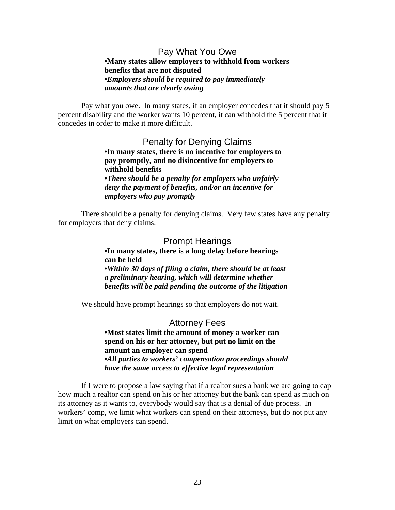#### Pay What You Owe **•Many states allow employers to withhold from workers benefits that are not disputed •***Employers should be required to pay immediately amounts that are clearly owing*

Pay what you owe. In many states, if an employer concedes that it should pay 5 percent disability and the worker wants 10 percent, it can withhold the 5 percent that it concedes in order to make it more difficult.

> Penalty for Denying Claims **•In many states, there is no incentive for employers to pay promptly, and no disincentive for employers to withhold benefits •***There should be a penalty for employers who unfairly deny the payment of benefits, and/or an incentive for employers who pay promptly*

There should be a penalty for denying claims. Very few states have any penalty for employers that deny claims.

#### Prompt Hearings **•In many states, there is a long delay before hearings can be held •***Within 30 days of filing a claim, there should be at least a preliminary hearing, which will determine whether benefits will be paid pending the outcome of the litigation*

We should have prompt hearings so that employers do not wait.

Attorney Fees **•Most states limit the amount of money a worker can spend on his or her attorney, but put no limit on the amount an employer can spend •***All parties to workers' compensation proceedings should have the same access to effective legal representation*

If I were to propose a law saying that if a realtor sues a bank we are going to cap how much a realtor can spend on his or her attorney but the bank can spend as much on its attorney as it wants to, everybody would say that is a denial of due process. In workers' comp, we limit what workers can spend on their attorneys, but do not put any limit on what employers can spend.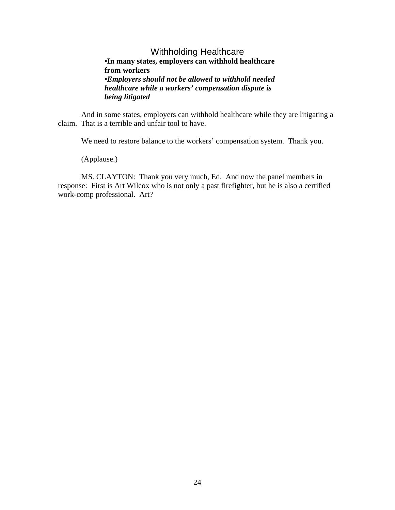#### Withholding Healthcare **•In many states, employers can withhold healthcare from workers •***Employers should not be allowed to withhold needed healthcare while a workers' compensation dispute is being litigated*

And in some states, employers can withhold healthcare while they are litigating a claim. That is a terrible and unfair tool to have.

We need to restore balance to the workers' compensation system. Thank you.

(Applause.)

MS. CLAYTON: Thank you very much, Ed. And now the panel members in response: First is Art Wilcox who is not only a past firefighter, but he is also a certified work-comp professional. Art?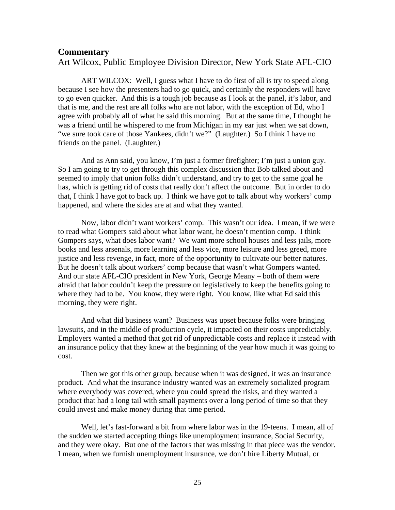#### <span id="page-24-0"></span>**Commentary**

Art Wilcox, Public Employee Division Director, New York State AFL-CIO

ART WILCOX: Well, I guess what I have to do first of all is try to speed along because I see how the presenters had to go quick, and certainly the responders will have to go even quicker. And this is a tough job because as I look at the panel, it's labor, and that is me, and the rest are all folks who are not labor, with the exception of Ed, who I agree with probably all of what he said this morning. But at the same time, I thought he was a friend until he whispered to me from Michigan in my ear just when we sat down, "we sure took care of those Yankees, didn't we?" (Laughter.) So I think I have no friends on the panel. (Laughter.)

And as Ann said, you know, I'm just a former firefighter; I'm just a union guy. So I am going to try to get through this complex discussion that Bob talked about and seemed to imply that union folks didn't understand, and try to get to the same goal he has, which is getting rid of costs that really don't affect the outcome. But in order to do that, I think I have got to back up. I think we have got to talk about why workers' comp happened, and where the sides are at and what they wanted.

Now, labor didn't want workers' comp. This wasn't our idea. I mean, if we were to read what Gompers said about what labor want, he doesn't mention comp. I think Gompers says, what does labor want? We want more school houses and less jails, more books and less arsenals, more learning and less vice, more leisure and less greed, more justice and less revenge, in fact, more of the opportunity to cultivate our better natures. But he doesn't talk about workers' comp because that wasn't what Gompers wanted. And our state AFL-CIO president in New York, George Meany – both of them were afraid that labor couldn't keep the pressure on legislatively to keep the benefits going to where they had to be. You know, they were right. You know, like what Ed said this morning, they were right.

And what did business want? Business was upset because folks were bringing lawsuits, and in the middle of production cycle, it impacted on their costs unpredictably. Employers wanted a method that got rid of unpredictable costs and replace it instead with an insurance policy that they knew at the beginning of the year how much it was going to cost.

Then we got this other group, because when it was designed, it was an insurance product. And what the insurance industry wanted was an extremely socialized program where everybody was covered, where you could spread the risks, and they wanted a product that had a long tail with small payments over a long period of time so that they could invest and make money during that time period.

Well, let's fast-forward a bit from where labor was in the 19-teens. I mean, all of the sudden we started accepting things like unemployment insurance, Social Security, and they were okay. But one of the factors that was missing in that piece was the vendor. I mean, when we furnish unemployment insurance, we don't hire Liberty Mutual, or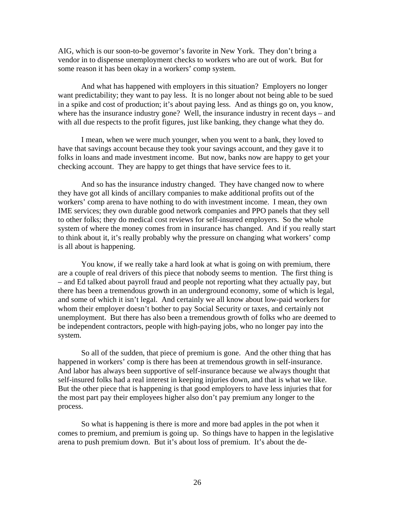AIG, which is our soon-to-be governor's favorite in New York. They don't bring a vendor in to dispense unemployment checks to workers who are out of work. But for some reason it has been okay in a workers' comp system.

And what has happened with employers in this situation? Employers no longer want predictability; they want to pay less. It is no longer about not being able to be sued in a spike and cost of production; it's about paying less. And as things go on, you know, where has the insurance industry gone? Well, the insurance industry in recent days – and with all due respects to the profit figures, just like banking, they change what they do.

I mean, when we were much younger, when you went to a bank, they loved to have that savings account because they took your savings account, and they gave it to folks in loans and made investment income. But now, banks now are happy to get your checking account. They are happy to get things that have service fees to it.

And so has the insurance industry changed. They have changed now to where they have got all kinds of ancillary companies to make additional profits out of the workers' comp arena to have nothing to do with investment income. I mean, they own IME services; they own durable good network companies and PPO panels that they sell to other folks; they do medical cost reviews for self-insured employers. So the whole system of where the money comes from in insurance has changed. And if you really start to think about it, it's really probably why the pressure on changing what workers' comp is all about is happening.

You know, if we really take a hard look at what is going on with premium, there are a couple of real drivers of this piece that nobody seems to mention. The first thing is – and Ed talked about payroll fraud and people not reporting what they actually pay, but there has been a tremendous growth in an underground economy, some of which is legal, and some of which it isn't legal. And certainly we all know about low-paid workers for whom their employer doesn't bother to pay Social Security or taxes, and certainly not unemployment. But there has also been a tremendous growth of folks who are deemed to be independent contractors, people with high-paying jobs, who no longer pay into the system.

So all of the sudden, that piece of premium is gone. And the other thing that has happened in workers' comp is there has been at tremendous growth in self-insurance. And labor has always been supportive of self-insurance because we always thought that self-insured folks had a real interest in keeping injuries down, and that is what we like. But the other piece that is happening is that good employers to have less injuries that for the most part pay their employees higher also don't pay premium any longer to the process.

So what is happening is there is more and more bad apples in the pot when it comes to premium, and premium is going up. So things have to happen in the legislative arena to push premium down. But it's about loss of premium. It's about the de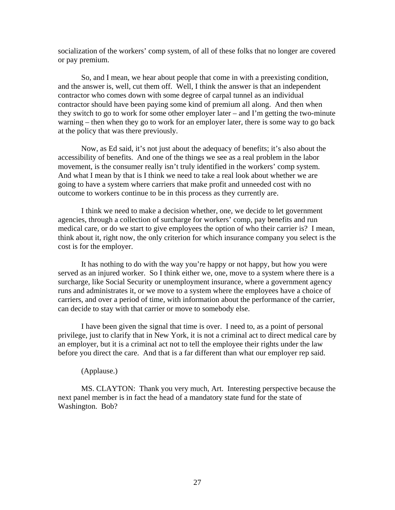socialization of the workers' comp system, of all of these folks that no longer are covered or pay premium.

So, and I mean, we hear about people that come in with a preexisting condition, and the answer is, well, cut them off. Well, I think the answer is that an independent contractor who comes down with some degree of carpal tunnel as an individual contractor should have been paying some kind of premium all along. And then when they switch to go to work for some other employer later – and I'm getting the two-minute warning – then when they go to work for an employer later, there is some way to go back at the policy that was there previously.

Now, as Ed said, it's not just about the adequacy of benefits; it's also about the accessibility of benefits. And one of the things we see as a real problem in the labor movement, is the consumer really isn't truly identified in the workers' comp system. And what I mean by that is I think we need to take a real look about whether we are going to have a system where carriers that make profit and unneeded cost with no outcome to workers continue to be in this process as they currently are.

I think we need to make a decision whether, one, we decide to let government agencies, through a collection of surcharge for workers' comp, pay benefits and run medical care, or do we start to give employees the option of who their carrier is? I mean, think about it, right now, the only criterion for which insurance company you select is the cost is for the employer.

It has nothing to do with the way you're happy or not happy, but how you were served as an injured worker. So I think either we, one, move to a system where there is a surcharge, like Social Security or unemployment insurance, where a government agency runs and administrates it, or we move to a system where the employees have a choice of carriers, and over a period of time, with information about the performance of the carrier, can decide to stay with that carrier or move to somebody else.

I have been given the signal that time is over. I need to, as a point of personal privilege, just to clarify that in New York, it is not a criminal act to direct medical care by an employer, but it is a criminal act not to tell the employee their rights under the law before you direct the care. And that is a far different than what our employer rep said.

#### (Applause.)

MS. CLAYTON: Thank you very much, Art. Interesting perspective because the next panel member is in fact the head of a mandatory state fund for the state of Washington. Bob?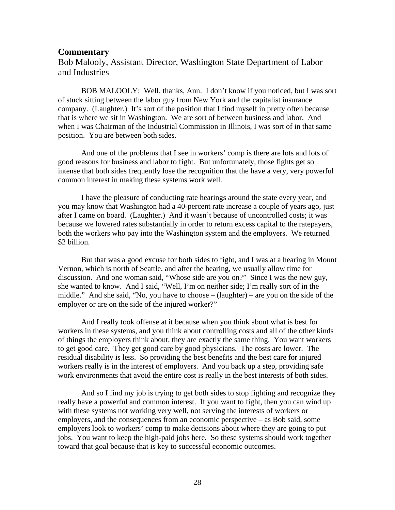#### <span id="page-27-0"></span>**Commentary**

Bob Malooly, Assistant Director, Washington State Department of Labor and Industries

BOB MALOOLY: Well, thanks, Ann. I don't know if you noticed, but I was sort of stuck sitting between the labor guy from New York and the capitalist insurance company. (Laughter.) It's sort of the position that I find myself in pretty often because that is where we sit in Washington. We are sort of between business and labor. And when I was Chairman of the Industrial Commission in Illinois, I was sort of in that same position. You are between both sides.

And one of the problems that I see in workers' comp is there are lots and lots of good reasons for business and labor to fight. But unfortunately, those fights get so intense that both sides frequently lose the recognition that the have a very, very powerful common interest in making these systems work well.

I have the pleasure of conducting rate hearings around the state every year, and you may know that Washington had a 40-percent rate increase a couple of years ago, just after I came on board. (Laughter.) And it wasn't because of uncontrolled costs; it was because we lowered rates substantially in order to return excess capital to the ratepayers, both the workers who pay into the Washington system and the employers. We returned \$2 billion.

But that was a good excuse for both sides to fight, and I was at a hearing in Mount Vernon, which is north of Seattle, and after the hearing, we usually allow time for discussion. And one woman said, "Whose side are you on?" Since I was the new guy, she wanted to know. And I said, "Well, I'm on neither side; I'm really sort of in the middle." And she said, "No, you have to choose – (laughter) – are you on the side of the employer or are on the side of the injured worker?"

And I really took offense at it because when you think about what is best for workers in these systems, and you think about controlling costs and all of the other kinds of things the employers think about, they are exactly the same thing. You want workers to get good care. They get good care by good physicians. The costs are lower. The residual disability is less. So providing the best benefits and the best care for injured workers really is in the interest of employers. And you back up a step, providing safe work environments that avoid the entire cost is really in the best interests of both sides.

And so I find my job is trying to get both sides to stop fighting and recognize they really have a powerful and common interest. If you want to fight, then you can wind up with these systems not working very well, not serving the interests of workers or employers, and the consequences from an economic perspective – as Bob said, some employers look to workers' comp to make decisions about where they are going to put jobs. You want to keep the high-paid jobs here. So these systems should work together toward that goal because that is key to successful economic outcomes.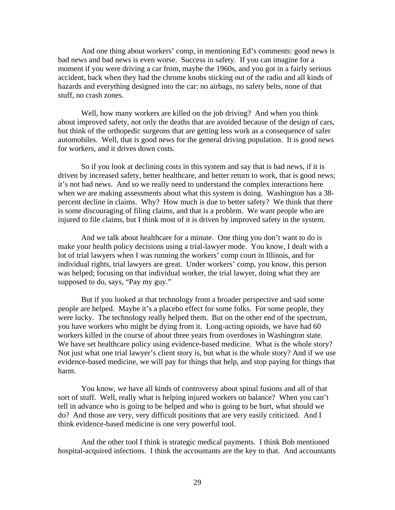And one thing about workers' comp, in mentioning Ed's comments: good news is bad news and bad news is even worse. Success in safety. If you can imagine for a moment if you were driving a car from, maybe the 1960s, and you got in a fairly serious accident, back when they had the chrome knobs sticking out of the radio and all kinds of hazards and everything designed into the car: no airbags, no safety belts, none of that stuff, no crash zones.

Well, how many workers are killed on the job driving? And when you think about improved safety, not only the deaths that are avoided because of the design of cars, but think of the orthopedic surgeons that are getting less work as a consequence of safer automobiles. Well, that is good news for the general driving population. It is good news for workers, and it drives down costs.

So if you look at declining costs in this system and say that is bad news, if it is driven by increased safety, better healthcare, and better return to work, that is good news; it's not bad news. And so we really need to understand the complex interactions here when we are making assessments about what this system is doing. Washington has a 38 percent decline in claims. Why? How much is due to better safety? We think that there is some discouraging of filing claims, and that is a problem. We want people who are injured to file claims, but I think most of it is driven by improved safety in the system.

And we talk about healthcare for a minute. One thing you don't want to do is make your health policy decisions using a trial-lawyer mode. You know, I dealt with a lot of trial lawyers when I was running the workers' comp court in Illinois, and for individual rights, trial lawyers are great. Under workers' comp, you know, this person was helped; focusing on that individual worker, the trial lawyer, doing what they are supposed to do, says, "Pay my guy."

But if you looked at that technology from a broader perspective and said some people are helped. Maybe it's a placebo effect for some folks. For some people, they were lucky. The technology really helped them. But on the other end of the spectrum, you have workers who might be dying from it. Long-acting opioids, we have had 60 workers killed in the course of about three years from overdoses in Washington state. We have set healthcare policy using evidence-based medicine. What is the whole story? Not just what one trial lawyer's client story is, but what is the whole story? And if we use evidence-based medicine, we will pay for things that help, and stop paying for things that harm.

You know, we have all kinds of controversy about spinal fusions and all of that sort of stuff. Well, really what is helping injured workers on balance? When you can't tell in advance who is going to be helped and who is going to be hurt, what should we do? And those are very, very difficult positions that are very easily criticized. And I think evidence-based medicine is one very powerful tool.

And the other tool I think is strategic medical payments. I think Bob mentioned hospital-acquired infections. I think the accountants are the key to that. And accountants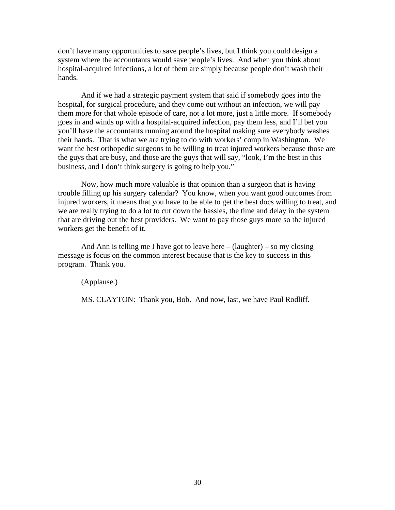don't have many opportunities to save people's lives, but I think you could design a system where the accountants would save people's lives. And when you think about hospital-acquired infections, a lot of them are simply because people don't wash their hands.

And if we had a strategic payment system that said if somebody goes into the hospital, for surgical procedure, and they come out without an infection, we will pay them more for that whole episode of care, not a lot more, just a little more. If somebody goes in and winds up with a hospital-acquired infection, pay them less, and I'll bet you you'll have the accountants running around the hospital making sure everybody washes their hands. That is what we are trying to do with workers' comp in Washington. We want the best orthopedic surgeons to be willing to treat injured workers because those are the guys that are busy, and those are the guys that will say, "look, I'm the best in this business, and I don't think surgery is going to help you."

Now, how much more valuable is that opinion than a surgeon that is having trouble filling up his surgery calendar? You know, when you want good outcomes from injured workers, it means that you have to be able to get the best docs willing to treat, and we are really trying to do a lot to cut down the hassles, the time and delay in the system that are driving out the best providers. We want to pay those guys more so the injured workers get the benefit of it.

And Ann is telling me I have got to leave here  $-$  (laughter)  $-$  so my closing message is focus on the common interest because that is the key to success in this program. Thank you.

(Applause.)

MS. CLAYTON: Thank you, Bob. And now, last, we have Paul Rodliff.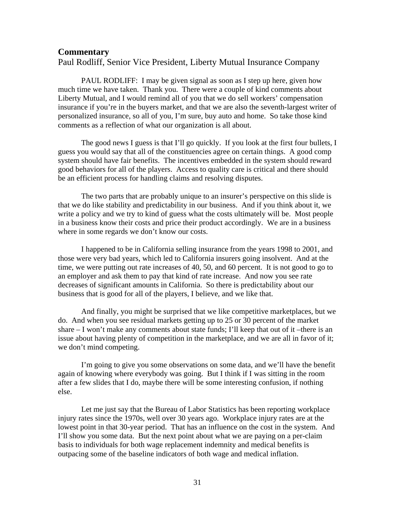#### <span id="page-30-0"></span>**Commentary**

Paul Rodliff, Senior Vice President, Liberty Mutual Insurance Company

PAUL RODLIFF: I may be given signal as soon as I step up here, given how much time we have taken. Thank you. There were a couple of kind comments about Liberty Mutual, and I would remind all of you that we do sell workers' compensation insurance if you're in the buyers market, and that we are also the seventh-largest writer of personalized insurance, so all of you, I'm sure, buy auto and home. So take those kind comments as a reflection of what our organization is all about.

The good news I guess is that I'll go quickly. If you look at the first four bullets, I guess you would say that all of the constituencies agree on certain things. A good comp system should have fair benefits. The incentives embedded in the system should reward good behaviors for all of the players. Access to quality care is critical and there should be an efficient process for handling claims and resolving disputes.

The two parts that are probably unique to an insurer's perspective on this slide is that we do like stability and predictability in our business. And if you think about it, we write a policy and we try to kind of guess what the costs ultimately will be. Most people in a business know their costs and price their product accordingly. We are in a business where in some regards we don't know our costs.

I happened to be in California selling insurance from the years 1998 to 2001, and those were very bad years, which led to California insurers going insolvent. And at the time, we were putting out rate increases of 40, 50, and 60 percent. It is not good to go to an employer and ask them to pay that kind of rate increase. And now you see rate decreases of significant amounts in California. So there is predictability about our business that is good for all of the players, I believe, and we like that.

And finally, you might be surprised that we like competitive marketplaces, but we do. And when you see residual markets getting up to 25 or 30 percent of the market share – I won't make any comments about state funds; I'll keep that out of it –there is an issue about having plenty of competition in the marketplace, and we are all in favor of it; we don't mind competing.

I'm going to give you some observations on some data, and we'll have the benefit again of knowing where everybody was going. But I think if I was sitting in the room after a few slides that I do, maybe there will be some interesting confusion, if nothing else.

Let me just say that the Bureau of Labor Statistics has been reporting workplace injury rates since the 1970s, well over 30 years ago. Workplace injury rates are at the lowest point in that 30-year period. That has an influence on the cost in the system. And I'll show you some data. But the next point about what we are paying on a per-claim basis to individuals for both wage replacement indemnity and medical benefits is outpacing some of the baseline indicators of both wage and medical inflation.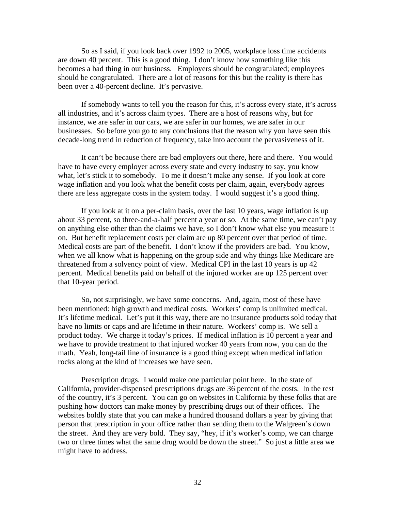So as I said, if you look back over 1992 to 2005, workplace loss time accidents are down 40 percent. This is a good thing. I don't know how something like this becomes a bad thing in our business. Employers should be congratulated; employees should be congratulated. There are a lot of reasons for this but the reality is there has been over a 40-percent decline. It's pervasive.

If somebody wants to tell you the reason for this, it's across every state, it's across all industries, and it's across claim types. There are a host of reasons why, but for instance, we are safer in our cars, we are safer in our homes, we are safer in our businesses. So before you go to any conclusions that the reason why you have seen this decade-long trend in reduction of frequency, take into account the pervasiveness of it.

It can't be because there are bad employers out there, here and there. You would have to have every employer across every state and every industry to say, you know what, let's stick it to somebody. To me it doesn't make any sense. If you look at core wage inflation and you look what the benefit costs per claim, again, everybody agrees there are less aggregate costs in the system today. I would suggest it's a good thing.

If you look at it on a per-claim basis, over the last 10 years, wage inflation is up about 33 percent, so three-and-a-half percent a year or so. At the same time, we can't pay on anything else other than the claims we have, so I don't know what else you measure it on. But benefit replacement costs per claim are up 80 percent over that period of time. Medical costs are part of the benefit. I don't know if the providers are bad. You know, when we all know what is happening on the group side and why things like Medicare are threatened from a solvency point of view. Medical CPI in the last 10 years is up 42 percent. Medical benefits paid on behalf of the injured worker are up 125 percent over that 10-year period.

So, not surprisingly, we have some concerns. And, again, most of these have been mentioned: high growth and medical costs. Workers' comp is unlimited medical. It's lifetime medical. Let's put it this way, there are no insurance products sold today that have no limits or caps and are lifetime in their nature. Workers' comp is. We sell a product today. We charge it today's prices. If medical inflation is 10 percent a year and we have to provide treatment to that injured worker 40 years from now, you can do the math. Yeah, long-tail line of insurance is a good thing except when medical inflation rocks along at the kind of increases we have seen.

Prescription drugs. I would make one particular point here. In the state of California, provider-dispensed prescriptions drugs are 36 percent of the costs. In the rest of the country, it's 3 percent. You can go on websites in California by these folks that are pushing how doctors can make money by prescribing drugs out of their offices. The websites boldly state that you can make a hundred thousand dollars a year by giving that person that prescription in your office rather than sending them to the Walgreen's down the street. And they are very bold. They say, "hey, if it's worker's comp, we can charge two or three times what the same drug would be down the street." So just a little area we might have to address.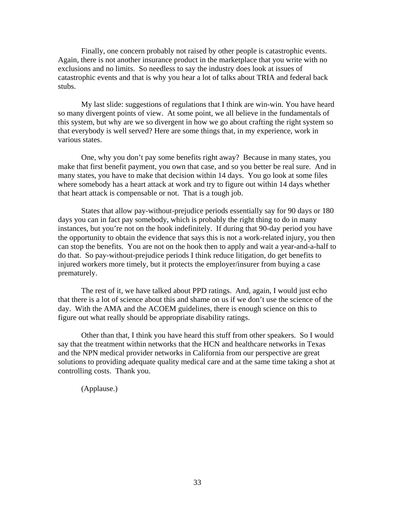Finally, one concern probably not raised by other people is catastrophic events. Again, there is not another insurance product in the marketplace that you write with no exclusions and no limits. So needless to say the industry does look at issues of catastrophic events and that is why you hear a lot of talks about TRIA and federal back stubs.

My last slide: suggestions of regulations that I think are win-win. You have heard so many divergent points of view. At some point, we all believe in the fundamentals of this system, but why are we so divergent in how we go about crafting the right system so that everybody is well served? Here are some things that, in my experience, work in various states.

One, why you don't pay some benefits right away? Because in many states, you make that first benefit payment, you own that case, and so you better be real sure. And in many states, you have to make that decision within 14 days. You go look at some files where somebody has a heart attack at work and try to figure out within 14 days whether that heart attack is compensable or not. That is a tough job.

States that allow pay-without-prejudice periods essentially say for 90 days or 180 days you can in fact pay somebody, which is probably the right thing to do in many instances, but you're not on the hook indefinitely. If during that 90-day period you have the opportunity to obtain the evidence that says this is not a work-related injury, you then can stop the benefits. You are not on the hook then to apply and wait a year-and-a-half to do that. So pay-without-prejudice periods I think reduce litigation, do get benefits to injured workers more timely, but it protects the employer/insurer from buying a case prematurely.

The rest of it, we have talked about PPD ratings. And, again, I would just echo that there is a lot of science about this and shame on us if we don't use the science of the day. With the AMA and the ACOEM guidelines, there is enough science on this to figure out what really should be appropriate disability ratings.

Other than that, I think you have heard this stuff from other speakers. So I would say that the treatment within networks that the HCN and healthcare networks in Texas and the NPN medical provider networks in California from our perspective are great solutions to providing adequate quality medical care and at the same time taking a shot at controlling costs. Thank you.

(Applause.)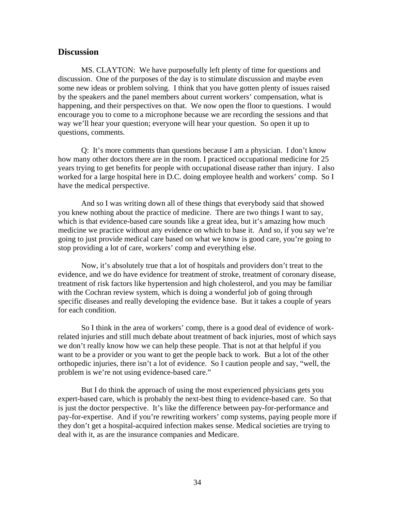#### <span id="page-33-0"></span>**Discussion**

MS. CLAYTON: We have purposefully left plenty of time for questions and discussion. One of the purposes of the day is to stimulate discussion and maybe even some new ideas or problem solving. I think that you have gotten plenty of issues raised by the speakers and the panel members about current workers' compensation, what is happening, and their perspectives on that. We now open the floor to questions. I would encourage you to come to a microphone because we are recording the sessions and that way we'll hear your question; everyone will hear your question. So open it up to questions, comments.

Q: It's more comments than questions because I am a physician. I don't know how many other doctors there are in the room. I practiced occupational medicine for 25 years trying to get benefits for people with occupational disease rather than injury. I also worked for a large hospital here in D.C. doing employee health and workers' comp. So I have the medical perspective.

And so I was writing down all of these things that everybody said that showed you knew nothing about the practice of medicine. There are two things I want to say, which is that evidence-based care sounds like a great idea, but it's amazing how much medicine we practice without any evidence on which to base it. And so, if you say we're going to just provide medical care based on what we know is good care, you're going to stop providing a lot of care, workers' comp and everything else.

Now, it's absolutely true that a lot of hospitals and providers don't treat to the evidence, and we do have evidence for treatment of stroke, treatment of coronary disease, treatment of risk factors like hypertension and high cholesterol, and you may be familiar with the Cochran review system, which is doing a wonderful job of going through specific diseases and really developing the evidence base. But it takes a couple of years for each condition.

So I think in the area of workers' comp, there is a good deal of evidence of workrelated injuries and still much debate about treatment of back injuries, most of which says we don't really know how we can help these people. That is not at that helpful if you want to be a provider or you want to get the people back to work. But a lot of the other orthopedic injuries, there isn't a lot of evidence. So I caution people and say, "well, the problem is we're not using evidence-based care."

But I do think the approach of using the most experienced physicians gets you expert-based care, which is probably the next-best thing to evidence-based care. So that is just the doctor perspective. It's like the difference between pay-for-performance and pay-for-expertise. And if you're rewriting workers' comp systems, paying people more if they don't get a hospital-acquired infection makes sense. Medical societies are trying to deal with it, as are the insurance companies and Medicare.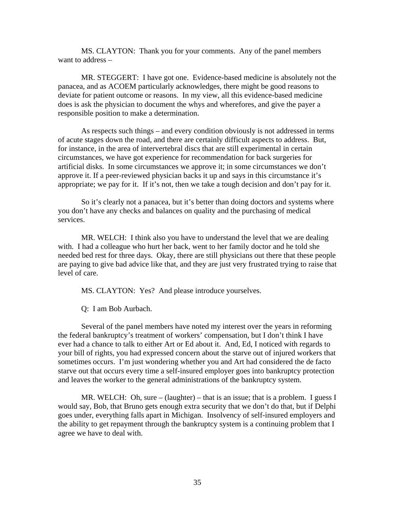MS. CLAYTON: Thank you for your comments. Any of the panel members want to address –

MR. STEGGERT: I have got one. Evidence-based medicine is absolutely not the panacea, and as ACOEM particularly acknowledges, there might be good reasons to deviate for patient outcome or reasons. In my view, all this evidence-based medicine does is ask the physician to document the whys and wherefores, and give the payer a responsible position to make a determination.

As respects such things – and every condition obviously is not addressed in terms of acute stages down the road, and there are certainly difficult aspects to address. But, for instance, in the area of intervertebral discs that are still experimental in certain circumstances, we have got experience for recommendation for back surgeries for artificial disks. In some circumstances we approve it; in some circumstances we don't approve it. If a peer-reviewed physician backs it up and says in this circumstance it's appropriate; we pay for it. If it's not, then we take a tough decision and don't pay for it.

So it's clearly not a panacea, but it's better than doing doctors and systems where you don't have any checks and balances on quality and the purchasing of medical services.

MR. WELCH: I think also you have to understand the level that we are dealing with. I had a colleague who hurt her back, went to her family doctor and he told she needed bed rest for three days. Okay, there are still physicians out there that these people are paying to give bad advice like that, and they are just very frustrated trying to raise that level of care.

MS. CLAYTON: Yes? And please introduce yourselves.

Q: I am Bob Aurbach.

Several of the panel members have noted my interest over the years in reforming the federal bankruptcy's treatment of workers' compensation, but I don't think I have ever had a chance to talk to either Art or Ed about it. And, Ed, I noticed with regards to your bill of rights, you had expressed concern about the starve out of injured workers that sometimes occurs. I'm just wondering whether you and Art had considered the de facto starve out that occurs every time a self-insured employer goes into bankruptcy protection and leaves the worker to the general administrations of the bankruptcy system.

MR. WELCH: Oh, sure – (laughter) – that is an issue; that is a problem. I guess I would say, Bob, that Bruno gets enough extra security that we don't do that, but if Delphi goes under, everything falls apart in Michigan. Insolvency of self-insured employers and the ability to get repayment through the bankruptcy system is a continuing problem that I agree we have to deal with.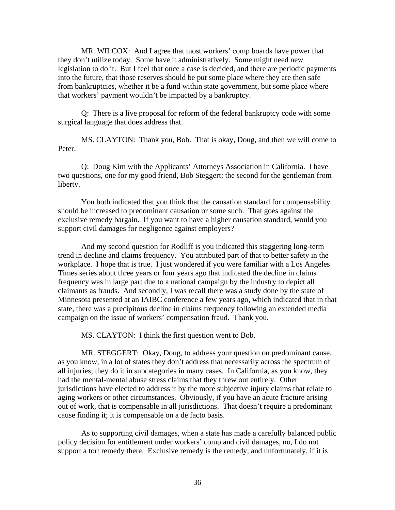MR. WILCOX: And I agree that most workers' comp boards have power that they don't utilize today. Some have it administratively. Some might need new legislation to do it. But I feel that once a case is decided, and there are periodic payments into the future, that those reserves should be put some place where they are then safe from bankruptcies, whether it be a fund within state government, but some place where that workers' payment wouldn't be impacted by a bankruptcy.

Q: There is a live proposal for reform of the federal bankruptcy code with some surgical language that does address that.

MS. CLAYTON: Thank you, Bob. That is okay, Doug, and then we will come to Peter.

Q: Doug Kim with the Applicants' Attorneys Association in California. I have two questions, one for my good friend, Bob Steggert; the second for the gentleman from liberty.

You both indicated that you think that the causation standard for compensability should be increased to predominant causation or some such. That goes against the exclusive remedy bargain. If you want to have a higher causation standard, would you support civil damages for negligence against employers?

And my second question for Rodliff is you indicated this staggering long-term trend in decline and claims frequency. You attributed part of that to better safety in the workplace. I hope that is true. I just wondered if you were familiar with a Los Angeles Times series about three years or four years ago that indicated the decline in claims frequency was in large part due to a national campaign by the industry to depict all claimants as frauds. And secondly, I was recall there was a study done by the state of Minnesota presented at an IAIBC conference a few years ago, which indicated that in that state, there was a precipitous decline in claims frequency following an extended media campaign on the issue of workers' compensation fraud. Thank you.

MS. CLAYTON: I think the first question went to Bob.

MR. STEGGERT: Okay, Doug, to address your question on predominant cause, as you know, in a lot of states they don't address that necessarily across the spectrum of all injuries; they do it in subcategories in many cases. In California, as you know, they had the mental-mental abuse stress claims that they threw out entirely. Other jurisdictions have elected to address it by the more subjective injury claims that relate to aging workers or other circumstances. Obviously, if you have an acute fracture arising out of work, that is compensable in all jurisdictions. That doesn't require a predominant cause finding it; it is compensable on a de facto basis.

As to supporting civil damages, when a state has made a carefully balanced public policy decision for entitlement under workers' comp and civil damages, no, I do not support a tort remedy there. Exclusive remedy is the remedy, and unfortunately, if it is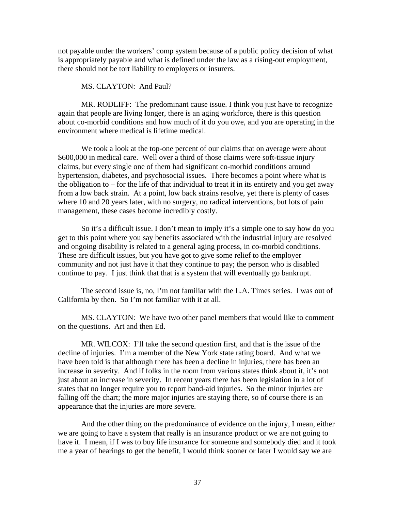not payable under the workers' comp system because of a public policy decision of what is appropriately payable and what is defined under the law as a rising-out employment, there should not be tort liability to employers or insurers.

#### MS. CLAYTON: And Paul?

MR. RODLIFF: The predominant cause issue. I think you just have to recognize again that people are living longer, there is an aging workforce, there is this question about co-morbid conditions and how much of it do you owe, and you are operating in the environment where medical is lifetime medical.

We took a look at the top-one percent of our claims that on average were about \$600,000 in medical care. Well over a third of those claims were soft-tissue injury claims, but every single one of them had significant co-morbid conditions around hypertension, diabetes, and psychosocial issues. There becomes a point where what is the obligation to – for the life of that individual to treat it in its entirety and you get away from a low back strain. At a point, low back strains resolve, yet there is plenty of cases where 10 and 20 years later, with no surgery, no radical interventions, but lots of pain management, these cases become incredibly costly.

So it's a difficult issue. I don't mean to imply it's a simple one to say how do you get to this point where you say benefits associated with the industrial injury are resolved and ongoing disability is related to a general aging process, in co-morbid conditions. These are difficult issues, but you have got to give some relief to the employer community and not just have it that they continue to pay; the person who is disabled continue to pay. I just think that that is a system that will eventually go bankrupt.

The second issue is, no, I'm not familiar with the L.A. Times series. I was out of California by then. So I'm not familiar with it at all.

MS. CLAYTON: We have two other panel members that would like to comment on the questions. Art and then Ed.

MR. WILCOX: I'll take the second question first, and that is the issue of the decline of injuries. I'm a member of the New York state rating board. And what we have been told is that although there has been a decline in injuries, there has been an increase in severity. And if folks in the room from various states think about it, it's not just about an increase in severity. In recent years there has been legislation in a lot of states that no longer require you to report band-aid injuries. So the minor injuries are falling off the chart; the more major injuries are staying there, so of course there is an appearance that the injuries are more severe.

And the other thing on the predominance of evidence on the injury, I mean, either we are going to have a system that really is an insurance product or we are not going to have it. I mean, if I was to buy life insurance for someone and somebody died and it took me a year of hearings to get the benefit, I would think sooner or later I would say we are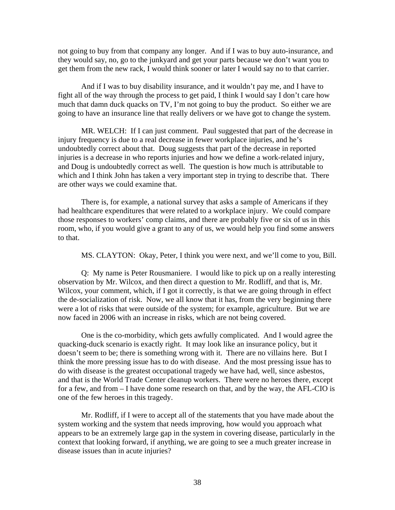not going to buy from that company any longer. And if I was to buy auto-insurance, and they would say, no, go to the junkyard and get your parts because we don't want you to get them from the new rack, I would think sooner or later I would say no to that carrier.

And if I was to buy disability insurance, and it wouldn't pay me, and I have to fight all of the way through the process to get paid, I think I would say I don't care how much that damn duck quacks on TV, I'm not going to buy the product. So either we are going to have an insurance line that really delivers or we have got to change the system.

MR. WELCH: If I can just comment. Paul suggested that part of the decrease in injury frequency is due to a real decrease in fewer workplace injuries, and he's undoubtedly correct about that. Doug suggests that part of the decrease in reported injuries is a decrease in who reports injuries and how we define a work-related injury, and Doug is undoubtedly correct as well. The question is how much is attributable to which and I think John has taken a very important step in trying to describe that. There are other ways we could examine that.

There is, for example, a national survey that asks a sample of Americans if they had healthcare expenditures that were related to a workplace injury. We could compare those responses to workers' comp claims, and there are probably five or six of us in this room, who, if you would give a grant to any of us, we would help you find some answers to that.

MS. CLAYTON: Okay, Peter, I think you were next, and we'll come to you, Bill.

Q: My name is Peter Rousmaniere. I would like to pick up on a really interesting observation by Mr. Wilcox, and then direct a question to Mr. Rodliff, and that is, Mr. Wilcox, your comment, which, if I got it correctly, is that we are going through in effect the de-socialization of risk. Now, we all know that it has, from the very beginning there were a lot of risks that were outside of the system; for example, agriculture. But we are now faced in 2006 with an increase in risks, which are not being covered.

One is the co-morbidity, which gets awfully complicated. And I would agree the quacking-duck scenario is exactly right. It may look like an insurance policy, but it doesn't seem to be; there is something wrong with it. There are no villains here. But I think the more pressing issue has to do with disease. And the most pressing issue has to do with disease is the greatest occupational tragedy we have had, well, since asbestos, and that is the World Trade Center cleanup workers. There were no heroes there, except for a few, and from – I have done some research on that, and by the way, the AFL-CIO is one of the few heroes in this tragedy.

Mr. Rodliff, if I were to accept all of the statements that you have made about the system working and the system that needs improving, how would you approach what appears to be an extremely large gap in the system in covering disease, particularly in the context that looking forward, if anything, we are going to see a much greater increase in disease issues than in acute injuries?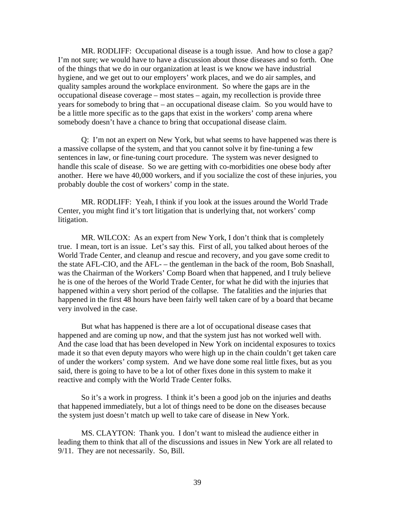MR. RODLIFF: Occupational disease is a tough issue. And how to close a gap? I'm not sure; we would have to have a discussion about those diseases and so forth. One of the things that we do in our organization at least is we know we have industrial hygiene, and we get out to our employers' work places, and we do air samples, and quality samples around the workplace environment. So where the gaps are in the occupational disease coverage – most states – again, my recollection is provide three years for somebody to bring that – an occupational disease claim. So you would have to be a little more specific as to the gaps that exist in the workers' comp arena where somebody doesn't have a chance to bring that occupational disease claim.

Q: I'm not an expert on New York, but what seems to have happened was there is a massive collapse of the system, and that you cannot solve it by fine-tuning a few sentences in law, or fine-tuning court procedure. The system was never designed to handle this scale of disease. So we are getting with co-morbidities one obese body after another. Here we have 40,000 workers, and if you socialize the cost of these injuries, you probably double the cost of workers' comp in the state.

MR. RODLIFF: Yeah, I think if you look at the issues around the World Trade Center, you might find it's tort litigation that is underlying that, not workers' comp litigation.

MR. WILCOX: As an expert from New York, I don't think that is completely true. I mean, tort is an issue. Let's say this. First of all, you talked about heroes of the World Trade Center, and cleanup and rescue and recovery, and you gave some credit to the state AFL-CIO, and the AFL- – the gentleman in the back of the room, Bob Snashall, was the Chairman of the Workers' Comp Board when that happened, and I truly believe he is one of the heroes of the World Trade Center, for what he did with the injuries that happened within a very short period of the collapse. The fatalities and the injuries that happened in the first 48 hours have been fairly well taken care of by a board that became very involved in the case.

But what has happened is there are a lot of occupational disease cases that happened and are coming up now, and that the system just has not worked well with. And the case load that has been developed in New York on incidental exposures to toxics made it so that even deputy mayors who were high up in the chain couldn't get taken care of under the workers' comp system. And we have done some real little fixes, but as you said, there is going to have to be a lot of other fixes done in this system to make it reactive and comply with the World Trade Center folks.

So it's a work in progress. I think it's been a good job on the injuries and deaths that happened immediately, but a lot of things need to be done on the diseases because the system just doesn't match up well to take care of disease in New York.

MS. CLAYTON: Thank you. I don't want to mislead the audience either in leading them to think that all of the discussions and issues in New York are all related to 9/11. They are not necessarily. So, Bill.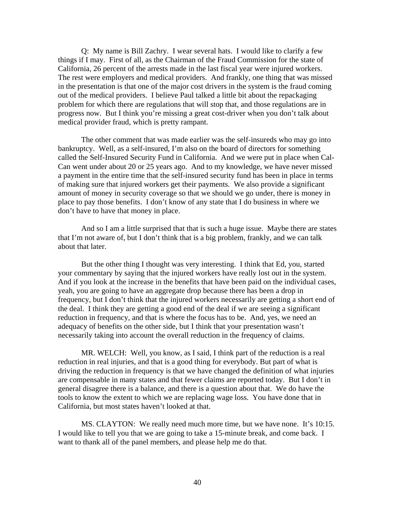Q: My name is Bill Zachry. I wear several hats. I would like to clarify a few things if I may. First of all, as the Chairman of the Fraud Commission for the state of California, 26 percent of the arrests made in the last fiscal year were injured workers. The rest were employers and medical providers. And frankly, one thing that was missed in the presentation is that one of the major cost drivers in the system is the fraud coming out of the medical providers. I believe Paul talked a little bit about the repackaging problem for which there are regulations that will stop that, and those regulations are in progress now. But I think you're missing a great cost-driver when you don't talk about medical provider fraud, which is pretty rampant.

The other comment that was made earlier was the self-insureds who may go into bankruptcy. Well, as a self-insured, I'm also on the board of directors for something called the Self-Insured Security Fund in California. And we were put in place when Cal-Can went under about 20 or 25 years ago. And to my knowledge, we have never missed a payment in the entire time that the self-insured security fund has been in place in terms of making sure that injured workers get their payments. We also provide a significant amount of money in security coverage so that we should we go under, there is money in place to pay those benefits. I don't know of any state that I do business in where we don't have to have that money in place.

And so I am a little surprised that that is such a huge issue. Maybe there are states that I'm not aware of, but I don't think that is a big problem, frankly, and we can talk about that later.

But the other thing I thought was very interesting. I think that Ed, you, started your commentary by saying that the injured workers have really lost out in the system. And if you look at the increase in the benefits that have been paid on the individual cases, yeah, you are going to have an aggregate drop because there has been a drop in frequency, but I don't think that the injured workers necessarily are getting a short end of the deal. I think they are getting a good end of the deal if we are seeing a significant reduction in frequency, and that is where the focus has to be. And, yes, we need an adequacy of benefits on the other side, but I think that your presentation wasn't necessarily taking into account the overall reduction in the frequency of claims.

MR. WELCH: Well, you know, as I said, I think part of the reduction is a real reduction in real injuries, and that is a good thing for everybody. But part of what is driving the reduction in frequency is that we have changed the definition of what injuries are compensable in many states and that fewer claims are reported today. But I don't in general disagree there is a balance, and there is a question about that. We do have the tools to know the extent to which we are replacing wage loss. You have done that in California, but most states haven't looked at that.

MS. CLAYTON: We really need much more time, but we have none. It's 10:15. I would like to tell you that we are going to take a 15-minute break, and come back. I want to thank all of the panel members, and please help me do that.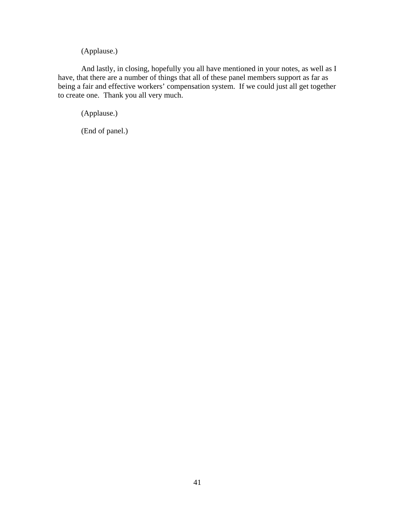(Applause.)

And lastly, in closing, hopefully you all have mentioned in your notes, as well as I have, that there are a number of things that all of these panel members support as far as being a fair and effective workers' compensation system. If we could just all get together to create one. Thank you all very much.

(Applause.)

(End of panel.)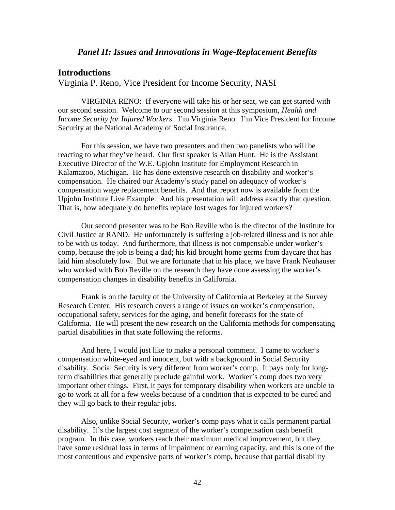## **Introductions**

Virginia P. Reno, Vice President for Income Security, NASI

VIRGINIA RENO: If everyone will take his or her seat, we can get started with our second session. Welcome to our second session at this symposium, *Health and Income Security for Injured Workers*. I'm Virginia Reno. I'm Vice President for Income Security at the National Academy of Social Insurance.

For this session, we have two presenters and then two panelists who will be reacting to what they've heard. Our first speaker is Allan Hunt. He is the Assistant Executive Director of the W.E. Upjohn Institute for Employment Research in Kalamazoo, Michigan. He has done extensive research on disability and worker's compensation. He chaired our Academy's study panel on adequacy of worker's compensation wage replacement benefits. And that report now is available from the Upjohn Institute Live Example. And his presentation will address exactly that question. That is, how adequately do benefits replace lost wages for injured workers?

Our second presenter was to be Bob Reville who is the director of the Institute for Civil Justice at RAND. He unfortunately is suffering a job-related illness and is not able to be with us today. And furthermore, that illness is not compensable under worker's comp, because the job is being a dad; his kid brought home germs from daycare that has laid him absolutely low. But we are fortunate that in his place, we have Frank Neuhauser who worked with Bob Reville on the research they have done assessing the worker's compensation changes in disability benefits in California.

Frank is on the faculty of the University of California at Berkeley at the Survey Research Center. His research covers a range of issues on worker's compensation, occupational safety, services for the aging, and benefit forecasts for the state of California. He will present the new research on the California methods for compensating partial disabilities in that state following the reforms.

And here, I would just like to make a personal comment. I came to worker's compensation white-eyed and innocent, but with a background in Social Security disability. Social Security is very different from worker's comp. It pays only for longterm disabilities that generally preclude gainful work. Worker's comp does two very important other things. First, it pays for temporary disability when workers are unable to go to work at all for a few weeks because of a condition that is expected to be cured and they will go back to their regular jobs.

Also, unlike Social Security, worker's comp pays what it calls permanent partial disability. It's the largest cost segment of the worker's compensation cash benefit program. In this case, workers reach their maximum medical improvement, but they have some residual loss in terms of impairment or earning capacity, and this is one of the most contentious and expensive parts of worker's comp, because that partial disability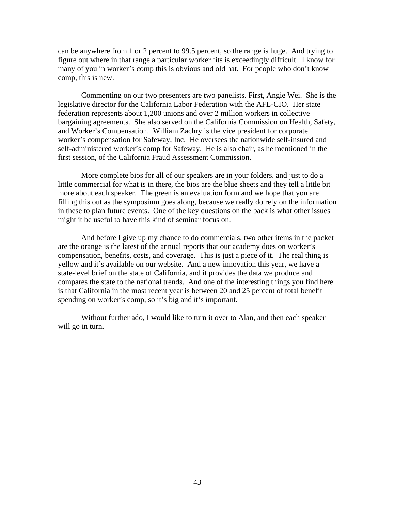can be anywhere from 1 or 2 percent to 99.5 percent, so the range is huge. And trying to figure out where in that range a particular worker fits is exceedingly difficult. I know for many of you in worker's comp this is obvious and old hat. For people who don't know comp, this is new.

Commenting on our two presenters are two panelists. First, Angie Wei. She is the legislative director for the California Labor Federation with the AFL-CIO. Her state federation represents about 1,200 unions and over 2 million workers in collective bargaining agreements. She also served on the California Commission on Health, Safety, and Worker's Compensation. William Zachry is the vice president for corporate worker's compensation for Safeway, Inc. He oversees the nationwide self-insured and self-administered worker's comp for Safeway. He is also chair, as he mentioned in the first session, of the California Fraud Assessment Commission.

More complete bios for all of our speakers are in your folders, and just to do a little commercial for what is in there, the bios are the blue sheets and they tell a little bit more about each speaker. The green is an evaluation form and we hope that you are filling this out as the symposium goes along, because we really do rely on the information in these to plan future events. One of the key questions on the back is what other issues might it be useful to have this kind of seminar focus on.

And before I give up my chance to do commercials, two other items in the packet are the orange is the latest of the annual reports that our academy does on worker's compensation, benefits, costs, and coverage. This is just a piece of it. The real thing is yellow and it's available on our website. And a new innovation this year, we have a state-level brief on the state of California, and it provides the data we produce and compares the state to the national trends. And one of the interesting things you find here is that California in the most recent year is between 20 and 25 percent of total benefit spending on worker's comp, so it's big and it's important.

Without further ado, I would like to turn it over to Alan, and then each speaker will go in turn.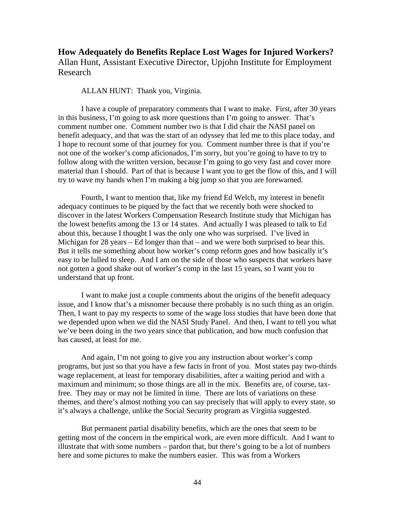# **How Adequately do Benefits Replace Lost Wages for Injured Workers?**  Allan Hunt, Assistant Executive Director, Upjohn Institute for Employment Research

#### ALLAN HUNT: Thank you, Virginia.

I have a couple of preparatory comments that I want to make. First, after 30 years in this business, I'm going to ask more questions than I'm going to answer. That's comment number one. Comment number two is that I did chair the NASI panel on benefit adequacy, and that was the start of an odyssey that led me to this place today, and I hope to recount some of that journey for you. Comment number three is that if you're not one of the worker's comp aficionados, I'm sorry, but you're going to have to try to follow along with the written version, because I'm going to go very fast and cover more material than I should. Part of that is because I want you to get the flow of this, and I will try to wave my hands when I'm making a big jump so that you are forewarned.

Fourth, I want to mention that, like my friend Ed Welch, my interest in benefit adequacy continues to be piqued by the fact that we recently both were shocked to discover in the latest Workers Compensation Research Institute study that Michigan has the lowest benefits among the 13 or 14 states. And actually I was pleased to talk to Ed about this, because I thought I was the only one who was surprised. I've lived in Michigan for 28 years – Ed longer than that – and we were both surprised to hear this. But it tells me something about how worker's comp reform goes and how basically it's easy to be lulled to sleep. And I am on the side of those who suspects that workers have not gotten a good shake out of worker's comp in the last 15 years, so I want you to understand that up front.

I want to make just a couple comments about the origins of the benefit adequacy issue, and I know that's a misnomer because there probably is no such thing as an origin. Then, I want to pay my respects to some of the wage loss studies that have been done that we depended upon when we did the NASI Study Panel. And then, I want to tell you what we've been doing in the two years since that publication, and how much confusion that has caused, at least for me.

And again, I'm not going to give you any instruction about worker's comp programs, but just so that you have a few facts in front of you. Most states pay two-thirds wage replacement, at least for temporary disabilities, after a waiting period and with a maximum and minimum; so those things are all in the mix. Benefits are, of course, taxfree. They may or may not be limited in time. There are lots of variations on these themes, and there's almost nothing you can say precisely that will apply to every state, so it's always a challenge, unlike the Social Security program as Virginia suggested.

But permanent partial disability benefits, which are the ones that seem to be getting most of the concern in the empirical work, are even more difficult. And I want to illustrate that with some numbers – pardon that, but there's going to be a lot of numbers here and some pictures to make the numbers easier. This was from a Workers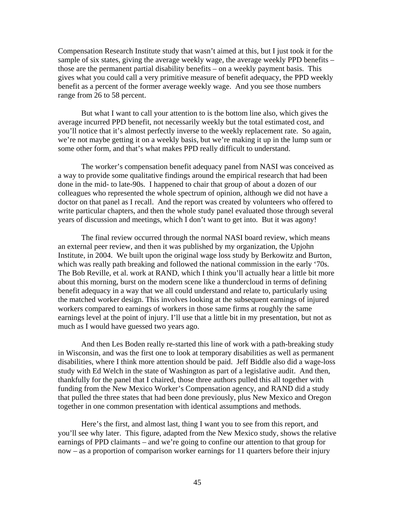Compensation Research Institute study that wasn't aimed at this, but I just took it for the sample of six states, giving the average weekly wage, the average weekly PPD benefits – those are the permanent partial disability benefits – on a weekly payment basis. This gives what you could call a very primitive measure of benefit adequacy, the PPD weekly benefit as a percent of the former average weekly wage. And you see those numbers range from 26 to 58 percent.

But what I want to call your attention to is the bottom line also, which gives the average incurred PPD benefit, not necessarily weekly but the total estimated cost, and you'll notice that it's almost perfectly inverse to the weekly replacement rate. So again, we're not maybe getting it on a weekly basis, but we're making it up in the lump sum or some other form, and that's what makes PPD really difficult to understand.

The worker's compensation benefit adequacy panel from NASI was conceived as a way to provide some qualitative findings around the empirical research that had been done in the mid- to late-90s. I happened to chair that group of about a dozen of our colleagues who represented the whole spectrum of opinion, although we did not have a doctor on that panel as I recall. And the report was created by volunteers who offered to write particular chapters, and then the whole study panel evaluated those through several years of discussion and meetings, which I don't want to get into. But it was agony!

The final review occurred through the normal NASI board review, which means an external peer review, and then it was published by my organization, the Upjohn Institute, in 2004. We built upon the original wage loss study by Berkowitz and Burton, which was really path breaking and followed the national commission in the early '70s. The Bob Reville, et al. work at RAND, which I think you'll actually hear a little bit more about this morning, burst on the modern scene like a thundercloud in terms of defining benefit adequacy in a way that we all could understand and relate to, particularly using the matched worker design. This involves looking at the subsequent earnings of injured workers compared to earnings of workers in those same firms at roughly the same earnings level at the point of injury. I'll use that a little bit in my presentation, but not as much as I would have guessed two years ago.

And then Les Boden really re-started this line of work with a path-breaking study in Wisconsin, and was the first one to look at temporary disabilities as well as permanent disabilities, where I think more attention should be paid. Jeff Biddle also did a wage-loss study with Ed Welch in the state of Washington as part of a legislative audit. And then, thankfully for the panel that I chaired, those three authors pulled this all together with funding from the New Mexico Worker's Compensation agency, and RAND did a study that pulled the three states that had been done previously, plus New Mexico and Oregon together in one common presentation with identical assumptions and methods.

Here's the first, and almost last, thing I want you to see from this report, and you'll see why later. This figure, adapted from the New Mexico study, shows the relative earnings of PPD claimants – and we're going to confine our attention to that group for now – as a proportion of comparison worker earnings for 11 quarters before their injury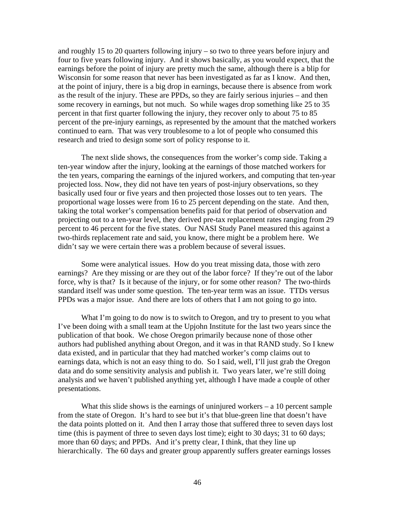and roughly 15 to 20 quarters following injury – so two to three years before injury and four to five years following injury. And it shows basically, as you would expect, that the earnings before the point of injury are pretty much the same, although there is a blip for Wisconsin for some reason that never has been investigated as far as I know. And then, at the point of injury, there is a big drop in earnings, because there is absence from work as the result of the injury. These are PPDs, so they are fairly serious injuries – and then some recovery in earnings, but not much. So while wages drop something like 25 to 35 percent in that first quarter following the injury, they recover only to about 75 to 85 percent of the pre-injury earnings, as represented by the amount that the matched workers continued to earn. That was very troublesome to a lot of people who consumed this research and tried to design some sort of policy response to it.

The next slide shows, the consequences from the worker's comp side. Taking a ten-year window after the injury, looking at the earnings of those matched workers for the ten years, comparing the earnings of the injured workers, and computing that ten-year projected loss. Now, they did not have ten years of post-injury observations, so they basically used four or five years and then projected those losses out to ten years. The proportional wage losses were from 16 to 25 percent depending on the state. And then, taking the total worker's compensation benefits paid for that period of observation and projecting out to a ten-year level, they derived pre-tax replacement rates ranging from 29 percent to 46 percent for the five states. Our NASI Study Panel measured this against a two-thirds replacement rate and said, you know, there might be a problem here. We didn't say we were certain there was a problem because of several issues.

Some were analytical issues. How do you treat missing data, those with zero earnings? Are they missing or are they out of the labor force? If they're out of the labor force, why is that? Is it because of the injury, or for some other reason? The two-thirds standard itself was under some question. The ten-year term was an issue. TTDs versus PPDs was a major issue. And there are lots of others that I am not going to go into.

What I'm going to do now is to switch to Oregon, and try to present to you what I've been doing with a small team at the Upjohn Institute for the last two years since the publication of that book. We chose Oregon primarily because none of those other authors had published anything about Oregon, and it was in that RAND study. So I knew data existed, and in particular that they had matched worker's comp claims out to earnings data, which is not an easy thing to do. So I said, well, I'll just grab the Oregon data and do some sensitivity analysis and publish it. Two years later, we're still doing analysis and we haven't published anything yet, although I have made a couple of other presentations.

What this slide shows is the earnings of uninjured workers  $-$  a 10 percent sample from the state of Oregon. It's hard to see but it's that blue-green line that doesn't have the data points plotted on it. And then I array those that suffered three to seven days lost time (this is payment of three to seven days lost time); eight to 30 days; 31 to 60 days; more than 60 days; and PPDs. And it's pretty clear, I think, that they line up hierarchically. The 60 days and greater group apparently suffers greater earnings losses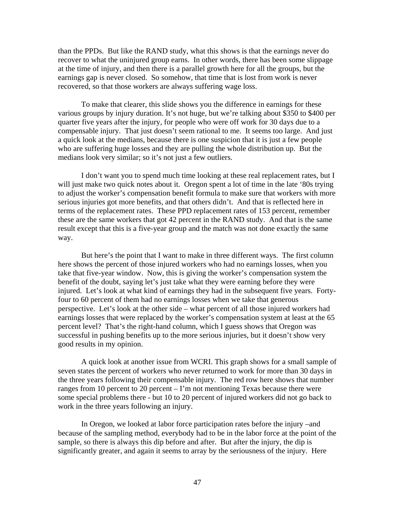than the PPDs. But like the RAND study, what this shows is that the earnings never do recover to what the uninjured group earns. In other words, there has been some slippage at the time of injury, and then there is a parallel growth here for all the groups, but the earnings gap is never closed. So somehow, that time that is lost from work is never recovered, so that those workers are always suffering wage loss.

To make that clearer, this slide shows you the difference in earnings for these various groups by injury duration. It's not huge, but we're talking about \$350 to \$400 per quarter five years after the injury, for people who were off work for 30 days due to a compensable injury. That just doesn't seem rational to me. It seems too large. And just a quick look at the medians, because there is one suspicion that it is just a few people who are suffering huge losses and they are pulling the whole distribution up. But the medians look very similar; so it's not just a few outliers.

I don't want you to spend much time looking at these real replacement rates, but I will just make two quick notes about it. Oregon spent a lot of time in the late '80s trying to adjust the worker's compensation benefit formula to make sure that workers with more serious injuries got more benefits, and that others didn't. And that is reflected here in terms of the replacement rates. These PPD replacement rates of 153 percent, remember these are the same workers that got 42 percent in the RAND study. And that is the same result except that this is a five-year group and the match was not done exactly the same way.

But here's the point that I want to make in three different ways. The first column here shows the percent of those injured workers who had no earnings losses, when you take that five-year window. Now, this is giving the worker's compensation system the benefit of the doubt, saying let's just take what they were earning before they were injured. Let's look at what kind of earnings they had in the subsequent five years. Fortyfour to 60 percent of them had no earnings losses when we take that generous perspective. Let's look at the other side – what percent of all those injured workers had earnings losses that were replaced by the worker's compensation system at least at the 65 percent level? That's the right-hand column, which I guess shows that Oregon was successful in pushing benefits up to the more serious injuries, but it doesn't show very good results in my opinion.

A quick look at another issue from WCRI. This graph shows for a small sample of seven states the percent of workers who never returned to work for more than 30 days in the three years following their compensable injury. The red row here shows that number ranges from 10 percent to 20 percent – I'm not mentioning Texas because there were some special problems there - but 10 to 20 percent of injured workers did not go back to work in the three years following an injury.

In Oregon, we looked at labor force participation rates before the injury –and because of the sampling method, everybody had to be in the labor force at the point of the sample, so there is always this dip before and after. But after the injury, the dip is significantly greater, and again it seems to array by the seriousness of the injury. Here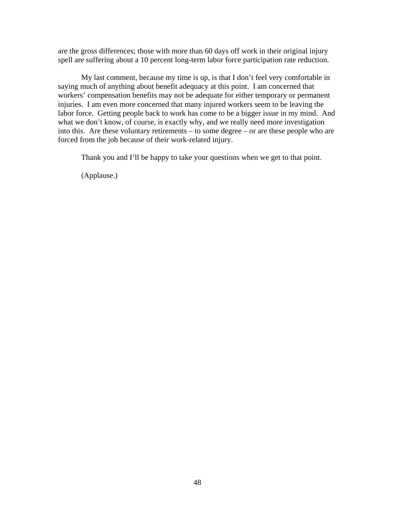are the gross differences; those with more than 60 days off work in their original injury spell are suffering about a 10 percent long-term labor force participation rate reduction.

My last comment, because my time is up, is that I don't feel very comfortable in saying much of anything about benefit adequacy at this point. I am concerned that workers' compensation benefits may not be adequate for either temporary or permanent injuries. I am even more concerned that many injured workers seem to be leaving the labor force. Getting people back to work has come to be a bigger issue in my mind. And what we don't know, of course, is exactly why, and we really need more investigation into this. Are these voluntary retirements – to some degree – or are these people who are forced from the job because of their work-related injury.

Thank you and I'll be happy to take your questions when we get to that point.

(Applause.)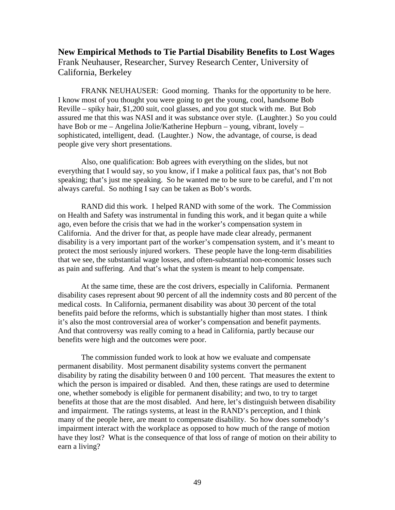# **New Empirical Methods to Tie Partial Disability Benefits to Lost Wages**  Frank Neuhauser, Researcher, Survey Research Center, University of California, Berkeley

FRANK NEUHAUSER: Good morning. Thanks for the opportunity to be here. I know most of you thought you were going to get the young, cool, handsome Bob Reville – spiky hair, \$1,200 suit, cool glasses, and you got stuck with me. But Bob assured me that this was NASI and it was substance over style. (Laughter.) So you could have Bob or me – Angelina Jolie/Katherine Hepburn – young, vibrant, lovely – sophisticated, intelligent, dead. (Laughter.) Now, the advantage, of course, is dead people give very short presentations.

Also, one qualification: Bob agrees with everything on the slides, but not everything that I would say, so you know, if I make a political faux pas, that's not Bob speaking; that's just me speaking. So he wanted me to be sure to be careful, and I'm not always careful. So nothing I say can be taken as Bob's words.

RAND did this work. I helped RAND with some of the work. The Commission on Health and Safety was instrumental in funding this work, and it began quite a while ago, even before the crisis that we had in the worker's compensation system in California. And the driver for that, as people have made clear already, permanent disability is a very important part of the worker's compensation system, and it's meant to protect the most seriously injured workers. These people have the long-term disabilities that we see, the substantial wage losses, and often-substantial non-economic losses such as pain and suffering. And that's what the system is meant to help compensate.

At the same time, these are the cost drivers, especially in California. Permanent disability cases represent about 90 percent of all the indemnity costs and 80 percent of the medical costs. In California, permanent disability was about 30 percent of the total benefits paid before the reforms, which is substantially higher than most states. I think it's also the most controversial area of worker's compensation and benefit payments. And that controversy was really coming to a head in California, partly because our benefits were high and the outcomes were poor.

The commission funded work to look at how we evaluate and compensate permanent disability. Most permanent disability systems convert the permanent disability by rating the disability between 0 and 100 percent. That measures the extent to which the person is impaired or disabled. And then, these ratings are used to determine one, whether somebody is eligible for permanent disability; and two, to try to target benefits at those that are the most disabled. And here, let's distinguish between disability and impairment. The ratings systems, at least in the RAND's perception, and I think many of the people here, are meant to compensate disability. So how does somebody's impairment interact with the workplace as opposed to how much of the range of motion have they lost? What is the consequence of that loss of range of motion on their ability to earn a living?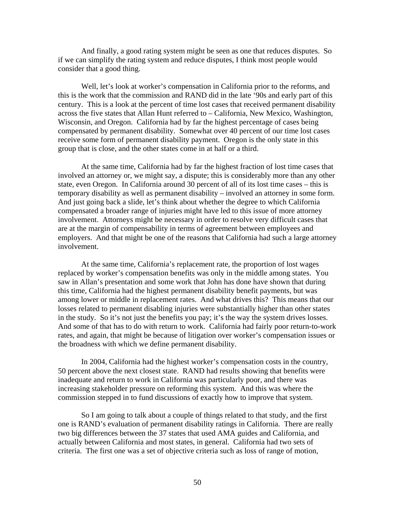And finally, a good rating system might be seen as one that reduces disputes. So if we can simplify the rating system and reduce disputes, I think most people would consider that a good thing.

Well, let's look at worker's compensation in California prior to the reforms, and this is the work that the commission and RAND did in the late '90s and early part of this century. This is a look at the percent of time lost cases that received permanent disability across the five states that Allan Hunt referred to – California, New Mexico, Washington, Wisconsin, and Oregon. California had by far the highest percentage of cases being compensated by permanent disability. Somewhat over 40 percent of our time lost cases receive some form of permanent disability payment. Oregon is the only state in this group that is close, and the other states come in at half or a third.

At the same time, California had by far the highest fraction of lost time cases that involved an attorney or, we might say, a dispute; this is considerably more than any other state, even Oregon. In California around 30 percent of all of its lost time cases – this is temporary disability as well as permanent disability – involved an attorney in some form. And just going back a slide, let's think about whether the degree to which California compensated a broader range of injuries might have led to this issue of more attorney involvement. Attorneys might be necessary in order to resolve very difficult cases that are at the margin of compensability in terms of agreement between employees and employers. And that might be one of the reasons that California had such a large attorney involvement.

At the same time, California's replacement rate, the proportion of lost wages replaced by worker's compensation benefits was only in the middle among states. You saw in Allan's presentation and some work that John has done have shown that during this time, California had the highest permanent disability benefit payments, but was among lower or middle in replacement rates. And what drives this? This means that our losses related to permanent disabling injuries were substantially higher than other states in the study. So it's not just the benefits you pay; it's the way the system drives losses. And some of that has to do with return to work. California had fairly poor return-to-work rates, and again, that might be because of litigation over worker's compensation issues or the broadness with which we define permanent disability.

In 2004, California had the highest worker's compensation costs in the country, 50 percent above the next closest state. RAND had results showing that benefits were inadequate and return to work in California was particularly poor, and there was increasing stakeholder pressure on reforming this system. And this was where the commission stepped in to fund discussions of exactly how to improve that system.

So I am going to talk about a couple of things related to that study, and the first one is RAND's evaluation of permanent disability ratings in California. There are really two big differences between the 37 states that used AMA guides and California, and actually between California and most states, in general. California had two sets of criteria. The first one was a set of objective criteria such as loss of range of motion,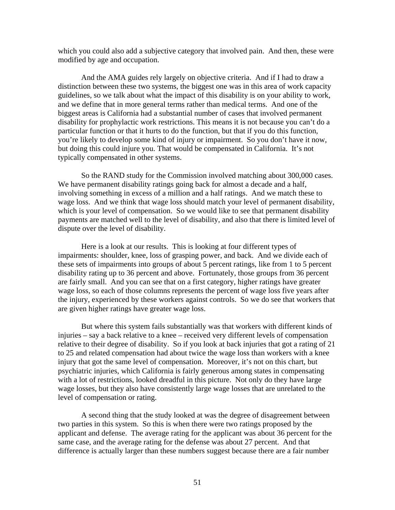which you could also add a subjective category that involved pain. And then, these were modified by age and occupation.

And the AMA guides rely largely on objective criteria. And if I had to draw a distinction between these two systems, the biggest one was in this area of work capacity guidelines, so we talk about what the impact of this disability is on your ability to work, and we define that in more general terms rather than medical terms. And one of the biggest areas is California had a substantial number of cases that involved permanent disability for prophylactic work restrictions. This means it is not because you can't do a particular function or that it hurts to do the function, but that if you do this function, you're likely to develop some kind of injury or impairment. So you don't have it now, but doing this could injure you. That would be compensated in California. It's not typically compensated in other systems.

So the RAND study for the Commission involved matching about 300,000 cases. We have permanent disability ratings going back for almost a decade and a half, involving something in excess of a million and a half ratings. And we match these to wage loss. And we think that wage loss should match your level of permanent disability, which is your level of compensation. So we would like to see that permanent disability payments are matched well to the level of disability, and also that there is limited level of dispute over the level of disability.

Here is a look at our results. This is looking at four different types of impairments: shoulder, knee, loss of grasping power, and back. And we divide each of these sets of impairments into groups of about 5 percent ratings, like from 1 to 5 percent disability rating up to 36 percent and above. Fortunately, those groups from 36 percent are fairly small. And you can see that on a first category, higher ratings have greater wage loss, so each of those columns represents the percent of wage loss five years after the injury, experienced by these workers against controls. So we do see that workers that are given higher ratings have greater wage loss.

But where this system fails substantially was that workers with different kinds of injuries – say a back relative to a knee – received very different levels of compensation relative to their degree of disability. So if you look at back injuries that got a rating of 21 to 25 and related compensation had about twice the wage loss than workers with a knee injury that got the same level of compensation. Moreover, it's not on this chart, but psychiatric injuries, which California is fairly generous among states in compensating with a lot of restrictions, looked dreadful in this picture. Not only do they have large wage losses, but they also have consistently large wage losses that are unrelated to the level of compensation or rating.

A second thing that the study looked at was the degree of disagreement between two parties in this system. So this is when there were two ratings proposed by the applicant and defense. The average rating for the applicant was about 36 percent for the same case, and the average rating for the defense was about 27 percent. And that difference is actually larger than these numbers suggest because there are a fair number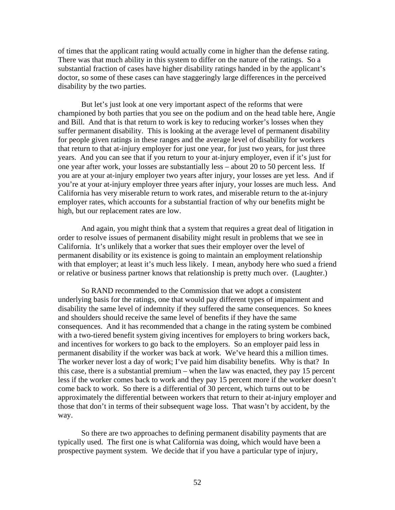of times that the applicant rating would actually come in higher than the defense rating. There was that much ability in this system to differ on the nature of the ratings. So a substantial fraction of cases have higher disability ratings handed in by the applicant's doctor, so some of these cases can have staggeringly large differences in the perceived disability by the two parties.

But let's just look at one very important aspect of the reforms that were championed by both parties that you see on the podium and on the head table here, Angie and Bill. And that is that return to work is key to reducing worker's losses when they suffer permanent disability. This is looking at the average level of permanent disability for people given ratings in these ranges and the average level of disability for workers that return to that at-injury employer for just one year, for just two years, for just three years. And you can see that if you return to your at-injury employer, even if it's just for one year after work, your losses are substantially less – about 20 to 50 percent less. If you are at your at-injury employer two years after injury, your losses are yet less. And if you're at your at-injury employer three years after injury, your losses are much less. And California has very miserable return to work rates, and miserable return to the at-injury employer rates, which accounts for a substantial fraction of why our benefits might be high, but our replacement rates are low.

And again, you might think that a system that requires a great deal of litigation in order to resolve issues of permanent disability might result in problems that we see in California. It's unlikely that a worker that sues their employer over the level of permanent disability or its existence is going to maintain an employment relationship with that employer; at least it's much less likely. I mean, anybody here who sued a friend or relative or business partner knows that relationship is pretty much over. (Laughter.)

So RAND recommended to the Commission that we adopt a consistent underlying basis for the ratings, one that would pay different types of impairment and disability the same level of indemnity if they suffered the same consequences. So knees and shoulders should receive the same level of benefits if they have the same consequences. And it has recommended that a change in the rating system be combined with a two-tiered benefit system giving incentives for employers to bring workers back, and incentives for workers to go back to the employers. So an employer paid less in permanent disability if the worker was back at work. We've heard this a million times. The worker never lost a day of work; I've paid him disability benefits. Why is that? In this case, there is a substantial premium – when the law was enacted, they pay 15 percent less if the worker comes back to work and they pay 15 percent more if the worker doesn't come back to work. So there is a differential of 30 percent, which turns out to be approximately the differential between workers that return to their at-injury employer and those that don't in terms of their subsequent wage loss. That wasn't by accident, by the way.

So there are two approaches to defining permanent disability payments that are typically used. The first one is what California was doing, which would have been a prospective payment system. We decide that if you have a particular type of injury,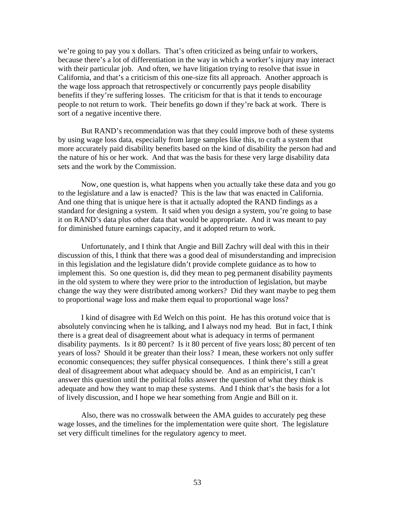we're going to pay you x dollars. That's often criticized as being unfair to workers, because there's a lot of differentiation in the way in which a worker's injury may interact with their particular job. And often, we have litigation trying to resolve that issue in California, and that's a criticism of this one-size fits all approach. Another approach is the wage loss approach that retrospectively or concurrently pays people disability benefits if they're suffering losses. The criticism for that is that it tends to encourage people to not return to work. Their benefits go down if they're back at work. There is sort of a negative incentive there.

But RAND's recommendation was that they could improve both of these systems by using wage loss data, especially from large samples like this, to craft a system that more accurately paid disability benefits based on the kind of disability the person had and the nature of his or her work. And that was the basis for these very large disability data sets and the work by the Commission.

Now, one question is, what happens when you actually take these data and you go to the legislature and a law is enacted? This is the law that was enacted in California. And one thing that is unique here is that it actually adopted the RAND findings as a standard for designing a system. It said when you design a system, you're going to base it on RAND's data plus other data that would be appropriate. And it was meant to pay for diminished future earnings capacity, and it adopted return to work.

Unfortunately, and I think that Angie and Bill Zachry will deal with this in their discussion of this, I think that there was a good deal of misunderstanding and imprecision in this legislation and the legislature didn't provide complete guidance as to how to implement this. So one question is, did they mean to peg permanent disability payments in the old system to where they were prior to the introduction of legislation, but maybe change the way they were distributed among workers? Did they want maybe to peg them to proportional wage loss and make them equal to proportional wage loss?

I kind of disagree with Ed Welch on this point. He has this orotund voice that is absolutely convincing when he is talking, and I always nod my head. But in fact, I think there is a great deal of disagreement about what is adequacy in terms of permanent disability payments. Is it 80 percent? Is it 80 percent of five years loss; 80 percent of ten years of loss? Should it be greater than their loss? I mean, these workers not only suffer economic consequences; they suffer physical consequences. I think there's still a great deal of disagreement about what adequacy should be. And as an empiricist, I can't answer this question until the political folks answer the question of what they think is adequate and how they want to map these systems. And I think that's the basis for a lot of lively discussion, and I hope we hear something from Angie and Bill on it.

Also, there was no crosswalk between the AMA guides to accurately peg these wage losses, and the timelines for the implementation were quite short. The legislature set very difficult timelines for the regulatory agency to meet.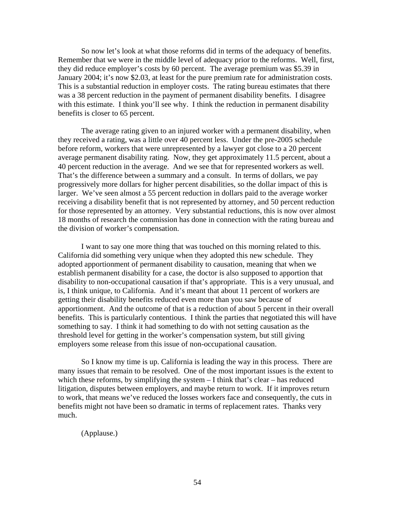So now let's look at what those reforms did in terms of the adequacy of benefits. Remember that we were in the middle level of adequacy prior to the reforms. Well, first, they did reduce employer's costs by 60 percent. The average premium was \$5.39 in January 2004; it's now \$2.03, at least for the pure premium rate for administration costs. This is a substantial reduction in employer costs. The rating bureau estimates that there was a 38 percent reduction in the payment of permanent disability benefits. I disagree with this estimate. I think you'll see why. I think the reduction in permanent disability benefits is closer to 65 percent.

The average rating given to an injured worker with a permanent disability, when they received a rating, was a little over 40 percent less. Under the pre-2005 schedule before reform, workers that were unrepresented by a lawyer got close to a 20 percent average permanent disability rating. Now, they get approximately 11.5 percent, about a 40 percent reduction in the average. And we see that for represented workers as well. That's the difference between a summary and a consult. In terms of dollars, we pay progressively more dollars for higher percent disabilities, so the dollar impact of this is larger. We've seen almost a 55 percent reduction in dollars paid to the average worker receiving a disability benefit that is not represented by attorney, and 50 percent reduction for those represented by an attorney. Very substantial reductions, this is now over almost 18 months of research the commission has done in connection with the rating bureau and the division of worker's compensation.

I want to say one more thing that was touched on this morning related to this. California did something very unique when they adopted this new schedule. They adopted apportionment of permanent disability to causation, meaning that when we establish permanent disability for a case, the doctor is also supposed to apportion that disability to non-occupational causation if that's appropriate. This is a very unusual, and is, I think unique, to California. And it's meant that about 11 percent of workers are getting their disability benefits reduced even more than you saw because of apportionment. And the outcome of that is a reduction of about 5 percent in their overall benefits. This is particularly contentious. I think the parties that negotiated this will have something to say. I think it had something to do with not setting causation as the threshold level for getting in the worker's compensation system, but still giving employers some release from this issue of non-occupational causation.

So I know my time is up. California is leading the way in this process. There are many issues that remain to be resolved. One of the most important issues is the extent to which these reforms, by simplifying the system  $-$  I think that's clear  $-$  has reduced litigation, disputes between employers, and maybe return to work. If it improves return to work, that means we've reduced the losses workers face and consequently, the cuts in benefits might not have been so dramatic in terms of replacement rates. Thanks very much.

(Applause.)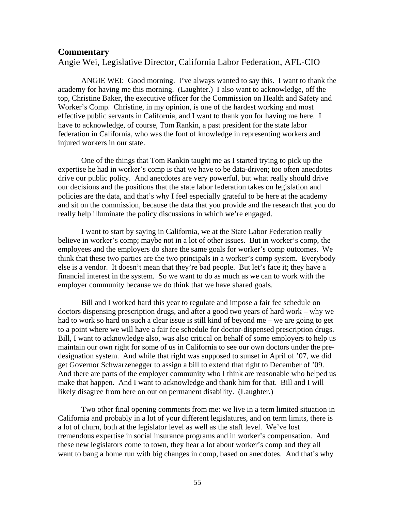### **Commentary**

Angie Wei, Legislative Director, California Labor Federation, AFL-CIO

ANGIE WEI: Good morning. I've always wanted to say this. I want to thank the academy for having me this morning. (Laughter.) I also want to acknowledge, off the top, Christine Baker, the executive officer for the Commission on Health and Safety and Worker's Comp. Christine, in my opinion, is one of the hardest working and most effective public servants in California, and I want to thank you for having me here. I have to acknowledge, of course, Tom Rankin, a past president for the state labor federation in California, who was the font of knowledge in representing workers and injured workers in our state.

One of the things that Tom Rankin taught me as I started trying to pick up the expertise he had in worker's comp is that we have to be data-driven; too often anecdotes drive our public policy. And anecdotes are very powerful, but what really should drive our decisions and the positions that the state labor federation takes on legislation and policies are the data, and that's why I feel especially grateful to be here at the academy and sit on the commission, because the data that you provide and the research that you do really help illuminate the policy discussions in which we're engaged.

I want to start by saying in California, we at the State Labor Federation really believe in worker's comp; maybe not in a lot of other issues. But in worker's comp, the employees and the employers do share the same goals for worker's comp outcomes. We think that these two parties are the two principals in a worker's comp system. Everybody else is a vendor. It doesn't mean that they're bad people. But let's face it; they have a financial interest in the system. So we want to do as much as we can to work with the employer community because we do think that we have shared goals.

Bill and I worked hard this year to regulate and impose a fair fee schedule on doctors dispensing prescription drugs, and after a good two years of hard work – why we had to work so hard on such a clear issue is still kind of beyond me – we are going to get to a point where we will have a fair fee schedule for doctor-dispensed prescription drugs. Bill, I want to acknowledge also, was also critical on behalf of some employers to help us maintain our own right for some of us in California to see our own doctors under the predesignation system. And while that right was supposed to sunset in April of '07, we did get Governor Schwarzenegger to assign a bill to extend that right to December of '09. And there are parts of the employer community who I think are reasonable who helped us make that happen. And I want to acknowledge and thank him for that. Bill and I will likely disagree from here on out on permanent disability. (Laughter.)

Two other final opening comments from me: we live in a term limited situation in California and probably in a lot of your different legislatures, and on term limits, there is a lot of churn, both at the legislator level as well as the staff level. We've lost tremendous expertise in social insurance programs and in worker's compensation. And these new legislators come to town, they hear a lot about worker's comp and they all want to bang a home run with big changes in comp, based on anecdotes. And that's why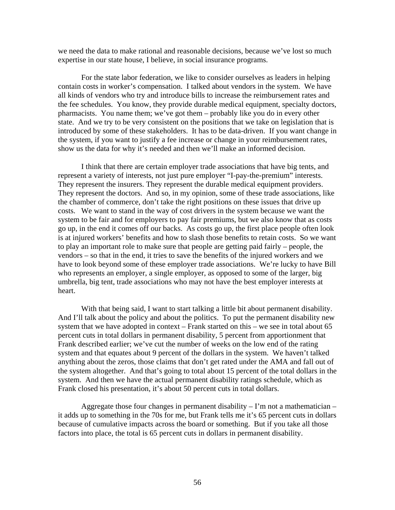we need the data to make rational and reasonable decisions, because we've lost so much expertise in our state house, I believe, in social insurance programs.

For the state labor federation, we like to consider ourselves as leaders in helping contain costs in worker's compensation. I talked about vendors in the system. We have all kinds of vendors who try and introduce bills to increase the reimbursement rates and the fee schedules. You know, they provide durable medical equipment, specialty doctors, pharmacists. You name them; we've got them – probably like you do in every other state. And we try to be very consistent on the positions that we take on legislation that is introduced by some of these stakeholders. It has to be data-driven. If you want change in the system, if you want to justify a fee increase or change in your reimbursement rates, show us the data for why it's needed and then we'll make an informed decision.

I think that there are certain employer trade associations that have big tents, and represent a variety of interests, not just pure employer "I-pay-the-premium" interests. They represent the insurers. They represent the durable medical equipment providers. They represent the doctors. And so, in my opinion, some of these trade associations, like the chamber of commerce, don't take the right positions on these issues that drive up costs. We want to stand in the way of cost drivers in the system because we want the system to be fair and for employers to pay fair premiums, but we also know that as costs go up, in the end it comes off our backs. As costs go up, the first place people often look is at injured workers' benefits and how to slash those benefits to retain costs. So we want to play an important role to make sure that people are getting paid fairly – people, the vendors – so that in the end, it tries to save the benefits of the injured workers and we have to look beyond some of these employer trade associations. We're lucky to have Bill who represents an employer, a single employer, as opposed to some of the larger, big umbrella, big tent, trade associations who may not have the best employer interests at heart.

With that being said, I want to start talking a little bit about permanent disability. And I'll talk about the policy and about the politics. To put the permanent disability new system that we have adopted in context – Frank started on this – we see in total about 65 percent cuts in total dollars in permanent disability, 5 percent from apportionment that Frank described earlier; we've cut the number of weeks on the low end of the rating system and that equates about 9 percent of the dollars in the system. We haven't talked anything about the zeros, those claims that don't get rated under the AMA and fall out of the system altogether. And that's going to total about 15 percent of the total dollars in the system. And then we have the actual permanent disability ratings schedule, which as Frank closed his presentation, it's about 50 percent cuts in total dollars.

Aggregate those four changes in permanent disability  $-I$ 'm not a mathematician – it adds up to something in the 70s for me, but Frank tells me it's 65 percent cuts in dollars because of cumulative impacts across the board or something. But if you take all those factors into place, the total is 65 percent cuts in dollars in permanent disability.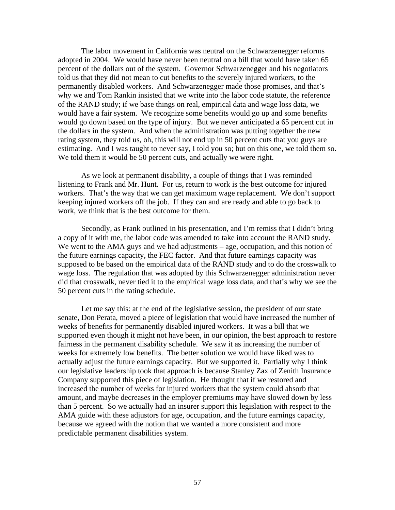The labor movement in California was neutral on the Schwarzenegger reforms adopted in 2004. We would have never been neutral on a bill that would have taken 65 percent of the dollars out of the system. Governor Schwarzenegger and his negotiators told us that they did not mean to cut benefits to the severely injured workers, to the permanently disabled workers. And Schwarzenegger made those promises, and that's why we and Tom Rankin insisted that we write into the labor code statute, the reference of the RAND study; if we base things on real, empirical data and wage loss data, we would have a fair system. We recognize some benefits would go up and some benefits would go down based on the type of injury. But we never anticipated a 65 percent cut in the dollars in the system. And when the administration was putting together the new rating system, they told us, oh, this will not end up in 50 percent cuts that you guys are estimating. And I was taught to never say, I told you so; but on this one, we told them so. We told them it would be 50 percent cuts, and actually we were right.

As we look at permanent disability, a couple of things that I was reminded listening to Frank and Mr. Hunt. For us, return to work is the best outcome for injured workers. That's the way that we can get maximum wage replacement. We don't support keeping injured workers off the job. If they can and are ready and able to go back to work, we think that is the best outcome for them.

Secondly, as Frank outlined in his presentation, and I'm remiss that I didn't bring a copy of it with me, the labor code was amended to take into account the RAND study. We went to the AMA guys and we had adjustments – age, occupation, and this notion of the future earnings capacity, the FEC factor. And that future earnings capacity was supposed to be based on the empirical data of the RAND study and to do the crosswalk to wage loss. The regulation that was adopted by this Schwarzenegger administration never did that crosswalk, never tied it to the empirical wage loss data, and that's why we see the 50 percent cuts in the rating schedule.

Let me say this: at the end of the legislative session, the president of our state senate, Don Perata, moved a piece of legislation that would have increased the number of weeks of benefits for permanently disabled injured workers. It was a bill that we supported even though it might not have been, in our opinion, the best approach to restore fairness in the permanent disability schedule. We saw it as increasing the number of weeks for extremely low benefits. The better solution we would have liked was to actually adjust the future earnings capacity. But we supported it. Partially why I think our legislative leadership took that approach is because Stanley Zax of Zenith Insurance Company supported this piece of legislation. He thought that if we restored and increased the number of weeks for injured workers that the system could absorb that amount, and maybe decreases in the employer premiums may have slowed down by less than 5 percent. So we actually had an insurer support this legislation with respect to the AMA guide with these adjustors for age, occupation, and the future earnings capacity, because we agreed with the notion that we wanted a more consistent and more predictable permanent disabilities system.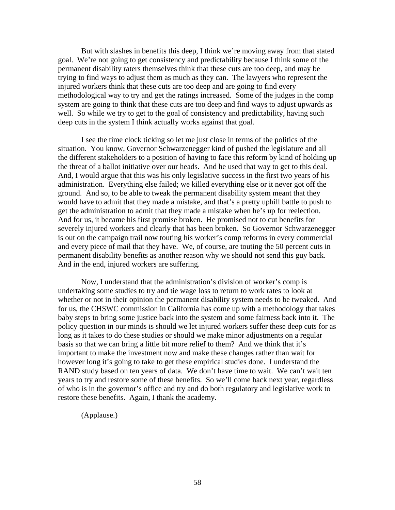But with slashes in benefits this deep, I think we're moving away from that stated goal. We're not going to get consistency and predictability because I think some of the permanent disability raters themselves think that these cuts are too deep, and may be trying to find ways to adjust them as much as they can. The lawyers who represent the injured workers think that these cuts are too deep and are going to find every methodological way to try and get the ratings increased. Some of the judges in the comp system are going to think that these cuts are too deep and find ways to adjust upwards as well. So while we try to get to the goal of consistency and predictability, having such deep cuts in the system I think actually works against that goal.

I see the time clock ticking so let me just close in terms of the politics of the situation. You know, Governor Schwarzenegger kind of pushed the legislature and all the different stakeholders to a position of having to face this reform by kind of holding up the threat of a ballot initiative over our heads. And he used that way to get to this deal. And, I would argue that this was his only legislative success in the first two years of his administration. Everything else failed; we killed everything else or it never got off the ground. And so, to be able to tweak the permanent disability system meant that they would have to admit that they made a mistake, and that's a pretty uphill battle to push to get the administration to admit that they made a mistake when he's up for reelection. And for us, it became his first promise broken. He promised not to cut benefits for severely injured workers and clearly that has been broken. So Governor Schwarzenegger is out on the campaign trail now touting his worker's comp reforms in every commercial and every piece of mail that they have. We, of course, are touting the 50 percent cuts in permanent disability benefits as another reason why we should not send this guy back. And in the end, injured workers are suffering.

Now, I understand that the administration's division of worker's comp is undertaking some studies to try and tie wage loss to return to work rates to look at whether or not in their opinion the permanent disability system needs to be tweaked. And for us, the CHSWC commission in California has come up with a methodology that takes baby steps to bring some justice back into the system and some fairness back into it. The policy question in our minds is should we let injured workers suffer these deep cuts for as long as it takes to do these studies or should we make minor adjustments on a regular basis so that we can bring a little bit more relief to them? And we think that it's important to make the investment now and make these changes rather than wait for however long it's going to take to get these empirical studies done. I understand the RAND study based on ten years of data. We don't have time to wait. We can't wait ten years to try and restore some of these benefits. So we'll come back next year, regardless of who is in the governor's office and try and do both regulatory and legislative work to restore these benefits. Again, I thank the academy.

(Applause.)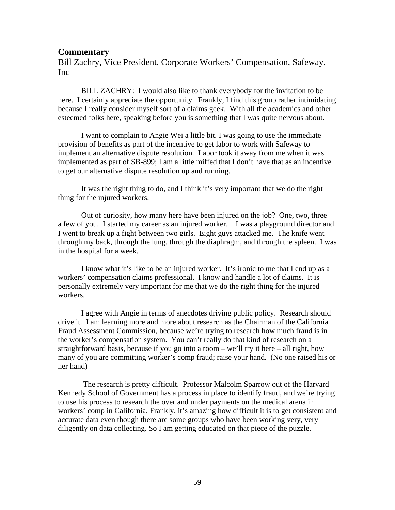### **Commentary**

Bill Zachry, Vice President, Corporate Workers' Compensation, Safeway, Inc

BILL ZACHRY: I would also like to thank everybody for the invitation to be here. I certainly appreciate the opportunity. Frankly, I find this group rather intimidating because I really consider myself sort of a claims geek. With all the academics and other esteemed folks here, speaking before you is something that I was quite nervous about.

I want to complain to Angie Wei a little bit. I was going to use the immediate provision of benefits as part of the incentive to get labor to work with Safeway to implement an alternative dispute resolution. Labor took it away from me when it was implemented as part of SB-899; I am a little miffed that I don't have that as an incentive to get our alternative dispute resolution up and running.

It was the right thing to do, and I think it's very important that we do the right thing for the injured workers.

Out of curiosity, how many here have been injured on the job? One, two, three – a few of you. I started my career as an injured worker. I was a playground director and I went to break up a fight between two girls. Eight guys attacked me. The knife went through my back, through the lung, through the diaphragm, and through the spleen. I was in the hospital for a week.

I know what it's like to be an injured worker. It's ironic to me that I end up as a workers' compensation claims professional. I know and handle a lot of claims. It is personally extremely very important for me that we do the right thing for the injured workers.

I agree with Angie in terms of anecdotes driving public policy. Research should drive it. I am learning more and more about research as the Chairman of the California Fraud Assessment Commission, because we're trying to research how much fraud is in the worker's compensation system. You can't really do that kind of research on a straightforward basis, because if you go into a room – we'll try it here – all right, how many of you are committing worker's comp fraud; raise your hand. (No one raised his or her hand)

 The research is pretty difficult. Professor Malcolm Sparrow out of the Harvard Kennedy School of Government has a process in place to identify fraud, and we're trying to use his process to research the over and under payments on the medical arena in workers' comp in California. Frankly, it's amazing how difficult it is to get consistent and accurate data even though there are some groups who have been working very, very diligently on data collecting. So I am getting educated on that piece of the puzzle.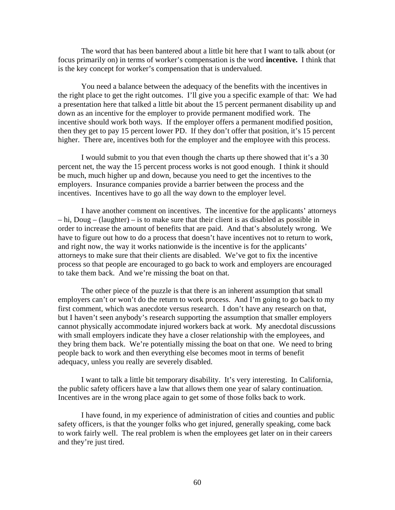The word that has been bantered about a little bit here that I want to talk about (or focus primarily on) in terms of worker's compensation is the word **incentive.** I think that is the key concept for worker's compensation that is undervalued.

You need a balance between the adequacy of the benefits with the incentives in the right place to get the right outcomes. I'll give you a specific example of that: We had a presentation here that talked a little bit about the 15 percent permanent disability up and down as an incentive for the employer to provide permanent modified work. The incentive should work both ways. If the employer offers a permanent modified position, then they get to pay 15 percent lower PD. If they don't offer that position, it's 15 percent higher. There are, incentives both for the employer and the employee with this process.

I would submit to you that even though the charts up there showed that it's a 30 percent net, the way the 15 percent process works is not good enough. I think it should be much, much higher up and down, because you need to get the incentives to the employers. Insurance companies provide a barrier between the process and the incentives. Incentives have to go all the way down to the employer level.

I have another comment on incentives. The incentive for the applicants' attorneys – hi, Doug – (laughter) – is to make sure that their client is as disabled as possible in order to increase the amount of benefits that are paid. And that's absolutely wrong. We have to figure out how to do a process that doesn't have incentives not to return to work, and right now, the way it works nationwide is the incentive is for the applicants' attorneys to make sure that their clients are disabled. We've got to fix the incentive process so that people are encouraged to go back to work and employers are encouraged to take them back. And we're missing the boat on that.

The other piece of the puzzle is that there is an inherent assumption that small employers can't or won't do the return to work process. And I'm going to go back to my first comment, which was anecdote versus research. I don't have any research on that, but I haven't seen anybody's research supporting the assumption that smaller employers cannot physically accommodate injured workers back at work. My anecdotal discussions with small employers indicate they have a closer relationship with the employees, and they bring them back. We're potentially missing the boat on that one. We need to bring people back to work and then everything else becomes moot in terms of benefit adequacy, unless you really are severely disabled.

I want to talk a little bit temporary disability. It's very interesting. In California, the public safety officers have a law that allows them one year of salary continuation. Incentives are in the wrong place again to get some of those folks back to work.

I have found, in my experience of administration of cities and counties and public safety officers, is that the younger folks who get injured, generally speaking, come back to work fairly well. The real problem is when the employees get later on in their careers and they're just tired.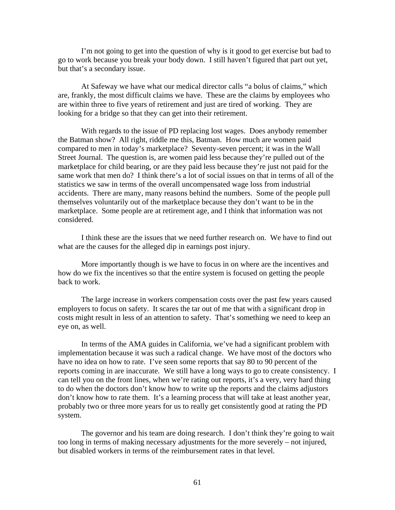I'm not going to get into the question of why is it good to get exercise but bad to go to work because you break your body down. I still haven't figured that part out yet, but that's a secondary issue.

At Safeway we have what our medical director calls "a bolus of claims," which are, frankly, the most difficult claims we have. These are the claims by employees who are within three to five years of retirement and just are tired of working. They are looking for a bridge so that they can get into their retirement.

With regards to the issue of PD replacing lost wages. Does anybody remember the Batman show? All right, riddle me this, Batman. How much are women paid compared to men in today's marketplace? Seventy-seven percent; it was in the Wall Street Journal. The question is, are women paid less because they're pulled out of the marketplace for child bearing, or are they paid less because they're just not paid for the same work that men do? I think there's a lot of social issues on that in terms of all of the statistics we saw in terms of the overall uncompensated wage loss from industrial accidents. There are many, many reasons behind the numbers. Some of the people pull themselves voluntarily out of the marketplace because they don't want to be in the marketplace. Some people are at retirement age, and I think that information was not considered.

I think these are the issues that we need further research on. We have to find out what are the causes for the alleged dip in earnings post injury.

More importantly though is we have to focus in on where are the incentives and how do we fix the incentives so that the entire system is focused on getting the people back to work.

The large increase in workers compensation costs over the past few years caused employers to focus on safety. It scares the tar out of me that with a significant drop in costs might result in less of an attention to safety. That's something we need to keep an eye on, as well.

In terms of the AMA guides in California, we've had a significant problem with implementation because it was such a radical change. We have most of the doctors who have no idea on how to rate. I've seen some reports that say 80 to 90 percent of the reports coming in are inaccurate. We still have a long ways to go to create consistency. I can tell you on the front lines, when we're rating out reports, it's a very, very hard thing to do when the doctors don't know how to write up the reports and the claims adjustors don't know how to rate them. It's a learning process that will take at least another year, probably two or three more years for us to really get consistently good at rating the PD system.

The governor and his team are doing research. I don't think they're going to wait too long in terms of making necessary adjustments for the more severely – not injured, but disabled workers in terms of the reimbursement rates in that level.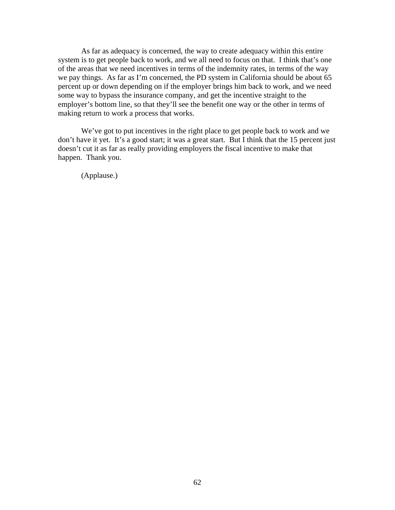As far as adequacy is concerned, the way to create adequacy within this entire system is to get people back to work, and we all need to focus on that. I think that's one of the areas that we need incentives in terms of the indemnity rates, in terms of the way we pay things. As far as I'm concerned, the PD system in California should be about 65 percent up or down depending on if the employer brings him back to work, and we need some way to bypass the insurance company, and get the incentive straight to the employer's bottom line, so that they'll see the benefit one way or the other in terms of making return to work a process that works.

We've got to put incentives in the right place to get people back to work and we don't have it yet. It's a good start; it was a great start. But I think that the 15 percent just doesn't cut it as far as really providing employers the fiscal incentive to make that happen. Thank you.

(Applause.)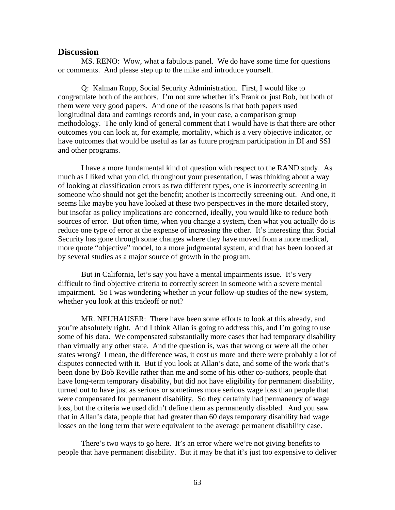### **Discussion**

MS. RENO: Wow, what a fabulous panel. We do have some time for questions or comments. And please step up to the mike and introduce yourself.

Q: Kalman Rupp, Social Security Administration. First, I would like to congratulate both of the authors. I'm not sure whether it's Frank or just Bob, but both of them were very good papers. And one of the reasons is that both papers used longitudinal data and earnings records and, in your case, a comparison group methodology. The only kind of general comment that I would have is that there are other outcomes you can look at, for example, mortality, which is a very objective indicator, or have outcomes that would be useful as far as future program participation in DI and SSI and other programs.

I have a more fundamental kind of question with respect to the RAND study. As much as I liked what you did, throughout your presentation, I was thinking about a way of looking at classification errors as two different types, one is incorrectly screening in someone who should not get the benefit; another is incorrectly screening out. And one, it seems like maybe you have looked at these two perspectives in the more detailed story, but insofar as policy implications are concerned, ideally, you would like to reduce both sources of error. But often time, when you change a system, then what you actually do is reduce one type of error at the expense of increasing the other. It's interesting that Social Security has gone through some changes where they have moved from a more medical, more quote "objective" model, to a more judgmental system, and that has been looked at by several studies as a major source of growth in the program.

But in California, let's say you have a mental impairments issue. It's very difficult to find objective criteria to correctly screen in someone with a severe mental impairment. So I was wondering whether in your follow-up studies of the new system, whether you look at this tradeoff or not?

MR. NEUHAUSER: There have been some efforts to look at this already, and you're absolutely right. And I think Allan is going to address this, and I'm going to use some of his data. We compensated substantially more cases that had temporary disability than virtually any other state. And the question is, was that wrong or were all the other states wrong? I mean, the difference was, it cost us more and there were probably a lot of disputes connected with it. But if you look at Allan's data, and some of the work that's been done by Bob Reville rather than me and some of his other co-authors, people that have long-term temporary disability, but did not have eligibility for permanent disability, turned out to have just as serious or sometimes more serious wage loss than people that were compensated for permanent disability. So they certainly had permanency of wage loss, but the criteria we used didn't define them as permanently disabled. And you saw that in Allan's data, people that had greater than 60 days temporary disability had wage losses on the long term that were equivalent to the average permanent disability case.

There's two ways to go here. It's an error where we're not giving benefits to people that have permanent disability. But it may be that it's just too expensive to deliver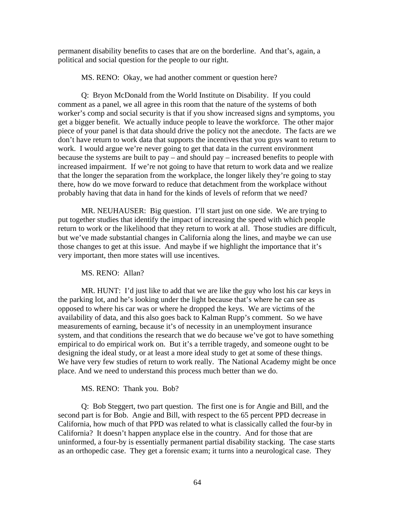permanent disability benefits to cases that are on the borderline. And that's, again, a political and social question for the people to our right.

MS. RENO: Okay, we had another comment or question here?

Q: Bryon McDonald from the World Institute on Disability. If you could comment as a panel, we all agree in this room that the nature of the systems of both worker's comp and social security is that if you show increased signs and symptoms, you get a bigger benefit. We actually induce people to leave the workforce. The other major piece of your panel is that data should drive the policy not the anecdote. The facts are we don't have return to work data that supports the incentives that you guys want to return to work. I would argue we're never going to get that data in the current environment because the systems are built to pay – and should pay – increased benefits to people with increased impairment. If we're not going to have that return to work data and we realize that the longer the separation from the workplace, the longer likely they're going to stay there, how do we move forward to reduce that detachment from the workplace without probably having that data in hand for the kinds of levels of reform that we need?

MR. NEUHAUSER: Big question. I'll start just on one side. We are trying to put together studies that identify the impact of increasing the speed with which people return to work or the likelihood that they return to work at all. Those studies are difficult, but we've made substantial changes in California along the lines, and maybe we can use those changes to get at this issue. And maybe if we highlight the importance that it's very important, then more states will use incentives.

MS. RENO: Allan?

MR. HUNT: I'd just like to add that we are like the guy who lost his car keys in the parking lot, and he's looking under the light because that's where he can see as opposed to where his car was or where he dropped the keys. We are victims of the availability of data, and this also goes back to Kalman Rupp's comment. So we have measurements of earning, because it's of necessity in an unemployment insurance system, and that conditions the research that we do because we've got to have something empirical to do empirical work on. But it's a terrible tragedy, and someone ought to be designing the ideal study, or at least a more ideal study to get at some of these things. We have very few studies of return to work really. The National Academy might be once place. And we need to understand this process much better than we do.

MS. RENO: Thank you. Bob?

Q: Bob Steggert, two part question. The first one is for Angie and Bill, and the second part is for Bob. Angie and Bill, with respect to the 65 percent PPD decrease in California, how much of that PPD was related to what is classically called the four-by in California? It doesn't happen anyplace else in the country. And for those that are uninformed, a four-by is essentially permanent partial disability stacking. The case starts as an orthopedic case. They get a forensic exam; it turns into a neurological case. They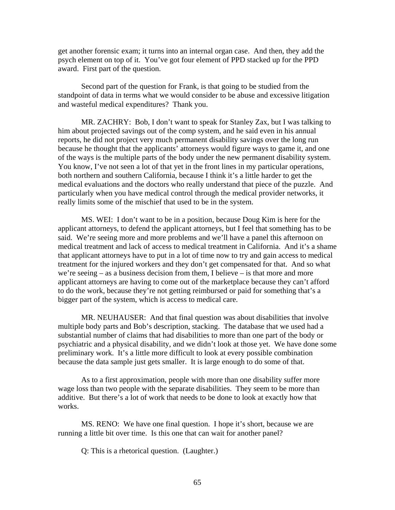get another forensic exam; it turns into an internal organ case. And then, they add the psych element on top of it. You've got four element of PPD stacked up for the PPD award. First part of the question.

Second part of the question for Frank, is that going to be studied from the standpoint of data in terms what we would consider to be abuse and excessive litigation and wasteful medical expenditures? Thank you.

MR. ZACHRY: Bob, I don't want to speak for Stanley Zax, but I was talking to him about projected savings out of the comp system, and he said even in his annual reports, he did not project very much permanent disability savings over the long run because he thought that the applicants' attorneys would figure ways to game it, and one of the ways is the multiple parts of the body under the new permanent disability system. You know, I've not seen a lot of that yet in the front lines in my particular operations, both northern and southern California, because I think it's a little harder to get the medical evaluations and the doctors who really understand that piece of the puzzle. And particularly when you have medical control through the medical provider networks, it really limits some of the mischief that used to be in the system.

MS. WEI: I don't want to be in a position, because Doug Kim is here for the applicant attorneys, to defend the applicant attorneys, but I feel that something has to be said. We're seeing more and more problems and we'll have a panel this afternoon on medical treatment and lack of access to medical treatment in California. And it's a shame that applicant attorneys have to put in a lot of time now to try and gain access to medical treatment for the injured workers and they don't get compensated for that. And so what we're seeing – as a business decision from them, I believe – is that more and more applicant attorneys are having to come out of the marketplace because they can't afford to do the work, because they're not getting reimbursed or paid for something that's a bigger part of the system, which is access to medical care.

MR. NEUHAUSER: And that final question was about disabilities that involve multiple body parts and Bob's description, stacking. The database that we used had a substantial number of claims that had disabilities to more than one part of the body or psychiatric and a physical disability, and we didn't look at those yet. We have done some preliminary work. It's a little more difficult to look at every possible combination because the data sample just gets smaller. It is large enough to do some of that.

As to a first approximation, people with more than one disability suffer more wage loss than two people with the separate disabilities. They seem to be more than additive. But there's a lot of work that needs to be done to look at exactly how that works.

MS. RENO: We have one final question. I hope it's short, because we are running a little bit over time. Is this one that can wait for another panel?

Q: This is a rhetorical question. (Laughter.)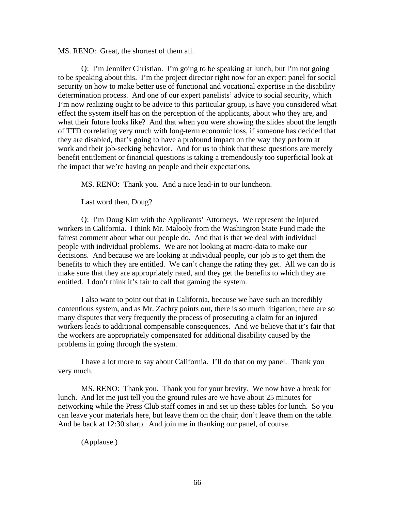MS. RENO: Great, the shortest of them all.

Q: I'm Jennifer Christian. I'm going to be speaking at lunch, but I'm not going to be speaking about this. I'm the project director right now for an expert panel for social security on how to make better use of functional and vocational expertise in the disability determination process. And one of our expert panelists' advice to social security, which I'm now realizing ought to be advice to this particular group, is have you considered what effect the system itself has on the perception of the applicants, about who they are, and what their future looks like? And that when you were showing the slides about the length of TTD correlating very much with long-term economic loss, if someone has decided that they are disabled, that's going to have a profound impact on the way they perform at work and their job-seeking behavior. And for us to think that these questions are merely benefit entitlement or financial questions is taking a tremendously too superficial look at the impact that we're having on people and their expectations.

MS. RENO: Thank you. And a nice lead-in to our luncheon.

Last word then, Doug?

Q: I'm Doug Kim with the Applicants' Attorneys. We represent the injured workers in California. I think Mr. Malooly from the Washington State Fund made the fairest comment about what our people do. And that is that we deal with individual people with individual problems. We are not looking at macro-data to make our decisions. And because we are looking at individual people, our job is to get them the benefits to which they are entitled. We can't change the rating they get. All we can do is make sure that they are appropriately rated, and they get the benefits to which they are entitled. I don't think it's fair to call that gaming the system.

I also want to point out that in California, because we have such an incredibly contentious system, and as Mr. Zachry points out, there is so much litigation; there are so many disputes that very frequently the process of prosecuting a claim for an injured workers leads to additional compensable consequences. And we believe that it's fair that the workers are appropriately compensated for additional disability caused by the problems in going through the system.

I have a lot more to say about California. I'll do that on my panel. Thank you very much.

MS. RENO: Thank you. Thank you for your brevity. We now have a break for lunch. And let me just tell you the ground rules are we have about 25 minutes for networking while the Press Club staff comes in and set up these tables for lunch. So you can leave your materials here, but leave them on the chair; don't leave them on the table. And be back at 12:30 sharp. And join me in thanking our panel, of course.

(Applause.)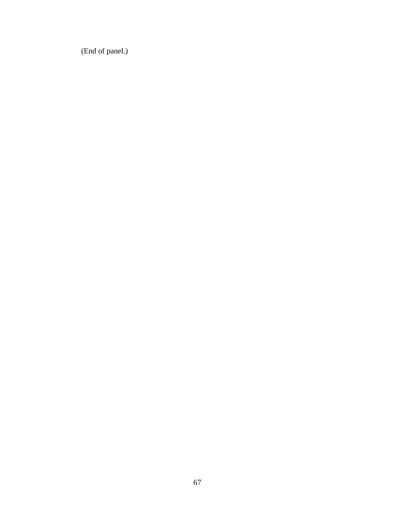(End of panel.)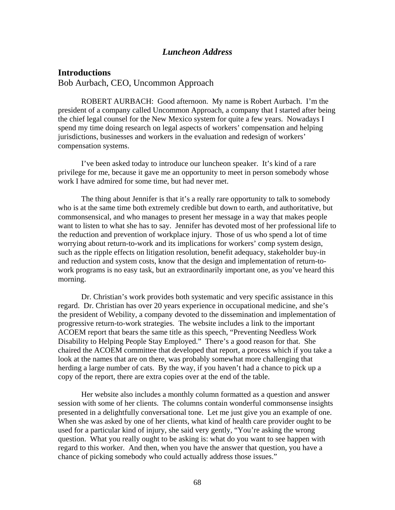## *Luncheon Address*

## **Introductions**

Bob Aurbach, CEO, Uncommon Approach

ROBERT AURBACH: Good afternoon. My name is Robert Aurbach. I'm the president of a company called Uncommon Approach, a company that I started after being the chief legal counsel for the New Mexico system for quite a few years. Nowadays I spend my time doing research on legal aspects of workers' compensation and helping jurisdictions, businesses and workers in the evaluation and redesign of workers' compensation systems.

I've been asked today to introduce our luncheon speaker. It's kind of a rare privilege for me, because it gave me an opportunity to meet in person somebody whose work I have admired for some time, but had never met.

The thing about Jennifer is that it's a really rare opportunity to talk to somebody who is at the same time both extremely credible but down to earth, and authoritative, but commonsensical, and who manages to present her message in a way that makes people want to listen to what she has to say. Jennifer has devoted most of her professional life to the reduction and prevention of workplace injury. Those of us who spend a lot of time worrying about return-to-work and its implications for workers' comp system design, such as the ripple effects on litigation resolution, benefit adequacy, stakeholder buy-in and reduction and system costs, know that the design and implementation of return-towork programs is no easy task, but an extraordinarily important one, as you've heard this morning.

Dr. Christian's work provides both systematic and very specific assistance in this regard. Dr. Christian has over 20 years experience in occupational medicine, and she's the president of Webility, a company devoted to the dissemination and implementation of progressive return-to-work strategies. The website includes a link to the important ACOEM report that bears the same title as this speech, "Preventing Needless Work Disability to Helping People Stay Employed." There's a good reason for that. She chaired the ACOEM committee that developed that report, a process which if you take a look at the names that are on there, was probably somewhat more challenging that herding a large number of cats. By the way, if you haven't had a chance to pick up a copy of the report, there are extra copies over at the end of the table.

Her website also includes a monthly column formatted as a question and answer session with some of her clients. The columns contain wonderful commonsense insights presented in a delightfully conversational tone. Let me just give you an example of one. When she was asked by one of her clients, what kind of health care provider ought to be used for a particular kind of injury, she said very gently, "You're asking the wrong question. What you really ought to be asking is: what do you want to see happen with regard to this worker. And then, when you have the answer that question, you have a chance of picking somebody who could actually address those issues."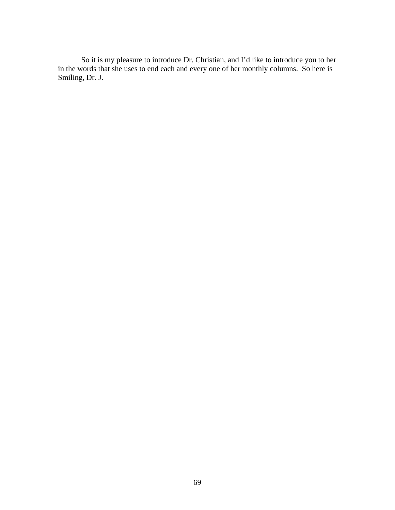So it is my pleasure to introduce Dr. Christian, and I'd like to introduce you to her in the words that she uses to end each and every one of her monthly columns. So here is Smiling, Dr. J.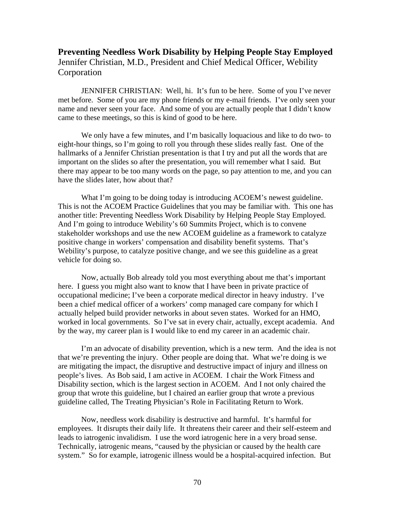# **Preventing Needless Work Disability by Helping People Stay Employed**  Jennifer Christian, M.D., President and Chief Medical Officer, Webility **Corporation**

JENNIFER CHRISTIAN: Well, hi. It's fun to be here. Some of you I've never met before. Some of you are my phone friends or my e-mail friends. I've only seen your name and never seen your face. And some of you are actually people that I didn't know came to these meetings, so this is kind of good to be here.

We only have a few minutes, and I'm basically loquacious and like to do two- to eight-hour things, so I'm going to roll you through these slides really fast. One of the hallmarks of a Jennifer Christian presentation is that I try and put all the words that are important on the slides so after the presentation, you will remember what I said. But there may appear to be too many words on the page, so pay attention to me, and you can have the slides later, how about that?

What I'm going to be doing today is introducing ACOEM's newest guideline. This is not the ACOEM Practice Guidelines that you may be familiar with. This one has another title: Preventing Needless Work Disability by Helping People Stay Employed. And I'm going to introduce Webility's 60 Summits Project, which is to convene stakeholder workshops and use the new ACOEM guideline as a framework to catalyze positive change in workers' compensation and disability benefit systems. That's Webility's purpose, to catalyze positive change, and we see this guideline as a great vehicle for doing so.

Now, actually Bob already told you most everything about me that's important here. I guess you might also want to know that I have been in private practice of occupational medicine; I've been a corporate medical director in heavy industry. I've been a chief medical officer of a workers' comp managed care company for which I actually helped build provider networks in about seven states. Worked for an HMO, worked in local governments. So I've sat in every chair, actually, except academia. And by the way, my career plan is I would like to end my career in an academic chair.

I'm an advocate of disability prevention, which is a new term. And the idea is not that we're preventing the injury. Other people are doing that. What we're doing is we are mitigating the impact, the disruptive and destructive impact of injury and illness on people's lives. As Bob said, I am active in ACOEM. I chair the Work Fitness and Disability section, which is the largest section in ACOEM. And I not only chaired the group that wrote this guideline, but I chaired an earlier group that wrote a previous guideline called, The Treating Physician's Role in Facilitating Return to Work.

Now, needless work disability is destructive and harmful. It's harmful for employees. It disrupts their daily life. It threatens their career and their self-esteem and leads to iatrogenic invalidism. I use the word iatrogenic here in a very broad sense. Technically, iatrogenic means, "caused by the physician or caused by the health care system." So for example, iatrogenic illness would be a hospital-acquired infection. But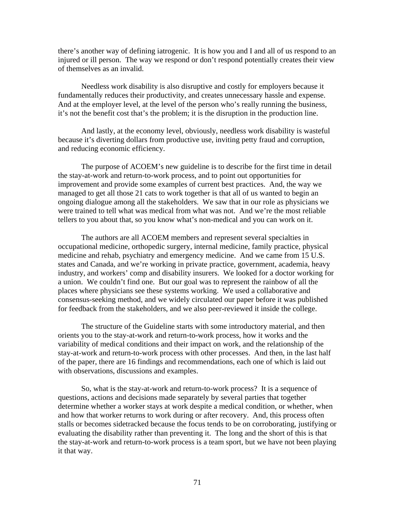there's another way of defining iatrogenic. It is how you and I and all of us respond to an injured or ill person. The way we respond or don't respond potentially creates their view of themselves as an invalid.

Needless work disability is also disruptive and costly for employers because it fundamentally reduces their productivity, and creates unnecessary hassle and expense. And at the employer level, at the level of the person who's really running the business, it's not the benefit cost that's the problem; it is the disruption in the production line.

And lastly, at the economy level, obviously, needless work disability is wasteful because it's diverting dollars from productive use, inviting petty fraud and corruption, and reducing economic efficiency.

The purpose of ACOEM's new guideline is to describe for the first time in detail the stay-at-work and return-to-work process, and to point out opportunities for improvement and provide some examples of current best practices. And, the way we managed to get all those 21 cats to work together is that all of us wanted to begin an ongoing dialogue among all the stakeholders. We saw that in our role as physicians we were trained to tell what was medical from what was not. And we're the most reliable tellers to you about that, so you know what's non-medical and you can work on it.

The authors are all ACOEM members and represent several specialties in occupational medicine, orthopedic surgery, internal medicine, family practice, physical medicine and rehab, psychiatry and emergency medicine. And we came from 15 U.S. states and Canada, and we're working in private practice, government, academia, heavy industry, and workers' comp and disability insurers. We looked for a doctor working for a union. We couldn't find one. But our goal was to represent the rainbow of all the places where physicians see these systems working. We used a collaborative and consensus-seeking method, and we widely circulated our paper before it was published for feedback from the stakeholders, and we also peer-reviewed it inside the college.

The structure of the Guideline starts with some introductory material, and then orients you to the stay-at-work and return-to-work process, how it works and the variability of medical conditions and their impact on work, and the relationship of the stay-at-work and return-to-work process with other processes. And then, in the last half of the paper, there are 16 findings and recommendations, each one of which is laid out with observations, discussions and examples.

So, what is the stay-at-work and return-to-work process? It is a sequence of questions, actions and decisions made separately by several parties that together determine whether a worker stays at work despite a medical condition, or whether, when and how that worker returns to work during or after recovery. And, this process often stalls or becomes sidetracked because the focus tends to be on corroborating, justifying or evaluating the disability rather than preventing it. The long and the short of this is that the stay-at-work and return-to-work process is a team sport, but we have not been playing it that way.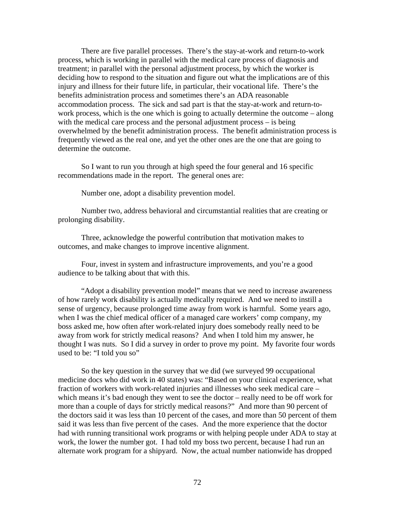There are five parallel processes. There's the stay-at-work and return-to-work process, which is working in parallel with the medical care process of diagnosis and treatment; in parallel with the personal adjustment process, by which the worker is deciding how to respond to the situation and figure out what the implications are of this injury and illness for their future life, in particular, their vocational life. There's the benefits administration process and sometimes there's an ADA reasonable accommodation process. The sick and sad part is that the stay-at-work and return-towork process, which is the one which is going to actually determine the outcome – along with the medical care process and the personal adjustment process – is being overwhelmed by the benefit administration process. The benefit administration process is frequently viewed as the real one, and yet the other ones are the one that are going to determine the outcome.

So I want to run you through at high speed the four general and 16 specific recommendations made in the report. The general ones are:

Number one, adopt a disability prevention model.

Number two, address behavioral and circumstantial realities that are creating or prolonging disability.

Three, acknowledge the powerful contribution that motivation makes to outcomes, and make changes to improve incentive alignment.

Four, invest in system and infrastructure improvements, and you're a good audience to be talking about that with this.

"Adopt a disability prevention model" means that we need to increase awareness of how rarely work disability is actually medically required. And we need to instill a sense of urgency, because prolonged time away from work is harmful. Some years ago, when I was the chief medical officer of a managed care workers' comp company, my boss asked me, how often after work-related injury does somebody really need to be away from work for strictly medical reasons? And when I told him my answer, he thought I was nuts. So I did a survey in order to prove my point. My favorite four words used to be: "I told you so"

So the key question in the survey that we did (we surveyed 99 occupational medicine docs who did work in 40 states) was: "Based on your clinical experience, what fraction of workers with work-related injuries and illnesses who seek medical care – which means it's bad enough they went to see the doctor – really need to be off work for more than a couple of days for strictly medical reasons?" And more than 90 percent of the doctors said it was less than 10 percent of the cases, and more than 50 percent of them said it was less than five percent of the cases. And the more experience that the doctor had with running transitional work programs or with helping people under ADA to stay at work, the lower the number got. I had told my boss two percent, because I had run an alternate work program for a shipyard. Now, the actual number nationwide has dropped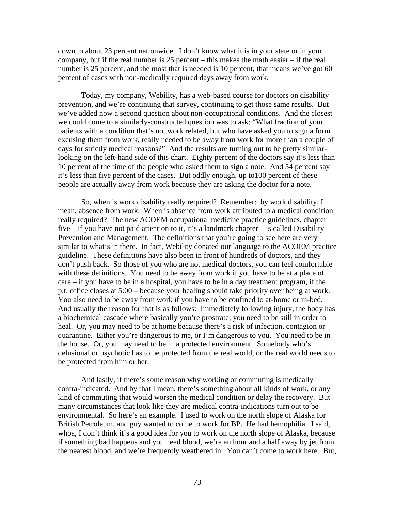down to about 23 percent nationwide. I don't know what it is in your state or in your company, but if the real number is 25 percent – this makes the math easier – if the real number is 25 percent, and the most that is needed is 10 percent, that means we've got 60 percent of cases with non-medically required days away from work.

Today, my company, Webility, has a web-based course for doctors on disability prevention, and we're continuing that survey, continuing to get those same results. But we've added now a second question about non-occupational conditions. And the closest we could come to a similarly-constructed question was to ask: "What fraction of your patients with a condition that's not work related, but who have asked you to sign a form excusing them from work, really needed to be away from work for more than a couple of days for strictly medical reasons?" And the results are turning out to be pretty similarlooking on the left-hand side of this chart. Eighty percent of the doctors say it's less than 10 percent of the time of the people who asked them to sign a note. And 54 percent say it's less than five percent of the cases. But oddly enough, up to100 percent of these people are actually away from work because they are asking the doctor for a note.

So, when is work disability really required? Remember: by work disability, I mean, absence from work. When is absence from work attributed to a medical condition really required? The new ACOEM occupational medicine practice guidelines, chapter five – if you have not paid attention to it, it's a landmark chapter – is called Disability Prevention and Management. The definitions that you're going to see here are very similar to what's in there. In fact, Webility donated our language to the ACOEM practice guideline. These definitions have also been in front of hundreds of doctors, and they don't push back. So those of you who are not medical doctors, you can feel comfortable with these definitions. You need to be away from work if you have to be at a place of care – if you have to be in a hospital, you have to be in a day treatment program, if the p.t. office closes at 5:00 – because your healing should take priority over being at work. You also need to be away from work if you have to be confined to at-home or in-bed. And usually the reason for that is as follows: Immediately following injury, the body has a biochemical cascade where basically you're prostrate; you need to be still in order to heal. Or, you may need to be at home because there's a risk of infection, contagion or quarantine. Either you're dangerous to me, or I'm dangerous to you. You need to be in the house. Or, you may need to be in a protected environment. Somebody who's delusional or psychotic has to be protected from the real world, or the real world needs to be protected from him or her.

And lastly, if there's some reason why working or commuting is medically contra-indicated. And by that I mean, there's something about all kinds of work, or any kind of commuting that would worsen the medical condition or delay the recovery. But many circumstances that look like they are medical contra-indications turn out to be environmental. So here's an example. I used to work on the north slope of Alaska for British Petroleum, and guy wanted to come to work for BP. He had hemophilia. I said, whoa, I don't think it's a good idea for you to work on the north slope of Alaska, because if something bad happens and you need blood, we're an hour and a half away by jet from the nearest blood, and we're frequently weathered in. You can't come to work here. But,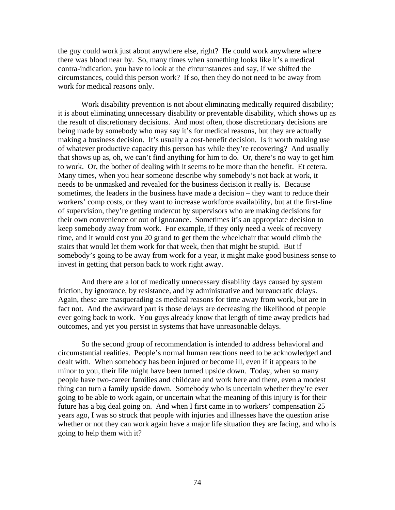the guy could work just about anywhere else, right? He could work anywhere where there was blood near by. So, many times when something looks like it's a medical contra-indication, you have to look at the circumstances and say, if we shifted the circumstances, could this person work? If so, then they do not need to be away from work for medical reasons only.

Work disability prevention is not about eliminating medically required disability; it is about eliminating unnecessary disability or preventable disability, which shows up as the result of discretionary decisions. And most often, those discretionary decisions are being made by somebody who may say it's for medical reasons, but they are actually making a business decision. It's usually a cost-benefit decision. Is it worth making use of whatever productive capacity this person has while they're recovering? And usually that shows up as, oh, we can't find anything for him to do. Or, there's no way to get him to work. Or, the bother of dealing with it seems to be more than the benefit. Et cetera. Many times, when you hear someone describe why somebody's not back at work, it needs to be unmasked and revealed for the business decision it really is. Because sometimes, the leaders in the business have made a decision – they want to reduce their workers' comp costs, or they want to increase workforce availability, but at the first-line of supervision, they're getting undercut by supervisors who are making decisions for their own convenience or out of ignorance. Sometimes it's an appropriate decision to keep somebody away from work. For example, if they only need a week of recovery time, and it would cost you 20 grand to get them the wheelchair that would climb the stairs that would let them work for that week, then that might be stupid. But if somebody's going to be away from work for a year, it might make good business sense to invest in getting that person back to work right away.

And there are a lot of medically unnecessary disability days caused by system friction, by ignorance, by resistance, and by administrative and bureaucratic delays. Again, these are masquerading as medical reasons for time away from work, but are in fact not. And the awkward part is those delays are decreasing the likelihood of people ever going back to work. You guys already know that length of time away predicts bad outcomes, and yet you persist in systems that have unreasonable delays.

So the second group of recommendation is intended to address behavioral and circumstantial realities. People's normal human reactions need to be acknowledged and dealt with. When somebody has been injured or become ill, even if it appears to be minor to you, their life might have been turned upside down. Today, when so many people have two-career families and childcare and work here and there, even a modest thing can turn a family upside down. Somebody who is uncertain whether they're ever going to be able to work again, or uncertain what the meaning of this injury is for their future has a big deal going on. And when I first came in to workers' compensation 25 years ago, I was so struck that people with injuries and illnesses have the question arise whether or not they can work again have a major life situation they are facing, and who is going to help them with it?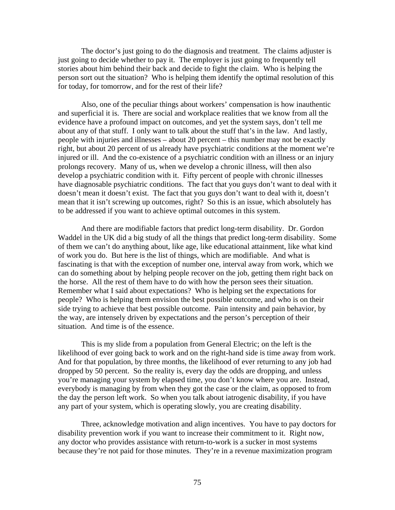The doctor's just going to do the diagnosis and treatment. The claims adjuster is just going to decide whether to pay it. The employer is just going to frequently tell stories about him behind their back and decide to fight the claim. Who is helping the person sort out the situation? Who is helping them identify the optimal resolution of this for today, for tomorrow, and for the rest of their life?

Also, one of the peculiar things about workers' compensation is how inauthentic and superficial it is. There are social and workplace realities that we know from all the evidence have a profound impact on outcomes, and yet the system says, don't tell me about any of that stuff. I only want to talk about the stuff that's in the law. And lastly, people with injuries and illnesses – about 20 percent – this number may not be exactly right, but about 20 percent of us already have psychiatric conditions at the moment we're injured or ill. And the co-existence of a psychiatric condition with an illness or an injury prolongs recovery. Many of us, when we develop a chronic illness, will then also develop a psychiatric condition with it. Fifty percent of people with chronic illnesses have diagnosable psychiatric conditions. The fact that you guys don't want to deal with it doesn't mean it doesn't exist. The fact that you guys don't want to deal with it, doesn't mean that it isn't screwing up outcomes, right? So this is an issue, which absolutely has to be addressed if you want to achieve optimal outcomes in this system.

And there are modifiable factors that predict long-term disability. Dr. Gordon Waddel in the UK did a big study of all the things that predict long-term disability. Some of them we can't do anything about, like age, like educational attainment, like what kind of work you do. But here is the list of things, which are modifiable. And what is fascinating is that with the exception of number one, interval away from work, which we can do something about by helping people recover on the job, getting them right back on the horse. All the rest of them have to do with how the person sees their situation. Remember what I said about expectations? Who is helping set the expectations for people? Who is helping them envision the best possible outcome, and who is on their side trying to achieve that best possible outcome. Pain intensity and pain behavior, by the way, are intensely driven by expectations and the person's perception of their situation. And time is of the essence.

This is my slide from a population from General Electric; on the left is the likelihood of ever going back to work and on the right-hand side is time away from work. And for that population, by three months, the likelihood of ever returning to any job had dropped by 50 percent. So the reality is, every day the odds are dropping, and unless you're managing your system by elapsed time, you don't know where you are. Instead, everybody is managing by from when they got the case or the claim, as opposed to from the day the person left work. So when you talk about iatrogenic disability, if you have any part of your system, which is operating slowly, you are creating disability.

Three, acknowledge motivation and align incentives. You have to pay doctors for disability prevention work if you want to increase their commitment to it. Right now, any doctor who provides assistance with return-to-work is a sucker in most systems because they're not paid for those minutes. They're in a revenue maximization program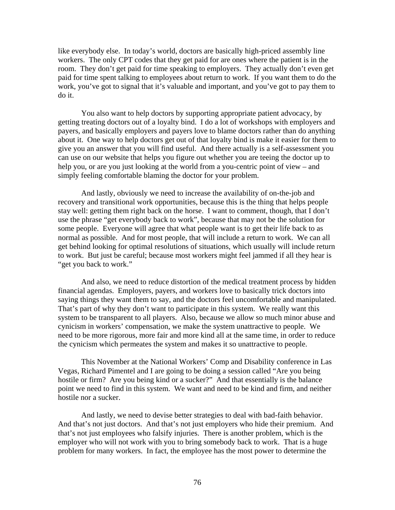like everybody else. In today's world, doctors are basically high-priced assembly line workers. The only CPT codes that they get paid for are ones where the patient is in the room. They don't get paid for time speaking to employers. They actually don't even get paid for time spent talking to employees about return to work. If you want them to do the work, you've got to signal that it's valuable and important, and you've got to pay them to do it.

You also want to help doctors by supporting appropriate patient advocacy, by getting treating doctors out of a loyalty bind. I do a lot of workshops with employers and payers, and basically employers and payers love to blame doctors rather than do anything about it. One way to help doctors get out of that loyalty bind is make it easier for them to give you an answer that you will find useful. And there actually is a self-assessment you can use on our website that helps you figure out whether you are teeing the doctor up to help you, or are you just looking at the world from a you-centric point of view – and simply feeling comfortable blaming the doctor for your problem.

And lastly, obviously we need to increase the availability of on-the-job and recovery and transitional work opportunities, because this is the thing that helps people stay well: getting them right back on the horse. I want to comment, though, that I don't use the phrase "get everybody back to work", because that may not be the solution for some people. Everyone will agree that what people want is to get their life back to as normal as possible. And for most people, that will include a return to work. We can all get behind looking for optimal resolutions of situations, which usually will include return to work. But just be careful; because most workers might feel jammed if all they hear is "get you back to work."

And also, we need to reduce distortion of the medical treatment process by hidden financial agendas. Employers, payers, and workers love to basically trick doctors into saying things they want them to say, and the doctors feel uncomfortable and manipulated. That's part of why they don't want to participate in this system. We really want this system to be transparent to all players. Also, because we allow so much minor abuse and cynicism in workers' compensation, we make the system unattractive to people. We need to be more rigorous, more fair and more kind all at the same time, in order to reduce the cynicism which permeates the system and makes it so unattractive to people.

This November at the National Workers' Comp and Disability conference in Las Vegas, Richard Pimentel and I are going to be doing a session called "Are you being hostile or firm? Are you being kind or a sucker?" And that essentially is the balance point we need to find in this system. We want and need to be kind and firm, and neither hostile nor a sucker.

And lastly, we need to devise better strategies to deal with bad-faith behavior. And that's not just doctors. And that's not just employers who hide their premium. And that's not just employees who falsify injuries. There is another problem, which is the employer who will not work with you to bring somebody back to work. That is a huge problem for many workers. In fact, the employee has the most power to determine the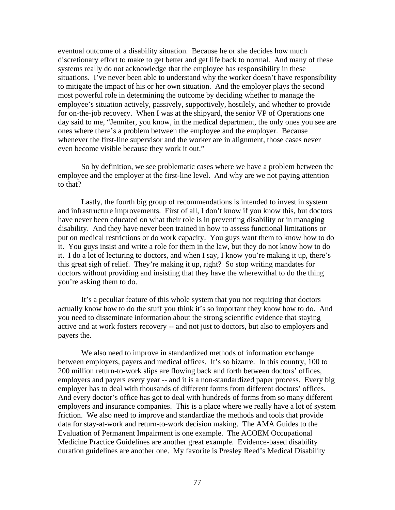eventual outcome of a disability situation. Because he or she decides how much discretionary effort to make to get better and get life back to normal. And many of these systems really do not acknowledge that the employee has responsibility in these situations. I've never been able to understand why the worker doesn't have responsibility to mitigate the impact of his or her own situation. And the employer plays the second most powerful role in determining the outcome by deciding whether to manage the employee's situation actively, passively, supportively, hostilely, and whether to provide for on-the-job recovery. When I was at the shipyard, the senior VP of Operations one day said to me, "Jennifer, you know, in the medical department, the only ones you see are ones where there's a problem between the employee and the employer. Because whenever the first-line supervisor and the worker are in alignment, those cases never even become visible because they work it out."

So by definition, we see problematic cases where we have a problem between the employee and the employer at the first-line level. And why are we not paying attention to that?

Lastly, the fourth big group of recommendations is intended to invest in system and infrastructure improvements. First of all, I don't know if you know this, but doctors have never been educated on what their role is in preventing disability or in managing disability. And they have never been trained in how to assess functional limitations or put on medical restrictions or do work capacity. You guys want them to know how to do it. You guys insist and write a role for them in the law, but they do not know how to do it. I do a lot of lecturing to doctors, and when I say, I know you're making it up, there's this great sigh of relief. They're making it up, right? So stop writing mandates for doctors without providing and insisting that they have the wherewithal to do the thing you're asking them to do.

It's a peculiar feature of this whole system that you not requiring that doctors actually know how to do the stuff you think it's so important they know how to do. And you need to disseminate information about the strong scientific evidence that staying active and at work fosters recovery -- and not just to doctors, but also to employers and payers the.

We also need to improve in standardized methods of information exchange between employers, payers and medical offices. It's so bizarre. In this country, 100 to 200 million return-to-work slips are flowing back and forth between doctors' offices, employers and payers every year -- and it is a non-standardized paper process. Every big employer has to deal with thousands of different forms from different doctors' offices. And every doctor's office has got to deal with hundreds of forms from so many different employers and insurance companies. This is a place where we really have a lot of system friction. We also need to improve and standardize the methods and tools that provide data for stay-at-work and return-to-work decision making. The AMA Guides to the Evaluation of Permanent Impairment is one example. The ACOEM Occupational Medicine Practice Guidelines are another great example. Evidence-based disability duration guidelines are another one. My favorite is Presley Reed's Medical Disability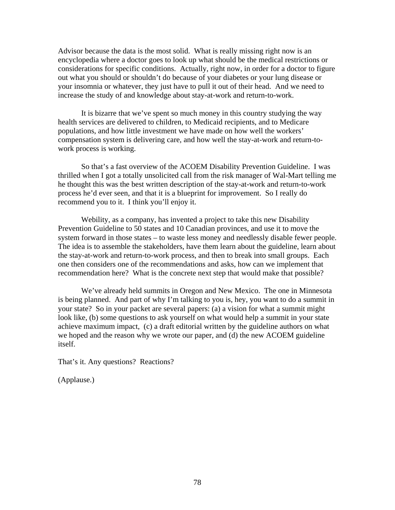Advisor because the data is the most solid. What is really missing right now is an encyclopedia where a doctor goes to look up what should be the medical restrictions or considerations for specific conditions. Actually, right now, in order for a doctor to figure out what you should or shouldn't do because of your diabetes or your lung disease or your insomnia or whatever, they just have to pull it out of their head. And we need to increase the study of and knowledge about stay-at-work and return-to-work.

It is bizarre that we've spent so much money in this country studying the way health services are delivered to children, to Medicaid recipients, and to Medicare populations, and how little investment we have made on how well the workers' compensation system is delivering care, and how well the stay-at-work and return-towork process is working.

So that's a fast overview of the ACOEM Disability Prevention Guideline. I was thrilled when I got a totally unsolicited call from the risk manager of Wal-Mart telling me he thought this was the best written description of the stay-at-work and return-to-work process he'd ever seen, and that it is a blueprint for improvement. So I really do recommend you to it. I think you'll enjoy it.

Webility, as a company, has invented a project to take this new Disability Prevention Guideline to 50 states and 10 Canadian provinces, and use it to move the system forward in those states – to waste less money and needlessly disable fewer people. The idea is to assemble the stakeholders, have them learn about the guideline, learn about the stay-at-work and return-to-work process, and then to break into small groups. Each one then considers one of the recommendations and asks, how can we implement that recommendation here? What is the concrete next step that would make that possible?

We've already held summits in Oregon and New Mexico. The one in Minnesota is being planned. And part of why I'm talking to you is, hey, you want to do a summit in your state? So in your packet are several papers: (a) a vision for what a summit might look like, (b) some questions to ask yourself on what would help a summit in your state achieve maximum impact, (c) a draft editorial written by the guideline authors on what we hoped and the reason why we wrote our paper, and (d) the new ACOEM guideline itself.

That's it. Any questions? Reactions?

(Applause.)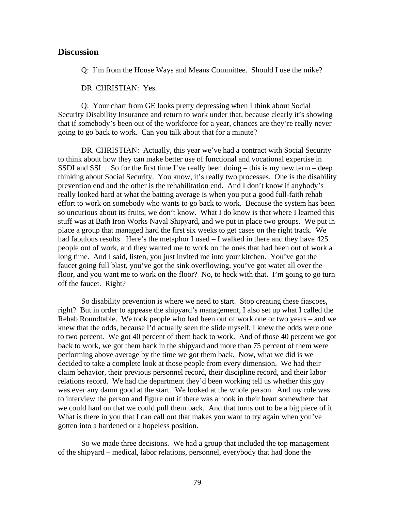### **Discussion**

Q: I'm from the House Ways and Means Committee. Should I use the mike?

DR. CHRISTIAN: Yes.

Q: Your chart from GE looks pretty depressing when I think about Social Security Disability Insurance and return to work under that, because clearly it's showing that if somebody's been out of the workforce for a year, chances are they're really never going to go back to work. Can you talk about that for a minute?

DR. CHRISTIAN: Actually, this year we've had a contract with Social Security to think about how they can make better use of functional and vocational expertise in SSDI and SSI. . So for the first time I've really been doing – this is my new term – deep thinking about Social Security. You know, it's really two processes. One is the disability prevention end and the other is the rehabilitation end. And I don't know if anybody's really looked hard at what the batting average is when you put a good full-faith rehab effort to work on somebody who wants to go back to work. Because the system has been so uncurious about its fruits, we don't know. What I do know is that where I learned this stuff was at Bath Iron Works Naval Shipyard, and we put in place two groups. We put in place a group that managed hard the first six weeks to get cases on the right track. We had fabulous results. Here's the metaphor I used – I walked in there and they have 425 people out of work, and they wanted me to work on the ones that had been out of work a long time. And I said, listen, you just invited me into your kitchen. You've got the faucet going full blast, you've got the sink overflowing, you've got water all over the floor, and you want me to work on the floor? No, to heck with that. I'm going to go turn off the faucet. Right?

So disability prevention is where we need to start. Stop creating these fiascoes, right? But in order to appease the shipyard's management, I also set up what I called the Rehab Roundtable. We took people who had been out of work one or two years – and we knew that the odds, because I'd actually seen the slide myself, I knew the odds were one to two percent. We got 40 percent of them back to work. And of those 40 percent we got back to work, we got them back in the shipyard and more than 75 percent of them were performing above average by the time we got them back. Now, what we did is we decided to take a complete look at those people from every dimension. We had their claim behavior, their previous personnel record, their discipline record, and their labor relations record. We had the department they'd been working tell us whether this guy was ever any damn good at the start. We looked at the whole person. And my role was to interview the person and figure out if there was a hook in their heart somewhere that we could haul on that we could pull them back. And that turns out to be a big piece of it. What is there in you that I can call out that makes you want to try again when you've gotten into a hardened or a hopeless position.

So we made three decisions. We had a group that included the top management of the shipyard – medical, labor relations, personnel, everybody that had done the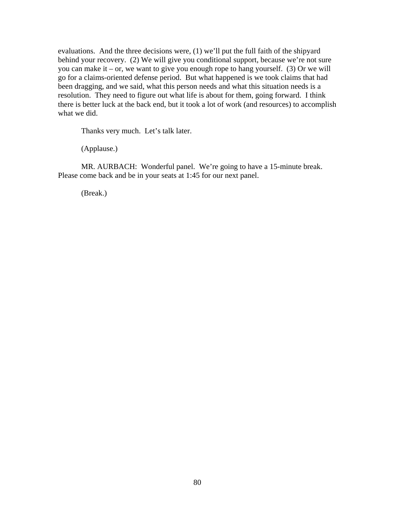evaluations. And the three decisions were, (1) we'll put the full faith of the shipyard behind your recovery. (2) We will give you conditional support, because we're not sure you can make it – or, we want to give you enough rope to hang yourself. (3) Or we will go for a claims-oriented defense period. But what happened is we took claims that had been dragging, and we said, what this person needs and what this situation needs is a resolution. They need to figure out what life is about for them, going forward. I think there is better luck at the back end, but it took a lot of work (and resources) to accomplish what we did.

Thanks very much. Let's talk later.

(Applause.)

MR. AURBACH: Wonderful panel. We're going to have a 15-minute break. Please come back and be in your seats at 1:45 for our next panel.

(Break.)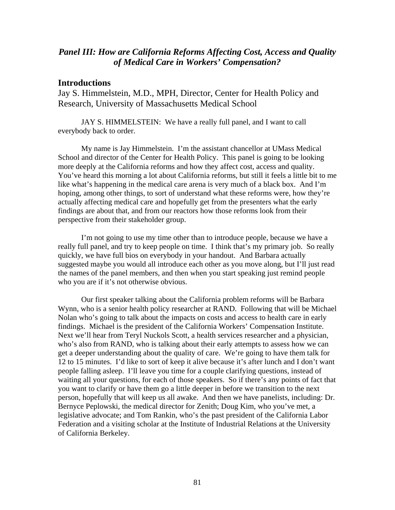# *Panel III: How are California Reforms Affecting Cost, Access and Quality of Medical Care in Workers' Compensation?*

# **Introductions**

Jay S. Himmelstein, M.D., MPH, Director, Center for Health Policy and Research, University of Massachusetts Medical School

JAY S. HIMMELSTEIN: We have a really full panel, and I want to call everybody back to order.

My name is Jay Himmelstein. I'm the assistant chancellor at UMass Medical School and director of the Center for Health Policy. This panel is going to be looking more deeply at the California reforms and how they affect cost, access and quality. You've heard this morning a lot about California reforms, but still it feels a little bit to me like what's happening in the medical care arena is very much of a black box. And I'm hoping, among other things, to sort of understand what these reforms were, how they're actually affecting medical care and hopefully get from the presenters what the early findings are about that, and from our reactors how those reforms look from their perspective from their stakeholder group.

I'm not going to use my time other than to introduce people, because we have a really full panel, and try to keep people on time. I think that's my primary job. So really quickly, we have full bios on everybody in your handout. And Barbara actually suggested maybe you would all introduce each other as you move along, but I'll just read the names of the panel members, and then when you start speaking just remind people who you are if it's not otherwise obvious.

Our first speaker talking about the California problem reforms will be Barbara Wynn, who is a senior health policy researcher at RAND. Following that will be Michael Nolan who's going to talk about the impacts on costs and access to health care in early findings. Michael is the president of the California Workers' Compensation Institute. Next we'll hear from Teryl Nuckols Scott, a health services researcher and a physician, who's also from RAND, who is talking about their early attempts to assess how we can get a deeper understanding about the quality of care. We're going to have them talk for 12 to 15 minutes. I'd like to sort of keep it alive because it's after lunch and I don't want people falling asleep. I'll leave you time for a couple clarifying questions, instead of waiting all your questions, for each of those speakers. So if there's any points of fact that you want to clarify or have them go a little deeper in before we transition to the next person, hopefully that will keep us all awake. And then we have panelists, including: Dr. Bernyce Peplowski, the medical director for Zenith; Doug Kim, who you've met, a legislative advocate; and Tom Rankin, who's the past president of the California Labor Federation and a visiting scholar at the Institute of Industrial Relations at the University of California Berkeley.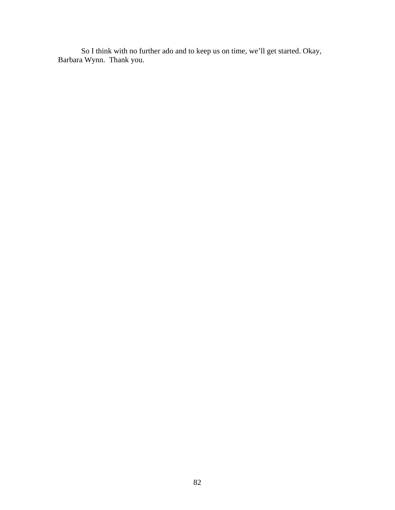So I think with no further ado and to keep us on time, we'll get started. Okay, Barbara Wynn. Thank you.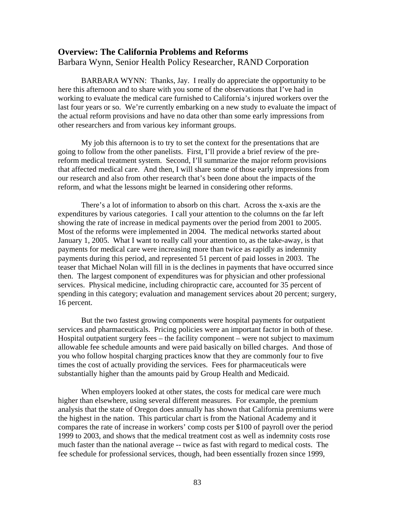### **Overview: The California Problems and Reforms**

Barbara Wynn, Senior Health Policy Researcher, RAND Corporation

BARBARA WYNN: Thanks, Jay. I really do appreciate the opportunity to be here this afternoon and to share with you some of the observations that I've had in working to evaluate the medical care furnished to California's injured workers over the last four years or so. We're currently embarking on a new study to evaluate the impact of the actual reform provisions and have no data other than some early impressions from other researchers and from various key informant groups.

My job this afternoon is to try to set the context for the presentations that are going to follow from the other panelists. First, I'll provide a brief review of the prereform medical treatment system. Second, I'll summarize the major reform provisions that affected medical care. And then, I will share some of those early impressions from our research and also from other research that's been done about the impacts of the reform, and what the lessons might be learned in considering other reforms.

There's a lot of information to absorb on this chart. Across the x-axis are the expenditures by various categories. I call your attention to the columns on the far left showing the rate of increase in medical payments over the period from 2001 to 2005. Most of the reforms were implemented in 2004. The medical networks started about January 1, 2005. What I want to really call your attention to, as the take-away, is that payments for medical care were increasing more than twice as rapidly as indemnity payments during this period, and represented 51 percent of paid losses in 2003. The teaser that Michael Nolan will fill in is the declines in payments that have occurred since then. The largest component of expenditures was for physician and other professional services. Physical medicine, including chiropractic care, accounted for 35 percent of spending in this category; evaluation and management services about 20 percent; surgery, 16 percent.

But the two fastest growing components were hospital payments for outpatient services and pharmaceuticals. Pricing policies were an important factor in both of these. Hospital outpatient surgery fees – the facility component – were not subject to maximum allowable fee schedule amounts and were paid basically on billed charges. And those of you who follow hospital charging practices know that they are commonly four to five times the cost of actually providing the services. Fees for pharmaceuticals were substantially higher than the amounts paid by Group Health and Medicaid.

When employers looked at other states, the costs for medical care were much higher than elsewhere, using several different measures. For example, the premium analysis that the state of Oregon does annually has shown that California premiums were the highest in the nation. This particular chart is from the National Academy and it compares the rate of increase in workers' comp costs per \$100 of payroll over the period 1999 to 2003, and shows that the medical treatment cost as well as indemnity costs rose much faster than the national average -- twice as fast with regard to medical costs. The fee schedule for professional services, though, had been essentially frozen since 1999,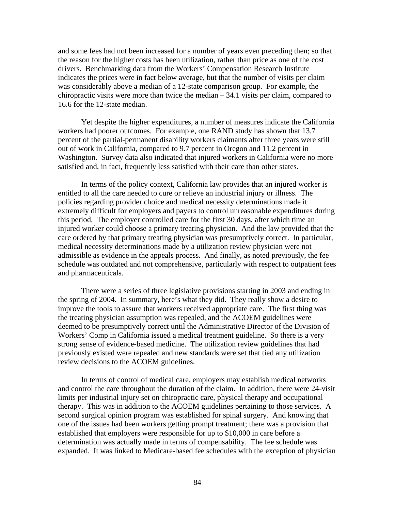and some fees had not been increased for a number of years even preceding then; so that the reason for the higher costs has been utilization, rather than price as one of the cost drivers. Benchmarking data from the Workers' Compensation Research Institute indicates the prices were in fact below average, but that the number of visits per claim was considerably above a median of a 12-state comparison group. For example, the chiropractic visits were more than twice the median – 34.1 visits per claim, compared to 16.6 for the 12-state median.

Yet despite the higher expenditures, a number of measures indicate the California workers had poorer outcomes. For example, one RAND study has shown that 13.7 percent of the partial-permanent disability workers claimants after three years were still out of work in California, compared to 9.7 percent in Oregon and 11.2 percent in Washington. Survey data also indicated that injured workers in California were no more satisfied and, in fact, frequently less satisfied with their care than other states.

In terms of the policy context, California law provides that an injured worker is entitled to all the care needed to cure or relieve an industrial injury or illness. The policies regarding provider choice and medical necessity determinations made it extremely difficult for employers and payers to control unreasonable expenditures during this period. The employer controlled care for the first 30 days, after which time an injured worker could choose a primary treating physician. And the law provided that the care ordered by that primary treating physician was presumptively correct. In particular, medical necessity determinations made by a utilization review physician were not admissible as evidence in the appeals process. And finally, as noted previously, the fee schedule was outdated and not comprehensive, particularly with respect to outpatient fees and pharmaceuticals.

There were a series of three legislative provisions starting in 2003 and ending in the spring of 2004. In summary, here's what they did. They really show a desire to improve the tools to assure that workers received appropriate care. The first thing was the treating physician assumption was repealed, and the ACOEM guidelines were deemed to be presumptively correct until the Administrative Director of the Division of Workers' Comp in California issued a medical treatment guideline. So there is a very strong sense of evidence-based medicine. The utilization review guidelines that had previously existed were repealed and new standards were set that tied any utilization review decisions to the ACOEM guidelines.

In terms of control of medical care, employers may establish medical networks and control the care throughout the duration of the claim. In addition, there were 24-visit limits per industrial injury set on chiropractic care, physical therapy and occupational therapy. This was in addition to the ACOEM guidelines pertaining to those services. A second surgical opinion program was established for spinal surgery. And knowing that one of the issues had been workers getting prompt treatment; there was a provision that established that employers were responsible for up to \$10,000 in care before a determination was actually made in terms of compensability. The fee schedule was expanded. It was linked to Medicare-based fee schedules with the exception of physician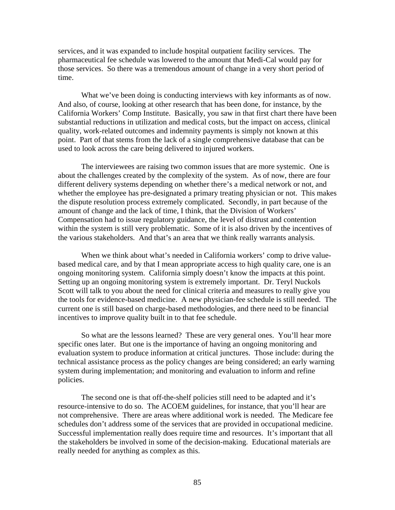services, and it was expanded to include hospital outpatient facility services. The pharmaceutical fee schedule was lowered to the amount that Medi-Cal would pay for those services. So there was a tremendous amount of change in a very short period of time.

What we've been doing is conducting interviews with key informants as of now. And also, of course, looking at other research that has been done, for instance, by the California Workers' Comp Institute. Basically, you saw in that first chart there have been substantial reductions in utilization and medical costs, but the impact on access, clinical quality, work-related outcomes and indemnity payments is simply not known at this point. Part of that stems from the lack of a single comprehensive database that can be used to look across the care being delivered to injured workers.

The interviewees are raising two common issues that are more systemic. One is about the challenges created by the complexity of the system. As of now, there are four different delivery systems depending on whether there's a medical network or not, and whether the employee has pre-designated a primary treating physician or not. This makes the dispute resolution process extremely complicated. Secondly, in part because of the amount of change and the lack of time, I think, that the Division of Workers' Compensation had to issue regulatory guidance, the level of distrust and contention within the system is still very problematic. Some of it is also driven by the incentives of the various stakeholders. And that's an area that we think really warrants analysis.

When we think about what's needed in California workers' comp to drive valuebased medical care, and by that I mean appropriate access to high quality care, one is an ongoing monitoring system. California simply doesn't know the impacts at this point. Setting up an ongoing monitoring system is extremely important. Dr. Teryl Nuckols Scott will talk to you about the need for clinical criteria and measures to really give you the tools for evidence-based medicine. A new physician-fee schedule is still needed. The current one is still based on charge-based methodologies, and there need to be financial incentives to improve quality built in to that fee schedule.

So what are the lessons learned? These are very general ones. You'll hear more specific ones later. But one is the importance of having an ongoing monitoring and evaluation system to produce information at critical junctures. Those include: during the technical assistance process as the policy changes are being considered; an early warning system during implementation; and monitoring and evaluation to inform and refine policies.

The second one is that off-the-shelf policies still need to be adapted and it's resource-intensive to do so. The ACOEM guidelines, for instance, that you'll hear are not comprehensive. There are areas where additional work is needed. The Medicare fee schedules don't address some of the services that are provided in occupational medicine. Successful implementation really does require time and resources. It's important that all the stakeholders be involved in some of the decision-making. Educational materials are really needed for anything as complex as this.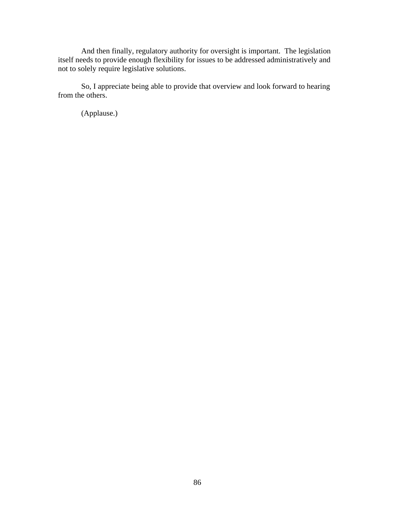And then finally, regulatory authority for oversight is important. The legislation itself needs to provide enough flexibility for issues to be addressed administratively and not to solely require legislative solutions.

So, I appreciate being able to provide that overview and look forward to hearing from the others.

(Applause.)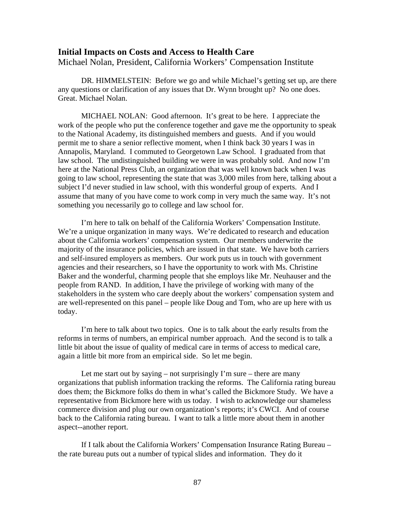#### **Initial Impacts on Costs and Access to Health Care**

Michael Nolan, President, California Workers' Compensation Institute

DR. HIMMELSTEIN: Before we go and while Michael's getting set up, are there any questions or clarification of any issues that Dr. Wynn brought up? No one does. Great. Michael Nolan.

MICHAEL NOLAN: Good afternoon. It's great to be here. I appreciate the work of the people who put the conference together and gave me the opportunity to speak to the National Academy, its distinguished members and guests. And if you would permit me to share a senior reflective moment, when I think back 30 years I was in Annapolis, Maryland. I commuted to Georgetown Law School. I graduated from that law school. The undistinguished building we were in was probably sold. And now I'm here at the National Press Club, an organization that was well known back when I was going to law school, representing the state that was 3,000 miles from here, talking about a subject I'd never studied in law school, with this wonderful group of experts. And I assume that many of you have come to work comp in very much the same way. It's not something you necessarily go to college and law school for.

I'm here to talk on behalf of the California Workers' Compensation Institute. We're a unique organization in many ways. We're dedicated to research and education about the California workers' compensation system. Our members underwrite the majority of the insurance policies, which are issued in that state. We have both carriers and self-insured employers as members. Our work puts us in touch with government agencies and their researchers, so I have the opportunity to work with Ms. Christine Baker and the wonderful, charming people that she employs like Mr. Neuhauser and the people from RAND. In addition, I have the privilege of working with many of the stakeholders in the system who care deeply about the workers' compensation system and are well-represented on this panel – people like Doug and Tom, who are up here with us today.

I'm here to talk about two topics. One is to talk about the early results from the reforms in terms of numbers, an empirical number approach. And the second is to talk a little bit about the issue of quality of medical care in terms of access to medical care, again a little bit more from an empirical side. So let me begin.

Let me start out by saying – not surprisingly  $\Gamma$  m sure – there are many organizations that publish information tracking the reforms. The California rating bureau does them; the Bickmore folks do them in what's called the Bickmore Study. We have a representative from Bickmore here with us today. I wish to acknowledge our shameless commerce division and plug our own organization's reports; it's CWCI. And of course back to the California rating bureau. I want to talk a little more about them in another aspect--another report.

If I talk about the California Workers' Compensation Insurance Rating Bureau – the rate bureau puts out a number of typical slides and information. They do it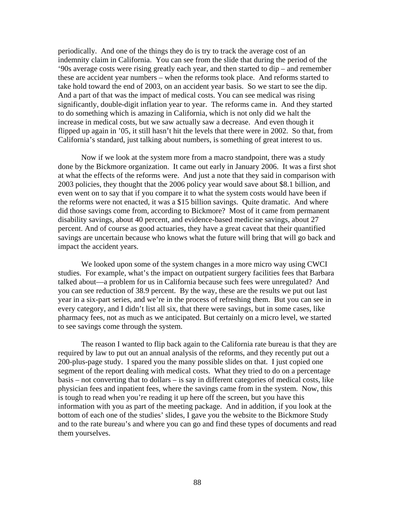periodically. And one of the things they do is try to track the average cost of an indemnity claim in California. You can see from the slide that during the period of the '90s average costs were rising greatly each year, and then started to dip – and remember these are accident year numbers – when the reforms took place. And reforms started to take hold toward the end of 2003, on an accident year basis. So we start to see the dip. And a part of that was the impact of medical costs. You can see medical was rising significantly, double-digit inflation year to year. The reforms came in. And they started to do something which is amazing in California, which is not only did we halt the increase in medical costs, but we saw actually saw a decrease. And even though it flipped up again in '05, it still hasn't hit the levels that there were in 2002. So that, from California's standard, just talking about numbers, is something of great interest to us.

Now if we look at the system more from a macro standpoint, there was a study done by the Bickmore organization. It came out early in January 2006. It was a first shot at what the effects of the reforms were. And just a note that they said in comparison with 2003 policies, they thought that the 2006 policy year would save about \$8.1 billion, and even went on to say that if you compare it to what the system costs would have been if the reforms were not enacted, it was a \$15 billion savings. Quite dramatic. And where did those savings come from, according to Bickmore? Most of it came from permanent disability savings, about 40 percent, and evidence-based medicine savings, about 27 percent. And of course as good actuaries, they have a great caveat that their quantified savings are uncertain because who knows what the future will bring that will go back and impact the accident years.

We looked upon some of the system changes in a more micro way using CWCI studies. For example, what's the impact on outpatient surgery facilities fees that Barbara talked about—a problem for us in California because such fees were unregulated? And you can see reduction of 38.9 percent. By the way, these are the results we put out last year in a six-part series, and we're in the process of refreshing them. But you can see in every category, and I didn't list all six, that there were savings, but in some cases, like pharmacy fees, not as much as we anticipated. But certainly on a micro level, we started to see savings come through the system.

The reason I wanted to flip back again to the California rate bureau is that they are required by law to put out an annual analysis of the reforms, and they recently put out a 200-plus-page study. I spared you the many possible slides on that. I just copied one segment of the report dealing with medical costs. What they tried to do on a percentage basis – not converting that to dollars – is say in different categories of medical costs, like physician fees and inpatient fees, where the savings came from in the system. Now, this is tough to read when you're reading it up here off the screen, but you have this information with you as part of the meeting package. And in addition, if you look at the bottom of each one of the studies' slides, I gave you the website to the Bickmore Study and to the rate bureau's and where you can go and find these types of documents and read them yourselves.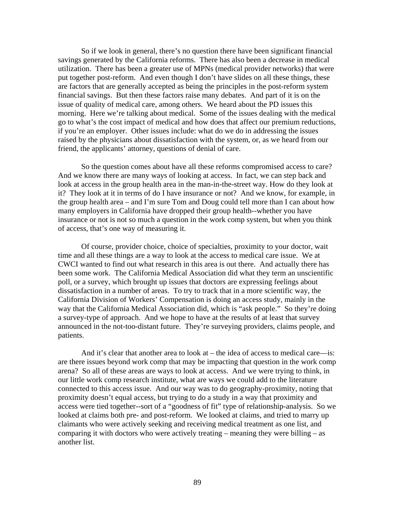So if we look in general, there's no question there have been significant financial savings generated by the California reforms. There has also been a decrease in medical utilization. There has been a greater use of MPNs (medical provider networks) that were put together post-reform. And even though I don't have slides on all these things, these are factors that are generally accepted as being the principles in the post-reform system financial savings. But then these factors raise many debates. And part of it is on the issue of quality of medical care, among others. We heard about the PD issues this morning. Here we're talking about medical. Some of the issues dealing with the medical go to what's the cost impact of medical and how does that affect our premium reductions, if you're an employer. Other issues include: what do we do in addressing the issues raised by the physicians about dissatisfaction with the system, or, as we heard from our friend, the applicants' attorney, questions of denial of care.

So the question comes about have all these reforms compromised access to care? And we know there are many ways of looking at access. In fact, we can step back and look at access in the group health area in the man-in-the-street way. How do they look at it? They look at it in terms of do I have insurance or not? And we know, for example, in the group health area – and I'm sure Tom and Doug could tell more than I can about how many employers in California have dropped their group health--whether you have insurance or not is not so much a question in the work comp system, but when you think of access, that's one way of measuring it.

Of course, provider choice, choice of specialties, proximity to your doctor, wait time and all these things are a way to look at the access to medical care issue. We at CWCI wanted to find out what research in this area is out there. And actually there has been some work. The California Medical Association did what they term an unscientific poll, or a survey, which brought up issues that doctors are expressing feelings about dissatisfaction in a number of areas. To try to track that in a more scientific way, the California Division of Workers' Compensation is doing an access study, mainly in the way that the California Medical Association did, which is "ask people." So they're doing a survey-type of approach. And we hope to have at the results of at least that survey announced in the not-too-distant future. They're surveying providers, claims people, and patients.

And it's clear that another area to look at – the idea of access to medical care—is: are there issues beyond work comp that may be impacting that question in the work comp arena? So all of these areas are ways to look at access. And we were trying to think, in our little work comp research institute, what are ways we could add to the literature connected to this access issue. And our way was to do geography-proximity, noting that proximity doesn't equal access, but trying to do a study in a way that proximity and access were tied together--sort of a "goodness of fit" type of relationship-analysis. So we looked at claims both pre- and post-reform. We looked at claims, and tried to marry up claimants who were actively seeking and receiving medical treatment as one list, and comparing it with doctors who were actively treating – meaning they were billing – as another list.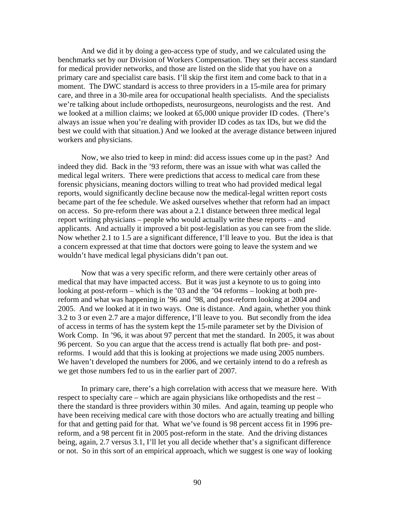And we did it by doing a geo-access type of study, and we calculated using the benchmarks set by our Division of Workers Compensation. They set their access standard for medical provider networks, and those are listed on the slide that you have on a primary care and specialist care basis. I'll skip the first item and come back to that in a moment. The DWC standard is access to three providers in a 15-mile area for primary care, and three in a 30-mile area for occupational health specialists. And the specialists we're talking about include orthopedists, neurosurgeons, neurologists and the rest. And we looked at a million claims; we looked at 65,000 unique provider ID codes. (There's always an issue when you're dealing with provider ID codes as tax IDs, but we did the best we could with that situation.) And we looked at the average distance between injured workers and physicians.

Now, we also tried to keep in mind: did access issues come up in the past? And indeed they did. Back in the '93 reform, there was an issue with what was called the medical legal writers. There were predictions that access to medical care from these forensic physicians, meaning doctors willing to treat who had provided medical legal reports, would significantly decline because now the medical-legal written report costs became part of the fee schedule. We asked ourselves whether that reform had an impact on access. So pre-reform there was about a 2.1 distance between three medical legal report writing physicians – people who would actually write these reports – and applicants. And actually it improved a bit post-legislation as you can see from the slide. Now whether 2.1 to 1.5 are a significant difference, I'll leave to you. But the idea is that a concern expressed at that time that doctors were going to leave the system and we wouldn't have medical legal physicians didn't pan out.

Now that was a very specific reform, and there were certainly other areas of medical that may have impacted access. But it was just a keynote to us to going into looking at post-reform – which is the '03 and the '04 reforms – looking at both prereform and what was happening in '96 and '98, and post-reform looking at 2004 and 2005. And we looked at it in two ways. One is distance. And again, whether you think 3.2 to 3 or even 2.7 are a major difference, I'll leave to you. But secondly from the idea of access in terms of has the system kept the 15-mile parameter set by the Division of Work Comp. In '96, it was about 97 percent that met the standard. In 2005, it was about 96 percent. So you can argue that the access trend is actually flat both pre- and postreforms. I would add that this is looking at projections we made using 2005 numbers. We haven't developed the numbers for 2006, and we certainly intend to do a refresh as we get those numbers fed to us in the earlier part of 2007.

In primary care, there's a high correlation with access that we measure here. With respect to specialty care – which are again physicians like orthopedists and the rest – there the standard is three providers within 30 miles. And again, teaming up people who have been receiving medical care with those doctors who are actually treating and billing for that and getting paid for that. What we've found is 98 percent access fit in 1996 prereform, and a 98 percent fit in 2005 post-reform in the state. And the driving distances being, again, 2.7 versus 3.1, I'll let you all decide whether that's a significant difference or not. So in this sort of an empirical approach, which we suggest is one way of looking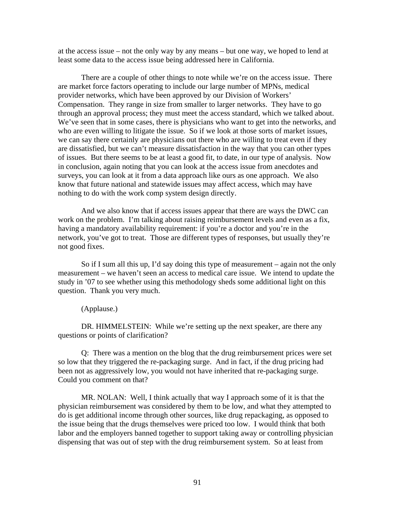at the access issue – not the only way by any means – but one way, we hoped to lend at least some data to the access issue being addressed here in California.

There are a couple of other things to note while we're on the access issue. There are market force factors operating to include our large number of MPNs, medical provider networks, which have been approved by our Division of Workers' Compensation. They range in size from smaller to larger networks. They have to go through an approval process; they must meet the access standard, which we talked about. We've seen that in some cases, there is physicians who want to get into the networks, and who are even willing to litigate the issue. So if we look at those sorts of market issues, we can say there certainly are physicians out there who are willing to treat even if they are dissatisfied, but we can't measure dissatisfaction in the way that you can other types of issues. But there seems to be at least a good fit, to date, in our type of analysis. Now in conclusion, again noting that you can look at the access issue from anecdotes and surveys, you can look at it from a data approach like ours as one approach. We also know that future national and statewide issues may affect access, which may have nothing to do with the work comp system design directly.

And we also know that if access issues appear that there are ways the DWC can work on the problem. I'm talking about raising reimbursement levels and even as a fix, having a mandatory availability requirement: if you're a doctor and you're in the network, you've got to treat. Those are different types of responses, but usually they're not good fixes.

So if I sum all this up, I'd say doing this type of measurement – again not the only measurement – we haven't seen an access to medical care issue. We intend to update the study in '07 to see whether using this methodology sheds some additional light on this question. Thank you very much.

(Applause.)

DR. HIMMELSTEIN: While we're setting up the next speaker, are there any questions or points of clarification?

Q: There was a mention on the blog that the drug reimbursement prices were set so low that they triggered the re-packaging surge. And in fact, if the drug pricing had been not as aggressively low, you would not have inherited that re-packaging surge. Could you comment on that?

MR. NOLAN: Well, I think actually that way I approach some of it is that the physician reimbursement was considered by them to be low, and what they attempted to do is get additional income through other sources, like drug repackaging, as opposed to the issue being that the drugs themselves were priced too low. I would think that both labor and the employers banned together to support taking away or controlling physician dispensing that was out of step with the drug reimbursement system. So at least from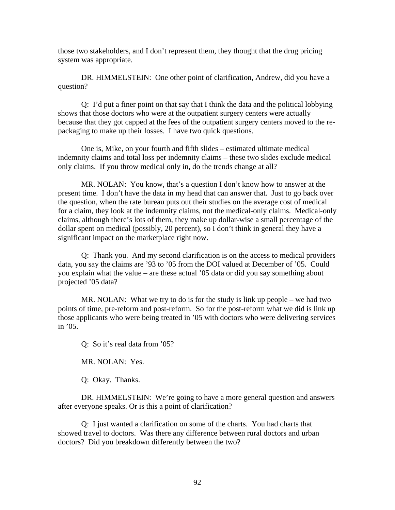those two stakeholders, and I don't represent them, they thought that the drug pricing system was appropriate.

DR. HIMMELSTEIN: One other point of clarification, Andrew, did you have a question?

Q: I'd put a finer point on that say that I think the data and the political lobbying shows that those doctors who were at the outpatient surgery centers were actually because that they got capped at the fees of the outpatient surgery centers moved to the repackaging to make up their losses. I have two quick questions.

One is, Mike, on your fourth and fifth slides – estimated ultimate medical indemnity claims and total loss per indemnity claims – these two slides exclude medical only claims. If you throw medical only in, do the trends change at all?

MR. NOLAN: You know, that's a question I don't know how to answer at the present time. I don't have the data in my head that can answer that. Just to go back over the question, when the rate bureau puts out their studies on the average cost of medical for a claim, they look at the indemnity claims, not the medical-only claims. Medical-only claims, although there's lots of them, they make up dollar-wise a small percentage of the dollar spent on medical (possibly, 20 percent), so I don't think in general they have a significant impact on the marketplace right now.

Q: Thank you. And my second clarification is on the access to medical providers data, you say the claims are '93 to '05 from the DOI valued at December of '05. Could you explain what the value – are these actual '05 data or did you say something about projected '05 data?

MR. NOLAN: What we try to do is for the study is link up people – we had two points of time, pre-reform and post-reform. So for the post-reform what we did is link up those applicants who were being treated in '05 with doctors who were delivering services in '05.

Q: So it's real data from '05?

MR. NOLAN: Yes.

Q: Okay. Thanks.

DR. HIMMELSTEIN: We're going to have a more general question and answers after everyone speaks. Or is this a point of clarification?

Q: I just wanted a clarification on some of the charts. You had charts that showed travel to doctors. Was there any difference between rural doctors and urban doctors? Did you breakdown differently between the two?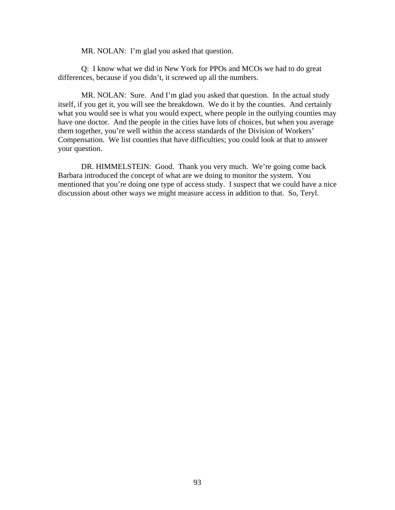MR. NOLAN: I'm glad you asked that question.

Q: I know what we did in New York for PPOs and MCOs we had to do great differences, because if you didn't, it screwed up all the numbers.

MR. NOLAN: Sure. And I'm glad you asked that question. In the actual study itself, if you get it, you will see the breakdown. We do it by the counties. And certainly what you would see is what you would expect, where people in the outlying counties may have one doctor. And the people in the cities have lots of choices, but when you average them together, you're well within the access standards of the Division of Workers' Compensation. We list counties that have difficulties; you could look at that to answer your question.

DR. HIMMELSTEIN: Good. Thank you very much. We're going come back Barbara introduced the concept of what are we doing to monitor the system. You mentioned that you're doing one type of access study. I suspect that we could have a nice discussion about other ways we might measure access in addition to that. So, Teryl.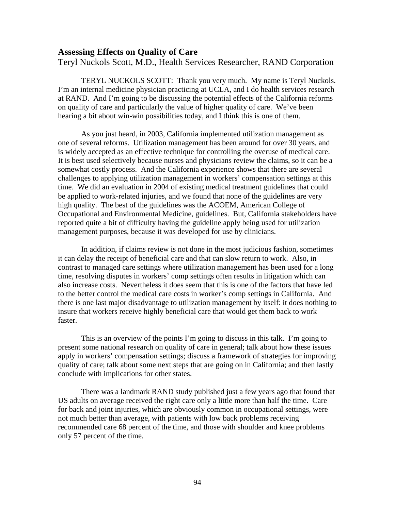#### **Assessing Effects on Quality of Care**

Teryl Nuckols Scott, M.D., Health Services Researcher, RAND Corporation

TERYL NUCKOLS SCOTT: Thank you very much. My name is Teryl Nuckols. I'm an internal medicine physician practicing at UCLA, and I do health services research at RAND. And I'm going to be discussing the potential effects of the California reforms on quality of care and particularly the value of higher quality of care. We've been hearing a bit about win-win possibilities today, and I think this is one of them.

As you just heard, in 2003, California implemented utilization management as one of several reforms. Utilization management has been around for over 30 years, and is widely accepted as an effective technique for controlling the overuse of medical care. It is best used selectively because nurses and physicians review the claims, so it can be a somewhat costly process. And the California experience shows that there are several challenges to applying utilization management in workers' compensation settings at this time. We did an evaluation in 2004 of existing medical treatment guidelines that could be applied to work-related injuries, and we found that none of the guidelines are very high quality. The best of the guidelines was the ACOEM, American College of Occupational and Environmental Medicine, guidelines. But, California stakeholders have reported quite a bit of difficulty having the guideline apply being used for utilization management purposes, because it was developed for use by clinicians.

In addition, if claims review is not done in the most judicious fashion, sometimes it can delay the receipt of beneficial care and that can slow return to work. Also, in contrast to managed care settings where utilization management has been used for a long time, resolving disputes in workers' comp settings often results in litigation which can also increase costs. Nevertheless it does seem that this is one of the factors that have led to the better control the medical care costs in worker's comp settings in California. And there is one last major disadvantage to utilization management by itself: it does nothing to insure that workers receive highly beneficial care that would get them back to work faster.

This is an overview of the points I'm going to discuss in this talk. I'm going to present some national research on quality of care in general; talk about how these issues apply in workers' compensation settings; discuss a framework of strategies for improving quality of care; talk about some next steps that are going on in California; and then lastly conclude with implications for other states.

There was a landmark RAND study published just a few years ago that found that US adults on average received the right care only a little more than half the time. Care for back and joint injuries, which are obviously common in occupational settings, were not much better than average, with patients with low back problems receiving recommended care 68 percent of the time, and those with shoulder and knee problems only 57 percent of the time.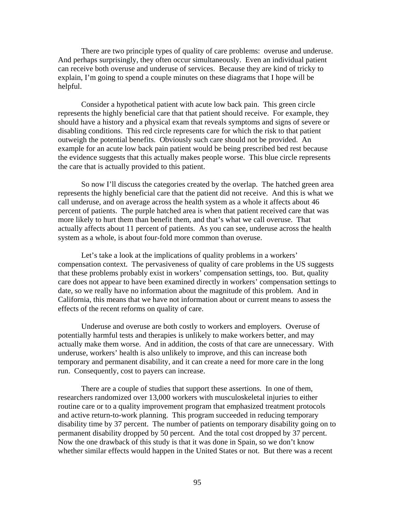There are two principle types of quality of care problems: overuse and underuse. And perhaps surprisingly, they often occur simultaneously. Even an individual patient can receive both overuse and underuse of services. Because they are kind of tricky to explain, I'm going to spend a couple minutes on these diagrams that I hope will be helpful.

Consider a hypothetical patient with acute low back pain. This green circle represents the highly beneficial care that that patient should receive. For example, they should have a history and a physical exam that reveals symptoms and signs of severe or disabling conditions. This red circle represents care for which the risk to that patient outweigh the potential benefits. Obviously such care should not be provided. An example for an acute low back pain patient would be being prescribed bed rest because the evidence suggests that this actually makes people worse. This blue circle represents the care that is actually provided to this patient.

So now I'll discuss the categories created by the overlap. The hatched green area represents the highly beneficial care that the patient did not receive. And this is what we call underuse, and on average across the health system as a whole it affects about 46 percent of patients. The purple hatched area is when that patient received care that was more likely to hurt them than benefit them, and that's what we call overuse. That actually affects about 11 percent of patients. As you can see, underuse across the health system as a whole, is about four-fold more common than overuse.

Let's take a look at the implications of quality problems in a workers' compensation context. The pervasiveness of quality of care problems in the US suggests that these problems probably exist in workers' compensation settings, too. But, quality care does not appear to have been examined directly in workers' compensation settings to date, so we really have no information about the magnitude of this problem. And in California, this means that we have not information about or current means to assess the effects of the recent reforms on quality of care.

Underuse and overuse are both costly to workers and employers. Overuse of potentially harmful tests and therapies is unlikely to make workers better, and may actually make them worse. And in addition, the costs of that care are unnecessary. With underuse, workers' health is also unlikely to improve, and this can increase both temporary and permanent disability, and it can create a need for more care in the long run. Consequently, cost to payers can increase.

There are a couple of studies that support these assertions. In one of them, researchers randomized over 13,000 workers with musculoskeletal injuries to either routine care or to a quality improvement program that emphasized treatment protocols and active return-to-work planning. This program succeeded in reducing temporary disability time by 37 percent. The number of patients on temporary disability going on to permanent disability dropped by 50 percent. And the total cost dropped by 37 percent. Now the one drawback of this study is that it was done in Spain, so we don't know whether similar effects would happen in the United States or not. But there was a recent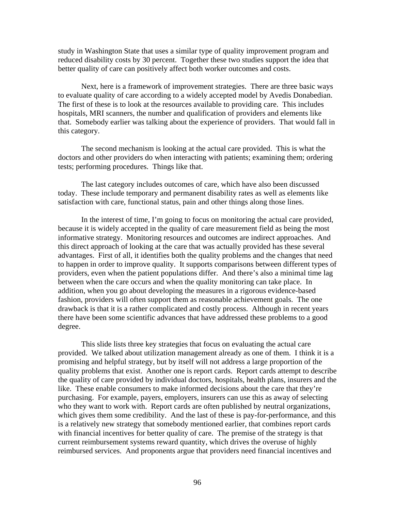study in Washington State that uses a similar type of quality improvement program and reduced disability costs by 30 percent. Together these two studies support the idea that better quality of care can positively affect both worker outcomes and costs.

Next, here is a framework of improvement strategies. There are three basic ways to evaluate quality of care according to a widely accepted model by Avedis Donabedian. The first of these is to look at the resources available to providing care. This includes hospitals, MRI scanners, the number and qualification of providers and elements like that. Somebody earlier was talking about the experience of providers. That would fall in this category.

The second mechanism is looking at the actual care provided. This is what the doctors and other providers do when interacting with patients; examining them; ordering tests; performing procedures. Things like that.

The last category includes outcomes of care, which have also been discussed today. These include temporary and permanent disability rates as well as elements like satisfaction with care, functional status, pain and other things along those lines.

In the interest of time, I'm going to focus on monitoring the actual care provided, because it is widely accepted in the quality of care measurement field as being the most informative strategy. Monitoring resources and outcomes are indirect approaches. And this direct approach of looking at the care that was actually provided has these several advantages. First of all, it identifies both the quality problems and the changes that need to happen in order to improve quality. It supports comparisons between different types of providers, even when the patient populations differ. And there's also a minimal time lag between when the care occurs and when the quality monitoring can take place. In addition, when you go about developing the measures in a rigorous evidence-based fashion, providers will often support them as reasonable achievement goals. The one drawback is that it is a rather complicated and costly process. Although in recent years there have been some scientific advances that have addressed these problems to a good degree.

This slide lists three key strategies that focus on evaluating the actual care provided. We talked about utilization management already as one of them. I think it is a promising and helpful strategy, but by itself will not address a large proportion of the quality problems that exist. Another one is report cards. Report cards attempt to describe the quality of care provided by individual doctors, hospitals, health plans, insurers and the like. These enable consumers to make informed decisions about the care that they're purchasing. For example, payers, employers, insurers can use this as away of selecting who they want to work with. Report cards are often published by neutral organizations, which gives them some credibility. And the last of these is pay-for-performance, and this is a relatively new strategy that somebody mentioned earlier, that combines report cards with financial incentives for better quality of care. The premise of the strategy is that current reimbursement systems reward quantity, which drives the overuse of highly reimbursed services. And proponents argue that providers need financial incentives and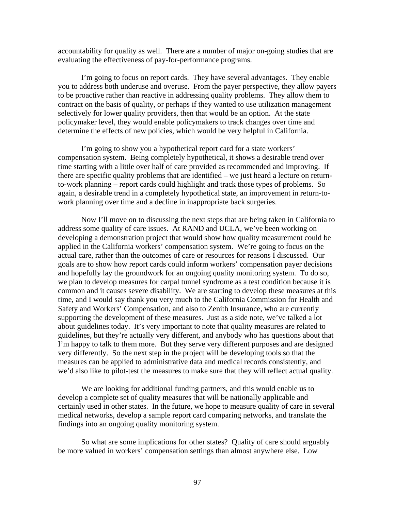accountability for quality as well. There are a number of major on-going studies that are evaluating the effectiveness of pay-for-performance programs.

I'm going to focus on report cards. They have several advantages. They enable you to address both underuse and overuse. From the payer perspective, they allow payers to be proactive rather than reactive in addressing quality problems. They allow them to contract on the basis of quality, or perhaps if they wanted to use utilization management selectively for lower quality providers, then that would be an option. At the state policymaker level, they would enable policymakers to track changes over time and determine the effects of new policies, which would be very helpful in California.

I'm going to show you a hypothetical report card for a state workers' compensation system. Being completely hypothetical, it shows a desirable trend over time starting with a little over half of care provided as recommended and improving. If there are specific quality problems that are identified – we just heard a lecture on returnto-work planning – report cards could highlight and track those types of problems. So again, a desirable trend in a completely hypothetical state, an improvement in return-towork planning over time and a decline in inappropriate back surgeries.

Now I'll move on to discussing the next steps that are being taken in California to address some quality of care issues. At RAND and UCLA, we've been working on developing a demonstration project that would show how quality measurement could be applied in the California workers' compensation system. We're going to focus on the actual care, rather than the outcomes of care or resources for reasons I discussed. Our goals are to show how report cards could inform workers' compensation payer decisions and hopefully lay the groundwork for an ongoing quality monitoring system. To do so, we plan to develop measures for carpal tunnel syndrome as a test condition because it is common and it causes severe disability. We are starting to develop these measures at this time, and I would say thank you very much to the California Commission for Health and Safety and Workers' Compensation, and also to Zenith Insurance, who are currently supporting the development of these measures. Just as a side note, we've talked a lot about guidelines today. It's very important to note that quality measures are related to guidelines, but they're actually very different, and anybody who has questions about that I'm happy to talk to them more. But they serve very different purposes and are designed very differently. So the next step in the project will be developing tools so that the measures can be applied to administrative data and medical records consistently, and we'd also like to pilot-test the measures to make sure that they will reflect actual quality.

We are looking for additional funding partners, and this would enable us to develop a complete set of quality measures that will be nationally applicable and certainly used in other states. In the future, we hope to measure quality of care in several medical networks, develop a sample report card comparing networks, and translate the findings into an ongoing quality monitoring system.

So what are some implications for other states? Quality of care should arguably be more valued in workers' compensation settings than almost anywhere else. Low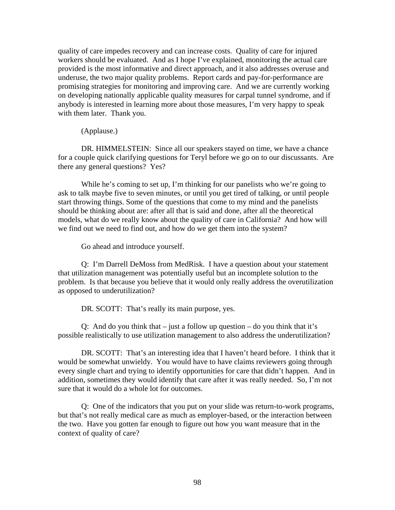quality of care impedes recovery and can increase costs. Quality of care for injured workers should be evaluated. And as I hope I've explained, monitoring the actual care provided is the most informative and direct approach, and it also addresses overuse and underuse, the two major quality problems. Report cards and pay-for-performance are promising strategies for monitoring and improving care. And we are currently working on developing nationally applicable quality measures for carpal tunnel syndrome, and if anybody is interested in learning more about those measures, I'm very happy to speak with them later. Thank you.

(Applause.)

DR. HIMMELSTEIN: Since all our speakers stayed on time, we have a chance for a couple quick clarifying questions for Teryl before we go on to our discussants. Are there any general questions? Yes?

While he's coming to set up, I'm thinking for our panelists who we're going to ask to talk maybe five to seven minutes, or until you get tired of talking, or until people start throwing things. Some of the questions that come to my mind and the panelists should be thinking about are: after all that is said and done, after all the theoretical models, what do we really know about the quality of care in California? And how will we find out we need to find out, and how do we get them into the system?

Go ahead and introduce yourself.

Q: I'm Darrell DeMoss from MedRisk. I have a question about your statement that utilization management was potentially useful but an incomplete solution to the problem. Is that because you believe that it would only really address the overutilization as opposed to underutilization?

DR. SCOTT: That's really its main purpose, yes.

Q: And do you think that  $-$  just a follow up question  $-$  do you think that it's possible realistically to use utilization management to also address the underutilization?

DR. SCOTT: That's an interesting idea that I haven't heard before. I think that it would be somewhat unwieldy. You would have to have claims reviewers going through every single chart and trying to identify opportunities for care that didn't happen. And in addition, sometimes they would identify that care after it was really needed. So, I'm not sure that it would do a whole lot for outcomes.

Q: One of the indicators that you put on your slide was return-to-work programs, but that's not really medical care as much as employer-based, or the interaction between the two. Have you gotten far enough to figure out how you want measure that in the context of quality of care?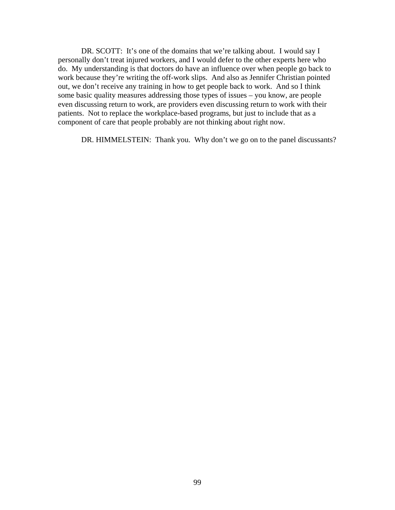DR. SCOTT: It's one of the domains that we're talking about. I would say I personally don't treat injured workers, and I would defer to the other experts here who do. My understanding is that doctors do have an influence over when people go back to work because they're writing the off-work slips. And also as Jennifer Christian pointed out, we don't receive any training in how to get people back to work. And so I think some basic quality measures addressing those types of issues – you know, are people even discussing return to work, are providers even discussing return to work with their patients. Not to replace the workplace-based programs, but just to include that as a component of care that people probably are not thinking about right now.

DR. HIMMELSTEIN: Thank you. Why don't we go on to the panel discussants?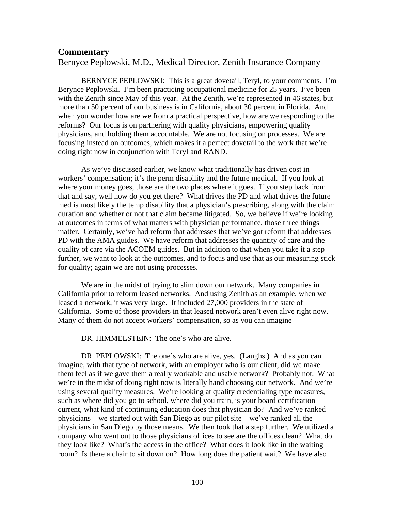#### **Commentary**

Bernyce Peplowski, M.D., Medical Director, Zenith Insurance Company

BERNYCE PEPLOWSKI: This is a great dovetail, Teryl, to your comments. I'm Berynce Peplowski. I'm been practicing occupational medicine for 25 years. I've been with the Zenith since May of this year. At the Zenith, we're represented in 46 states, but more than 50 percent of our business is in California, about 30 percent in Florida. And when you wonder how are we from a practical perspective, how are we responding to the reforms? Our focus is on partnering with quality physicians, empowering quality physicians, and holding them accountable. We are not focusing on processes. We are focusing instead on outcomes, which makes it a perfect dovetail to the work that we're doing right now in conjunction with Teryl and RAND.

As we've discussed earlier, we know what traditionally has driven cost in workers' compensation; it's the perm disability and the future medical. If you look at where your money goes, those are the two places where it goes. If you step back from that and say, well how do you get there? What drives the PD and what drives the future med is most likely the temp disability that a physician's prescribing, along with the claim duration and whether or not that claim became litigated. So, we believe if we're looking at outcomes in terms of what matters with physician performance, those three things matter. Certainly, we've had reform that addresses that we've got reform that addresses PD with the AMA guides. We have reform that addresses the quantity of care and the quality of care via the ACOEM guides. But in addition to that when you take it a step further, we want to look at the outcomes, and to focus and use that as our measuring stick for quality; again we are not using processes.

We are in the midst of trying to slim down our network. Many companies in California prior to reform leased networks. And using Zenith as an example, when we leased a network, it was very large. It included 27,000 providers in the state of California. Some of those providers in that leased network aren't even alive right now. Many of them do not accept workers' compensation, so as you can imagine –

DR. HIMMELSTEIN: The one's who are alive.

DR. PEPLOWSKI: The one's who are alive, yes. (Laughs.) And as you can imagine, with that type of network, with an employer who is our client, did we make them feel as if we gave them a really workable and usable network? Probably not. What we're in the midst of doing right now is literally hand choosing our network. And we're using several quality measures. We're looking at quality credentialing type measures, such as where did you go to school, where did you train, is your board certification current, what kind of continuing education does that physician do? And we've ranked physicians – we started out with San Diego as our pilot site – we've ranked all the physicians in San Diego by those means. We then took that a step further. We utilized a company who went out to those physicians offices to see are the offices clean? What do they look like? What's the access in the office? What does it look like in the waiting room? Is there a chair to sit down on? How long does the patient wait? We have also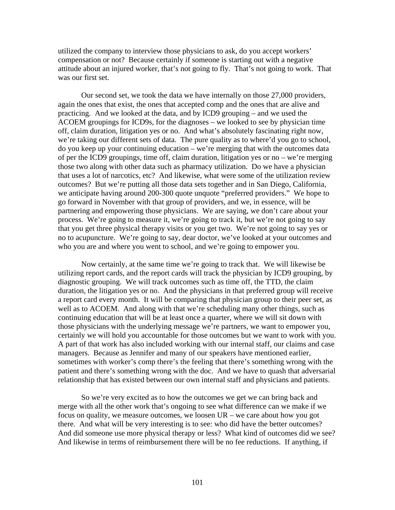utilized the company to interview those physicians to ask, do you accept workers' compensation or not? Because certainly if someone is starting out with a negative attitude about an injured worker, that's not going to fly. That's not going to work. That was our first set.

Our second set, we took the data we have internally on those 27,000 providers, again the ones that exist, the ones that accepted comp and the ones that are alive and practicing. And we looked at the data, and by ICD9 grouping – and we used the ACOEM groupings for ICD9s, for the diagnoses – we looked to see by physician time off, claim duration, litigation yes or no. And what's absolutely fascinating right now, we're taking our different sets of data. The pure quality as to where'd you go to school, do you keep up your continuing education – we're merging that with the outcomes data of per the ICD9 groupings, time off, claim duration, litigation yes or no – we're merging those two along with other data such as pharmacy utilization. Do we have a physician that uses a lot of narcotics, etc? And likewise, what were some of the utilization review outcomes? But we're putting all those data sets together and in San Diego, California, we anticipate having around 200-300 quote unquote "preferred providers." We hope to go forward in November with that group of providers, and we, in essence, will be partnering and empowering those physicians. We are saying, we don't care about your process. We're going to measure it, we're going to track it, but we're not going to say that you get three physical therapy visits or you get two. We're not going to say yes or no to acupuncture. We're going to say, dear doctor, we've looked at your outcomes and who you are and where you went to school, and we're going to empower you.

Now certainly, at the same time we're going to track that. We will likewise be utilizing report cards, and the report cards will track the physician by ICD9 grouping, by diagnostic grouping. We will track outcomes such as time off, the TTD, the claim duration, the litigation yes or no. And the physicians in that preferred group will receive a report card every month. It will be comparing that physician group to their peer set, as well as to ACOEM. And along with that we're scheduling many other things, such as continuing education that will be at least once a quarter, where we will sit down with those physicians with the underlying message we're partners, we want to empower you, certainly we will hold you accountable for those outcomes but we want to work with you. A part of that work has also included working with our internal staff, our claims and case managers. Because as Jennifer and many of our speakers have mentioned earlier, sometimes with worker's comp there's the feeling that there's something wrong with the patient and there's something wrong with the doc. And we have to quash that adversarial relationship that has existed between our own internal staff and physicians and patients.

So we're very excited as to how the outcomes we get we can bring back and merge with all the other work that's ongoing to see what difference can we make if we focus on quality, we measure outcomes, we loosen UR – we care about how you got there. And what will be very interesting is to see: who did have the better outcomes? And did someone use more physical therapy or less? What kind of outcomes did we see? And likewise in terms of reimbursement there will be no fee reductions. If anything, if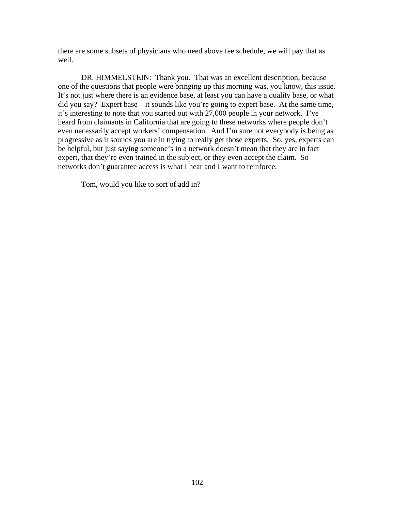there are some subsets of physicians who need above fee schedule, we will pay that as well.

DR. HIMMELSTEIN: Thank you. That was an excellent description, because one of the questions that people were bringing up this morning was, you know, this issue. It's not just where there is an evidence base, at least you can have a quality base, or what did you say? Expert base – it sounds like you're going to expert base. At the same time, it's interesting to note that you started out with 27,000 people in your network. I've heard from claimants in California that are going to these networks where people don't even necessarily accept workers' compensation. And I'm sure not everybody is being as progressive as it sounds you are in trying to really get those experts. So, yes, experts can be helpful, but just saying someone's in a network doesn't mean that they are in fact expert, that they're even trained in the subject, or they even accept the claim. So networks don't guarantee access is what I hear and I want to reinforce.

Tom, would you like to sort of add in?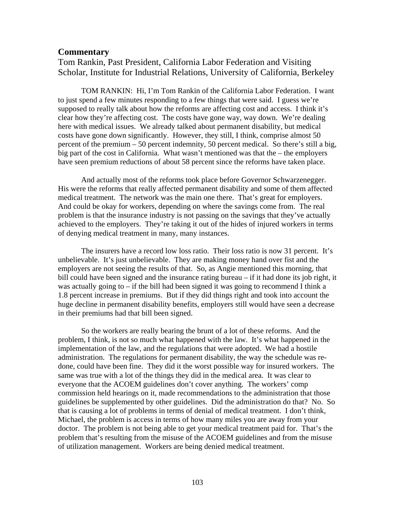#### **Commentary**

Tom Rankin, Past President, California Labor Federation and Visiting Scholar, Institute for Industrial Relations, University of California, Berkeley

TOM RANKIN: Hi, I'm Tom Rankin of the California Labor Federation. I want to just spend a few minutes responding to a few things that were said. I guess we're supposed to really talk about how the reforms are affecting cost and access. I think it's clear how they're affecting cost. The costs have gone way, way down. We're dealing here with medical issues. We already talked about permanent disability, but medical costs have gone down significantly. However, they still, I think, comprise almost 50 percent of the premium – 50 percent indemnity, 50 percent medical. So there's still a big, big part of the cost in California. What wasn't mentioned was that the – the employers have seen premium reductions of about 58 percent since the reforms have taken place.

And actually most of the reforms took place before Governor Schwarzenegger. His were the reforms that really affected permanent disability and some of them affected medical treatment. The network was the main one there. That's great for employers. And could be okay for workers, depending on where the savings come from. The real problem is that the insurance industry is not passing on the savings that they've actually achieved to the employers. They're taking it out of the hides of injured workers in terms of denying medical treatment in many, many instances.

The insurers have a record low loss ratio. Their loss ratio is now 31 percent. It's unbelievable. It's just unbelievable. They are making money hand over fist and the employers are not seeing the results of that. So, as Angie mentioned this morning, that bill could have been signed and the insurance rating bureau – if it had done its job right, it was actually going to – if the bill had been signed it was going to recommend I think a 1.8 percent increase in premiums. But if they did things right and took into account the huge decline in permanent disability benefits, employers still would have seen a decrease in their premiums had that bill been signed.

So the workers are really bearing the brunt of a lot of these reforms. And the problem, I think, is not so much what happened with the law. It's what happened in the implementation of the law, and the regulations that were adopted. We had a hostile administration. The regulations for permanent disability, the way the schedule was redone, could have been fine. They did it the worst possible way for insured workers. The same was true with a lot of the things they did in the medical area. It was clear to everyone that the ACOEM guidelines don't cover anything. The workers' comp commission held hearings on it, made recommendations to the administration that those guidelines be supplemented by other guidelines. Did the administration do that? No. So that is causing a lot of problems in terms of denial of medical treatment. I don't think, Michael, the problem is access in terms of how many miles you are away from your doctor. The problem is not being able to get your medical treatment paid for. That's the problem that's resulting from the misuse of the ACOEM guidelines and from the misuse of utilization management. Workers are being denied medical treatment.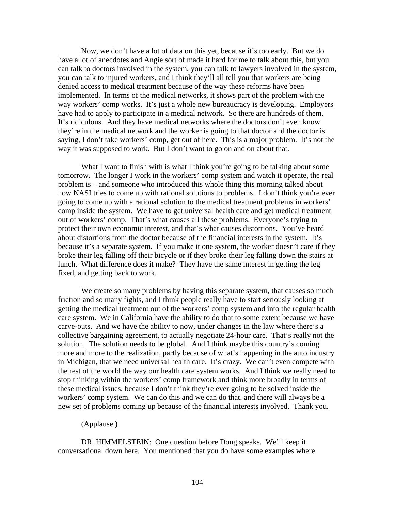Now, we don't have a lot of data on this yet, because it's too early. But we do have a lot of anecdotes and Angie sort of made it hard for me to talk about this, but you can talk to doctors involved in the system, you can talk to lawyers involved in the system, you can talk to injured workers, and I think they'll all tell you that workers are being denied access to medical treatment because of the way these reforms have been implemented. In terms of the medical networks, it shows part of the problem with the way workers' comp works. It's just a whole new bureaucracy is developing. Employers have had to apply to participate in a medical network. So there are hundreds of them. It's ridiculous. And they have medical networks where the doctors don't even know they're in the medical network and the worker is going to that doctor and the doctor is saying, I don't take workers' comp, get out of here. This is a major problem. It's not the way it was supposed to work. But I don't want to go on and on about that.

What I want to finish with is what I think you're going to be talking about some tomorrow. The longer I work in the workers' comp system and watch it operate, the real problem is – and someone who introduced this whole thing this morning talked about how NASI tries to come up with rational solutions to problems. I don't think you're ever going to come up with a rational solution to the medical treatment problems in workers' comp inside the system. We have to get universal health care and get medical treatment out of workers' comp. That's what causes all these problems. Everyone's trying to protect their own economic interest, and that's what causes distortions. You've heard about distortions from the doctor because of the financial interests in the system. It's because it's a separate system. If you make it one system, the worker doesn't care if they broke their leg falling off their bicycle or if they broke their leg falling down the stairs at lunch. What difference does it make? They have the same interest in getting the leg fixed, and getting back to work.

We create so many problems by having this separate system, that causes so much friction and so many fights, and I think people really have to start seriously looking at getting the medical treatment out of the workers' comp system and into the regular health care system. We in California have the ability to do that to some extent because we have carve-outs. And we have the ability to now, under changes in the law where there's a collective bargaining agreement, to actually negotiate 24-hour care. That's really not the solution. The solution needs to be global. And I think maybe this country's coming more and more to the realization, partly because of what's happening in the auto industry in Michigan, that we need universal health care. It's crazy. We can't even compete with the rest of the world the way our health care system works. And I think we really need to stop thinking within the workers' comp framework and think more broadly in terms of these medical issues, because I don't think they're ever going to be solved inside the workers' comp system. We can do this and we can do that, and there will always be a new set of problems coming up because of the financial interests involved. Thank you.

#### (Applause.)

DR. HIMMELSTEIN: One question before Doug speaks. We'll keep it conversational down here. You mentioned that you do have some examples where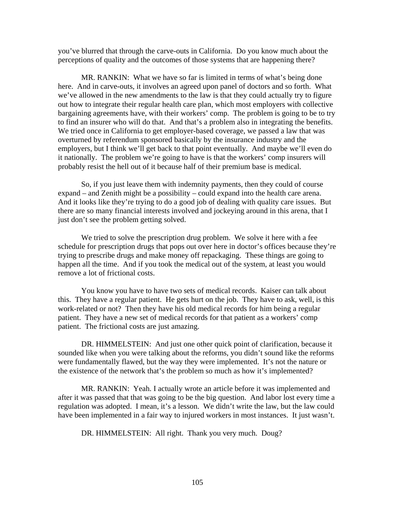you've blurred that through the carve-outs in California. Do you know much about the perceptions of quality and the outcomes of those systems that are happening there?

MR. RANKIN: What we have so far is limited in terms of what's being done here. And in carve-outs, it involves an agreed upon panel of doctors and so forth. What we've allowed in the new amendments to the law is that they could actually try to figure out how to integrate their regular health care plan, which most employers with collective bargaining agreements have, with their workers' comp. The problem is going to be to try to find an insurer who will do that. And that's a problem also in integrating the benefits. We tried once in California to get employer-based coverage, we passed a law that was overturned by referendum sponsored basically by the insurance industry and the employers, but I think we'll get back to that point eventually. And maybe we'll even do it nationally. The problem we're going to have is that the workers' comp insurers will probably resist the hell out of it because half of their premium base is medical.

So, if you just leave them with indemnity payments, then they could of course expand – and Zenith might be a possibility – could expand into the health care arena. And it looks like they're trying to do a good job of dealing with quality care issues. But there are so many financial interests involved and jockeying around in this arena, that I just don't see the problem getting solved.

We tried to solve the prescription drug problem. We solve it here with a fee schedule for prescription drugs that pops out over here in doctor's offices because they're trying to prescribe drugs and make money off repackaging. These things are going to happen all the time. And if you took the medical out of the system, at least you would remove a lot of frictional costs.

You know you have to have two sets of medical records. Kaiser can talk about this. They have a regular patient. He gets hurt on the job. They have to ask, well, is this work-related or not? Then they have his old medical records for him being a regular patient. They have a new set of medical records for that patient as a workers' comp patient. The frictional costs are just amazing.

DR. HIMMELSTEIN: And just one other quick point of clarification, because it sounded like when you were talking about the reforms, you didn't sound like the reforms were fundamentally flawed, but the way they were implemented. It's not the nature or the existence of the network that's the problem so much as how it's implemented?

MR. RANKIN: Yeah. I actually wrote an article before it was implemented and after it was passed that that was going to be the big question. And labor lost every time a regulation was adopted. I mean, it's a lesson. We didn't write the law, but the law could have been implemented in a fair way to injured workers in most instances. It just wasn't.

DR. HIMMELSTEIN: All right. Thank you very much. Doug?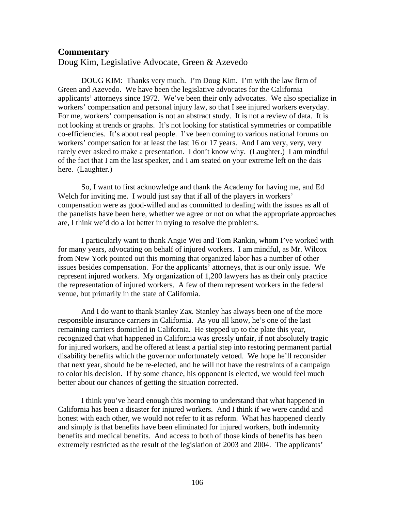# **Commentary**

Doug Kim, Legislative Advocate, Green & Azevedo

DOUG KIM: Thanks very much. I'm Doug Kim. I'm with the law firm of Green and Azevedo. We have been the legislative advocates for the California applicants' attorneys since 1972. We've been their only advocates. We also specialize in workers' compensation and personal injury law, so that I see injured workers everyday. For me, workers' compensation is not an abstract study. It is not a review of data. It is not looking at trends or graphs. It's not looking for statistical symmetries or compatible co-efficiencies. It's about real people. I've been coming to various national forums on workers' compensation for at least the last 16 or 17 years. And I am very, very, very rarely ever asked to make a presentation. I don't know why. (Laughter.) I am mindful of the fact that I am the last speaker, and I am seated on your extreme left on the dais here. (Laughter.)

So, I want to first acknowledge and thank the Academy for having me, and Ed Welch for inviting me. I would just say that if all of the players in workers' compensation were as good-willed and as committed to dealing with the issues as all of the panelists have been here, whether we agree or not on what the appropriate approaches are, I think we'd do a lot better in trying to resolve the problems.

I particularly want to thank Angie Wei and Tom Rankin, whom I've worked with for many years, advocating on behalf of injured workers. I am mindful, as Mr. Wilcox from New York pointed out this morning that organized labor has a number of other issues besides compensation. For the applicants' attorneys, that is our only issue. We represent injured workers. My organization of 1,200 lawyers has as their only practice the representation of injured workers. A few of them represent workers in the federal venue, but primarily in the state of California.

And I do want to thank Stanley Zax*.* Stanley has always been one of the more responsible insurance carriers in California. As you all know, he's one of the last remaining carriers domiciled in California. He stepped up to the plate this year, recognized that what happened in California was grossly unfair, if not absolutely tragic for injured workers, and he offered at least a partial step into restoring permanent partial disability benefits which the governor unfortunately vetoed. We hope he'll reconsider that next year, should he be re-elected, and he will not have the restraints of a campaign to color his decision. If by some chance, his opponent is elected, we would feel much better about our chances of getting the situation corrected.

I think you've heard enough this morning to understand that what happened in California has been a disaster for injured workers. And I think if we were candid and honest with each other, we would not refer to it as reform. What has happened clearly and simply is that benefits have been eliminated for injured workers, both indemnity benefits and medical benefits. And access to both of those kinds of benefits has been extremely restricted as the result of the legislation of 2003 and 2004. The applicants'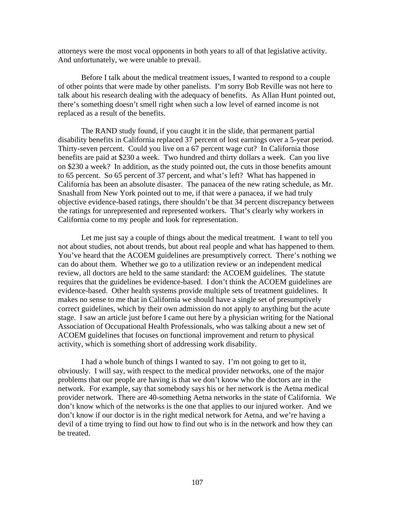attorneys were the most vocal opponents in both years to all of that legislative activity. And unfortunately, we were unable to prevail.

Before I talk about the medical treatment issues, I wanted to respond to a couple of other points that were made by other panelists. I'm sorry Bob Reville was not here to talk about his research dealing with the adequacy of benefits. As Allan Hunt pointed out, there's something doesn't smell right when such a low level of earned income is not replaced as a result of the benefits.

The RAND study found, if you caught it in the slide, that permanent partial disability benefits in California replaced 37 percent of lost earnings over a 5-year period. Thirty-seven percent. Could you live on a 67 percent wage cut? In California those benefits are paid at \$230 a week. Two hundred and thirty dollars a week. Can you live on \$230 a week? In addition, as the study pointed out, the cuts in those benefits amount to 65 percent. So 65 percent of 37 percent, and what's left? What has happened in California has been an absolute disaster. The panacea of the new rating schedule, as Mr. Snashall from New York pointed out to me, if that were a panacea, if we had truly objective evidence-based ratings, there shouldn't be that 34 percent discrepancy between the ratings for unrepresented and represented workers. That's clearly why workers in California come to my people and look for representation.

Let me just say a couple of things about the medical treatment. I want to tell you not about studies, not about trends, but about real people and what has happened to them. You've heard that the ACOEM guidelines are presumptively correct. There's nothing we can do about them. Whether we go to a utilization review or an independent medical review, all doctors are held to the same standard: the ACOEM guidelines. The statute requires that the guidelines be evidence-based. I don't think the ACOEM guidelines are evidence-based. Other health systems provide multiple sets of treatment guidelines. It makes no sense to me that in California we should have a single set of presumptively correct guidelines, which by their own admission do not apply to anything but the acute stage. I saw an article just before I came out here by a physician writing for the National Association of Occupational Health Professionals, who was talking about a new set of ACOEM guidelines that focuses on functional improvement and return to physical activity, which is something short of addressing work disability.

I had a whole bunch of things I wanted to say. I'm not going to get to it, obviously. I will say, with respect to the medical provider networks, one of the major problems that our people are having is that we don't know who the doctors are in the network. For example, say that somebody says his or her network is the Aetna medical provider network. There are 40-something Aetna networks in the state of California. We don't know which of the networks is the one that applies to our injured worker. And we don't know if our doctor is in the right medical network for Aetna, and we're having a devil of a time trying to find out how to find out who is in the network and how they can be treated.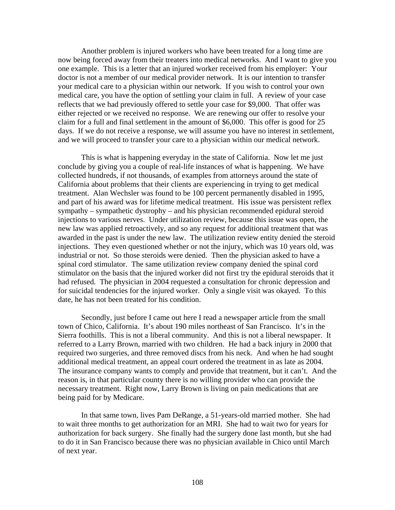Another problem is injured workers who have been treated for a long time are now being forced away from their treaters into medical networks. And I want to give you one example. This is a letter that an injured worker received from his employer: Your doctor is not a member of our medical provider network. It is our intention to transfer your medical care to a physician within our network. If you wish to control your own medical care, you have the option of settling your claim in full. A review of your case reflects that we had previously offered to settle your case for \$9,000. That offer was either rejected or we received no response. We are renewing our offer to resolve your claim for a full and final settlement in the amount of \$6,000. This offer is good for 25 days. If we do not receive a response, we will assume you have no interest in settlement, and we will proceed to transfer your care to a physician within our medical network.

This is what is happening everyday in the state of California. Now let me just conclude by giving you a couple of real-life instances of what is happening. We have collected hundreds, if not thousands, of examples from attorneys around the state of California about problems that their clients are experiencing in trying to get medical treatment. Alan Wechsler was found to be 100 percent permanently disabled in 1995, and part of his award was for lifetime medical treatment. His issue was persistent reflex sympathy – sympathetic dystrophy – and his physician recommended epidural steroid injections to various nerves. Under utilization review, because this issue was open, the new law was applied retroactively, and so any request for additional treatment that was awarded in the past is under the new law. The utilization review entity denied the steroid injections. They even questioned whether or not the injury, which was 10 years old, was industrial or not. So those steroids were denied. Then the physician asked to have a spinal cord stimulator. The same utilization review company denied the spinal cord stimulator on the basis that the injured worker did not first try the epidural steroids that it had refused. The physician in 2004 requested a consultation for chronic depression and for suicidal tendencies for the injured worker. Only a single visit was okayed. To this date, he has not been treated for his condition.

Secondly, just before I came out here I read a newspaper article from the small town of Chico, California. It's about 190 miles northeast of San Francisco. It's in the Sierra foothills. This is not a liberal community. And this is not a liberal newspaper. It referred to a Larry Brown, married with two children. He had a back injury in 2000 that required two surgeries, and three removed discs from his neck. And when he had sought additional medical treatment, an appeal court ordered the treatment in as late as 2004. The insurance company wants to comply and provide that treatment, but it can't. And the reason is, in that particular county there is no willing provider who can provide the necessary treatment. Right now, Larry Brown is living on pain medications that are being paid for by Medicare.

In that same town, lives Pam DeRange, a 51-years-old married mother. She had to wait three months to get authorization for an MRI. She had to wait two for years for authorization for back surgery. She finally had the surgery done last month, but she had to do it in San Francisco because there was no physician available in Chico until March of next year.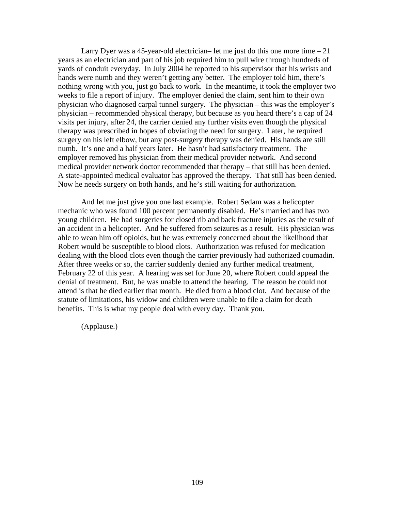Larry Dyer was a 45-year-old electrician– let me just do this one more time  $-21$ years as an electrician and part of his job required him to pull wire through hundreds of yards of conduit everyday. In July 2004 he reported to his supervisor that his wrists and hands were numb and they weren't getting any better. The employer told him, there's nothing wrong with you, just go back to work. In the meantime, it took the employer two weeks to file a report of injury. The employer denied the claim, sent him to their own physician who diagnosed carpal tunnel surgery. The physician – this was the employer's physician – recommended physical therapy, but because as you heard there's a cap of 24 visits per injury, after 24, the carrier denied any further visits even though the physical therapy was prescribed in hopes of obviating the need for surgery. Later, he required surgery on his left elbow, but any post-surgery therapy was denied. His hands are still numb. It's one and a half years later. He hasn't had satisfactory treatment. The employer removed his physician from their medical provider network. And second medical provider network doctor recommended that therapy – that still has been denied. A state-appointed medical evaluator has approved the therapy. That still has been denied. Now he needs surgery on both hands, and he's still waiting for authorization.

And let me just give you one last example. Robert Sedam was a helicopter mechanic who was found 100 percent permanently disabled. He's married and has two young children. He had surgeries for closed rib and back fracture injuries as the result of an accident in a helicopter. And he suffered from seizures as a result. His physician was able to wean him off opioids, but he was extremely concerned about the likelihood that Robert would be susceptible to blood clots. Authorization was refused for medication dealing with the blood clots even though the carrier previously had authorized coumadin. After three weeks or so, the carrier suddenly denied any further medical treatment, February 22 of this year. A hearing was set for June 20, where Robert could appeal the denial of treatment. But, he was unable to attend the hearing. The reason he could not attend is that he died earlier that month. He died from a blood clot. And because of the statute of limitations, his widow and children were unable to file a claim for death benefits. This is what my people deal with every day. Thank you.

(Applause.)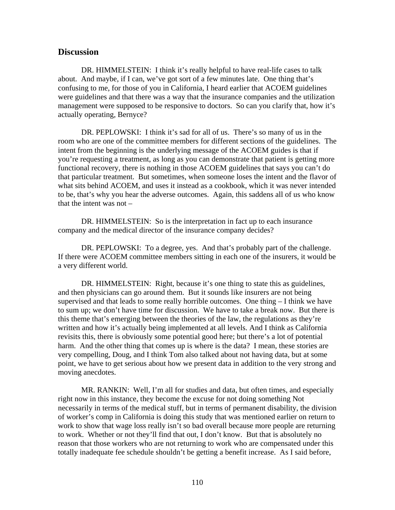### **Discussion**

DR. HIMMELSTEIN: I think it's really helpful to have real-life cases to talk about. And maybe, if I can, we've got sort of a few minutes late. One thing that's confusing to me, for those of you in California, I heard earlier that ACOEM guidelines were guidelines and that there was a way that the insurance companies and the utilization management were supposed to be responsive to doctors. So can you clarify that, how it's actually operating, Bernyce?

DR. PEPLOWSKI: I think it's sad for all of us. There's so many of us in the room who are one of the committee members for different sections of the guidelines. The intent from the beginning is the underlying message of the ACOEM guides is that if you're requesting a treatment, as long as you can demonstrate that patient is getting more functional recovery, there is nothing in those ACOEM guidelines that says you can't do that particular treatment. But sometimes, when someone loses the intent and the flavor of what sits behind ACOEM, and uses it instead as a cookbook, which it was never intended to be, that's why you hear the adverse outcomes. Again, this saddens all of us who know that the intent was not –

DR. HIMMELSTEIN: So is the interpretation in fact up to each insurance company and the medical director of the insurance company decides?

DR. PEPLOWSKI: To a degree, yes. And that's probably part of the challenge. If there were ACOEM committee members sitting in each one of the insurers, it would be a very different world.

DR. HIMMELSTEIN: Right, because it's one thing to state this as guidelines, and then physicians can go around them. But it sounds like insurers are not being supervised and that leads to some really horrible outcomes. One thing – I think we have to sum up; we don't have time for discussion. We have to take a break now. But there is this theme that's emerging between the theories of the law, the regulations as they're written and how it's actually being implemented at all levels. And I think as California revisits this, there is obviously some potential good here; but there's a lot of potential harm. And the other thing that comes up is where is the data? I mean, these stories are very compelling, Doug, and I think Tom also talked about not having data, but at some point, we have to get serious about how we present data in addition to the very strong and moving anecdotes.

MR. RANKIN: Well, I'm all for studies and data, but often times, and especially right now in this instance, they become the excuse for not doing something Not necessarily in terms of the medical stuff, but in terms of permanent disability, the division of worker's comp in California is doing this study that was mentioned earlier on return to work to show that wage loss really isn't so bad overall because more people are returning to work. Whether or not they'll find that out, I don't know. But that is absolutely no reason that those workers who are not returning to work who are compensated under this totally inadequate fee schedule shouldn't be getting a benefit increase. As I said before,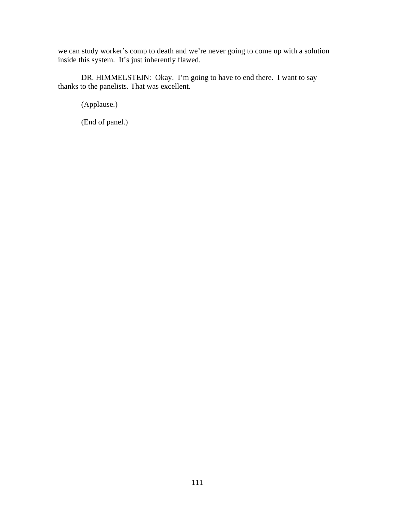we can study worker's comp to death and we're never going to come up with a solution inside this system. It's just inherently flawed.

DR. HIMMELSTEIN: Okay. I'm going to have to end there. I want to say thanks to the panelists. That was excellent.

(Applause.)

(End of panel.)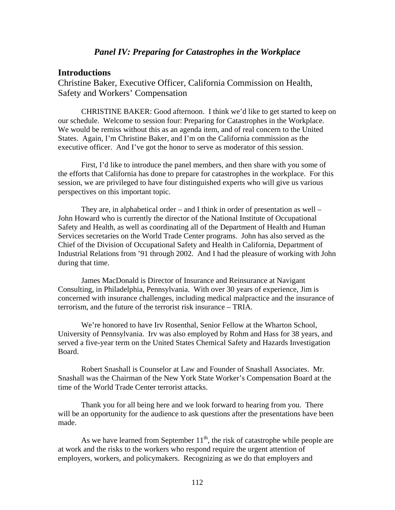#### *Panel IV: Preparing for Catastrophes in the Workplace*

### **Introductions**

Christine Baker, Executive Officer, California Commission on Health, Safety and Workers' Compensation

CHRISTINE BAKER: Good afternoon. I think we'd like to get started to keep on our schedule. Welcome to session four: Preparing for Catastrophes in the Workplace. We would be remiss without this as an agenda item, and of real concern to the United States. Again, I'm Christine Baker, and I'm on the California commission as the executive officer. And I've got the honor to serve as moderator of this session.

First, I'd like to introduce the panel members, and then share with you some of the efforts that California has done to prepare for catastrophes in the workplace. For this session, we are privileged to have four distinguished experts who will give us various perspectives on this important topic.

They are, in alphabetical order – and I think in order of presentation as well – John Howard who is currently the director of the National Institute of Occupational Safety and Health, as well as coordinating all of the Department of Health and Human Services secretaries on the World Trade Center programs. John has also served as the Chief of the Division of Occupational Safety and Health in California, Department of Industrial Relations from '91 through 2002. And I had the pleasure of working with John during that time.

James MacDonald is Director of Insurance and Reinsurance at Navigant Consulting, in Philadelphia, Pennsylvania. With over 30 years of experience, Jim is concerned with insurance challenges, including medical malpractice and the insurance of terrorism, and the future of the terrorist risk insurance – TRIA.

We're honored to have Irv Rosenthal, Senior Fellow at the Wharton School, University of Pennsylvania. Irv was also employed by Rohm and Hass for 38 years, and served a five-year term on the United States Chemical Safety and Hazards Investigation Board.

Robert Snashall is Counselor at Law and Founder of Snashall Associates. Mr. Snashall was the Chairman of the New York State Worker's Compensation Board at the time of the World Trade Center terrorist attacks.

Thank you for all being here and we look forward to hearing from you. There will be an opportunity for the audience to ask questions after the presentations have been made.

As we have learned from September  $11<sup>th</sup>$ , the risk of catastrophe while people are at work and the risks to the workers who respond require the urgent attention of employers, workers, and policymakers. Recognizing as we do that employers and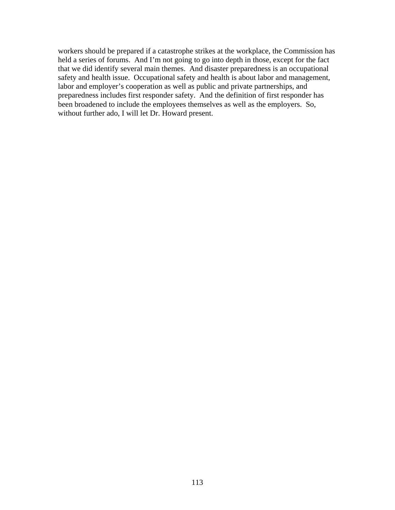workers should be prepared if a catastrophe strikes at the workplace, the Commission has held a series of forums. And I'm not going to go into depth in those, except for the fact that we did identify several main themes. And disaster preparedness is an occupational safety and health issue. Occupational safety and health is about labor and management, labor and employer's cooperation as well as public and private partnerships, and preparedness includes first responder safety. And the definition of first responder has been broadened to include the employees themselves as well as the employers. So, without further ado, I will let Dr. Howard present.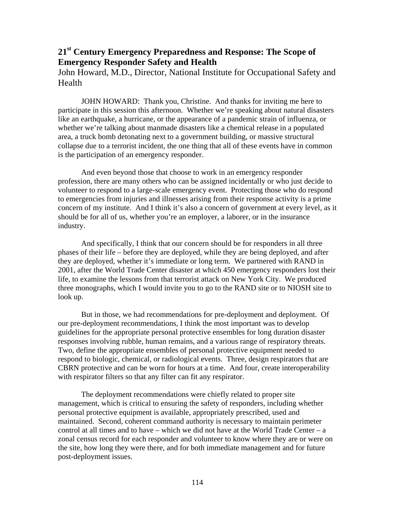## **21st Century Emergency Preparedness and Response: The Scope of Emergency Responder Safety and Health**

John Howard, M.D., Director, National Institute for Occupational Safety and Health

JOHN HOWARD: Thank you, Christine. And thanks for inviting me here to participate in this session this afternoon. Whether we're speaking about natural disasters like an earthquake, a hurricane, or the appearance of a pandemic strain of influenza, or whether we're talking about manmade disasters like a chemical release in a populated area, a truck bomb detonating next to a government building, or massive structural collapse due to a terrorist incident, the one thing that all of these events have in common is the participation of an emergency responder.

And even beyond those that choose to work in an emergency responder profession, there are many others who can be assigned incidentally or who just decide to volunteer to respond to a large-scale emergency event. Protecting those who do respond to emergencies from injuries and illnesses arising from their response activity is a prime concern of my institute. And I think it's also a concern of government at every level, as it should be for all of us, whether you're an employer, a laborer, or in the insurance industry.

And specifically, I think that our concern should be for responders in all three phases of their life – before they are deployed, while they are being deployed, and after they are deployed, whether it's immediate or long term. We partnered with RAND in 2001, after the World Trade Center disaster at which 450 emergency responders lost their life, to examine the lessons from that terrorist attack on New York City. We produced three monographs, which I would invite you to go to the RAND site or to NIOSH site to look up.

But in those, we had recommendations for pre-deployment and deployment. Of our pre-deployment recommendations, I think the most important was to develop guidelines for the appropriate personal protective ensembles for long duration disaster responses involving rubble, human remains, and a various range of respiratory threats. Two, define the appropriate ensembles of personal protective equipment needed to respond to biologic, chemical, or radiological events. Three, design respirators that are CBRN protective and can be worn for hours at a time. And four, create interoperability with respirator filters so that any filter can fit any respirator.

The deployment recommendations were chiefly related to proper site management, which is critical to ensuring the safety of responders, including whether personal protective equipment is available, appropriately prescribed, used and maintained. Second, coherent command authority is necessary to maintain perimeter control at all times and to have – which we did not have at the World Trade Center – a zonal census record for each responder and volunteer to know where they are or were on the site, how long they were there, and for both immediate management and for future post-deployment issues.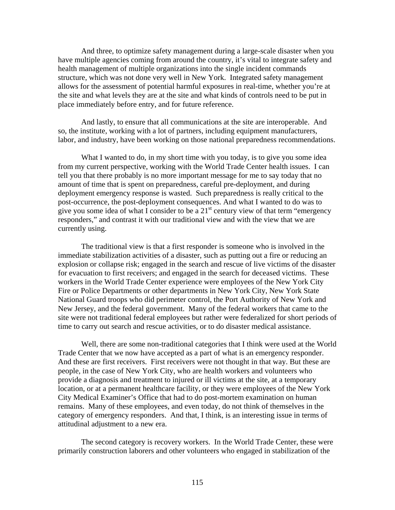And three, to optimize safety management during a large-scale disaster when you have multiple agencies coming from around the country, it's vital to integrate safety and health management of multiple organizations into the single incident commands structure, which was not done very well in New York. Integrated safety management allows for the assessment of potential harmful exposures in real-time, whether you're at the site and what levels they are at the site and what kinds of controls need to be put in place immediately before entry, and for future reference.

And lastly, to ensure that all communications at the site are interoperable. And so, the institute, working with a lot of partners, including equipment manufacturers, labor, and industry, have been working on those national preparedness recommendations.

What I wanted to do, in my short time with you today, is to give you some idea from my current perspective, working with the World Trade Center health issues. I can tell you that there probably is no more important message for me to say today that no amount of time that is spent on preparedness, careful pre-deployment, and during deployment emergency response is wasted. Such preparedness is really critical to the post-occurrence, the post-deployment consequences. And what I wanted to do was to give you some idea of what I consider to be a  $21<sup>st</sup>$  century view of that term "emergency" responders," and contrast it with our traditional view and with the view that we are currently using.

The traditional view is that a first responder is someone who is involved in the immediate stabilization activities of a disaster, such as putting out a fire or reducing an explosion or collapse risk; engaged in the search and rescue of live victims of the disaster for evacuation to first receivers; and engaged in the search for deceased victims. These workers in the World Trade Center experience were employees of the New York City Fire or Police Departments or other departments in New York City, New York State National Guard troops who did perimeter control, the Port Authority of New York and New Jersey, and the federal government. Many of the federal workers that came to the site were not traditional federal employees but rather were federalized for short periods of time to carry out search and rescue activities, or to do disaster medical assistance.

Well, there are some non-traditional categories that I think were used at the World Trade Center that we now have accepted as a part of what is an emergency responder. And these are first receivers. First receivers were not thought in that way. But these are people, in the case of New York City, who are health workers and volunteers who provide a diagnosis and treatment to injured or ill victims at the site, at a temporary location, or at a permanent healthcare facility, or they were employees of the New York City Medical Examiner's Office that had to do post-mortem examination on human remains. Many of these employees, and even today, do not think of themselves in the category of emergency responders. And that, I think, is an interesting issue in terms of attitudinal adjustment to a new era.

The second category is recovery workers. In the World Trade Center, these were primarily construction laborers and other volunteers who engaged in stabilization of the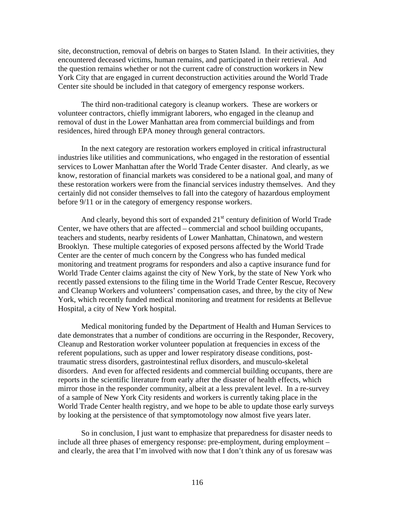site, deconstruction, removal of debris on barges to Staten Island. In their activities, they encountered deceased victims, human remains, and participated in their retrieval. And the question remains whether or not the current cadre of construction workers in New York City that are engaged in current deconstruction activities around the World Trade Center site should be included in that category of emergency response workers.

The third non-traditional category is cleanup workers. These are workers or volunteer contractors, chiefly immigrant laborers, who engaged in the cleanup and removal of dust in the Lower Manhattan area from commercial buildings and from residences, hired through EPA money through general contractors.

In the next category are restoration workers employed in critical infrastructural industries like utilities and communications, who engaged in the restoration of essential services to Lower Manhattan after the World Trade Center disaster. And clearly, as we know, restoration of financial markets was considered to be a national goal, and many of these restoration workers were from the financial services industry themselves. And they certainly did not consider themselves to fall into the category of hazardous employment before 9/11 or in the category of emergency response workers.

And clearly, beyond this sort of expanded  $21<sup>st</sup>$  century definition of World Trade Center, we have others that are affected – commercial and school building occupants, teachers and students, nearby residents of Lower Manhattan, Chinatown, and western Brooklyn. These multiple categories of exposed persons affected by the World Trade Center are the center of much concern by the Congress who has funded medical monitoring and treatment programs for responders and also a captive insurance fund for World Trade Center claims against the city of New York, by the state of New York who recently passed extensions to the filing time in the World Trade Center Rescue, Recovery and Cleanup Workers and volunteers' compensation cases, and three, by the city of New York, which recently funded medical monitoring and treatment for residents at Bellevue Hospital, a city of New York hospital.

Medical monitoring funded by the Department of Health and Human Services to date demonstrates that a number of conditions are occurring in the Responder, Recovery, Cleanup and Restoration worker volunteer population at frequencies in excess of the referent populations, such as upper and lower respiratory disease conditions, posttraumatic stress disorders, gastrointestinal reflux disorders, and musculo-skeletal disorders. And even for affected residents and commercial building occupants, there are reports in the scientific literature from early after the disaster of health effects, which mirror those in the responder community, albeit at a less prevalent level. In a re-survey of a sample of New York City residents and workers is currently taking place in the World Trade Center health registry, and we hope to be able to update those early surveys by looking at the persistence of that symptomotology now almost five years later.

So in conclusion, I just want to emphasize that preparedness for disaster needs to include all three phases of emergency response: pre-employment, during employment – and clearly, the area that I'm involved with now that I don't think any of us foresaw was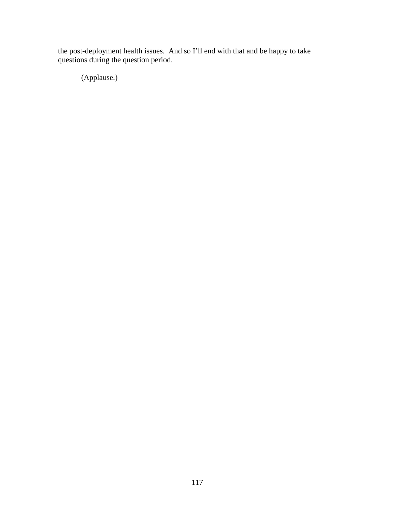the post-deployment health issues. And so I'll end with that and be happy to take questions during the question period.

(Applause.)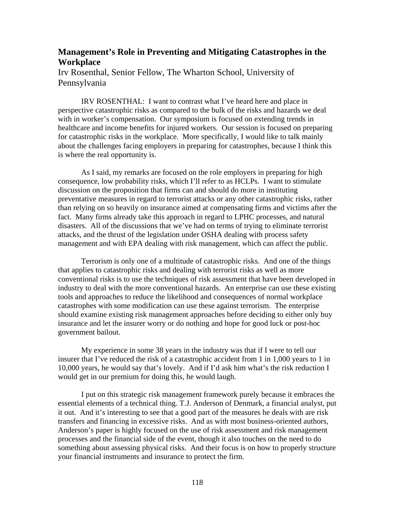## **Management's Role in Preventing and Mitigating Catastrophes in the Workplace**

Irv Rosenthal, Senior Fellow, The Wharton School, University of Pennsylvania

IRV ROSENTHAL: I want to contrast what I've heard here and place in perspective catastrophic risks as compared to the bulk of the risks and hazards we deal with in worker's compensation. Our symposium is focused on extending trends in healthcare and income benefits for injured workers. Our session is focused on preparing for catastrophic risks in the workplace. More specifically, I would like to talk mainly about the challenges facing employers in preparing for catastrophes, because I think this is where the real opportunity is.

As I said, my remarks are focused on the role employers in preparing for high consequence, low probability risks, which I'll refer to as HCLPs. I want to stimulate discussion on the proposition that firms can and should do more in instituting preventative measures in regard to terrorist attacks or any other catastrophic risks, rather than relying on so heavily on insurance aimed at compensating firms and victims after the fact. Many firms already take this approach in regard to LPHC processes, and natural disasters. All of the discussions that we've had on terms of trying to eliminate terrorist attacks, and the thrust of the legislation under OSHA dealing with process safety management and with EPA dealing with risk management, which can affect the public.

Terrorism is only one of a multitude of catastrophic risks. And one of the things that applies to catastrophic risks and dealing with terrorist risks as well as more conventional risks is to use the techniques of risk assessment that have been developed in industry to deal with the more conventional hazards. An enterprise can use these existing tools and approaches to reduce the likelihood and consequences of normal workplace catastrophes with some modification can use these against terrorism. The enterprise should examine existing risk management approaches before deciding to either only buy insurance and let the insurer worry or do nothing and hope for good luck or post-hoc government bailout.

My experience in some 38 years in the industry was that if I were to tell our insurer that I've reduced the risk of a catastrophic accident from 1 in 1,000 years to 1 in 10,000 years, he would say that's lovely. And if I'd ask him what's the risk reduction I would get in our premium for doing this, he would laugh.

I put on this strategic risk management framework purely because it embraces the essential elements of a technical thing. T.J. Anderson of Denmark, a financial analyst, put it out. And it's interesting to see that a good part of the measures he deals with are risk transfers and financing in excessive risks. And as with most business-oriented authors, Anderson's paper is highly focused on the use of risk assessment and risk management processes and the financial side of the event, though it also touches on the need to do something about assessing physical risks. And their focus is on how to properly structure your financial instruments and insurance to protect the firm.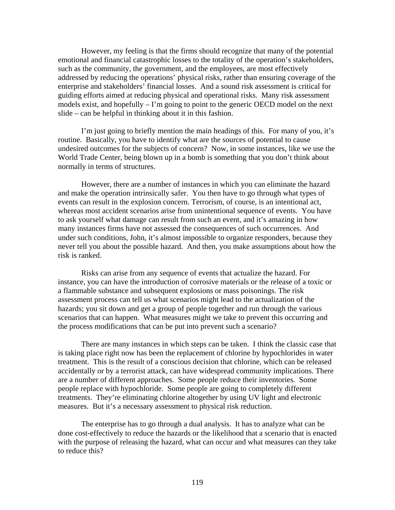However, my feeling is that the firms should recognize that many of the potential emotional and financial catastrophic losses to the totality of the operation's stakeholders, such as the community, the government, and the employees, are most effectively addressed by reducing the operations' physical risks, rather than ensuring coverage of the enterprise and stakeholders' financial losses. And a sound risk assessment is critical for guiding efforts aimed at reducing physical and operational risks. Many risk assessment models exist, and hopefully – I'm going to point to the generic OECD model on the next slide – can be helpful in thinking about it in this fashion.

I'm just going to briefly mention the main headings of this. For many of you, it's routine. Basically, you have to identify what are the sources of potential to cause undesired outcomes for the subjects of concern? Now, in some instances, like we use the World Trade Center, being blown up in a bomb is something that you don't think about normally in terms of structures.

However, there are a number of instances in which you can eliminate the hazard and make the operation intrinsically safer. You then have to go through what types of events can result in the explosion concern. Terrorism, of course, is an intentional act, whereas most accident scenarios arise from unintentional sequence of events. You have to ask yourself what damage can result from such an event, and it's amazing in how many instances firms have not assessed the consequences of such occurrences. And under such conditions, John, it's almost impossible to organize responders, because they never tell you about the possible hazard. And then, you make assumptions about how the risk is ranked.

Risks can arise from any sequence of events that actualize the hazard. For instance, you can have the introduction of corrosive materials or the release of a toxic or a flammable substance and subsequent explosions or mass poisonings. The risk assessment process can tell us what scenarios might lead to the actualization of the hazards; you sit down and get a group of people together and run through the various scenarios that can happen. What measures might we take to prevent this occurring and the process modifications that can be put into prevent such a scenario?

There are many instances in which steps can be taken. I think the classic case that is taking place right now has been the replacement of chlorine by hypochlorides in water treatment. This is the result of a conscious decision that chlorine, which can be released accidentally or by a terrorist attack, can have widespread community implications. There are a number of different approaches. Some people reduce their inventories. Some people replace with hypochloride. Some people are going to completely different treatments. They're eliminating chlorine altogether by using UV light and electronic measures. But it's a necessary assessment to physical risk reduction.

The enterprise has to go through a dual analysis. It has to analyze what can be done cost-effectively to reduce the hazards or the likelihood that a scenario that is enacted with the purpose of releasing the hazard, what can occur and what measures can they take to reduce this?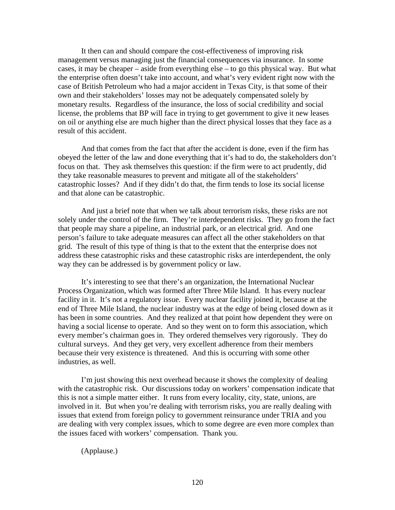It then can and should compare the cost-effectiveness of improving risk management versus managing just the financial consequences via insurance. In some cases, it may be cheaper – aside from everything else – to go this physical way. But what the enterprise often doesn't take into account, and what's very evident right now with the case of British Petroleum who had a major accident in Texas City, is that some of their own and their stakeholders' losses may not be adequately compensated solely by monetary results. Regardless of the insurance, the loss of social credibility and social license, the problems that BP will face in trying to get government to give it new leases on oil or anything else are much higher than the direct physical losses that they face as a result of this accident.

And that comes from the fact that after the accident is done, even if the firm has obeyed the letter of the law and done everything that it's had to do, the stakeholders don't focus on that. They ask themselves this question: if the firm were to act prudently, did they take reasonable measures to prevent and mitigate all of the stakeholders' catastrophic losses? And if they didn't do that, the firm tends to lose its social license and that alone can be catastrophic.

And just a brief note that when we talk about terrorism risks, these risks are not solely under the control of the firm. They're interdependent risks. They go from the fact that people may share a pipeline, an industrial park, or an electrical grid. And one person's failure to take adequate measures can affect all the other stakeholders on that grid. The result of this type of thing is that to the extent that the enterprise does not address these catastrophic risks and these catastrophic risks are interdependent, the only way they can be addressed is by government policy or law.

It's interesting to see that there's an organization, the International Nuclear Process Organization, which was formed after Three Mile Island. It has every nuclear facility in it. It's not a regulatory issue. Every nuclear facility joined it, because at the end of Three Mile Island, the nuclear industry was at the edge of being closed down as it has been in some countries. And they realized at that point how dependent they were on having a social license to operate. And so they went on to form this association, which every member's chairman goes in. They ordered themselves very rigorously. They do cultural surveys. And they get very, very excellent adherence from their members because their very existence is threatened. And this is occurring with some other industries, as well.

I'm just showing this next overhead because it shows the complexity of dealing with the catastrophic risk. Our discussions today on workers' compensation indicate that this is not a simple matter either. It runs from every locality, city, state, unions, are involved in it. But when you're dealing with terrorism risks, you are really dealing with issues that extend from foreign policy to government reinsurance under TRIA and you are dealing with very complex issues, which to some degree are even more complex than the issues faced with workers' compensation. Thank you.

(Applause.)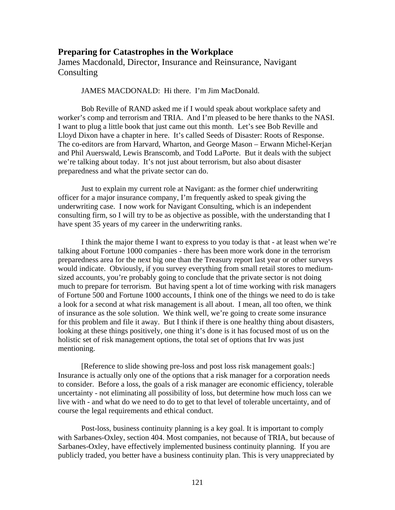### **Preparing for Catastrophes in the Workplace**

James Macdonald, Director, Insurance and Reinsurance, Navigant **Consulting** 

#### JAMES MACDONALD: Hi there. I'm Jim MacDonald.

Bob Reville of RAND asked me if I would speak about workplace safety and worker's comp and terrorism and TRIA. And I'm pleased to be here thanks to the NASI. I want to plug a little book that just came out this month. Let's see Bob Reville and Lloyd Dixon have a chapter in here. It's called Seeds of Disaster: Roots of Response. The co-editors are from Harvard, Wharton, and George Mason – Erwann Michel-Kerjan and Phil Auerswald, Lewis Branscomb, and Todd LaPorte. But it deals with the subject we're talking about today. It's not just about terrorism, but also about disaster preparedness and what the private sector can do.

Just to explain my current role at Navigant: as the former chief underwriting officer for a major insurance company, I'm frequently asked to speak giving the underwriting case. I now work for Navigant Consulting, which is an independent consulting firm, so I will try to be as objective as possible, with the understanding that I have spent 35 years of my career in the underwriting ranks.

I think the major theme I want to express to you today is that - at least when we're talking about Fortune 1000 companies - there has been more work done in the terrorism preparedness area for the next big one than the Treasury report last year or other surveys would indicate. Obviously, if you survey everything from small retail stores to mediumsized accounts, you're probably going to conclude that the private sector is not doing much to prepare for terrorism. But having spent a lot of time working with risk managers of Fortune 500 and Fortune 1000 accounts, I think one of the things we need to do is take a look for a second at what risk management is all about. I mean, all too often, we think of insurance as the sole solution. We think well, we're going to create some insurance for this problem and file it away. But I think if there is one healthy thing about disasters, looking at these things positively, one thing it's done is it has focused most of us on the holistic set of risk management options, the total set of options that Irv was just mentioning.

[Reference to slide showing pre-loss and post loss risk management goals:] Insurance is actually only one of the options that a risk manager for a corporation needs to consider. Before a loss, the goals of a risk manager are economic efficiency, tolerable uncertainty - not eliminating all possibility of loss, but determine how much loss can we live with - and what do we need to do to get to that level of tolerable uncertainty, and of course the legal requirements and ethical conduct.

Post-loss, business continuity planning is a key goal. It is important to comply with Sarbanes-Oxley, section 404. Most companies, not because of TRIA, but because of Sarbanes-Oxley, have effectively implemented business continuity planning. If you are publicly traded, you better have a business continuity plan. This is very unappreciated by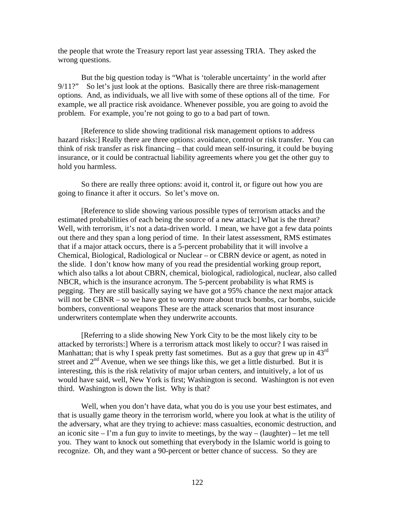the people that wrote the Treasury report last year assessing TRIA. They asked the wrong questions.

But the big question today is "What is 'tolerable uncertainty' in the world after 9/11?" So let's just look at the options. Basically there are three risk-management options. And, as individuals, we all live with some of these options all of the time. For example, we all practice risk avoidance. Whenever possible, you are going to avoid the problem. For example, you're not going to go to a bad part of town.

[Reference to slide showing traditional risk management options to address hazard risks:] Really there are three options: avoidance, control or risk transfer. You can think of risk transfer as risk financing – that could mean self-insuring, it could be buying insurance, or it could be contractual liability agreements where you get the other guy to hold you harmless.

So there are really three options: avoid it, control it, or figure out how you are going to finance it after it occurs. So let's move on.

[Reference to slide showing various possible types of terrorism attacks and the estimated probabilities of each being the source of a new attack:] What is the threat? Well, with terrorism, it's not a data-driven world. I mean, we have got a few data points out there and they span a long period of time. In their latest assessment, RMS estimates that if a major attack occurs, there is a 5-percent probability that it will involve a Chemical, Biological, Radiological or Nuclear – or CBRN device or agent, as noted in the slide. I don't know how many of you read the presidential working group report, which also talks a lot about CBRN, chemical, biological, radiological, nuclear, also called NBCR, which is the insurance acronym. The 5-percent probability is what RMS is pegging. They are still basically saying we have got a 95% chance the next major attack will not be CBNR – so we have got to worry more about truck bombs, car bombs, suicide bombers, conventional weapons These are the attack scenarios that most insurance underwriters contemplate when they underwrite accounts.

[Referring to a slide showing New York City to be the most likely city to be attacked by terrorists:] Where is a terrorism attack most likely to occur? I was raised in Manhattan; that is why I speak pretty fast sometimes. But as a guy that grew up in  $43^{\text{rd}}$ street and  $2<sup>nd</sup>$  Avenue, when we see things like this, we get a little disturbed. But it is interesting, this is the risk relativity of major urban centers, and intuitively, a lot of us would have said, well, New York is first; Washington is second. Washington is not even third. Washington is down the list. Why is that?

Well, when you don't have data, what you do is you use your best estimates, and that is usually game theory in the terrorism world, where you look at what is the utility of the adversary, what are they trying to achieve: mass casualties, economic destruction, and an iconic site – I'm a fun guy to invite to meetings, by the way – (laughter) – let me tell you. They want to knock out something that everybody in the Islamic world is going to recognize. Oh, and they want a 90-percent or better chance of success. So they are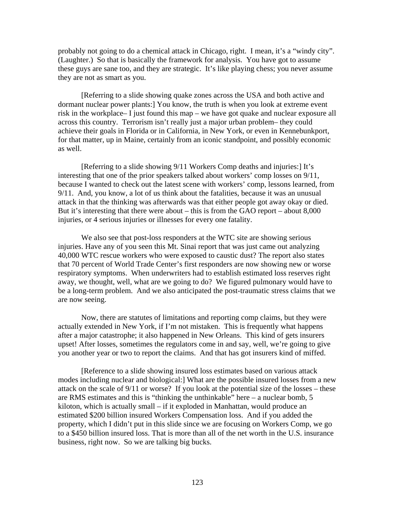probably not going to do a chemical attack in Chicago, right. I mean, it's a "windy city". (Laughter.) So that is basically the framework for analysis. You have got to assume these guys are sane too, and they are strategic. It's like playing chess; you never assume they are not as smart as you.

[Referring to a slide showing quake zones across the USA and both active and dormant nuclear power plants:] You know, the truth is when you look at extreme event risk in the workplace– I just found this map – we have got quake and nuclear exposure all across this country. Terrorism isn't really just a major urban problem– they could achieve their goals in Florida or in California, in New York, or even in Kennebunkport, for that matter, up in Maine, certainly from an iconic standpoint, and possibly economic as well.

[Referring to a slide showing 9/11 Workers Comp deaths and injuries:] It's interesting that one of the prior speakers talked about workers' comp losses on 9/11, because I wanted to check out the latest scene with workers' comp, lessons learned, from 9/11. And, you know, a lot of us think about the fatalities, because it was an unusual attack in that the thinking was afterwards was that either people got away okay or died. But it's interesting that there were about – this is from the GAO report – about 8,000 injuries, or 4 serious injuries or illnesses for every one fatality.

We also see that post-loss responders at the WTC site are showing serious injuries. Have any of you seen this Mt. Sinai report that was just came out analyzing 40,000 WTC rescue workers who were exposed to caustic dust? The report also states that 70 percent of World Trade Center's first responders are now showing new or worse respiratory symptoms. When underwriters had to establish estimated loss reserves right away, we thought, well, what are we going to do? We figured pulmonary would have to be a long-term problem. And we also anticipated the post-traumatic stress claims that we are now seeing.

Now, there are statutes of limitations and reporting comp claims, but they were actually extended in New York, if I'm not mistaken. This is frequently what happens after a major catastrophe; it also happened in New Orleans. This kind of gets insurers upset! After losses, sometimes the regulators come in and say, well, we're going to give you another year or two to report the claims. And that has got insurers kind of miffed.

[Reference to a slide showing insured loss estimates based on various attack modes including nuclear and biological:] What are the possible insured losses from a new attack on the scale of 9/11 or worse? If you look at the potential size of the losses – these are RMS estimates and this is "thinking the unthinkable" here – a nuclear bomb, 5 kiloton, which is actually small – if it exploded in Manhattan, would produce an estimated \$200 billion insured Workers Compensation loss. And if you added the property, which I didn't put in this slide since we are focusing on Workers Comp, we go to a \$450 billion insured loss. That is more than all of the net worth in the U.S. insurance business, right now. So we are talking big bucks.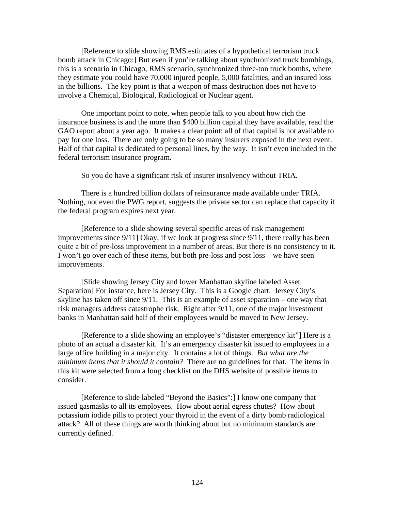[Reference to slide showing RMS estimates of a hypothetical terrorism truck bomb attack in Chicago:] But even if you're talking about synchronized truck bombings, this is a scenario in Chicago, RMS scenario, synchronized three-ton truck bombs, where they estimate you could have 70,000 injured people, 5,000 fatalities, and an insured loss in the billions. The key point is that a weapon of mass destruction does not have to involve a Chemical, Biological, Radiological or Nuclear agent.

One important point to note, when people talk to you about how rich the insurance business is and the more than \$400 billion capital they have available, read the GAO report about a year ago. It makes a clear point: all of that capital is not available to pay for one loss. There are only going to be so many insurers exposed in the next event. Half of that capital is dedicated to personal lines, by the way. It isn't even included in the federal terrorism insurance program.

So you do have a significant risk of insurer insolvency without TRIA.

There is a hundred billion dollars of reinsurance made available under TRIA. Nothing, not even the PWG report, suggests the private sector can replace that capacity if the federal program expires next year.

[Reference to a slide showing several specific areas of risk management improvements since 9/11] Okay, if we look at progress since 9/11, there really has been quite a bit of pre-loss improvement in a number of areas. But there is no consistency to it. I won't go over each of these items, but both pre-loss and post loss – we have seen improvements.

[Slide showing Jersey City and lower Manhattan skyline labeled Asset Separation] For instance, here is Jersey City. This is a Google chart. Jersey City's skyline has taken off since 9/11. This is an example of asset separation – one way that risk managers address catastrophe risk. Right after 9/11, one of the major investment banks in Manhattan said half of their employees would be moved to New Jersey.

[Reference to a slide showing an employee's "disaster emergency kit"] Here is a photo of an actual a disaster kit. It's an emergency disaster kit issued to employees in a large office building in a major city. It contains a lot of things. *But what are the minimum items that it should it contain?* There are no guidelines for that. The items in this kit were selected from a long checklist on the DHS website of possible items to consider.

[Reference to slide labeled "Beyond the Basics":] I know one company that issued gasmasks to all its employees. How about aerial egress chutes? How about potassium iodide pills to protect your thyroid in the event of a dirty bomb radiological attack? All of these things are worth thinking about but no minimum standards are currently defined.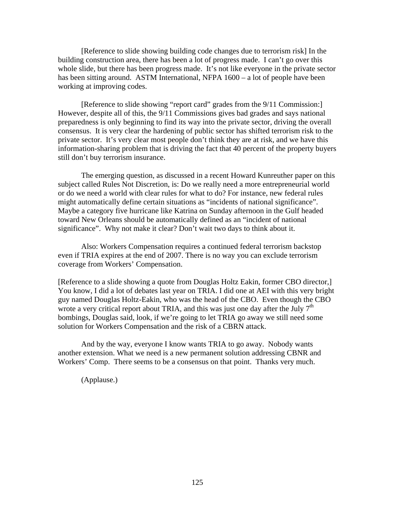[Reference to slide showing building code changes due to terrorism risk] In the building construction area, there has been a lot of progress made. I can't go over this whole slide, but there has been progress made. It's not like everyone in the private sector has been sitting around. ASTM International, NFPA 1600 – a lot of people have been working at improving codes.

[Reference to slide showing "report card" grades from the 9/11 Commission:] However, despite all of this, the 9/11 Commissions gives bad grades and says national preparedness is only beginning to find its way into the private sector, driving the overall consensus. It is very clear the hardening of public sector has shifted terrorism risk to the private sector. It's very clear most people don't think they are at risk, and we have this information-sharing problem that is driving the fact that 40 percent of the property buyers still don't buy terrorism insurance.

The emerging question, as discussed in a recent Howard Kunreuther paper on this subject called Rules Not Discretion, is: Do we really need a more entrepreneurial world or do we need a world with clear rules for what to do? For instance, new federal rules might automatically define certain situations as "incidents of national significance". Maybe a category five hurricane like Katrina on Sunday afternoon in the Gulf headed toward New Orleans should be automatically defined as an "incident of national significance". Why not make it clear? Don't wait two days to think about it.

Also: Workers Compensation requires a continued federal terrorism backstop even if TRIA expires at the end of 2007. There is no way you can exclude terrorism coverage from Workers' Compensation.

[Reference to a slide showing a quote from Douglas Holtz Eakin, former CBO director,] You know, I did a lot of debates last year on TRIA. I did one at AEI with this very bright guy named Douglas Holtz-Eakin, who was the head of the CBO. Even though the CBO wrote a very critical report about TRIA, and this was just one day after the July  $7<sup>th</sup>$ bombings, Douglas said, look, if we're going to let TRIA go away we still need some solution for Workers Compensation and the risk of a CBRN attack.

And by the way, everyone I know wants TRIA to go away. Nobody wants another extension. What we need is a new permanent solution addressing CBNR and Workers' Comp. There seems to be a consensus on that point. Thanks very much.

(Applause.)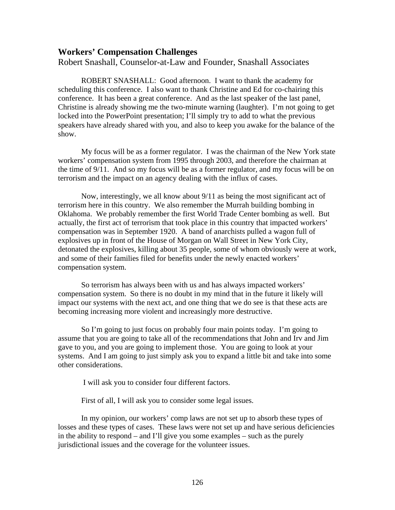### **Workers' Compensation Challenges**

Robert Snashall, Counselor-at-Law and Founder, Snashall Associates

ROBERT SNASHALL: Good afternoon. I want to thank the academy for scheduling this conference. I also want to thank Christine and Ed for co-chairing this conference. It has been a great conference. And as the last speaker of the last panel, Christine is already showing me the two-minute warning (laughter). I'm not going to get locked into the PowerPoint presentation; I'll simply try to add to what the previous speakers have already shared with you, and also to keep you awake for the balance of the show.

My focus will be as a former regulator. I was the chairman of the New York state workers' compensation system from 1995 through 2003, and therefore the chairman at the time of 9/11. And so my focus will be as a former regulator, and my focus will be on terrorism and the impact on an agency dealing with the influx of cases.

Now, interestingly, we all know about 9/11 as being the most significant act of terrorism here in this country. We also remember the Murrah building bombing in Oklahoma. We probably remember the first World Trade Center bombing as well. But actually, the first act of terrorism that took place in this country that impacted workers' compensation was in September 1920. A band of anarchists pulled a wagon full of explosives up in front of the House of Morgan on Wall Street in New York City, detonated the explosives, killing about 35 people, some of whom obviously were at work, and some of their families filed for benefits under the newly enacted workers' compensation system.

So terrorism has always been with us and has always impacted workers' compensation system. So there is no doubt in my mind that in the future it likely will impact our systems with the next act, and one thing that we do see is that these acts are becoming increasing more violent and increasingly more destructive.

So I'm going to just focus on probably four main points today. I'm going to assume that you are going to take all of the recommendations that John and Irv and Jim gave to you, and you are going to implement those. You are going to look at your systems. And I am going to just simply ask you to expand a little bit and take into some other considerations.

I will ask you to consider four different factors.

First of all, I will ask you to consider some legal issues.

In my opinion, our workers' comp laws are not set up to absorb these types of losses and these types of cases. These laws were not set up and have serious deficiencies in the ability to respond – and I'll give you some examples – such as the purely jurisdictional issues and the coverage for the volunteer issues.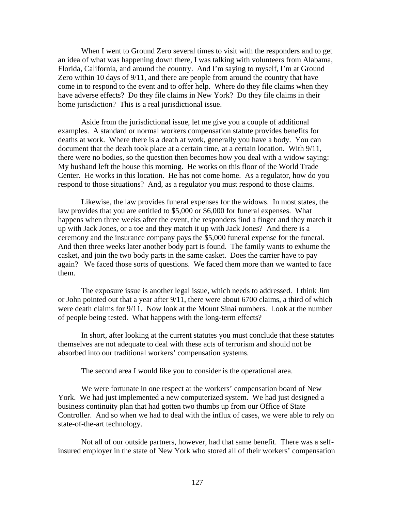When I went to Ground Zero several times to visit with the responders and to get an idea of what was happening down there, I was talking with volunteers from Alabama, Florida, California, and around the country. And I'm saying to myself, I'm at Ground Zero within 10 days of 9/11, and there are people from around the country that have come in to respond to the event and to offer help. Where do they file claims when they have adverse effects? Do they file claims in New York? Do they file claims in their home jurisdiction? This is a real jurisdictional issue.

Aside from the jurisdictional issue, let me give you a couple of additional examples. A standard or normal workers compensation statute provides benefits for deaths at work. Where there is a death at work, generally you have a body. You can document that the death took place at a certain time, at a certain location. With 9/11, there were no bodies, so the question then becomes how you deal with a widow saying: My husband left the house this morning. He works on this floor of the World Trade Center. He works in this location. He has not come home. As a regulator, how do you respond to those situations? And, as a regulator you must respond to those claims.

Likewise, the law provides funeral expenses for the widows. In most states, the law provides that you are entitled to \$5,000 or \$6,000 for funeral expenses. What happens when three weeks after the event, the responders find a finger and they match it up with Jack Jones, or a toe and they match it up with Jack Jones? And there is a ceremony and the insurance company pays the \$5,000 funeral expense for the funeral. And then three weeks later another body part is found. The family wants to exhume the casket, and join the two body parts in the same casket. Does the carrier have to pay again? We faced those sorts of questions. We faced them more than we wanted to face them.

The exposure issue is another legal issue, which needs to addressed. I think Jim or John pointed out that a year after 9/11, there were about 6700 claims, a third of which were death claims for 9/11. Now look at the Mount Sinai numbers. Look at the number of people being tested. What happens with the long-term effects?

In short, after looking at the current statutes you must conclude that these statutes themselves are not adequate to deal with these acts of terrorism and should not be absorbed into our traditional workers' compensation systems.

The second area I would like you to consider is the operational area.

We were fortunate in one respect at the workers' compensation board of New York. We had just implemented a new computerized system. We had just designed a business continuity plan that had gotten two thumbs up from our Office of State Controller. And so when we had to deal with the influx of cases, we were able to rely on state-of-the-art technology.

Not all of our outside partners, however, had that same benefit. There was a selfinsured employer in the state of New York who stored all of their workers' compensation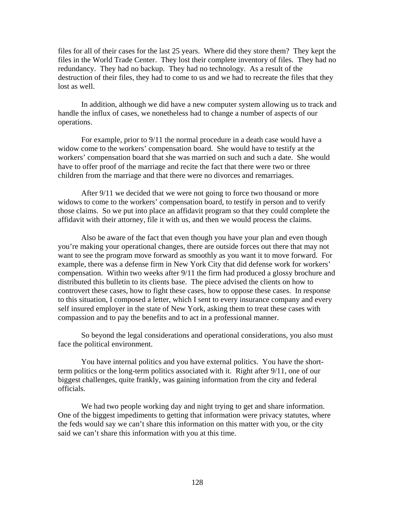files for all of their cases for the last 25 years. Where did they store them? They kept the files in the World Trade Center. They lost their complete inventory of files. They had no redundancy. They had no backup. They had no technology. As a result of the destruction of their files, they had to come to us and we had to recreate the files that they lost as well.

In addition, although we did have a new computer system allowing us to track and handle the influx of cases, we nonetheless had to change a number of aspects of our operations.

For example, prior to 9/11 the normal procedure in a death case would have a widow come to the workers' compensation board. She would have to testify at the workers' compensation board that she was married on such and such a date. She would have to offer proof of the marriage and recite the fact that there were two or three children from the marriage and that there were no divorces and remarriages.

After 9/11 we decided that we were not going to force two thousand or more widows to come to the workers' compensation board, to testify in person and to verify those claims. So we put into place an affidavit program so that they could complete the affidavit with their attorney, file it with us, and then we would process the claims.

Also be aware of the fact that even though you have your plan and even though you're making your operational changes, there are outside forces out there that may not want to see the program move forward as smoothly as you want it to move forward. For example, there was a defense firm in New York City that did defense work for workers' compensation. Within two weeks after 9/11 the firm had produced a glossy brochure and distributed this bulletin to its clients base. The piece advised the clients on how to controvert these cases, how to fight these cases, how to oppose these cases. In response to this situation, I composed a letter, which I sent to every insurance company and every self insured employer in the state of New York, asking them to treat these cases with compassion and to pay the benefits and to act in a professional manner.

So beyond the legal considerations and operational considerations, you also must face the political environment.

You have internal politics and you have external politics. You have the shortterm politics or the long-term politics associated with it. Right after 9/11, one of our biggest challenges, quite frankly, was gaining information from the city and federal officials.

We had two people working day and night trying to get and share information. One of the biggest impediments to getting that information were privacy statutes, where the feds would say we can't share this information on this matter with you, or the city said we can't share this information with you at this time.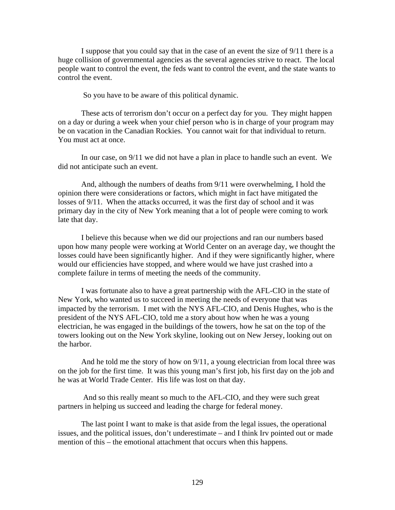I suppose that you could say that in the case of an event the size of 9/11 there is a huge collision of governmental agencies as the several agencies strive to react. The local people want to control the event, the feds want to control the event, and the state wants to control the event.

So you have to be aware of this political dynamic.

These acts of terrorism don't occur on a perfect day for you. They might happen on a day or during a week when your chief person who is in charge of your program may be on vacation in the Canadian Rockies. You cannot wait for that individual to return. You must act at once.

In our case, on 9/11 we did not have a plan in place to handle such an event. We did not anticipate such an event.

And, although the numbers of deaths from 9/11 were overwhelming, I hold the opinion there were considerations or factors, which might in fact have mitigated the losses of 9/11. When the attacks occurred, it was the first day of school and it was primary day in the city of New York meaning that a lot of people were coming to work late that day.

I believe this because when we did our projections and ran our numbers based upon how many people were working at World Center on an average day, we thought the losses could have been significantly higher. And if they were significantly higher, where would our efficiencies have stopped, and where would we have just crashed into a complete failure in terms of meeting the needs of the community.

I was fortunate also to have a great partnership with the AFL-CIO in the state of New York, who wanted us to succeed in meeting the needs of everyone that was impacted by the terrorism. I met with the NYS AFL-CIO, and Denis Hughes, who is the president of the NYS AFL-CIO, told me a story about how when he was a young electrician, he was engaged in the buildings of the towers, how he sat on the top of the towers looking out on the New York skyline, looking out on New Jersey, looking out on the harbor.

And he told me the story of how on 9/11, a young electrician from local three was on the job for the first time. It was this young man's first job, his first day on the job and he was at World Trade Center. His life was lost on that day.

 And so this really meant so much to the AFL-CIO, and they were such great partners in helping us succeed and leading the charge for federal money.

The last point I want to make is that aside from the legal issues, the operational issues, and the political issues, don't underestimate – and I think Irv pointed out or made mention of this – the emotional attachment that occurs when this happens.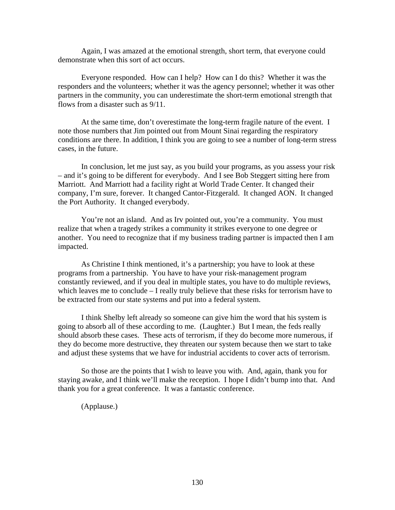Again, I was amazed at the emotional strength, short term, that everyone could demonstrate when this sort of act occurs.

Everyone responded. How can I help? How can I do this? Whether it was the responders and the volunteers; whether it was the agency personnel; whether it was other partners in the community, you can underestimate the short-term emotional strength that flows from a disaster such as 9/11.

At the same time, don't overestimate the long-term fragile nature of the event. I note those numbers that Jim pointed out from Mount Sinai regarding the respiratory conditions are there. In addition, I think you are going to see a number of long-term stress cases, in the future.

In conclusion, let me just say, as you build your programs, as you assess your risk – and it's going to be different for everybody. And I see Bob Steggert sitting here from Marriott. And Marriott had a facility right at World Trade Center. It changed their company, I'm sure, forever. It changed Cantor-Fitzgerald. It changed AON. It changed the Port Authority. It changed everybody.

You're not an island. And as Irv pointed out, you're a community. You must realize that when a tragedy strikes a community it strikes everyone to one degree or another. You need to recognize that if my business trading partner is impacted then I am impacted.

As Christine I think mentioned, it's a partnership; you have to look at these programs from a partnership. You have to have your risk-management program constantly reviewed, and if you deal in multiple states, you have to do multiple reviews, which leaves me to conclude – I really truly believe that these risks for terrorism have to be extracted from our state systems and put into a federal system.

I think Shelby left already so someone can give him the word that his system is going to absorb all of these according to me. (Laughter.) But I mean, the feds really should absorb these cases. These acts of terrorism, if they do become more numerous, if they do become more destructive, they threaten our system because then we start to take and adjust these systems that we have for industrial accidents to cover acts of terrorism.

So those are the points that I wish to leave you with. And, again, thank you for staying awake, and I think we'll make the reception. I hope I didn't bump into that. And thank you for a great conference. It was a fantastic conference.

(Applause.)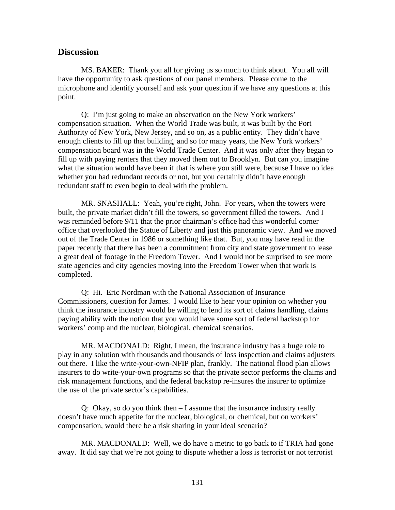#### **Discussion**

MS. BAKER: Thank you all for giving us so much to think about. You all will have the opportunity to ask questions of our panel members. Please come to the microphone and identify yourself and ask your question if we have any questions at this point.

Q: I'm just going to make an observation on the New York workers' compensation situation. When the World Trade was built, it was built by the Port Authority of New York, New Jersey, and so on, as a public entity. They didn't have enough clients to fill up that building, and so for many years, the New York workers' compensation board was in the World Trade Center. And it was only after they began to fill up with paying renters that they moved them out to Brooklyn. But can you imagine what the situation would have been if that is where you still were, because I have no idea whether you had redundant records or not, but you certainly didn't have enough redundant staff to even begin to deal with the problem.

MR. SNASHALL: Yeah, you're right, John. For years, when the towers were built, the private market didn't fill the towers, so government filled the towers. And I was reminded before 9/11 that the prior chairman's office had this wonderful corner office that overlooked the Statue of Liberty and just this panoramic view. And we moved out of the Trade Center in 1986 or something like that. But, you may have read in the paper recently that there has been a commitment from city and state government to lease a great deal of footage in the Freedom Tower. And I would not be surprised to see more state agencies and city agencies moving into the Freedom Tower when that work is completed.

Q: Hi. Eric Nordman with the National Association of Insurance Commissioners, question for James. I would like to hear your opinion on whether you think the insurance industry would be willing to lend its sort of claims handling, claims paying ability with the notion that you would have some sort of federal backstop for workers' comp and the nuclear, biological, chemical scenarios.

MR. MACDONALD: Right, I mean, the insurance industry has a huge role to play in any solution with thousands and thousands of loss inspection and claims adjusters out there. I like the write-your-own-NFIP plan, frankly. The national flood plan allows insurers to do write-your-own programs so that the private sector performs the claims and risk management functions, and the federal backstop re-insures the insurer to optimize the use of the private sector's capabilities.

Q: Okay, so do you think then – I assume that the insurance industry really doesn't have much appetite for the nuclear, biological, or chemical, but on workers' compensation, would there be a risk sharing in your ideal scenario?

MR. MACDONALD: Well, we do have a metric to go back to if TRIA had gone away. It did say that we're not going to dispute whether a loss is terrorist or not terrorist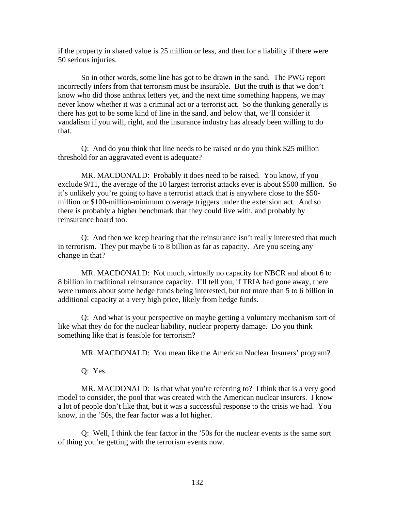if the property in shared value is 25 million or less, and then for a liability if there were 50 serious injuries.

So in other words, some line has got to be drawn in the sand. The PWG report incorrectly infers from that terrorism must be insurable. But the truth is that we don't know who did those anthrax letters yet, and the next time something happens, we may never know whether it was a criminal act or a terrorist act. So the thinking generally is there has got to be some kind of line in the sand, and below that, we'll consider it vandalism if you will, right, and the insurance industry has already been willing to do that.

Q: And do you think that line needs to be raised or do you think \$25 million threshold for an aggravated event is adequate?

MR. MACDONALD: Probably it does need to be raised. You know, if you exclude 9/11, the average of the 10 largest terrorist attacks ever is about \$500 million. So it's unlikely you're going to have a terrorist attack that is anywhere close to the \$50 million or \$100-million-minimum coverage triggers under the extension act. And so there is probably a higher benchmark that they could live with, and probably by reinsurance board too.

Q: And then we keep hearing that the reinsurance isn't really interested that much in terrorism. They put maybe 6 to 8 billion as far as capacity. Are you seeing any change in that?

MR. MACDONALD: Not much, virtually no capacity for NBCR and about 6 to 8 billion in traditional reinsurance capacity. I'll tell you, if TRIA had gone away, there were rumors about some hedge funds being interested, but not more than 5 to 6 billion in additional capacity at a very high price, likely from hedge funds.

Q: And what is your perspective on maybe getting a voluntary mechanism sort of like what they do for the nuclear liability, nuclear property damage. Do you think something like that is feasible for terrorism?

MR. MACDONALD: You mean like the American Nuclear Insurers' program?

Q: Yes.

MR. MACDONALD: Is that what you're referring to? I think that is a very good model to consider, the pool that was created with the American nuclear insurers. I know a lot of people don't like that, but it was a successful response to the crisis we had. You know, in the '50s, the fear factor was a lot higher.

Q: Well, I think the fear factor in the '50s for the nuclear events is the same sort of thing you're getting with the terrorism events now.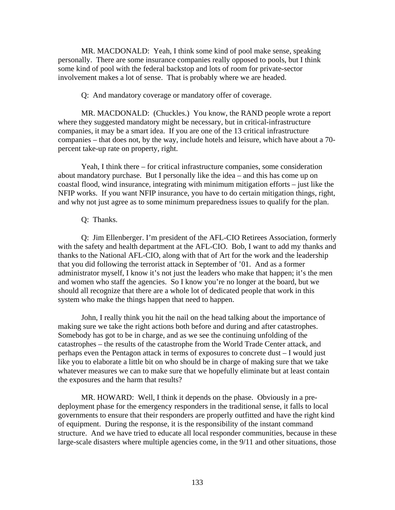MR. MACDONALD: Yeah, I think some kind of pool make sense, speaking personally. There are some insurance companies really opposed to pools, but I think some kind of pool with the federal backstop and lots of room for private-sector involvement makes a lot of sense. That is probably where we are headed.

Q: And mandatory coverage or mandatory offer of coverage.

MR. MACDONALD: (Chuckles.) You know, the RAND people wrote a report where they suggested mandatory might be necessary, but in critical-infrastructure companies, it may be a smart idea. If you are one of the 13 critical infrastructure companies – that does not, by the way, include hotels and leisure, which have about a 70 percent take-up rate on property, right.

Yeah, I think there – for critical infrastructure companies, some consideration about mandatory purchase. But I personally like the idea – and this has come up on coastal flood, wind insurance, integrating with minimum mitigation efforts – just like the NFIP works. If you want NFIP insurance, you have to do certain mitigation things, right, and why not just agree as to some minimum preparedness issues to qualify for the plan.

#### Q: Thanks.

Q: Jim Ellenberger. I'm president of the AFL-CIO Retirees Association, formerly with the safety and health department at the AFL-CIO. Bob, I want to add my thanks and thanks to the National AFL-CIO, along with that of Art for the work and the leadership that you did following the terrorist attack in September of '01. And as a former administrator myself, I know it's not just the leaders who make that happen; it's the men and women who staff the agencies. So I know you're no longer at the board, but we should all recognize that there are a whole lot of dedicated people that work in this system who make the things happen that need to happen.

John, I really think you hit the nail on the head talking about the importance of making sure we take the right actions both before and during and after catastrophes. Somebody has got to be in charge, and as we see the continuing unfolding of the catastrophes – the results of the catastrophe from the World Trade Center attack, and perhaps even the Pentagon attack in terms of exposures to concrete dust – I would just like you to elaborate a little bit on who should be in charge of making sure that we take whatever measures we can to make sure that we hopefully eliminate but at least contain the exposures and the harm that results?

MR. HOWARD: Well, I think it depends on the phase. Obviously in a predeployment phase for the emergency responders in the traditional sense, it falls to local governments to ensure that their responders are properly outfitted and have the right kind of equipment. During the response, it is the responsibility of the instant command structure. And we have tried to educate all local responder communities, because in these large-scale disasters where multiple agencies come, in the 9/11 and other situations, those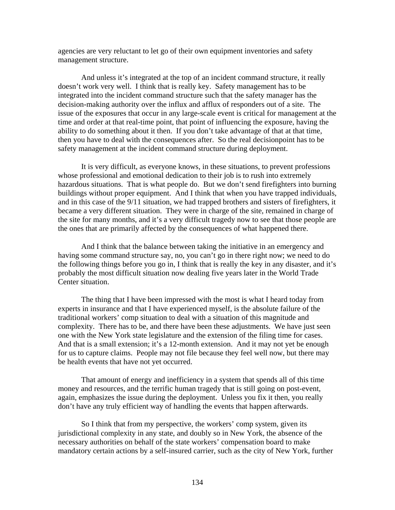agencies are very reluctant to let go of their own equipment inventories and safety management structure.

And unless it's integrated at the top of an incident command structure, it really doesn't work very well. I think that is really key. Safety management has to be integrated into the incident command structure such that the safety manager has the decision-making authority over the influx and afflux of responders out of a site. The issue of the exposures that occur in any large-scale event is critical for management at the time and order at that real-time point, that point of influencing the exposure, having the ability to do something about it then. If you don't take advantage of that at that time, then you have to deal with the consequences after. So the real decisionpoint has to be safety management at the incident command structure during deployment.

It is very difficult, as everyone knows, in these situations, to prevent professions whose professional and emotional dedication to their job is to rush into extremely hazardous situations. That is what people do. But we don't send firefighters into burning buildings without proper equipment. And I think that when you have trapped individuals, and in this case of the 9/11 situation, we had trapped brothers and sisters of firefighters, it became a very different situation. They were in charge of the site, remained in charge of the site for many months, and it's a very difficult tragedy now to see that those people are the ones that are primarily affected by the consequences of what happened there.

And I think that the balance between taking the initiative in an emergency and having some command structure say, no, you can't go in there right now; we need to do the following things before you go in, I think that is really the key in any disaster, and it's probably the most difficult situation now dealing five years later in the World Trade Center situation.

The thing that I have been impressed with the most is what I heard today from experts in insurance and that I have experienced myself, is the absolute failure of the traditional workers' comp situation to deal with a situation of this magnitude and complexity. There has to be, and there have been these adjustments. We have just seen one with the New York state legislature and the extension of the filing time for cases. And that is a small extension; it's a 12-month extension. And it may not yet be enough for us to capture claims. People may not file because they feel well now, but there may be health events that have not yet occurred.

That amount of energy and inefficiency in a system that spends all of this time money and resources, and the terrific human tragedy that is still going on post-event, again, emphasizes the issue during the deployment. Unless you fix it then, you really don't have any truly efficient way of handling the events that happen afterwards.

So I think that from my perspective, the workers' comp system, given its jurisdictional complexity in any state, and doubly so in New York, the absence of the necessary authorities on behalf of the state workers' compensation board to make mandatory certain actions by a self-insured carrier, such as the city of New York, further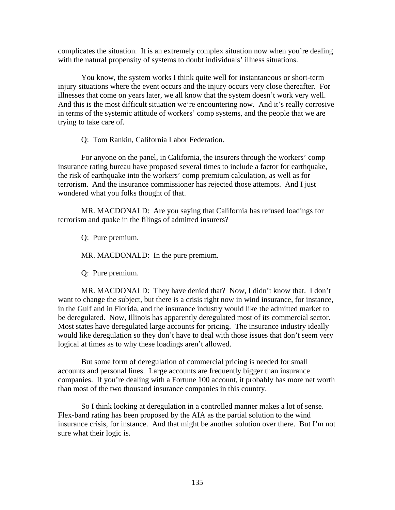complicates the situation. It is an extremely complex situation now when you're dealing with the natural propensity of systems to doubt individuals' illness situations.

You know, the system works I think quite well for instantaneous or short-term injury situations where the event occurs and the injury occurs very close thereafter. For illnesses that come on years later, we all know that the system doesn't work very well. And this is the most difficult situation we're encountering now. And it's really corrosive in terms of the systemic attitude of workers' comp systems, and the people that we are trying to take care of.

Q: Tom Rankin, California Labor Federation.

For anyone on the panel, in California, the insurers through the workers' comp insurance rating bureau have proposed several times to include a factor for earthquake, the risk of earthquake into the workers' comp premium calculation, as well as for terrorism. And the insurance commissioner has rejected those attempts. And I just wondered what you folks thought of that.

MR. MACDONALD: Are you saying that California has refused loadings for terrorism and quake in the filings of admitted insurers?

Q: Pure premium.

MR. MACDONALD: In the pure premium.

Q: Pure premium.

MR. MACDONALD: They have denied that? Now, I didn't know that. I don't want to change the subject, but there is a crisis right now in wind insurance, for instance, in the Gulf and in Florida, and the insurance industry would like the admitted market to be deregulated. Now, Illinois has apparently deregulated most of its commercial sector. Most states have deregulated large accounts for pricing. The insurance industry ideally would like deregulation so they don't have to deal with those issues that don't seem very logical at times as to why these loadings aren't allowed.

But some form of deregulation of commercial pricing is needed for small accounts and personal lines. Large accounts are frequently bigger than insurance companies. If you're dealing with a Fortune 100 account, it probably has more net worth than most of the two thousand insurance companies in this country.

So I think looking at deregulation in a controlled manner makes a lot of sense. Flex-band rating has been proposed by the AIA as the partial solution to the wind insurance crisis, for instance. And that might be another solution over there. But I'm not sure what their logic is.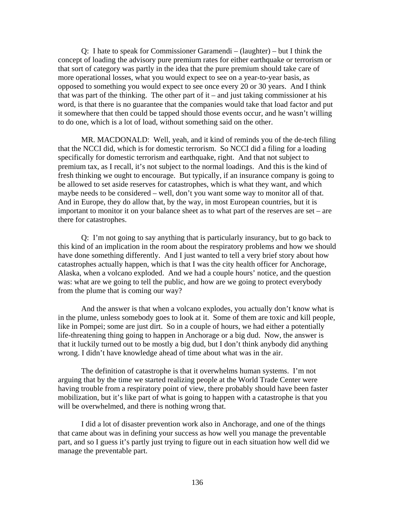Q: I hate to speak for Commissioner Garamendi – (laughter) – but I think the concept of loading the advisory pure premium rates for either earthquake or terrorism or that sort of category was partly in the idea that the pure premium should take care of more operational losses, what you would expect to see on a year-to-year basis, as opposed to something you would expect to see once every 20 or 30 years. And I think that was part of the thinking. The other part of  $it$  – and just taking commissioner at his word, is that there is no guarantee that the companies would take that load factor and put it somewhere that then could be tapped should those events occur, and he wasn't willing to do one, which is a lot of load, without something said on the other.

MR. MACDONALD: Well, yeah, and it kind of reminds you of the de-tech filing that the NCCI did, which is for domestic terrorism. So NCCI did a filing for a loading specifically for domestic terrorism and earthquake, right. And that not subject to premium tax, as I recall, it's not subject to the normal loadings. And this is the kind of fresh thinking we ought to encourage. But typically, if an insurance company is going to be allowed to set aside reserves for catastrophes, which is what they want, and which maybe needs to be considered – well, don't you want some way to monitor all of that. And in Europe, they do allow that, by the way, in most European countries, but it is important to monitor it on your balance sheet as to what part of the reserves are set – are there for catastrophes.

Q: I'm not going to say anything that is particularly insurancy, but to go back to this kind of an implication in the room about the respiratory problems and how we should have done something differently. And I just wanted to tell a very brief story about how catastrophes actually happen, which is that I was the city health officer for Anchorage, Alaska, when a volcano exploded. And we had a couple hours' notice, and the question was: what are we going to tell the public, and how are we going to protect everybody from the plume that is coming our way?

And the answer is that when a volcano explodes, you actually don't know what is in the plume, unless somebody goes to look at it. Some of them are toxic and kill people, like in Pompei; some are just dirt. So in a couple of hours, we had either a potentially life-threatening thing going to happen in Anchorage or a big dud. Now, the answer is that it luckily turned out to be mostly a big dud, but I don't think anybody did anything wrong. I didn't have knowledge ahead of time about what was in the air.

The definition of catastrophe is that it overwhelms human systems. I'm not arguing that by the time we started realizing people at the World Trade Center were having trouble from a respiratory point of view, there probably should have been faster mobilization, but it's like part of what is going to happen with a catastrophe is that you will be overwhelmed, and there is nothing wrong that.

I did a lot of disaster prevention work also in Anchorage, and one of the things that came about was in defining your success as how well you manage the preventable part, and so I guess it's partly just trying to figure out in each situation how well did we manage the preventable part.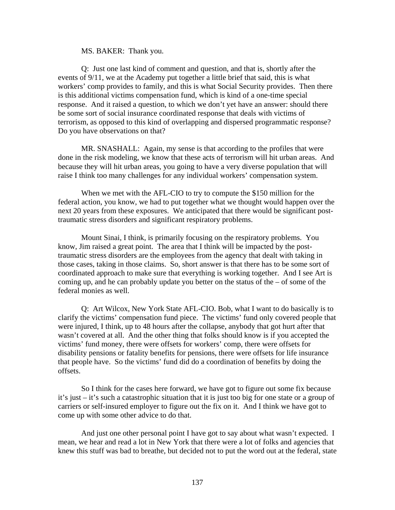MS. BAKER: Thank you.

Q: Just one last kind of comment and question, and that is, shortly after the events of 9/11, we at the Academy put together a little brief that said, this is what workers' comp provides to family, and this is what Social Security provides. Then there is this additional victims compensation fund, which is kind of a one-time special response. And it raised a question, to which we don't yet have an answer: should there be some sort of social insurance coordinated response that deals with victims of terrorism, as opposed to this kind of overlapping and dispersed programmatic response? Do you have observations on that?

MR. SNASHALL: Again, my sense is that according to the profiles that were done in the risk modeling, we know that these acts of terrorism will hit urban areas. And because they will hit urban areas, you going to have a very diverse population that will raise I think too many challenges for any individual workers' compensation system.

When we met with the AFL-CIO to try to compute the \$150 million for the federal action, you know, we had to put together what we thought would happen over the next 20 years from these exposures. We anticipated that there would be significant posttraumatic stress disorders and significant respiratory problems.

Mount Sinai, I think, is primarily focusing on the respiratory problems. You know, Jim raised a great point. The area that I think will be impacted by the posttraumatic stress disorders are the employees from the agency that dealt with taking in those cases, taking in those claims. So, short answer is that there has to be some sort of coordinated approach to make sure that everything is working together. And I see Art is coming up, and he can probably update you better on the status of the – of some of the federal monies as well.

Q: Art Wilcox, New York State AFL-CIO. Bob, what I want to do basically is to clarify the victims' compensation fund piece. The victims' fund only covered people that were injured, I think, up to 48 hours after the collapse, anybody that got hurt after that wasn't covered at all. And the other thing that folks should know is if you accepted the victims' fund money, there were offsets for workers' comp, there were offsets for disability pensions or fatality benefits for pensions, there were offsets for life insurance that people have. So the victims' fund did do a coordination of benefits by doing the offsets.

So I think for the cases here forward, we have got to figure out some fix because it's just – it's such a catastrophic situation that it is just too big for one state or a group of carriers or self-insured employer to figure out the fix on it. And I think we have got to come up with some other advice to do that.

And just one other personal point I have got to say about what wasn't expected. I mean, we hear and read a lot in New York that there were a lot of folks and agencies that knew this stuff was bad to breathe, but decided not to put the word out at the federal, state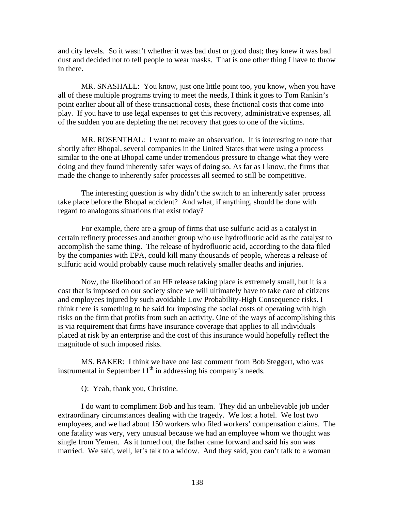and city levels. So it wasn't whether it was bad dust or good dust; they knew it was bad dust and decided not to tell people to wear masks. That is one other thing I have to throw in there.

MR. SNASHALL: You know, just one little point too, you know, when you have all of these multiple programs trying to meet the needs, I think it goes to Tom Rankin's point earlier about all of these transactional costs, these frictional costs that come into play. If you have to use legal expenses to get this recovery, administrative expenses, all of the sudden you are depleting the net recovery that goes to one of the victims.

MR. ROSENTHAL: I want to make an observation. It is interesting to note that shortly after Bhopal, several companies in the United States that were using a process similar to the one at Bhopal came under tremendous pressure to change what they were doing and they found inherently safer ways of doing so. As far as I know, the firms that made the change to inherently safer processes all seemed to still be competitive.

The interesting question is why didn't the switch to an inherently safer process take place before the Bhopal accident? And what, if anything, should be done with regard to analogous situations that exist today?

For example, there are a group of firms that use sulfuric acid as a catalyst in certain refinery processes and another group who use hydrofluoric acid as the catalyst to accomplish the same thing. The release of hydrofluoric acid, according to the data filed by the companies with EPA, could kill many thousands of people, whereas a release of sulfuric acid would probably cause much relatively smaller deaths and injuries.

Now, the likelihood of an HF release taking place is extremely small, but it is a cost that is imposed on our society since we will ultimately have to take care of citizens and employees injured by such avoidable Low Probability-High Consequence risks. I think there is something to be said for imposing the social costs of operating with high risks on the firm that profits from such an activity. One of the ways of accomplishing this is via requirement that firms have insurance coverage that applies to all individuals placed at risk by an enterprise and the cost of this insurance would hopefully reflect the magnitude of such imposed risks.

MS. BAKER: I think we have one last comment from Bob Steggert, who was instrumental in September  $11<sup>th</sup>$  in addressing his company's needs.

Q: Yeah, thank you, Christine.

I do want to compliment Bob and his team. They did an unbelievable job under extraordinary circumstances dealing with the tragedy. We lost a hotel. We lost two employees, and we had about 150 workers who filed workers' compensation claims. The one fatality was very, very unusual because we had an employee whom we thought was single from Yemen. As it turned out, the father came forward and said his son was married. We said, well, let's talk to a widow. And they said, you can't talk to a woman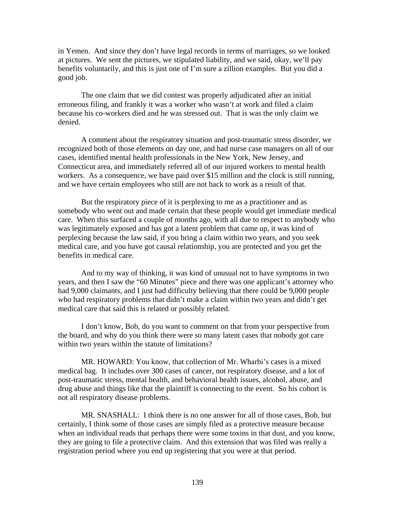in Yemen. And since they don't have legal records in terms of marriages, so we looked at pictures. We sent the pictures, we stipulated liability, and we said, okay, we'll pay benefits voluntarily, and this is just one of I'm sure a zillion examples. But you did a good job.

The one claim that we did contest was properly adjudicated after an initial erroneous filing, and frankly it was a worker who wasn't at work and filed a claim because his co-workers died and he was stressed out. That is was the only claim we denied.

A comment about the respiratory situation and post-traumatic stress disorder, we recognized both of those elements on day one, and had nurse case managers on all of our cases, identified mental health professionals in the New York, New Jersey, and Connecticut area, and immediately referred all of our injured workers to mental health workers. As a consequence, we have paid over \$15 million and the clock is still running, and we have certain employees who still are not back to work as a result of that.

But the respiratory piece of it is perplexing to me as a practitioner and as somebody who went out and made certain that these people would get immediate medical care. When this surfaced a couple of months ago, with all due to respect to anybody who was legitimately exposed and has got a latent problem that came up, it was kind of perplexing because the law said, if you bring a claim within two years, and you seek medical care, and you have got causal relationship, you are protected and you get the benefits in medical care.

And to my way of thinking, it was kind of unusual not to have symptoms in two years, and then I saw the "60 Minutes" piece and there was one applicant's attorney who had 9,000 claimants, and I just had difficulty believing that there could be 9,000 people who had respiratory problems that didn't make a claim within two years and didn't get medical care that said this is related or possibly related.

I don't know, Bob, do you want to comment on that from your perspective from the board, and why do you think there were so many latent cases that nobody got care within two years within the statute of limitations?

MR. HOWARD: You know, that collection of Mr. Wharbi's cases is a mixed medical bag. It includes over 300 cases of cancer, not respiratory disease, and a lot of post-traumatic stress, mental health, and behavioral health issues, alcohol, abuse, and drug abuse and things like that the plaintiff is connecting to the event. So his cohort is not all respiratory disease problems.

MR. SNASHALL: I think there is no one answer for all of those cases, Bob, but certainly, I think some of those cases are simply filed as a protective measure because when an individual reads that perhaps there were some toxins in that dust, and you know, they are going to file a protective claim. And this extension that was filed was really a registration period where you end up registering that you were at that period.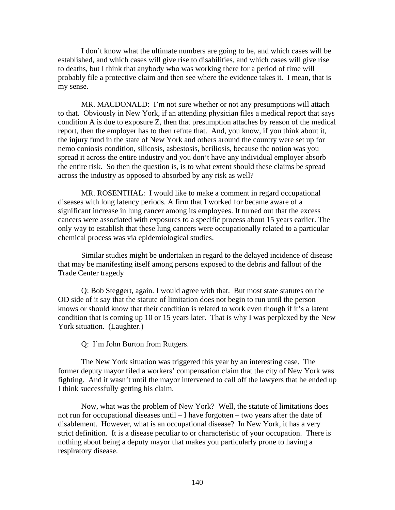I don't know what the ultimate numbers are going to be, and which cases will be established, and which cases will give rise to disabilities, and which cases will give rise to deaths, but I think that anybody who was working there for a period of time will probably file a protective claim and then see where the evidence takes it. I mean, that is my sense.

MR. MACDONALD: I'm not sure whether or not any presumptions will attach to that. Obviously in New York, if an attending physician files a medical report that says condition A is due to exposure Z, then that presumption attaches by reason of the medical report, then the employer has to then refute that. And, you know, if you think about it, the injury fund in the state of New York and others around the country were set up for nemo coniosis condition, silicosis, asbestosis, beriliosis, because the notion was you spread it across the entire industry and you don't have any individual employer absorb the entire risk. So then the question is, is to what extent should these claims be spread across the industry as opposed to absorbed by any risk as well?

MR. ROSENTHAL: I would like to make a comment in regard occupational diseases with long latency periods. A firm that I worked for became aware of a significant increase in lung cancer among its employees. It turned out that the excess cancers were associated with exposures to a specific process about 15 years earlier. The only way to establish that these lung cancers were occupationally related to a particular chemical process was via epidemiological studies.

Similar studies might be undertaken in regard to the delayed incidence of disease that may be manifesting itself among persons exposed to the debris and fallout of the Trade Center tragedy

Q: Bob Steggert, again. I would agree with that. But most state statutes on the OD side of it say that the statute of limitation does not begin to run until the person knows or should know that their condition is related to work even though if it's a latent condition that is coming up 10 or 15 years later. That is why I was perplexed by the New York situation. (Laughter.)

Q: I'm John Burton from Rutgers.

The New York situation was triggered this year by an interesting case. The former deputy mayor filed a workers' compensation claim that the city of New York was fighting. And it wasn't until the mayor intervened to call off the lawyers that he ended up I think successfully getting his claim.

Now, what was the problem of New York? Well, the statute of limitations does not run for occupational diseases until – I have forgotten – two years after the date of disablement. However, what is an occupational disease? In New York, it has a very strict definition. It is a disease peculiar to or characteristic of your occupation. There is nothing about being a deputy mayor that makes you particularly prone to having a respiratory disease.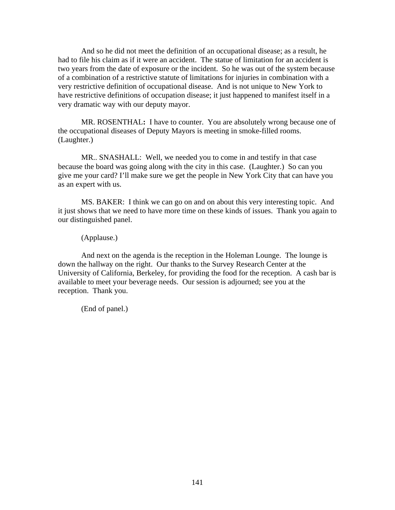And so he did not meet the definition of an occupational disease; as a result, he had to file his claim as if it were an accident. The statue of limitation for an accident is two years from the date of exposure or the incident. So he was out of the system because of a combination of a restrictive statute of limitations for injuries in combination with a very restrictive definition of occupational disease. And is not unique to New York to have restrictive definitions of occupation disease; it just happened to manifest itself in a very dramatic way with our deputy mayor.

MR. ROSENTHAL**:** I have to counter. You are absolutely wrong because one of the occupational diseases of Deputy Mayors is meeting in smoke-filled rooms. (Laughter.)

MR.. SNASHALL: Well, we needed you to come in and testify in that case because the board was going along with the city in this case. (Laughter.) So can you give me your card? I'll make sure we get the people in New York City that can have you as an expert with us.

MS. BAKER: I think we can go on and on about this very interesting topic. And it just shows that we need to have more time on these kinds of issues. Thank you again to our distinguished panel.

(Applause.)

And next on the agenda is the reception in the Holeman Lounge. The lounge is down the hallway on the right. Our thanks to the Survey Research Center at the University of California, Berkeley, for providing the food for the reception. A cash bar is available to meet your beverage needs. Our session is adjourned; see you at the reception. Thank you.

(End of panel.)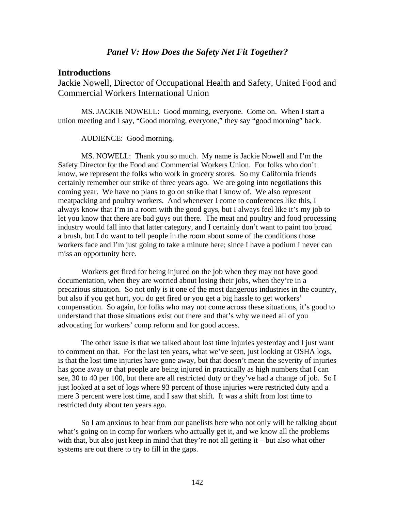### *Panel V: How Does the Safety Net Fit Together?*

#### **Introductions**

Jackie Nowell, Director of Occupational Health and Safety, United Food and Commercial Workers International Union

MS. JACKIE NOWELL: Good morning, everyone. Come on. When I start a union meeting and I say, "Good morning, everyone," they say "good morning" back.

#### AUDIENCE: Good morning.

MS. NOWELL: Thank you so much. My name is Jackie Nowell and I'm the Safety Director for the Food and Commercial Workers Union. For folks who don't know, we represent the folks who work in grocery stores. So my California friends certainly remember our strike of three years ago. We are going into negotiations this coming year. We have no plans to go on strike that I know of. We also represent meatpacking and poultry workers. And whenever I come to conferences like this, I always know that I'm in a room with the good guys, but I always feel like it's my job to let you know that there are bad guys out there. The meat and poultry and food processing industry would fall into that latter category, and I certainly don't want to paint too broad a brush, but I do want to tell people in the room about some of the conditions those workers face and I'm just going to take a minute here; since I have a podium I never can miss an opportunity here.

Workers get fired for being injured on the job when they may not have good documentation, when they are worried about losing their jobs, when they're in a precarious situation. So not only is it one of the most dangerous industries in the country, but also if you get hurt, you do get fired or you get a big hassle to get workers' compensation. So again, for folks who may not come across these situations, it's good to understand that those situations exist out there and that's why we need all of you advocating for workers' comp reform and for good access.

The other issue is that we talked about lost time injuries yesterday and I just want to comment on that. For the last ten years, what we've seen, just looking at OSHA logs, is that the lost time injuries have gone away, but that doesn't mean the severity of injuries has gone away or that people are being injured in practically as high numbers that I can see, 30 to 40 per 100, but there are all restricted duty or they've had a change of job. So I just looked at a set of logs where 93 percent of those injuries were restricted duty and a mere 3 percent were lost time, and I saw that shift. It was a shift from lost time to restricted duty about ten years ago.

So I am anxious to hear from our panelists here who not only will be talking about what's going on in comp for workers who actually get it, and we know all the problems with that, but also just keep in mind that they're not all getting  $it$  – but also what other systems are out there to try to fill in the gaps.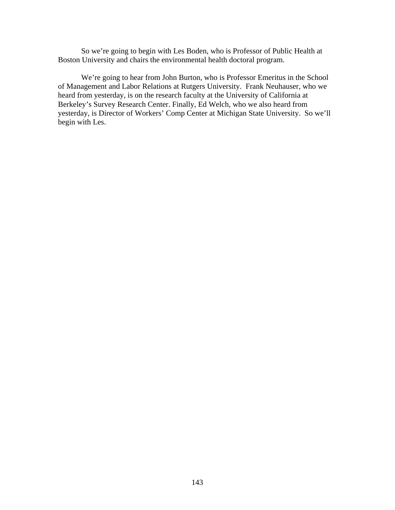So we're going to begin with Les Boden, who is Professor of Public Health at Boston University and chairs the environmental health doctoral program.

We're going to hear from John Burton, who is Professor Emeritus in the School of Management and Labor Relations at Rutgers University. Frank Neuhauser, who we heard from yesterday, is on the research faculty at the University of California at Berkeley's Survey Research Center. Finally, Ed Welch, who we also heard from yesterday, is Director of Workers' Comp Center at Michigan State University. So we'll begin with Les.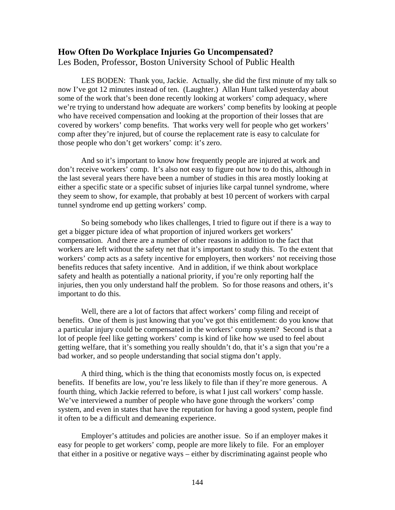# **How Often Do Workplace Injuries Go Uncompensated?**

Les Boden, Professor, Boston University School of Public Health

LES BODEN: Thank you, Jackie. Actually, she did the first minute of my talk so now I've got 12 minutes instead of ten. (Laughter.) Allan Hunt talked yesterday about some of the work that's been done recently looking at workers' comp adequacy, where we're trying to understand how adequate are workers' comp benefits by looking at people who have received compensation and looking at the proportion of their losses that are covered by workers' comp benefits. That works very well for people who get workers' comp after they're injured, but of course the replacement rate is easy to calculate for those people who don't get workers' comp: it's zero.

And so it's important to know how frequently people are injured at work and don't receive workers' comp. It's also not easy to figure out how to do this, although in the last several years there have been a number of studies in this area mostly looking at either a specific state or a specific subset of injuries like carpal tunnel syndrome, where they seem to show, for example, that probably at best 10 percent of workers with carpal tunnel syndrome end up getting workers' comp.

So being somebody who likes challenges, I tried to figure out if there is a way to get a bigger picture idea of what proportion of injured workers get workers' compensation. And there are a number of other reasons in addition to the fact that workers are left without the safety net that it's important to study this. To the extent that workers' comp acts as a safety incentive for employers, then workers' not receiving those benefits reduces that safety incentive. And in addition, if we think about workplace safety and health as potentially a national priority, if you're only reporting half the injuries, then you only understand half the problem. So for those reasons and others, it's important to do this.

Well, there are a lot of factors that affect workers' comp filing and receipt of benefits. One of them is just knowing that you've got this entitlement: do you know that a particular injury could be compensated in the workers' comp system? Second is that a lot of people feel like getting workers' comp is kind of like how we used to feel about getting welfare, that it's something you really shouldn't do, that it's a sign that you're a bad worker, and so people understanding that social stigma don't apply.

A third thing, which is the thing that economists mostly focus on, is expected benefits. If benefits are low, you're less likely to file than if they're more generous. A fourth thing, which Jackie referred to before, is what I just call workers' comp hassle. We've interviewed a number of people who have gone through the workers' comp system, and even in states that have the reputation for having a good system, people find it often to be a difficult and demeaning experience.

Employer's attitudes and policies are another issue. So if an employer makes it easy for people to get workers' comp, people are more likely to file. For an employer that either in a positive or negative ways – either by discriminating against people who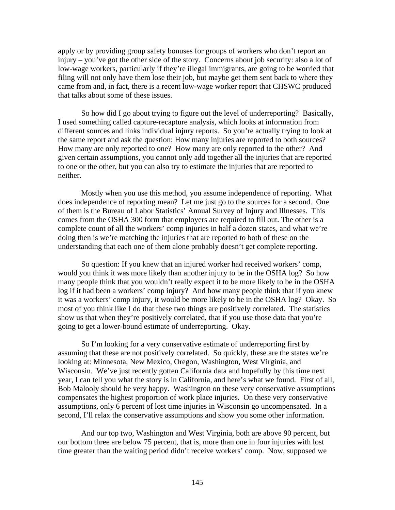apply or by providing group safety bonuses for groups of workers who don't report an injury – you've got the other side of the story. Concerns about job security: also a lot of low-wage workers, particularly if they're illegal immigrants, are going to be worried that filing will not only have them lose their job, but maybe get them sent back to where they came from and, in fact, there is a recent low-wage worker report that CHSWC produced that talks about some of these issues.

So how did I go about trying to figure out the level of underreporting? Basically, I used something called capture-recapture analysis, which looks at information from different sources and links individual injury reports. So you're actually trying to look at the same report and ask the question: How many injuries are reported to both sources? How many are only reported to one? How many are only reported to the other? And given certain assumptions, you cannot only add together all the injuries that are reported to one or the other, but you can also try to estimate the injuries that are reported to neither.

Mostly when you use this method, you assume independence of reporting. What does independence of reporting mean? Let me just go to the sources for a second. One of them is the Bureau of Labor Statistics' Annual Survey of Injury and Illnesses. This comes from the OSHA 300 form that employers are required to fill out. The other is a complete count of all the workers' comp injuries in half a dozen states, and what we're doing then is we're matching the injuries that are reported to both of these on the understanding that each one of them alone probably doesn't get complete reporting.

So question: If you knew that an injured worker had received workers' comp, would you think it was more likely than another injury to be in the OSHA log? So how many people think that you wouldn't really expect it to be more likely to be in the OSHA log if it had been a workers' comp injury? And how many people think that if you knew it was a workers' comp injury, it would be more likely to be in the OSHA log? Okay. So most of you think like I do that these two things are positively correlated. The statistics show us that when they're positively correlated, that if you use those data that you're going to get a lower-bound estimate of underreporting. Okay.

So I'm looking for a very conservative estimate of underreporting first by assuming that these are not positively correlated. So quickly, these are the states we're looking at: Minnesota, New Mexico, Oregon, Washington, West Virginia, and Wisconsin. We've just recently gotten California data and hopefully by this time next year, I can tell you what the story is in California, and here's what we found. First of all, Bob Malooly should be very happy. Washington on these very conservative assumptions compensates the highest proportion of work place injuries. On these very conservative assumptions, only 6 percent of lost time injuries in Wisconsin go uncompensated. In a second, I'll relax the conservative assumptions and show you some other information.

And our top two, Washington and West Virginia, both are above 90 percent, but our bottom three are below 75 percent, that is, more than one in four injuries with lost time greater than the waiting period didn't receive workers' comp. Now, supposed we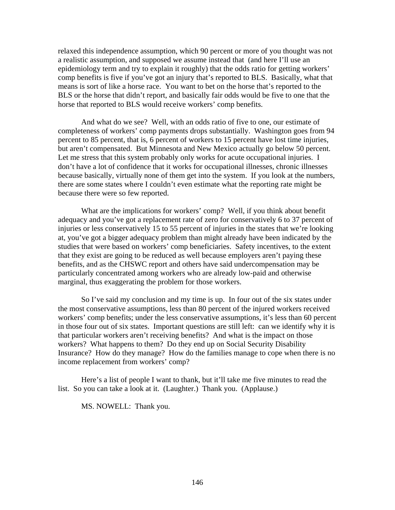relaxed this independence assumption, which 90 percent or more of you thought was not a realistic assumption, and supposed we assume instead that (and here I'll use an epidemiology term and try to explain it roughly) that the odds ratio for getting workers' comp benefits is five if you've got an injury that's reported to BLS. Basically, what that means is sort of like a horse race. You want to bet on the horse that's reported to the BLS or the horse that didn't report, and basically fair odds would be five to one that the horse that reported to BLS would receive workers' comp benefits.

And what do we see? Well, with an odds ratio of five to one, our estimate of completeness of workers' comp payments drops substantially. Washington goes from 94 percent to 85 percent, that is, 6 percent of workers to 15 percent have lost time injuries, but aren't compensated. But Minnesota and New Mexico actually go below 50 percent. Let me stress that this system probably only works for acute occupational injuries. I don't have a lot of confidence that it works for occupational illnesses, chronic illnesses because basically, virtually none of them get into the system. If you look at the numbers, there are some states where I couldn't even estimate what the reporting rate might be because there were so few reported.

What are the implications for workers' comp? Well, if you think about benefit adequacy and you've got a replacement rate of zero for conservatively 6 to 37 percent of injuries or less conservatively 15 to 55 percent of injuries in the states that we're looking at, you've got a bigger adequacy problem than might already have been indicated by the studies that were based on workers' comp beneficiaries. Safety incentives, to the extent that they exist are going to be reduced as well because employers aren't paying these benefits, and as the CHSWC report and others have said undercompensation may be particularly concentrated among workers who are already low-paid and otherwise marginal, thus exaggerating the problem for those workers.

So I've said my conclusion and my time is up. In four out of the six states under the most conservative assumptions, less than 80 percent of the injured workers received workers' comp benefits; under the less conservative assumptions, it's less than 60 percent in those four out of six states. Important questions are still left: can we identify why it is that particular workers aren't receiving benefits? And what is the impact on those workers? What happens to them? Do they end up on Social Security Disability Insurance? How do they manage? How do the families manage to cope when there is no income replacement from workers' comp?

Here's a list of people I want to thank, but it'll take me five minutes to read the list. So you can take a look at it. (Laughter.) Thank you. (Applause.)

MS. NOWELL: Thank you.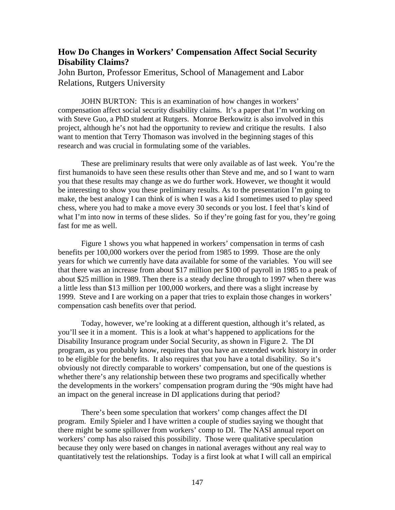## **How Do Changes in Workers' Compensation Affect Social Security Disability Claims?**

John Burton, Professor Emeritus, School of Management and Labor Relations, Rutgers University

JOHN BURTON: This is an examination of how changes in workers' compensation affect social security disability claims. It's a paper that I'm working on with Steve Guo, a PhD student at Rutgers. Monroe Berkowitz is also involved in this project, although he's not had the opportunity to review and critique the results. I also want to mention that Terry Thomason was involved in the beginning stages of this research and was crucial in formulating some of the variables.

These are preliminary results that were only available as of last week. You're the first humanoids to have seen these results other than Steve and me, and so I want to warn you that these results may change as we do further work. However, we thought it would be interesting to show you these preliminary results. As to the presentation I'm going to make, the best analogy I can think of is when I was a kid I sometimes used to play speed chess, where you had to make a move every 30 seconds or you lost. I feel that's kind of what I'm into now in terms of these slides. So if they're going fast for you, they're going fast for me as well.

Figure 1 shows you what happened in workers' compensation in terms of cash benefits per 100,000 workers over the period from 1985 to 1999. Those are the only years for which we currently have data available for some of the variables. You will see that there was an increase from about \$17 million per \$100 of payroll in 1985 to a peak of about \$25 million in 1989. Then there is a steady decline through to 1997 when there was a little less than \$13 million per 100,000 workers, and there was a slight increase by 1999. Steve and I are working on a paper that tries to explain those changes in workers' compensation cash benefits over that period.

Today, however, we're looking at a different question, although it's related, as you'll see it in a moment. This is a look at what's happened to applications for the Disability Insurance program under Social Security, as shown in Figure 2. The DI program, as you probably know, requires that you have an extended work history in order to be eligible for the benefits. It also requires that you have a total disability. So it's obviously not directly comparable to workers' compensation, but one of the questions is whether there's any relationship between these two programs and specifically whether the developments in the workers' compensation program during the '90s might have had an impact on the general increase in DI applications during that period?

There's been some speculation that workers' comp changes affect the DI program. Emily Spieler and I have written a couple of studies saying we thought that there might be some spillover from workers' comp to DI. The NASI annual report on workers' comp has also raised this possibility. Those were qualitative speculation because they only were based on changes in national averages without any real way to quantitatively test the relationships. Today is a first look at what I will call an empirical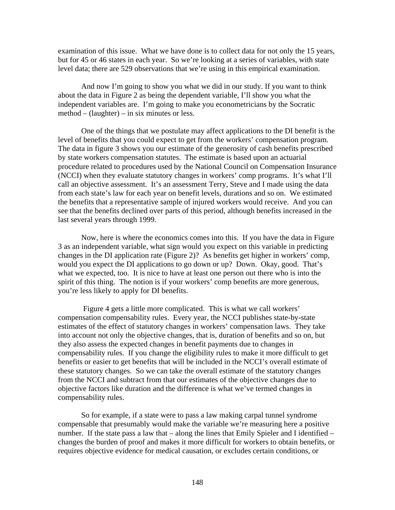examination of this issue. What we have done is to collect data for not only the 15 years, but for 45 or 46 states in each year. So we're looking at a series of variables, with state level data; there are 529 observations that we're using in this empirical examination.

And now I'm going to show you what we did in our study. If you want to think about the data in Figure 2 as being the dependent variable, I'll show you what the independent variables are. I'm going to make you econometricians by the Socratic method – (laughter) – in six minutes or less.

One of the things that we postulate may affect applications to the DI benefit is the level of benefits that you could expect to get from the workers' compensation program. The data in figure 3 shows you our estimate of the generosity of cash benefits prescribed by state workers compensation statutes. The estimate is based upon an actuarial procedure related to procedures used by the National Council on Compensation Insurance (NCCI) when they evaluate statutory changes in workers' comp programs. It's what I'll call an objective assessment. It's an assessment Terry, Steve and I made using the data from each state's law for each year on benefit levels, durations and so on. We estimated the benefits that a representative sample of injured workers would receive. And you can see that the benefits declined over parts of this period, although benefits increased in the last several years through 1999.

Now, here is where the economics comes into this. If you have the data in Figure 3 as an independent variable, what sign would you expect on this variable in predicting changes in the DI application rate (Figure 2)? As benefits get higher in workers' comp, would you expect the DI applications to go down or up? Down. Okay, good. That's what we expected, too. It is nice to have at least one person out there who is into the spirit of this thing. The notion is if your workers' comp benefits are more generous, you're less likely to apply for DI benefits.

 Figure 4 gets a little more complicated. This is what we call workers' compensation compensability rules. Every year, the NCCI publishes state-by-state estimates of the effect of statutory changes in workers' compensation laws. They take into account not only the objective changes, that is, duration of benefits and so on, but they also assess the expected changes in benefit payments due to changes in compensability rules. If you change the eligibility rules to make it more difficult to get benefits or easier to get benefits that will be included in the NCCI's overall estimate of these statutory changes. So we can take the overall estimate of the statutory changes from the NCCI and subtract from that our estimates of the objective changes due to objective factors like duration and the difference is what we've termed changes in compensability rules.

So for example, if a state were to pass a law making carpal tunnel syndrome compensable that presumably would make the variable we're measuring here a positive number. If the state pass a law that – along the lines that Emily Spieler and I identified – changes the burden of proof and makes it more difficult for workers to obtain benefits, or requires objective evidence for medical causation, or excludes certain conditions, or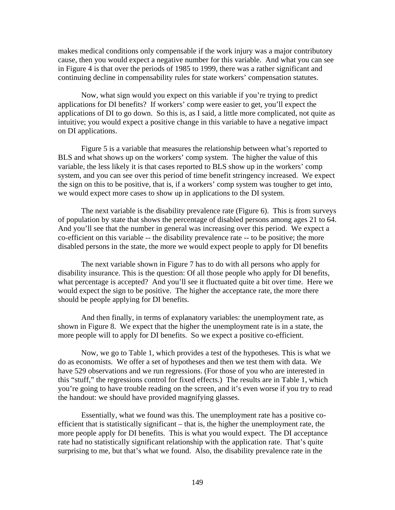makes medical conditions only compensable if the work injury was a major contributory cause, then you would expect a negative number for this variable. And what you can see in Figure 4 is that over the periods of 1985 to 1999, there was a rather significant and continuing decline in compensability rules for state workers' compensation statutes.

Now, what sign would you expect on this variable if you're trying to predict applications for DI benefits? If workers' comp were easier to get, you'll expect the applications of DI to go down. So this is, as I said, a little more complicated, not quite as intuitive; you would expect a positive change in this variable to have a negative impact on DI applications.

Figure 5 is a variable that measures the relationship between what's reported to BLS and what shows up on the workers' comp system. The higher the value of this variable, the less likely it is that cases reported to BLS show up in the workers' comp system, and you can see over this period of time benefit stringency increased. We expect the sign on this to be positive, that is, if a workers' comp system was tougher to get into, we would expect more cases to show up in applications to the DI system.

The next variable is the disability prevalence rate (Figure 6). This is from surveys of population by state that shows the percentage of disabled persons among ages 21 to 64. And you'll see that the number in general was increasing over this period. We expect a co-efficient on this variable -- the disability prevalence rate -- to be positive; the more disabled persons in the state, the more we would expect people to apply for DI benefits

The next variable shown in Figure 7 has to do with all persons who apply for disability insurance. This is the question: Of all those people who apply for DI benefits, what percentage is accepted? And you'll see it fluctuated quite a bit over time. Here we would expect the sign to be positive. The higher the acceptance rate, the more there should be people applying for DI benefits.

And then finally, in terms of explanatory variables: the unemployment rate, as shown in Figure 8. We expect that the higher the unemployment rate is in a state, the more people will to apply for DI benefits. So we expect a positive co-efficient.

Now, we go to Table 1, which provides a test of the hypotheses. This is what we do as economists. We offer a set of hypotheses and then we test them with data. We have 529 observations and we run regressions. (For those of you who are interested in this "stuff," the regressions control for fixed effects.) The results are in Table 1, which you're going to have trouble reading on the screen, and it's even worse if you try to read the handout: we should have provided magnifying glasses.

Essentially, what we found was this. The unemployment rate has a positive coefficient that is statistically significant – that is, the higher the unemployment rate, the more people apply for DI benefits. This is what you would expect. The DI acceptance rate had no statistically significant relationship with the application rate. That's quite surprising to me, but that's what we found. Also, the disability prevalence rate in the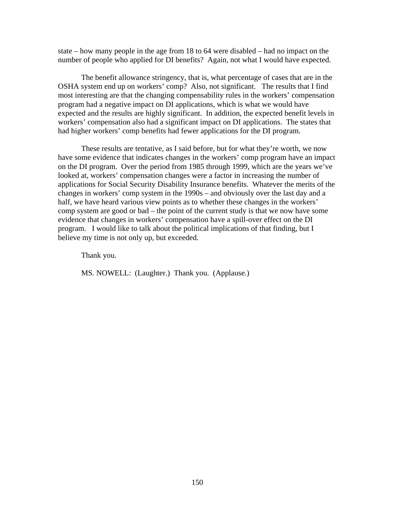state – how many people in the age from 18 to 64 were disabled – had no impact on the number of people who applied for DI benefits? Again, not what I would have expected.

The benefit allowance stringency, that is, what percentage of cases that are in the OSHA system end up on workers' comp? Also, not significant. The results that I find most interesting are that the changing compensability rules in the workers' compensation program had a negative impact on DI applications, which is what we would have expected and the results are highly significant. In addition, the expected benefit levels in workers' compensation also had a significant impact on DI applications. The states that had higher workers' comp benefits had fewer applications for the DI program.

These results are tentative, as I said before, but for what they're worth, we now have some evidence that indicates changes in the workers' comp program have an impact on the DI program. Over the period from 1985 through 1999, which are the years we've looked at, workers' compensation changes were a factor in increasing the number of applications for Social Security Disability Insurance benefits. Whatever the merits of the changes in workers' comp system in the 1990s – and obviously over the last day and a half, we have heard various view points as to whether these changes in the workers' comp system are good or bad – the point of the current study is that we now have some evidence that changes in workers' compensation have a spill-over effect on the DI program. I would like to talk about the political implications of that finding, but I believe my time is not only up, but exceeded.

Thank you.

MS. NOWELL: (Laughter.) Thank you. (Applause.)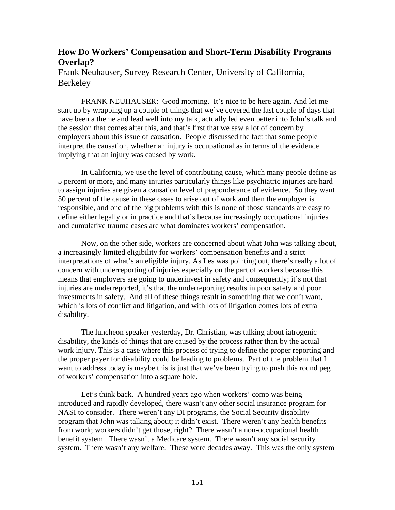## **How Do Workers' Compensation and Short-Term Disability Programs Overlap?**

Frank Neuhauser, Survey Research Center, University of California, Berkeley

FRANK NEUHAUSER: Good morning. It's nice to be here again. And let me start up by wrapping up a couple of things that we've covered the last couple of days that have been a theme and lead well into my talk, actually led even better into John's talk and the session that comes after this, and that's first that we saw a lot of concern by employers about this issue of causation. People discussed the fact that some people interpret the causation, whether an injury is occupational as in terms of the evidence implying that an injury was caused by work.

In California, we use the level of contributing cause, which many people define as 5 percent or more, and many injuries particularly things like psychiatric injuries are hard to assign injuries are given a causation level of preponderance of evidence. So they want 50 percent of the cause in these cases to arise out of work and then the employer is responsible, and one of the big problems with this is none of those standards are easy to define either legally or in practice and that's because increasingly occupational injuries and cumulative trauma cases are what dominates workers' compensation.

Now, on the other side, workers are concerned about what John was talking about, a increasingly limited eligibility for workers' compensation benefits and a strict interpretations of what's an eligible injury. As Les was pointing out, there's really a lot of concern with underreporting of injuries especially on the part of workers because this means that employers are going to underinvest in safety and consequently; it's not that injuries are underreported, it's that the underreporting results in poor safety and poor investments in safety. And all of these things result in something that we don't want, which is lots of conflict and litigation, and with lots of litigation comes lots of extra disability.

The luncheon speaker yesterday, Dr. Christian, was talking about iatrogenic disability, the kinds of things that are caused by the process rather than by the actual work injury. This is a case where this process of trying to define the proper reporting and the proper payer for disability could be leading to problems. Part of the problem that I want to address today is maybe this is just that we've been trying to push this round peg of workers' compensation into a square hole.

Let's think back. A hundred years ago when workers' comp was being introduced and rapidly developed, there wasn't any other social insurance program for NASI to consider. There weren't any DI programs, the Social Security disability program that John was talking about; it didn't exist. There weren't any health benefits from work; workers didn't get those, right? There wasn't a non-occupational health benefit system. There wasn't a Medicare system. There wasn't any social security system. There wasn't any welfare. These were decades away. This was the only system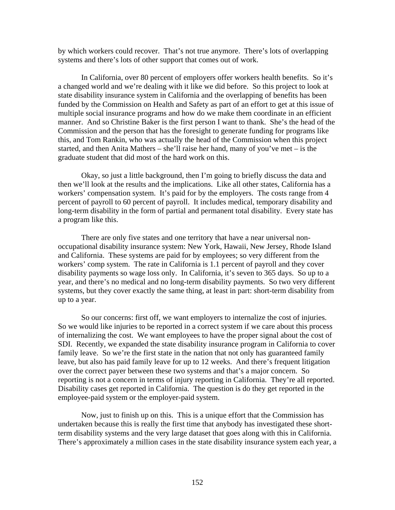by which workers could recover. That's not true anymore. There's lots of overlapping systems and there's lots of other support that comes out of work.

In California, over 80 percent of employers offer workers health benefits. So it's a changed world and we're dealing with it like we did before. So this project to look at state disability insurance system in California and the overlapping of benefits has been funded by the Commission on Health and Safety as part of an effort to get at this issue of multiple social insurance programs and how do we make them coordinate in an efficient manner. And so Christine Baker is the first person I want to thank. She's the head of the Commission and the person that has the foresight to generate funding for programs like this, and Tom Rankin, who was actually the head of the Commission when this project started, and then Anita Mathers – she'll raise her hand, many of you've met – is the graduate student that did most of the hard work on this.

Okay, so just a little background, then I'm going to briefly discuss the data and then we'll look at the results and the implications. Like all other states, California has a workers' compensation system. It's paid for by the employers. The costs range from 4 percent of payroll to 60 percent of payroll. It includes medical, temporary disability and long-term disability in the form of partial and permanent total disability. Every state has a program like this.

There are only five states and one territory that have a near universal nonoccupational disability insurance system: New York, Hawaii, New Jersey, Rhode Island and California. These systems are paid for by employees; so very different from the workers' comp system. The rate in California is 1.1 percent of payroll and they cover disability payments so wage loss only. In California, it's seven to 365 days. So up to a year, and there's no medical and no long-term disability payments. So two very different systems, but they cover exactly the same thing, at least in part: short-term disability from up to a year.

So our concerns: first off, we want employers to internalize the cost of injuries. So we would like injuries to be reported in a correct system if we care about this process of internalizing the cost. We want employees to have the proper signal about the cost of SDI. Recently, we expanded the state disability insurance program in California to cover family leave. So we're the first state in the nation that not only has guaranteed family leave, but also has paid family leave for up to 12 weeks. And there's frequent litigation over the correct payer between these two systems and that's a major concern. So reporting is not a concern in terms of injury reporting in California. They're all reported. Disability cases get reported in California. The question is do they get reported in the employee-paid system or the employer-paid system.

Now, just to finish up on this. This is a unique effort that the Commission has undertaken because this is really the first time that anybody has investigated these shortterm disability systems and the very large dataset that goes along with this in California. There's approximately a million cases in the state disability insurance system each year, a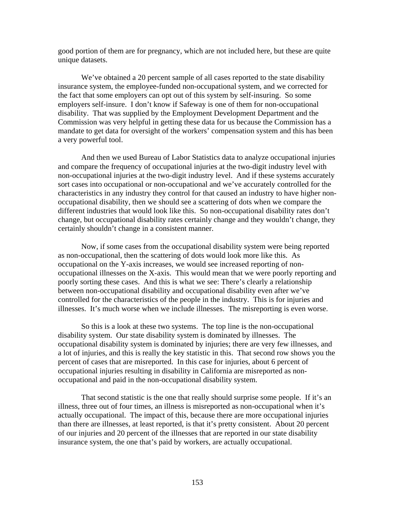good portion of them are for pregnancy, which are not included here, but these are quite unique datasets.

We've obtained a 20 percent sample of all cases reported to the state disability insurance system, the employee-funded non-occupational system, and we corrected for the fact that some employers can opt out of this system by self-insuring. So some employers self-insure. I don't know if Safeway is one of them for non-occupational disability. That was supplied by the Employment Development Department and the Commission was very helpful in getting these data for us because the Commission has a mandate to get data for oversight of the workers' compensation system and this has been a very powerful tool.

And then we used Bureau of Labor Statistics data to analyze occupational injuries and compare the frequency of occupational injuries at the two-digit industry level with non-occupational injuries at the two-digit industry level. And if these systems accurately sort cases into occupational or non-occupational and we've accurately controlled for the characteristics in any industry they control for that caused an industry to have higher nonoccupational disability, then we should see a scattering of dots when we compare the different industries that would look like this. So non-occupational disability rates don't change, but occupational disability rates certainly change and they wouldn't change, they certainly shouldn't change in a consistent manner.

Now, if some cases from the occupational disability system were being reported as non-occupational, then the scattering of dots would look more like this. As occupational on the Y-axis increases, we would see increased reporting of nonoccupational illnesses on the X-axis. This would mean that we were poorly reporting and poorly sorting these cases. And this is what we see: There's clearly a relationship between non-occupational disability and occupational disability even after we've controlled for the characteristics of the people in the industry. This is for injuries and illnesses. It's much worse when we include illnesses. The misreporting is even worse.

So this is a look at these two systems. The top line is the non-occupational disability system. Our state disability system is dominated by illnesses. The occupational disability system is dominated by injuries; there are very few illnesses, and a lot of injuries, and this is really the key statistic in this. That second row shows you the percent of cases that are misreported. In this case for injuries, about 6 percent of occupational injuries resulting in disability in California are misreported as nonoccupational and paid in the non-occupational disability system.

That second statistic is the one that really should surprise some people. If it's an illness, three out of four times, an illness is misreported as non-occupational when it's actually occupational. The impact of this, because there are more occupational injuries than there are illnesses, at least reported, is that it's pretty consistent. About 20 percent of our injuries and 20 percent of the illnesses that are reported in our state disability insurance system, the one that's paid by workers, are actually occupational.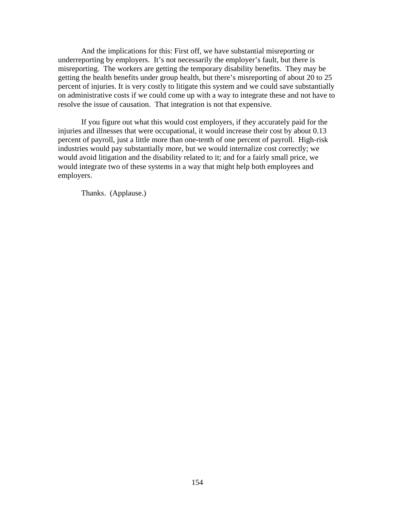And the implications for this: First off, we have substantial misreporting or underreporting by employers. It's not necessarily the employer's fault, but there is misreporting. The workers are getting the temporary disability benefits. They may be getting the health benefits under group health, but there's misreporting of about 20 to 25 percent of injuries. It is very costly to litigate this system and we could save substantially on administrative costs if we could come up with a way to integrate these and not have to resolve the issue of causation. That integration is not that expensive.

If you figure out what this would cost employers, if they accurately paid for the injuries and illnesses that were occupational, it would increase their cost by about 0.13 percent of payroll, just a little more than one-tenth of one percent of payroll. High-risk industries would pay substantially more, but we would internalize cost correctly; we would avoid litigation and the disability related to it; and for a fairly small price, we would integrate two of these systems in a way that might help both employees and employers.

Thanks. (Applause.)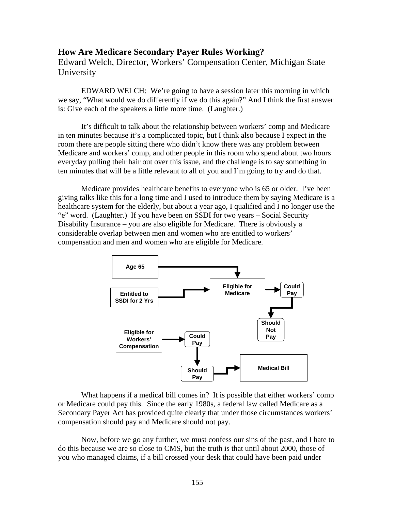### **How Are Medicare Secondary Payer Rules Working?**

Edward Welch, Director, Workers' Compensation Center, Michigan State University

EDWARD WELCH: We're going to have a session later this morning in which we say, "What would we do differently if we do this again?" And I think the first answer is: Give each of the speakers a little more time. (Laughter.)

It's difficult to talk about the relationship between workers' comp and Medicare in ten minutes because it's a complicated topic, but I think also because I expect in the room there are people sitting there who didn't know there was any problem between Medicare and workers' comp, and other people in this room who spend about two hours everyday pulling their hair out over this issue, and the challenge is to say something in ten minutes that will be a little relevant to all of you and I'm going to try and do that.

Medicare provides healthcare benefits to everyone who is 65 or older. I've been giving talks like this for a long time and I used to introduce them by saying Medicare is a healthcare system for the elderly, but about a year ago, I qualified and I no longer use the "e" word. (Laughter.) If you have been on SSDI for two years – Social Security Disability Insurance – you are also eligible for Medicare. There is obviously a considerable overlap between men and women who are entitled to workers' compensation and men and women who are eligible for Medicare.



What happens if a medical bill comes in? It is possible that either workers' comp or Medicare could pay this. Since the early 1980s, a federal law called Medicare as a Secondary Payer Act has provided quite clearly that under those circumstances workers' compensation should pay and Medicare should not pay.

Now, before we go any further, we must confess our sins of the past, and I hate to do this because we are so close to CMS, but the truth is that until about 2000, those of you who managed claims, if a bill crossed your desk that could have been paid under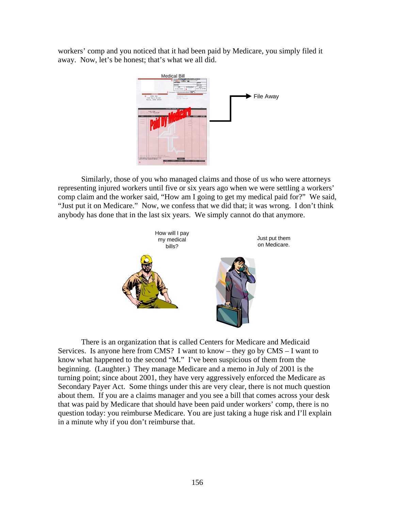workers' comp and you noticed that it had been paid by Medicare, you simply filed it away. Now, let's be honest; that's what we all did.



Similarly, those of you who managed claims and those of us who were attorneys representing injured workers until five or six years ago when we were settling a workers' comp claim and the worker said, "How am I going to get my medical paid for?" We said, "Just put it on Medicare." Now, we confess that we did that; it was wrong. I don't think anybody has done that in the last six years. We simply cannot do that anymore.



There is an organization that is called Centers for Medicare and Medicaid Services. Is anyone here from CMS? I want to know – they go by CMS – I want to know what happened to the second "M." I've been suspicious of them from the beginning. (Laughter.) They manage Medicare and a memo in July of 2001 is the turning point; since about 2001, they have very aggressively enforced the Medicare as Secondary Payer Act. Some things under this are very clear, there is not much question about them. If you are a claims manager and you see a bill that comes across your desk that was paid by Medicare that should have been paid under workers' comp, there is no question today: you reimburse Medicare. You are just taking a huge risk and I'll explain in a minute why if you don't reimburse that.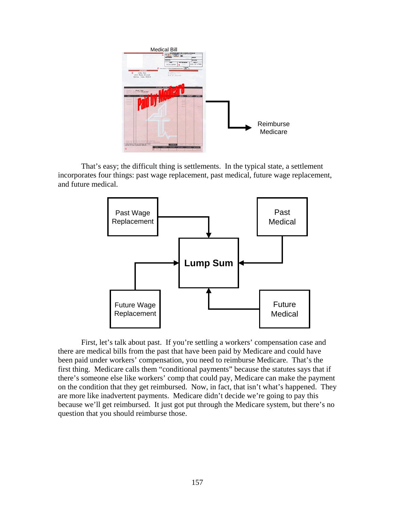

That's easy; the difficult thing is settlements. In the typical state, a settlement incorporates four things: past wage replacement, past medical, future wage replacement, and future medical.



First, let's talk about past. If you're settling a workers' compensation case and there are medical bills from the past that have been paid by Medicare and could have been paid under workers' compensation, you need to reimburse Medicare. That's the first thing. Medicare calls them "conditional payments" because the statutes says that if there's someone else like workers' comp that could pay, Medicare can make the payment on the condition that they get reimbursed. Now, in fact, that isn't what's happened. They are more like inadvertent payments. Medicare didn't decide we're going to pay this because we'll get reimbursed. It just got put through the Medicare system, but there's no question that you should reimburse those.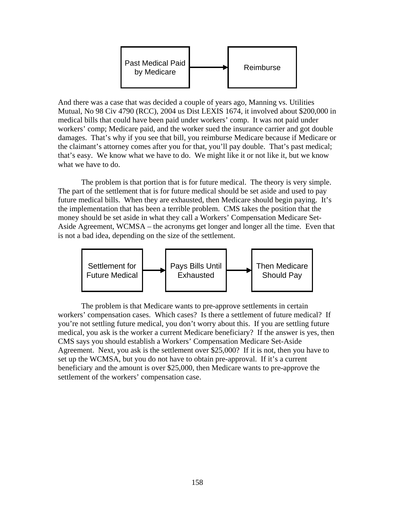

And there was a case that was decided a couple of years ago, Manning vs. Utilities Mutual, No 98 Civ 4790 (RCC), 2004 us Dist LEXIS 1674, it involved about \$200,000 in medical bills that could have been paid under workers' comp. It was not paid under workers' comp; Medicare paid, and the worker sued the insurance carrier and got double damages. That's why if you see that bill, you reimburse Medicare because if Medicare or the claimant's attorney comes after you for that, you'll pay double. That's past medical; that's easy. We know what we have to do. We might like it or not like it, but we know what we have to do.

The problem is that portion that is for future medical. The theory is very simple. The part of the settlement that is for future medical should be set aside and used to pay future medical bills. When they are exhausted, then Medicare should begin paying. It's the implementation that has been a terrible problem. CMS takes the position that the money should be set aside in what they call a Workers' Compensation Medicare Set-Aside Agreement, WCMSA – the acronyms get longer and longer all the time. Even that is not a bad idea, depending on the size of the settlement.



The problem is that Medicare wants to pre-approve settlements in certain workers' compensation cases. Which cases? Is there a settlement of future medical? If you're not settling future medical, you don't worry about this. If you are settling future medical, you ask is the worker a current Medicare beneficiary? If the answer is yes, then CMS says you should establish a Workers' Compensation Medicare Set-Aside Agreement. Next, you ask is the settlement over \$25,000? If it is not, then you have to set up the WCMSA, but you do not have to obtain pre-approval. If it's a current beneficiary and the amount is over \$25,000, then Medicare wants to pre-approve the settlement of the workers' compensation case.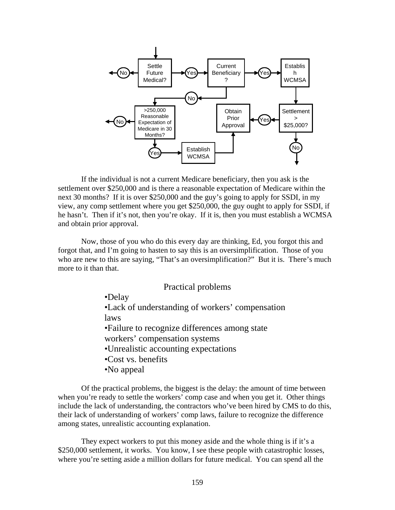

If the individual is not a current Medicare beneficiary, then you ask is the settlement over \$250,000 and is there a reasonable expectation of Medicare within the next 30 months? If it is over \$250,000 and the guy's going to apply for SSDI, in my view, any comp settlement where you get \$250,000, the guy ought to apply for SSDI, if he hasn't. Then if it's not, then you're okay. If it is, then you must establish a WCMSA and obtain prior approval.

Now, those of you who do this every day are thinking, Ed, you forgot this and forgot that, and I'm going to hasten to say this is an oversimplification. Those of you who are new to this are saying, "That's an oversimplification?" But it is. There's much more to it than that.

#### Practical problems

•Delay

•Lack of understanding of workers' compensation laws

•Failure to recognize differences among state

- workers' compensation systems
- •Unrealistic accounting expectations
- •Cost vs. benefits
- •No appeal

Of the practical problems, the biggest is the delay: the amount of time between when you're ready to settle the workers' comp case and when you get it. Other things include the lack of understanding, the contractors who've been hired by CMS to do this, their lack of understanding of workers' comp laws, failure to recognize the difference among states, unrealistic accounting explanation.

They expect workers to put this money aside and the whole thing is if it's a \$250,000 settlement, it works. You know, I see these people with catastrophic losses, where you're setting aside a million dollars for future medical. You can spend all the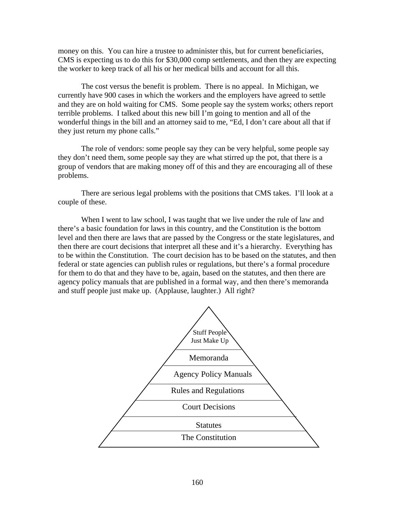money on this. You can hire a trustee to administer this, but for current beneficiaries, CMS is expecting us to do this for \$30,000 comp settlements, and then they are expecting the worker to keep track of all his or her medical bills and account for all this.

The cost versus the benefit is problem. There is no appeal. In Michigan, we currently have 900 cases in which the workers and the employers have agreed to settle and they are on hold waiting for CMS. Some people say the system works; others report terrible problems. I talked about this new bill I'm going to mention and all of the wonderful things in the bill and an attorney said to me, "Ed, I don't care about all that if they just return my phone calls."

The role of vendors: some people say they can be very helpful, some people say they don't need them, some people say they are what stirred up the pot, that there is a group of vendors that are making money off of this and they are encouraging all of these problems.

There are serious legal problems with the positions that CMS takes. I'll look at a couple of these.

When I went to law school, I was taught that we live under the rule of law and there's a basic foundation for laws in this country, and the Constitution is the bottom level and then there are laws that are passed by the Congress or the state legislatures, and then there are court decisions that interpret all these and it's a hierarchy. Everything has to be within the Constitution. The court decision has to be based on the statutes, and then federal or state agencies can publish rules or regulations, but there's a formal procedure for them to do that and they have to be, again, based on the statutes, and then there are agency policy manuals that are published in a formal way, and then there's memoranda and stuff people just make up. (Applause, laughter.) All right?

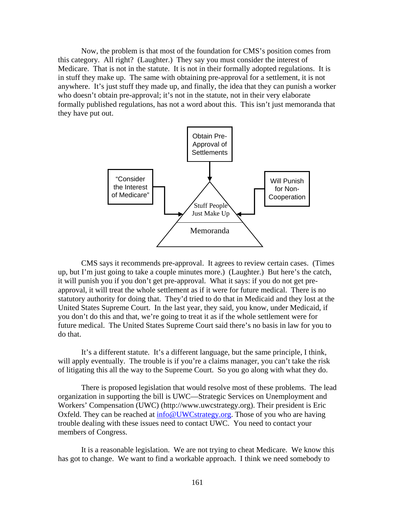Now, the problem is that most of the foundation for CMS's position comes from this category. All right? (Laughter.) They say you must consider the interest of Medicare. That is not in the statute. It is not in their formally adopted regulations. It is in stuff they make up. The same with obtaining pre-approval for a settlement, it is not anywhere. It's just stuff they made up, and finally, the idea that they can punish a worker who doesn't obtain pre-approval; it's not in the statute, not in their very elaborate formally published regulations, has not a word about this. This isn't just memoranda that they have put out.



CMS says it recommends pre-approval. It agrees to review certain cases. (Times up, but I'm just going to take a couple minutes more.) (Laughter.) But here's the catch, it will punish you if you don't get pre-approval. What it says: if you do not get preapproval, it will treat the whole settlement as if it were for future medical. There is no statutory authority for doing that. They'd tried to do that in Medicaid and they lost at the United States Supreme Court. In the last year, they said, you know, under Medicaid, if you don't do this and that, we're going to treat it as if the whole settlement were for future medical. The United States Supreme Court said there's no basis in law for you to do that.

It's a different statute. It's a different language, but the same principle, I think, will apply eventually. The trouble is if you're a claims manager, you can't take the risk of litigating this all the way to the Supreme Court. So you go along with what they do.

There is proposed legislation that would resolve most of these problems. The lead organization in supporting the bill is UWC—Strategic Services on Unemployment and Workers' Compensation (UWC) (http://www.uwcstrategy.org). Their president is Eric Oxfeld. They can be reached at [info@UWCstrategy.org](mailto:info@UWCstrategy.org). Those of you who are having trouble dealing with these issues need to contact UWC. You need to contact your members of Congress.

It is a reasonable legislation. We are not trying to cheat Medicare. We know this has got to change. We want to find a workable approach. I think we need somebody to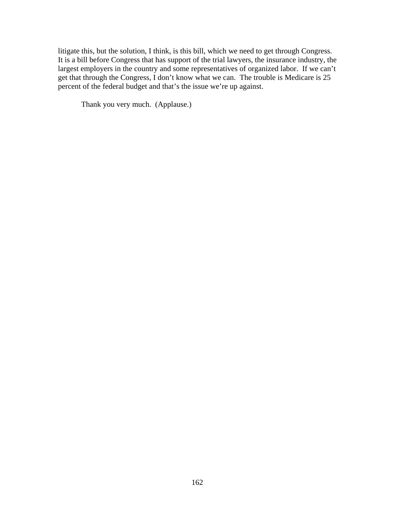litigate this, but the solution, I think, is this bill, which we need to get through Congress. It is a bill before Congress that has support of the trial lawyers, the insurance industry, the largest employers in the country and some representatives of organized labor. If we can't get that through the Congress, I don't know what we can. The trouble is Medicare is 25 percent of the federal budget and that's the issue we're up against.

Thank you very much. (Applause.)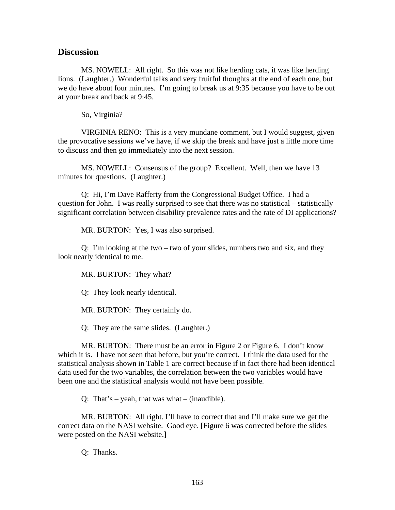#### **Discussion**

MS. NOWELL: All right. So this was not like herding cats, it was like herding lions. (Laughter.) Wonderful talks and very fruitful thoughts at the end of each one, but we do have about four minutes. I'm going to break us at 9:35 because you have to be out at your break and back at 9:45.

So, Virginia?

VIRGINIA RENO: This is a very mundane comment, but I would suggest, given the provocative sessions we've have, if we skip the break and have just a little more time to discuss and then go immediately into the next session.

MS. NOWELL: Consensus of the group? Excellent. Well, then we have 13 minutes for questions. (Laughter.)

Q: Hi, I'm Dave Rafferty from the Congressional Budget Office. I had a question for John. I was really surprised to see that there was no statistical – statistically significant correlation between disability prevalence rates and the rate of DI applications?

MR. BURTON: Yes, I was also surprised.

Q: I'm looking at the two – two of your slides, numbers two and six, and they look nearly identical to me.

MR. BURTON: They what?

Q: They look nearly identical.

MR. BURTON: They certainly do.

Q: They are the same slides. (Laughter.)

MR. BURTON: There must be an error in Figure 2 or Figure 6. I don't know which it is. I have not seen that before, but you're correct. I think the data used for the statistical analysis shown in Table 1 are correct because if in fact there had been identical data used for the two variables, the correlation between the two variables would have been one and the statistical analysis would not have been possible.

Q: That's – yeah, that was what – (inaudible).

MR. BURTON: All right. I'll have to correct that and I'll make sure we get the correct data on the NASI website. Good eye. [Figure 6 was corrected before the slides were posted on the NASI website.]

Q: Thanks.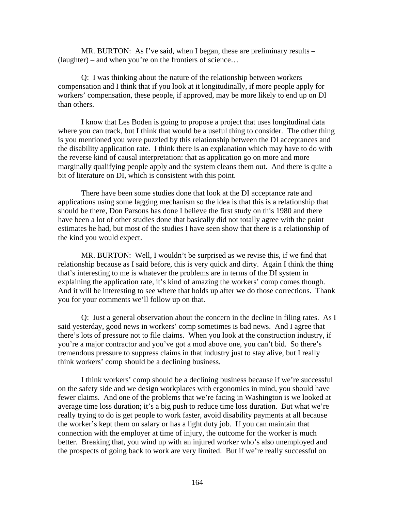MR. BURTON: As I've said, when I began, these are preliminary results – (laughter) – and when you're on the frontiers of science…

Q: I was thinking about the nature of the relationship between workers compensation and I think that if you look at it longitudinally, if more people apply for workers' compensation, these people, if approved, may be more likely to end up on DI than others.

I know that Les Boden is going to propose a project that uses longitudinal data where you can track, but I think that would be a useful thing to consider. The other thing is you mentioned you were puzzled by this relationship between the DI acceptances and the disability application rate. I think there is an explanation which may have to do with the reverse kind of causal interpretation: that as application go on more and more marginally qualifying people apply and the system cleans them out. And there is quite a bit of literature on DI, which is consistent with this point.

There have been some studies done that look at the DI acceptance rate and applications using some lagging mechanism so the idea is that this is a relationship that should be there, Don Parsons has done I believe the first study on this 1980 and there have been a lot of other studies done that basically did not totally agree with the point estimates he had, but most of the studies I have seen show that there is a relationship of the kind you would expect.

MR. BURTON: Well, I wouldn't be surprised as we revise this, if we find that relationship because as I said before, this is very quick and dirty. Again I think the thing that's interesting to me is whatever the problems are in terms of the DI system in explaining the application rate, it's kind of amazing the workers' comp comes though. And it will be interesting to see where that holds up after we do those corrections. Thank you for your comments we'll follow up on that.

Q: Just a general observation about the concern in the decline in filing rates. As I said yesterday, good news in workers' comp sometimes is bad news. And I agree that there's lots of pressure not to file claims. When you look at the construction industry, if you're a major contractor and you've got a mod above one, you can't bid. So there's tremendous pressure to suppress claims in that industry just to stay alive, but I really think workers' comp should be a declining business.

I think workers' comp should be a declining business because if we're successful on the safety side and we design workplaces with ergonomics in mind, you should have fewer claims. And one of the problems that we're facing in Washington is we looked at average time loss duration; it's a big push to reduce time loss duration. But what we're really trying to do is get people to work faster, avoid disability payments at all because the worker's kept them on salary or has a light duty job. If you can maintain that connection with the employer at time of injury, the outcome for the worker is much better. Breaking that, you wind up with an injured worker who's also unemployed and the prospects of going back to work are very limited. But if we're really successful on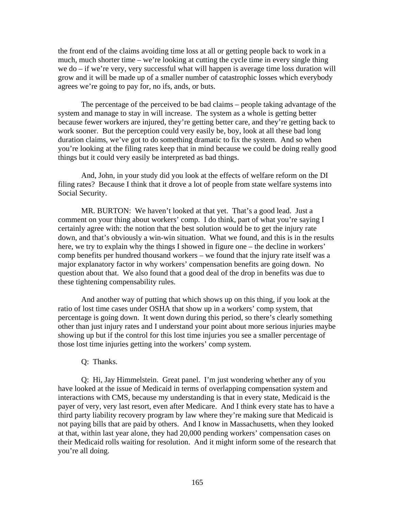the front end of the claims avoiding time loss at all or getting people back to work in a much, much shorter time – we're looking at cutting the cycle time in every single thing we do – if we're very, very successful what will happen is average time loss duration will grow and it will be made up of a smaller number of catastrophic losses which everybody agrees we're going to pay for, no ifs, ands, or buts.

The percentage of the perceived to be bad claims – people taking advantage of the system and manage to stay in will increase. The system as a whole is getting better because fewer workers are injured, they're getting better care, and they're getting back to work sooner. But the perception could very easily be, boy, look at all these bad long duration claims, we've got to do something dramatic to fix the system. And so when you're looking at the filing rates keep that in mind because we could be doing really good things but it could very easily be interpreted as bad things.

And, John, in your study did you look at the effects of welfare reform on the DI filing rates? Because I think that it drove a lot of people from state welfare systems into Social Security.

MR. BURTON: We haven't looked at that yet. That's a good lead. Just a comment on your thing about workers' comp. I do think, part of what you're saying I certainly agree with: the notion that the best solution would be to get the injury rate down, and that's obviously a win-win situation. What we found, and this is in the results here, we try to explain why the things I showed in figure one – the decline in workers' comp benefits per hundred thousand workers – we found that the injury rate itself was a major explanatory factor in why workers' compensation benefits are going down. No question about that. We also found that a good deal of the drop in benefits was due to these tightening compensability rules.

And another way of putting that which shows up on this thing, if you look at the ratio of lost time cases under OSHA that show up in a workers' comp system, that percentage is going down. It went down during this period, so there's clearly something other than just injury rates and I understand your point about more serious injuries maybe showing up but if the control for this lost time injuries you see a smaller percentage of those lost time injuries getting into the workers' comp system.

#### Q: Thanks.

Q: Hi, Jay Himmelstein. Great panel. I'm just wondering whether any of you have looked at the issue of Medicaid in terms of overlapping compensation system and interactions with CMS, because my understanding is that in every state, Medicaid is the payer of very, very last resort, even after Medicare. And I think every state has to have a third party liability recovery program by law where they're making sure that Medicaid is not paying bills that are paid by others. And I know in Massachusetts, when they looked at that, within last year alone, they had 20,000 pending workers' compensation cases on their Medicaid rolls waiting for resolution. And it might inform some of the research that you're all doing.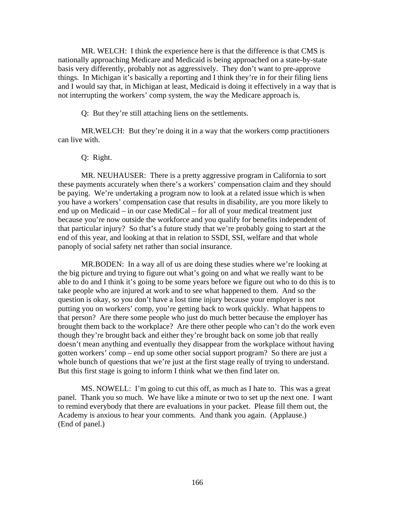MR. WELCH: I think the experience here is that the difference is that CMS is nationally approaching Medicare and Medicaid is being approached on a state-by-state basis very differently, probably not as aggressively. They don't want to pre-approve things. In Michigan it's basically a reporting and I think they're in for their filing liens and I would say that, in Michigan at least, Medicaid is doing it effectively in a way that is not interrupting the workers' comp system, the way the Medicare approach is.

Q: But they're still attaching liens on the settlements.

MR.WELCH: But they're doing it in a way that the workers comp practitioners can live with.

#### Q: Right.

MR. NEUHAUSER: There is a pretty aggressive program in California to sort these payments accurately when there's a workers' compensation claim and they should be paying. We're undertaking a program now to look at a related issue which is when you have a workers' compensation case that results in disability, are you more likely to end up on Medicaid – in our case MediCal – for all of your medical treatment just because you're now outside the workforce and you qualify for benefits independent of that particular injury? So that's a future study that we're probably going to start at the end of this year, and looking at that in relation to SSDI, SSI, welfare and that whole panoply of social safety net rather than social insurance.

MR.BODEN: In a way all of us are doing these studies where we're looking at the big picture and trying to figure out what's going on and what we really want to be able to do and I think it's going to be some years before we figure out who to do this is to take people who are injured at work and to see what happened to them. And so the question is okay, so you don't have a lost time injury because your employer is not putting you on workers' comp, you're getting back to work quickly. What happens to that person? Are there some people who just do much better because the employer has brought them back to the workplace? Are there other people who can't do the work even though they're brought back and either they're brought back on some job that really doesn't mean anything and eventually they disappear from the workplace without having gotten workers' comp – end up some other social support program? So there are just a whole bunch of questions that we're just at the first stage really of trying to understand. But this first stage is going to inform I think what we then find later on.

MS. NOWELL: I'm going to cut this off, as much as I hate to. This was a great panel. Thank you so much. We have like a minute or two to set up the next one. I want to remind everybody that there are evaluations in your packet. Please fill them out, the Academy is anxious to hear your comments. And thank you again. (Applause.) (End of panel.)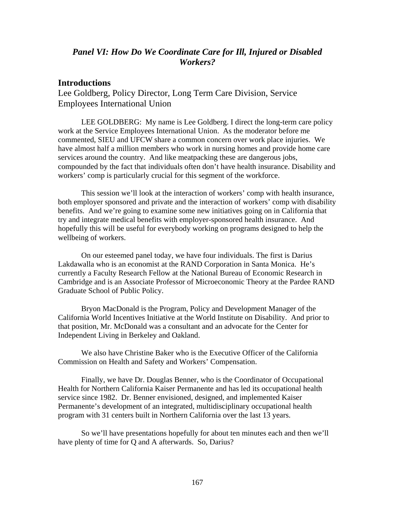## *Panel VI: How Do We Coordinate Care for Ill, Injured or Disabled Workers?*

### **Introductions**

Lee Goldberg, Policy Director, Long Term Care Division, Service Employees International Union

LEE GOLDBERG: My name is Lee Goldberg. I direct the long-term care policy work at the Service Employees International Union. As the moderator before me commented, SIEU and UFCW share a common concern over work place injuries. We have almost half a million members who work in nursing homes and provide home care services around the country. And like meatpacking these are dangerous jobs, compounded by the fact that individuals often don't have health insurance. Disability and workers' comp is particularly crucial for this segment of the workforce.

This session we'll look at the interaction of workers' comp with health insurance, both employer sponsored and private and the interaction of workers' comp with disability benefits. And we're going to examine some new initiatives going on in California that try and integrate medical benefits with employer-sponsored health insurance. And hopefully this will be useful for everybody working on programs designed to help the wellbeing of workers.

On our esteemed panel today, we have four individuals. The first is Darius Lakdawalla who is an economist at the RAND Corporation in Santa Monica. He's currently a Faculty Research Fellow at the National Bureau of Economic Research in Cambridge and is an Associate Professor of Microeconomic Theory at the Pardee RAND Graduate School of Public Policy.

Bryon MacDonald is the Program, Policy and Development Manager of the California World Incentives Initiative at the World Institute on Disability. And prior to that position, Mr. McDonald was a consultant and an advocate for the Center for Independent Living in Berkeley and Oakland.

We also have Christine Baker who is the Executive Officer of the California Commission on Health and Safety and Workers' Compensation.

Finally, we have Dr. Douglas Benner, who is the Coordinator of Occupational Health for Northern California Kaiser Permanente and has led its occupational health service since 1982. Dr. Benner envisioned, designed, and implemented Kaiser Permanente's development of an integrated, multidisciplinary occupational health program with 31 centers built in Northern California over the last 13 years.

So we'll have presentations hopefully for about ten minutes each and then we'll have plenty of time for Q and A afterwards. So, Darius?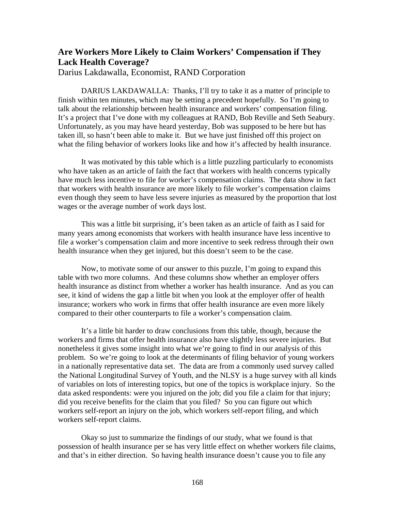# **Are Workers More Likely to Claim Workers' Compensation if They Lack Health Coverage?**

Darius Lakdawalla, Economist, RAND Corporation

DARIUS LAKDAWALLA: Thanks, I'll try to take it as a matter of principle to finish within ten minutes, which may be setting a precedent hopefully. So I'm going to talk about the relationship between health insurance and workers' compensation filing. It's a project that I've done with my colleagues at RAND, Bob Reville and Seth Seabury. Unfortunately, as you may have heard yesterday, Bob was supposed to be here but has taken ill, so hasn't been able to make it. But we have just finished off this project on what the filing behavior of workers looks like and how it's affected by health insurance.

It was motivated by this table which is a little puzzling particularly to economists who have taken as an article of faith the fact that workers with health concerns typically have much less incentive to file for worker's compensation claims. The data show in fact that workers with health insurance are more likely to file worker's compensation claims even though they seem to have less severe injuries as measured by the proportion that lost wages or the average number of work days lost.

This was a little bit surprising, it's been taken as an article of faith as I said for many years among economists that workers with health insurance have less incentive to file a worker's compensation claim and more incentive to seek redress through their own health insurance when they get injured, but this doesn't seem to be the case.

Now, to motivate some of our answer to this puzzle, I'm going to expand this table with two more columns. And these columns show whether an employer offers health insurance as distinct from whether a worker has health insurance. And as you can see, it kind of widens the gap a little bit when you look at the employer offer of health insurance; workers who work in firms that offer health insurance are even more likely compared to their other counterparts to file a worker's compensation claim.

It's a little bit harder to draw conclusions from this table, though, because the workers and firms that offer health insurance also have slightly less severe injuries. But nonetheless it gives some insight into what we're going to find in our analysis of this problem. So we're going to look at the determinants of filing behavior of young workers in a nationally representative data set. The data are from a commonly used survey called the National Longitudinal Survey of Youth, and the NLSY is a huge survey with all kinds of variables on lots of interesting topics, but one of the topics is workplace injury. So the data asked respondents: were you injured on the job; did you file a claim for that injury; did you receive benefits for the claim that you filed? So you can figure out which workers self-report an injury on the job, which workers self-report filing, and which workers self-report claims.

Okay so just to summarize the findings of our study, what we found is that possession of health insurance per se has very little effect on whether workers file claims, and that's in either direction. So having health insurance doesn't cause you to file any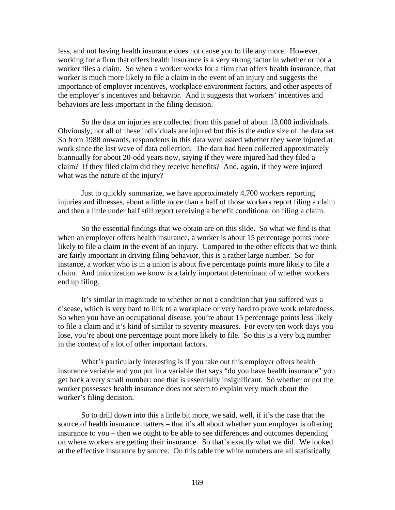less, and not having health insurance does not cause you to file any more. However, working for a firm that offers health insurance is a very strong factor in whether or not a worker files a claim. So when a worker works for a firm that offers health insurance, that worker is much more likely to file a claim in the event of an injury and suggests the importance of employer incentives, workplace environment factors, and other aspects of the employer's incentives and behavior. And it suggests that workers' incentives and behaviors are less important in the filing decision.

So the data on injuries are collected from this panel of about 13,000 individuals. Obviously, not all of these individuals are injured but this is the entire size of the data set. So from 1988 onwards, respondents in this data were asked whether they were injured at work since the last wave of data collection. The data had been collected approximately biannually for about 20-odd years now, saying if they were injured had they filed a claim? If they filed claim did they receive benefits? And, again, if they were injured what was the nature of the injury?

Just to quickly summarize, we have approximately 4,700 workers reporting injuries and illnesses, about a little more than a half of those workers report filing a claim and then a little under half still report receiving a benefit conditional on filing a claim.

So the essential findings that we obtain are on this slide. So what we find is that when an employer offers health insurance, a worker is about 15 percentage points more likely to file a claim in the event of an injury. Compared to the other effects that we think are fairly important in driving filing behavior, this is a rather large number. So for instance, a worker who is in a union is about five percentage points more likely to file a claim. And unionization we know is a fairly important determinant of whether workers end up filing.

It's similar in magnitude to whether or not a condition that you suffered was a disease, which is very hard to link to a workplace or very hard to prove work relatedness. So when you have an occupational disease, you're about 15 percentage points less likely to file a claim and it's kind of similar to severity measures. For every ten work days you lose, you're about one percentage point more likely to file. So this is a very big number in the context of a lot of other important factors.

What's particularly interesting is if you take out this employer offers health insurance variable and you put in a variable that says "do you have health insurance" you get back a very small number: one that is essentially insignificant. So whether or not the worker possesses health insurance does not seem to explain very much about the worker's filing decision.

So to drill down into this a little bit more, we said, well, if it's the case that the source of health insurance matters – that it's all about whether your employer is offering insurance to you – then we ought to be able to see differences and outcomes depending on where workers are getting their insurance. So that's exactly what we did. We looked at the effective insurance by source. On this table the white numbers are all statistically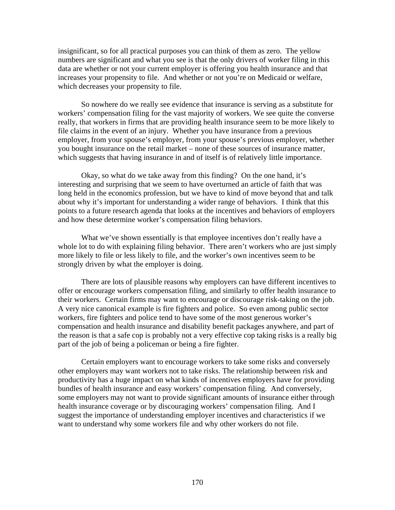insignificant, so for all practical purposes you can think of them as zero. The yellow numbers are significant and what you see is that the only drivers of worker filing in this data are whether or not your current employer is offering you health insurance and that increases your propensity to file. And whether or not you're on Medicaid or welfare, which decreases your propensity to file.

So nowhere do we really see evidence that insurance is serving as a substitute for workers' compensation filing for the vast majority of workers. We see quite the converse really, that workers in firms that are providing health insurance seem to be more likely to file claims in the event of an injury. Whether you have insurance from a previous employer, from your spouse's employer, from your spouse's previous employer, whether you bought insurance on the retail market – none of these sources of insurance matter, which suggests that having insurance in and of itself is of relatively little importance.

Okay, so what do we take away from this finding? On the one hand, it's interesting and surprising that we seem to have overturned an article of faith that was long held in the economics profession, but we have to kind of move beyond that and talk about why it's important for understanding a wider range of behaviors. I think that this points to a future research agenda that looks at the incentives and behaviors of employers and how these determine worker's compensation filing behaviors.

What we've shown essentially is that employee incentives don't really have a whole lot to do with explaining filing behavior. There aren't workers who are just simply more likely to file or less likely to file, and the worker's own incentives seem to be strongly driven by what the employer is doing.

There are lots of plausible reasons why employers can have different incentives to offer or encourage workers compensation filing, and similarly to offer health insurance to their workers. Certain firms may want to encourage or discourage risk-taking on the job. A very nice canonical example is fire fighters and police. So even among public sector workers, fire fighters and police tend to have some of the most generous worker's compensation and health insurance and disability benefit packages anywhere, and part of the reason is that a safe cop is probably not a very effective cop taking risks is a really big part of the job of being a policeman or being a fire fighter.

Certain employers want to encourage workers to take some risks and conversely other employers may want workers not to take risks. The relationship between risk and productivity has a huge impact on what kinds of incentives employers have for providing bundles of health insurance and easy workers' compensation filing. And conversely, some employers may not want to provide significant amounts of insurance either through health insurance coverage or by discouraging workers' compensation filing. And I suggest the importance of understanding employer incentives and characteristics if we want to understand why some workers file and why other workers do not file.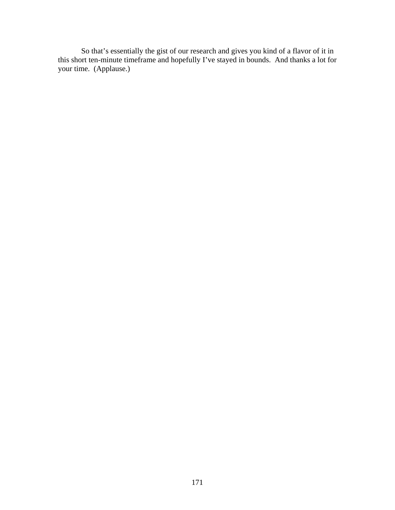So that's essentially the gist of our research and gives you kind of a flavor of it in this short ten-minute timeframe and hopefully I've stayed in bounds. And thanks a lot for your time. (Applause.)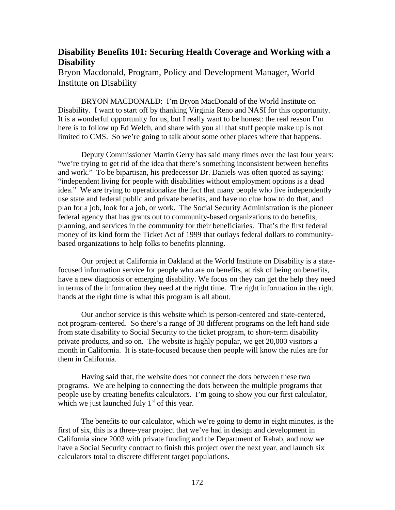## **Disability Benefits 101: Securing Health Coverage and Working with a Disability**

Bryon Macdonald, Program, Policy and Development Manager, World Institute on Disability

BRYON MACDONALD: I'm Bryon MacDonald of the World Institute on Disability. I want to start off by thanking Virginia Reno and NASI for this opportunity. It is a wonderful opportunity for us, but I really want to be honest: the real reason I'm here is to follow up Ed Welch, and share with you all that stuff people make up is not limited to CMS. So we're going to talk about some other places where that happens.

Deputy Commissioner Martin Gerry has said many times over the last four years: "we're trying to get rid of the idea that there's something inconsistent between benefits and work." To be bipartisan, his predecessor Dr. Daniels was often quoted as saying: "independent living for people with disabilities without employment options is a dead idea." We are trying to operationalize the fact that many people who live independently use state and federal public and private benefits, and have no clue how to do that, and plan for a job, look for a job, or work. The Social Security Administration is the pioneer federal agency that has grants out to community-based organizations to do benefits, planning, and services in the community for their beneficiaries. That's the first federal money of its kind form the Ticket Act of 1999 that outlays federal dollars to communitybased organizations to help folks to benefits planning.

Our project at California in Oakland at the World Institute on Disability is a statefocused information service for people who are on benefits, at risk of being on benefits, have a new diagnosis or emerging disability. We focus on they can get the help they need in terms of the information they need at the right time. The right information in the right hands at the right time is what this program is all about.

Our anchor service is this website which is person-centered and state-centered, not program-centered. So there's a range of 30 different programs on the left hand side from state disability to Social Security to the ticket program, to short-term disability private products, and so on. The website is highly popular, we get 20,000 visitors a month in California. It is state-focused because then people will know the rules are for them in California.

Having said that, the website does not connect the dots between these two programs. We are helping to connecting the dots between the multiple programs that people use by creating benefits calculators. I'm going to show you our first calculator, which we just launched July  $1<sup>st</sup>$  of this year.

The benefits to our calculator, which we're going to demo in eight minutes, is the first of six, this is a three-year project that we've had in design and development in California since 2003 with private funding and the Department of Rehab, and now we have a Social Security contract to finish this project over the next year, and launch six calculators total to discrete different target populations.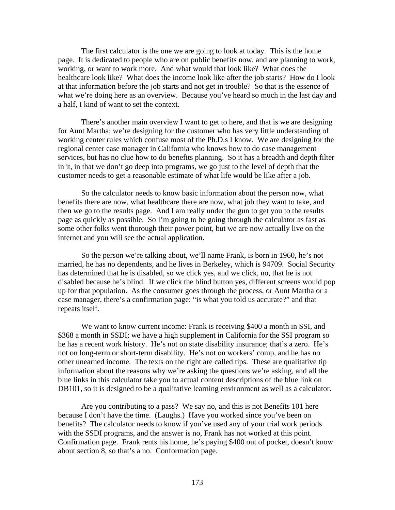The first calculator is the one we are going to look at today. This is the home page. It is dedicated to people who are on public benefits now, and are planning to work, working, or want to work more. And what would that look like? What does the healthcare look like? What does the income look like after the job starts? How do I look at that information before the job starts and not get in trouble? So that is the essence of what we're doing here as an overview. Because you've heard so much in the last day and a half, I kind of want to set the context.

There's another main overview I want to get to here, and that is we are designing for Aunt Martha; we're designing for the customer who has very little understanding of working center rules which confuse most of the Ph.D.s I know. We are designing for the regional center case manager in California who knows how to do case management services, but has no clue how to do benefits planning. So it has a breadth and depth filter in it, in that we don't go deep into programs, we go just to the level of depth that the customer needs to get a reasonable estimate of what life would be like after a job.

So the calculator needs to know basic information about the person now, what benefits there are now, what healthcare there are now, what job they want to take, and then we go to the results page. And I am really under the gun to get you to the results page as quickly as possible. So I'm going to be going through the calculator as fast as some other folks went thorough their power point, but we are now actually live on the internet and you will see the actual application.

So the person we're talking about, we'll name Frank, is born in 1960, he's not married, he has no dependents, and he lives in Berkeley, which is 94709. Social Security has determined that he is disabled, so we click yes, and we click, no, that he is not disabled because he's blind. If we click the blind button yes, different screens would pop up for that population. As the consumer goes through the process, or Aunt Martha or a case manager, there's a confirmation page: "is what you told us accurate?" and that repeats itself.

We want to know current income: Frank is receiving \$400 a month in SSI, and \$368 a month in SSDI; we have a high supplement in California for the SSI program so he has a recent work history. He's not on state disability insurance; that's a zero. He's not on long-term or short-term disability. He's not on workers' comp, and he has no other unearned income. The texts on the right are called tips. These are qualitative tip information about the reasons why we're asking the questions we're asking, and all the blue links in this calculator take you to actual content descriptions of the blue link on DB101, so it is designed to be a qualitative learning environment as well as a calculator.

Are you contributing to a pass? We say no, and this is not Benefits 101 here because I don't have the time. (Laughs.) Have you worked since you've been on benefits? The calculator needs to know if you've used any of your trial work periods with the SSDI programs, and the answer is no, Frank has not worked at this point. Confirmation page. Frank rents his home, he's paying \$400 out of pocket, doesn't know about section 8, so that's a no. Conformation page.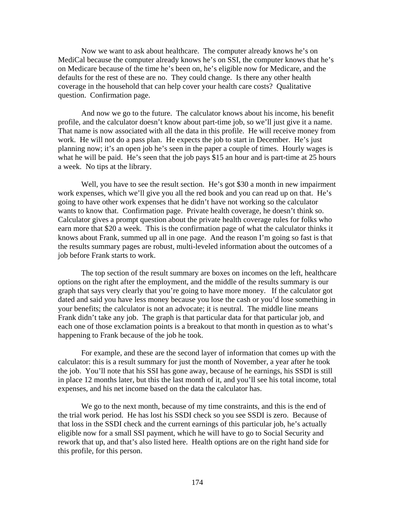Now we want to ask about healthcare. The computer already knows he's on MediCal because the computer already knows he's on SSI, the computer knows that he's on Medicare because of the time he's been on, he's eligible now for Medicare, and the defaults for the rest of these are no. They could change. Is there any other health coverage in the household that can help cover your health care costs? Qualitative question. Confirmation page.

And now we go to the future. The calculator knows about his income, his benefit profile, and the calculator doesn't know about part-time job, so we'll just give it a name. That name is now associated with all the data in this profile. He will receive money from work. He will not do a pass plan. He expects the job to start in December. He's just planning now; it's an open job he's seen in the paper a couple of times. Hourly wages is what he will be paid. He's seen that the job pays \$15 an hour and is part-time at 25 hours a week. No tips at the library.

Well, you have to see the result section. He's got \$30 a month in new impairment work expenses, which we'll give you all the red book and you can read up on that. He's going to have other work expenses that he didn't have not working so the calculator wants to know that. Confirmation page. Private health coverage, he doesn't think so. Calculator gives a prompt question about the private health coverage rules for folks who earn more that \$20 a week. This is the confirmation page of what the calculator thinks it knows about Frank, summed up all in one page. And the reason I'm going so fast is that the results summary pages are robust, multi-leveled information about the outcomes of a job before Frank starts to work.

The top section of the result summary are boxes on incomes on the left, healthcare options on the right after the employment, and the middle of the results summary is our graph that says very clearly that you're going to have more money. If the calculator got dated and said you have less money because you lose the cash or you'd lose something in your benefits; the calculator is not an advocate; it is neutral. The middle line means Frank didn't take any job. The graph is that particular data for that particular job, and each one of those exclamation points is a breakout to that month in question as to what's happening to Frank because of the job he took.

For example, and these are the second layer of information that comes up with the calculator: this is a result summary for just the month of November, a year after he took the job. You'll note that his SSI has gone away, because of he earnings, his SSDI is still in place 12 months later, but this the last month of it, and you'll see his total income, total expenses, and his net income based on the data the calculator has.

We go to the next month, because of my time constraints, and this is the end of the trial work period. He has lost his SSDI check so you see SSDI is zero. Because of that loss in the SSDI check and the current earnings of this particular job, he's actually eligible now for a small SSI payment, which he will have to go to Social Security and rework that up, and that's also listed here. Health options are on the right hand side for this profile, for this person.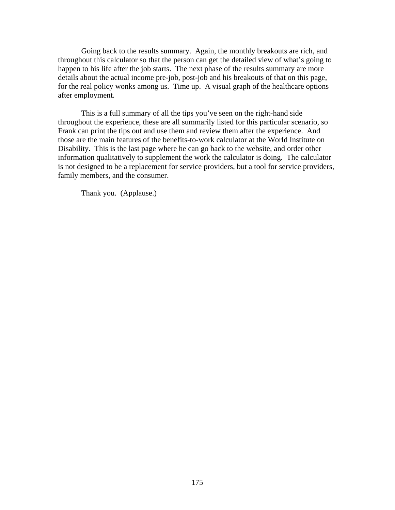Going back to the results summary. Again, the monthly breakouts are rich, and throughout this calculator so that the person can get the detailed view of what's going to happen to his life after the job starts. The next phase of the results summary are more details about the actual income pre-job, post-job and his breakouts of that on this page, for the real policy wonks among us. Time up. A visual graph of the healthcare options after employment.

This is a full summary of all the tips you've seen on the right-hand side throughout the experience, these are all summarily listed for this particular scenario, so Frank can print the tips out and use them and review them after the experience. And those are the main features of the benefits-to-work calculator at the World Institute on Disability. This is the last page where he can go back to the website, and order other information qualitatively to supplement the work the calculator is doing. The calculator is not designed to be a replacement for service providers, but a tool for service providers, family members, and the consumer.

Thank you. (Applause.)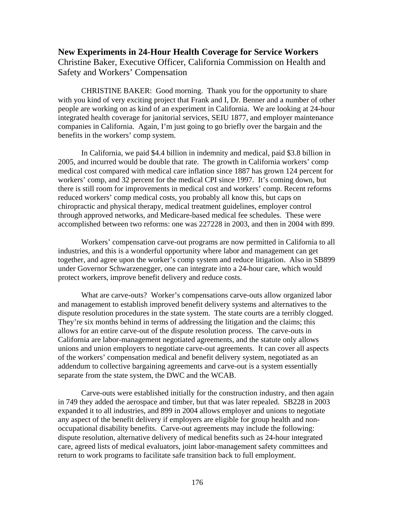## **New Experiments in 24-Hour Health Coverage for Service Workers**  Christine Baker, Executive Officer, California Commission on Health and Safety and Workers' Compensation

CHRISTINE BAKER: Good morning. Thank you for the opportunity to share with you kind of very exciting project that Frank and I, Dr. Benner and a number of other people are working on as kind of an experiment in California. We are looking at 24-hour integrated health coverage for janitorial services, SEIU 1877, and employer maintenance companies in California. Again, I'm just going to go briefly over the bargain and the benefits in the workers' comp system.

In California, we paid \$4.4 billion in indemnity and medical, paid \$3.8 billion in 2005, and incurred would be double that rate. The growth in California workers' comp medical cost compared with medical care inflation since 1887 has grown 124 percent for workers' comp, and 32 percent for the medical CPI since 1997. It's coming down, but there is still room for improvements in medical cost and workers' comp. Recent reforms reduced workers' comp medical costs, you probably all know this, but caps on chiropractic and physical therapy, medical treatment guidelines, employer control through approved networks, and Medicare-based medical fee schedules. These were accomplished between two reforms: one was 227228 in 2003, and then in 2004 with 899.

Workers' compensation carve-out programs are now permitted in California to all industries, and this is a wonderful opportunity where labor and management can get together, and agree upon the worker's comp system and reduce litigation. Also in SB899 under Governor Schwarzenegger, one can integrate into a 24-hour care, which would protect workers, improve benefit delivery and reduce costs.

What are carve-outs? Worker's compensations carve-outs allow organized labor and management to establish improved benefit delivery systems and alternatives to the dispute resolution procedures in the state system. The state courts are a terribly clogged. They're six months behind in terms of addressing the litigation and the claims; this allows for an entire carve-out of the dispute resolution process. The carve-outs in California are labor-management negotiated agreements, and the statute only allows unions and union employers to negotiate carve-out agreements. It can cover all aspects of the workers' compensation medical and benefit delivery system, negotiated as an addendum to collective bargaining agreements and carve-out is a system essentially separate from the state system, the DWC and the WCAB.

Carve-outs were established initially for the construction industry, and then again in 749 they added the aerospace and timber, but that was later repealed. SB228 in 2003 expanded it to all industries, and 899 in 2004 allows employer and unions to negotiate any aspect of the benefit delivery if employers are eligible for group health and nonoccupational disability benefits. Carve-out agreements may include the following: dispute resolution, alternative delivery of medical benefits such as 24-hour integrated care, agreed lists of medical evaluators, joint labor-management safety committees and return to work programs to facilitate safe transition back to full employment.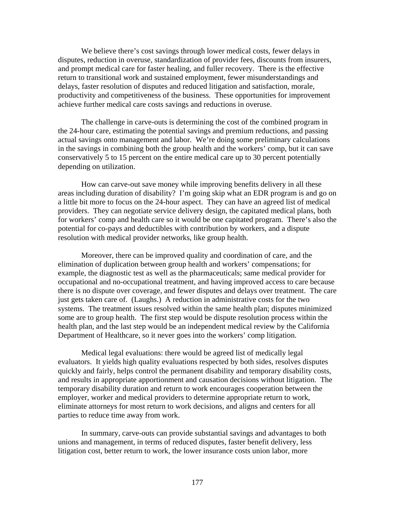We believe there's cost savings through lower medical costs, fewer delays in disputes, reduction in overuse, standardization of provider fees, discounts from insurers, and prompt medical care for faster healing, and fuller recovery. There is the effective return to transitional work and sustained employment, fewer misunderstandings and delays, faster resolution of disputes and reduced litigation and satisfaction, morale, productivity and competitiveness of the business. These opportunities for improvement achieve further medical care costs savings and reductions in overuse.

The challenge in carve-outs is determining the cost of the combined program in the 24-hour care, estimating the potential savings and premium reductions, and passing actual savings onto management and labor. We're doing some preliminary calculations in the savings in combining both the group health and the workers' comp, but it can save conservatively 5 to 15 percent on the entire medical care up to 30 percent potentially depending on utilization.

How can carve-out save money while improving benefits delivery in all these areas including duration of disability? I'm going skip what an EDR program is and go on a little bit more to focus on the 24-hour aspect. They can have an agreed list of medical providers. They can negotiate service delivery design, the capitated medical plans, both for workers' comp and health care so it would be one capitated program. There's also the potential for co-pays and deductibles with contribution by workers, and a dispute resolution with medical provider networks, like group health.

Moreover, there can be improved quality and coordination of care, and the elimination of duplication between group health and workers' compensations; for example, the diagnostic test as well as the pharmaceuticals; same medical provider for occupational and no-occupational treatment, and having improved access to care because there is no dispute over coverage, and fewer disputes and delays over treatment. The care just gets taken care of. (Laughs.) A reduction in administrative costs for the two systems. The treatment issues resolved within the same health plan; disputes minimized some are to group health. The first step would be dispute resolution process within the health plan, and the last step would be an independent medical review by the California Department of Healthcare, so it never goes into the workers' comp litigation.

Medical legal evaluations: there would be agreed list of medically legal evaluators. It yields high quality evaluations respected by both sides, resolves disputes quickly and fairly, helps control the permanent disability and temporary disability costs, and results in appropriate apportionment and causation decisions without litigation. The temporary disability duration and return to work encourages cooperation between the employer, worker and medical providers to determine appropriate return to work, eliminate attorneys for most return to work decisions, and aligns and centers for all parties to reduce time away from work.

In summary, carve-outs can provide substantial savings and advantages to both unions and management, in terms of reduced disputes, faster benefit delivery, less litigation cost, better return to work, the lower insurance costs union labor, more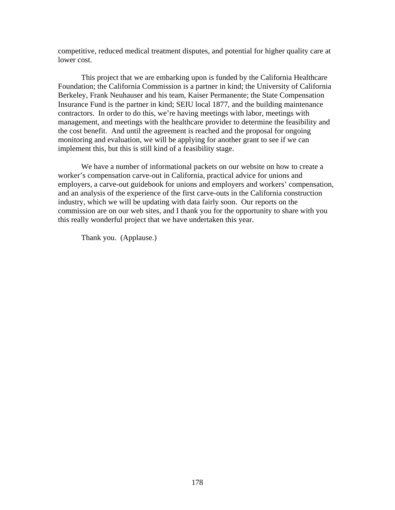competitive, reduced medical treatment disputes, and potential for higher quality care at lower cost.

This project that we are embarking upon is funded by the California Healthcare Foundation; the California Commission is a partner in kind; the University of California Berkeley, Frank Neuhauser and his team, Kaiser Permanente; the State Compensation Insurance Fund is the partner in kind; SEIU local 1877, and the building maintenance contractors. In order to do this, we're having meetings with labor, meetings with management, and meetings with the healthcare provider to determine the feasibility and the cost benefit. And until the agreement is reached and the proposal for ongoing monitoring and evaluation, we will be applying for another grant to see if we can implement this, but this is still kind of a feasibility stage.

We have a number of informational packets on our website on how to create a worker's compensation carve-out in California, practical advice for unions and employers, a carve-out guidebook for unions and employers and workers' compensation, and an analysis of the experience of the first carve-outs in the California construction industry, which we will be updating with data fairly soon. Our reports on the commission are on our web sites, and I thank you for the opportunity to share with you this really wonderful project that we have undertaken this year.

Thank you. (Applause.)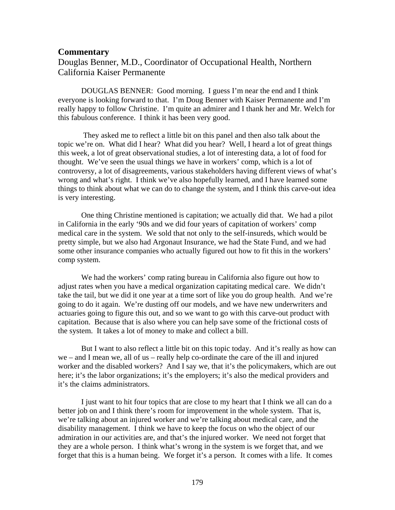#### **Commentary**

### Douglas Benner, M.D., Coordinator of Occupational Health, Northern California Kaiser Permanente

DOUGLAS BENNER: Good morning. I guess I'm near the end and I think everyone is looking forward to that. I'm Doug Benner with Kaiser Permanente and I'm really happy to follow Christine. I'm quite an admirer and I thank her and Mr. Welch for this fabulous conference. I think it has been very good.

 They asked me to reflect a little bit on this panel and then also talk about the topic we're on. What did I hear? What did you hear? Well, I heard a lot of great things this week, a lot of great observational studies, a lot of interesting data, a lot of food for thought. We've seen the usual things we have in workers' comp, which is a lot of controversy, a lot of disagreements, various stakeholders having different views of what's wrong and what's right. I think we've also hopefully learned, and I have learned some things to think about what we can do to change the system, and I think this carve-out idea is very interesting.

One thing Christine mentioned is capitation; we actually did that. We had a pilot in California in the early '90s and we did four years of capitation of workers' comp medical care in the system. We sold that not only to the self-insureds, which would be pretty simple, but we also had Argonaut Insurance, we had the State Fund, and we had some other insurance companies who actually figured out how to fit this in the workers' comp system.

We had the workers' comp rating bureau in California also figure out how to adjust rates when you have a medical organization capitating medical care. We didn't take the tail, but we did it one year at a time sort of like you do group health. And we're going to do it again. We're dusting off our models, and we have new underwriters and actuaries going to figure this out, and so we want to go with this carve-out product with capitation. Because that is also where you can help save some of the frictional costs of the system. It takes a lot of money to make and collect a bill.

But I want to also reflect a little bit on this topic today. And it's really as how can we – and I mean we, all of us – really help co-ordinate the care of the ill and injured worker and the disabled workers? And I say we, that it's the policymakers, which are out here; it's the labor organizations; it's the employers; it's also the medical providers and it's the claims administrators.

I just want to hit four topics that are close to my heart that I think we all can do a better job on and I think there's room for improvement in the whole system. That is, we're talking about an injured worker and we're talking about medical care, and the disability management. I think we have to keep the focus on who the object of our admiration in our activities are, and that's the injured worker. We need not forget that they are a whole person. I think what's wrong in the system is we forget that, and we forget that this is a human being. We forget it's a person. It comes with a life. It comes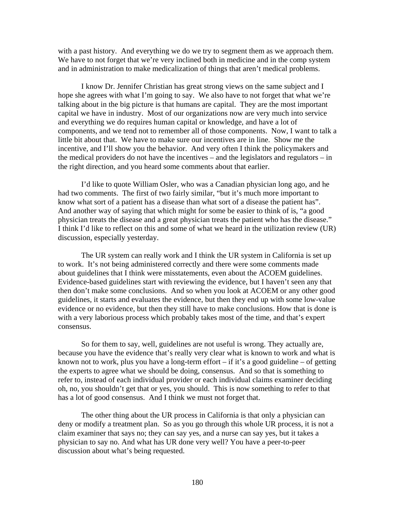with a past history. And everything we do we try to segment them as we approach them. We have to not forget that we're very inclined both in medicine and in the comp system and in administration to make medicalization of things that aren't medical problems.

I know Dr. Jennifer Christian has great strong views on the same subject and I hope she agrees with what I'm going to say. We also have to not forget that what we're talking about in the big picture is that humans are capital. They are the most important capital we have in industry. Most of our organizations now are very much into service and everything we do requires human capital or knowledge, and have a lot of components, and we tend not to remember all of those components. Now, I want to talk a little bit about that. We have to make sure our incentives are in line. Show me the incentive, and I'll show you the behavior. And very often I think the policymakers and the medical providers do not have the incentives – and the legislators and regulators – in the right direction, and you heard some comments about that earlier.

I'd like to quote William Osler, who was a Canadian physician long ago, and he had two comments. The first of two fairly similar, "but it's much more important to know what sort of a patient has a disease than what sort of a disease the patient has". And another way of saying that which might for some be easier to think of is, "a good physician treats the disease and a great physician treats the patient who has the disease." I think I'd like to reflect on this and some of what we heard in the utilization review (UR) discussion, especially yesterday.

The UR system can really work and I think the UR system in California is set up to work. It's not being administered correctly and there were some comments made about guidelines that I think were misstatements, even about the ACOEM guidelines. Evidence-based guidelines start with reviewing the evidence, but I haven't seen any that then don't make some conclusions. And so when you look at ACOEM or any other good guidelines, it starts and evaluates the evidence, but then they end up with some low-value evidence or no evidence, but then they still have to make conclusions. How that is done is with a very laborious process which probably takes most of the time, and that's expert consensus.

So for them to say, well, guidelines are not useful is wrong. They actually are, because you have the evidence that's really very clear what is known to work and what is known not to work, plus you have a long-term effort – if it's a good guideline – of getting the experts to agree what we should be doing, consensus. And so that is something to refer to, instead of each individual provider or each individual claims examiner deciding oh, no, you shouldn't get that or yes, you should. This is now something to refer to that has a lot of good consensus. And I think we must not forget that.

The other thing about the UR process in California is that only a physician can deny or modify a treatment plan. So as you go through this whole UR process, it is not a claim examiner that says no; they can say yes, and a nurse can say yes, but it takes a physician to say no. And what has UR done very well? You have a peer-to-peer discussion about what's being requested.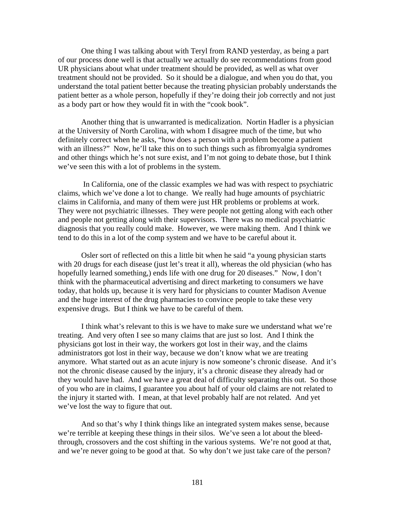One thing I was talking about with Teryl from RAND yesterday, as being a part of our process done well is that actually we actually do see recommendations from good UR physicians about what under treatment should be provided, as well as what over treatment should not be provided. So it should be a dialogue, and when you do that, you understand the total patient better because the treating physician probably understands the patient better as a whole person, hopefully if they're doing their job correctly and not just as a body part or how they would fit in with the "cook book".

Another thing that is unwarranted is medicalization. Nortin Hadler is a physician at the University of North Carolina, with whom I disagree much of the time, but who definitely correct when he asks, "how does a person with a problem become a patient with an illness?" Now, he'll take this on to such things such as fibromyalgia syndromes and other things which he's not sure exist, and I'm not going to debate those, but I think we've seen this with a lot of problems in the system.

 In California, one of the classic examples we had was with respect to psychiatric claims, which we've done a lot to change. We really had huge amounts of psychiatric claims in California, and many of them were just HR problems or problems at work. They were not psychiatric illnesses. They were people not getting along with each other and people not getting along with their supervisors. There was no medical psychiatric diagnosis that you really could make. However, we were making them. And I think we tend to do this in a lot of the comp system and we have to be careful about it.

Osler sort of reflected on this a little bit when he said "a young physician starts with 20 drugs for each disease (just let's treat it all), whereas the old physician (who has hopefully learned something,) ends life with one drug for 20 diseases." Now, I don't think with the pharmaceutical advertising and direct marketing to consumers we have today, that holds up, because it is very hard for physicians to counter Madison Avenue and the huge interest of the drug pharmacies to convince people to take these very expensive drugs. But I think we have to be careful of them.

I think what's relevant to this is we have to make sure we understand what we're treating. And very often I see so many claims that are just so lost. And I think the physicians got lost in their way, the workers got lost in their way, and the claims administrators got lost in their way, because we don't know what we are treating anymore. What started out as an acute injury is now someone's chronic disease. And it's not the chronic disease caused by the injury, it's a chronic disease they already had or they would have had. And we have a great deal of difficulty separating this out. So those of you who are in claims, I guarantee you about half of your old claims are not related to the injury it started with. I mean, at that level probably half are not related. And yet we've lost the way to figure that out.

And so that's why I think things like an integrated system makes sense, because we're terrible at keeping these things in their silos. We've seen a lot about the bleedthrough, crossovers and the cost shifting in the various systems. We're not good at that, and we're never going to be good at that. So why don't we just take care of the person?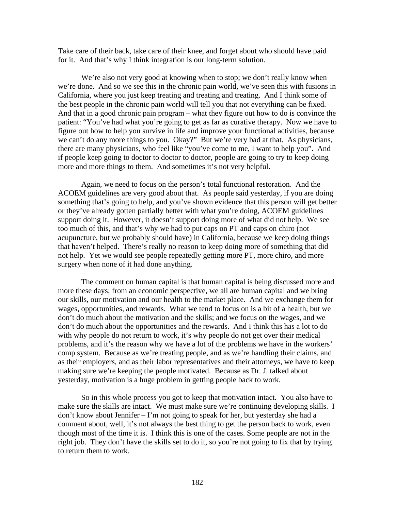Take care of their back, take care of their knee, and forget about who should have paid for it. And that's why I think integration is our long-term solution.

We're also not very good at knowing when to stop; we don't really know when we're done. And so we see this in the chronic pain world, we've seen this with fusions in California, where you just keep treating and treating and treating. And I think some of the best people in the chronic pain world will tell you that not everything can be fixed. And that in a good chronic pain program – what they figure out how to do is convince the patient: "You've had what you're going to get as far as curative therapy. Now we have to figure out how to help you survive in life and improve your functional activities, because we can't do any more things to you. Okay?" But we're very bad at that. As physicians, there are many physicians, who feel like "you've come to me, I want to help you". And if people keep going to doctor to doctor to doctor, people are going to try to keep doing more and more things to them. And sometimes it's not very helpful.

Again, we need to focus on the person's total functional restoration. And the ACOEM guidelines are very good about that. As people said yesterday, if you are doing something that's going to help, and you've shown evidence that this person will get better or they've already gotten partially better with what you're doing, ACOEM guidelines support doing it. However, it doesn't support doing more of what did not help. We see too much of this, and that's why we had to put caps on PT and caps on chiro (not acupuncture, but we probably should have) in California, because we keep doing things that haven't helped. There's really no reason to keep doing more of something that did not help. Yet we would see people repeatedly getting more PT, more chiro, and more surgery when none of it had done anything.

The comment on human capital is that human capital is being discussed more and more these days; from an economic perspective, we all are human capital and we bring our skills, our motivation and our health to the market place. And we exchange them for wages, opportunities, and rewards. What we tend to focus on is a bit of a health, but we don't do much about the motivation and the skills; and we focus on the wages, and we don't do much about the opportunities and the rewards. And I think this has a lot to do with why people do not return to work, it's why people do not get over their medical problems, and it's the reason why we have a lot of the problems we have in the workers' comp system. Because as we're treating people, and as we're handling their claims, and as their employers, and as their labor representatives and their attorneys, we have to keep making sure we're keeping the people motivated. Because as Dr. J. talked about yesterday, motivation is a huge problem in getting people back to work.

So in this whole process you got to keep that motivation intact. You also have to make sure the skills are intact. We must make sure we're continuing developing skills. I don't know about Jennifer – I'm not going to speak for her, but yesterday she had a comment about, well, it's not always the best thing to get the person back to work, even though most of the time it is. I think this is one of the cases. Some people are not in the right job. They don't have the skills set to do it, so you're not going to fix that by trying to return them to work.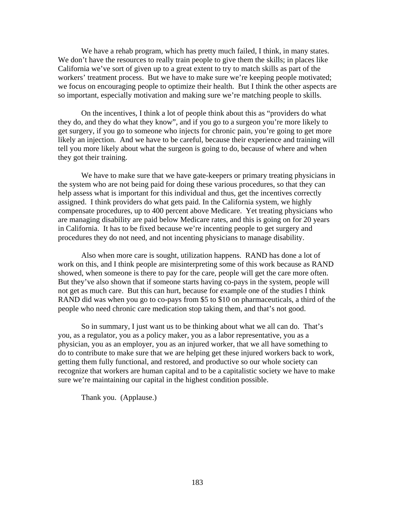We have a rehab program, which has pretty much failed, I think, in many states. We don't have the resources to really train people to give them the skills; in places like California we've sort of given up to a great extent to try to match skills as part of the workers' treatment process. But we have to make sure we're keeping people motivated; we focus on encouraging people to optimize their health. But I think the other aspects are so important, especially motivation and making sure we're matching people to skills.

On the incentives, I think a lot of people think about this as "providers do what they do, and they do what they know", and if you go to a surgeon you're more likely to get surgery, if you go to someone who injects for chronic pain, you're going to get more likely an injection. And we have to be careful, because their experience and training will tell you more likely about what the surgeon is going to do, because of where and when they got their training.

We have to make sure that we have gate-keepers or primary treating physicians in the system who are not being paid for doing these various procedures, so that they can help assess what is important for this individual and thus, get the incentives correctly assigned. I think providers do what gets paid. In the California system, we highly compensate procedures, up to 400 percent above Medicare. Yet treating physicians who are managing disability are paid below Medicare rates, and this is going on for 20 years in California. It has to be fixed because we're incenting people to get surgery and procedures they do not need, and not incenting physicians to manage disability.

Also when more care is sought, utilization happens. RAND has done a lot of work on this, and I think people are misinterpreting some of this work because as RAND showed, when someone is there to pay for the care, people will get the care more often. But they've also shown that if someone starts having co-pays in the system, people will not get as much care. But this can hurt, because for example one of the studies I think RAND did was when you go to co-pays from \$5 to \$10 on pharmaceuticals, a third of the people who need chronic care medication stop taking them, and that's not good.

So in summary, I just want us to be thinking about what we all can do. That's you, as a regulator, you as a policy maker, you as a labor representative, you as a physician, you as an employer, you as an injured worker, that we all have something to do to contribute to make sure that we are helping get these injured workers back to work, getting them fully functional, and restored, and productive so our whole society can recognize that workers are human capital and to be a capitalistic society we have to make sure we're maintaining our capital in the highest condition possible.

Thank you. (Applause.)